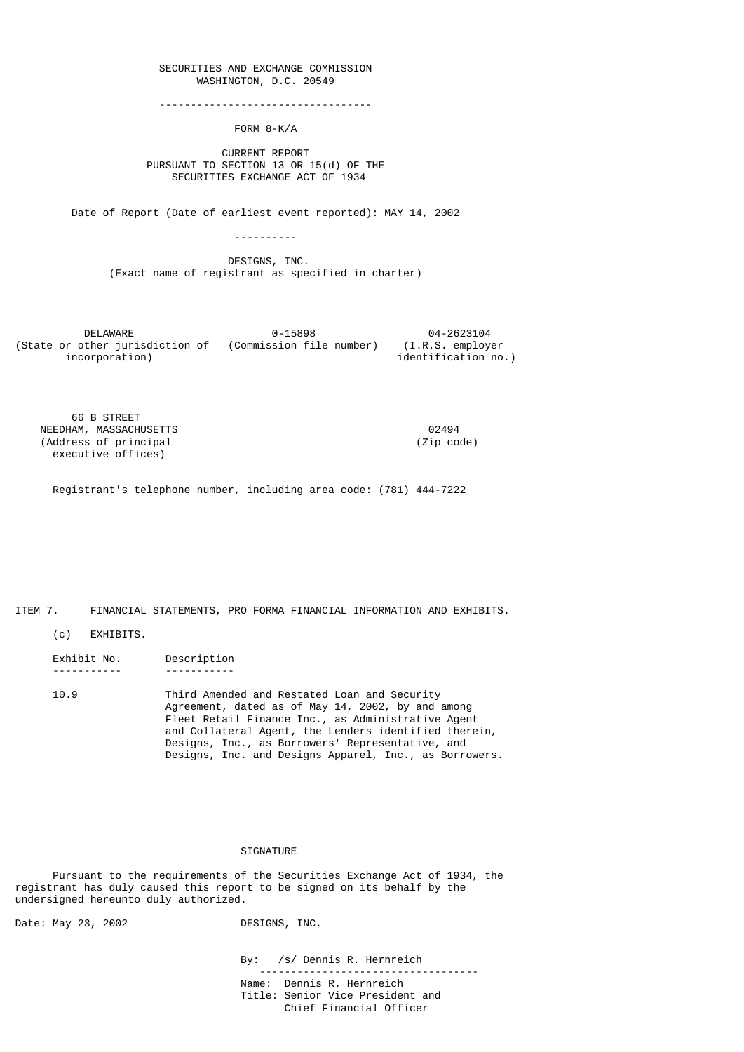## SECURITIES AND EXCHANGE COMMISSION WASHINGTON, D.C. 20549

----------------------------------

FORM 8-K/A

 CURRENT REPORT PURSUANT TO SECTION 13 OR 15(d) OF THE SECURITIES EXCHANGE ACT OF 1934

Date of Report (Date of earliest event reported): MAY 14, 2002

----------

 DESIGNS, INC. (Exact name of registrant as specified in charter)

| DFI AWARF                       | 0-15898                  | 04-2623104          |
|---------------------------------|--------------------------|---------------------|
| (State or other jurisdiction of | (Commission file number) | (I.R.S. emplover)   |
| incorporation)                  |                          | identification no.) |

 66 B STREET NEEDHAM, MASSACHUSETTS 02494 (Address of principal executive offices)

Registrant's telephone number, including area code: (781) 444-7222

ITEM 7. FINANCIAL STATEMENTS, PRO FORMA FINANCIAL INFORMATION AND EXHIBITS.

(c) EXHIBITS.

 Exhibit No. Description ----------- -----------

 10.9 Third Amended and Restated Loan and Security Agreement, dated as of May 14, 2002, by and among Fleet Retail Finance Inc., as Administrative Agent and Collateral Agent, the Lenders identified therein, Designs, Inc., as Borrowers' Representative, and Designs, Inc. and Designs Apparel, Inc., as Borrowers.

### SIGNATURE

 Pursuant to the requirements of the Securities Exchange Act of 1934, the registrant has duly caused this report to be signed on its behalf by the undersigned hereunto duly authorized.

Date: May 23, 2002 DESIGNS, INC.

 By: /s/ Dennis R. Hernreich -----------------------------------

 Name: Dennis R. Hernreich Title: Senior Vice President and Chief Financial Officer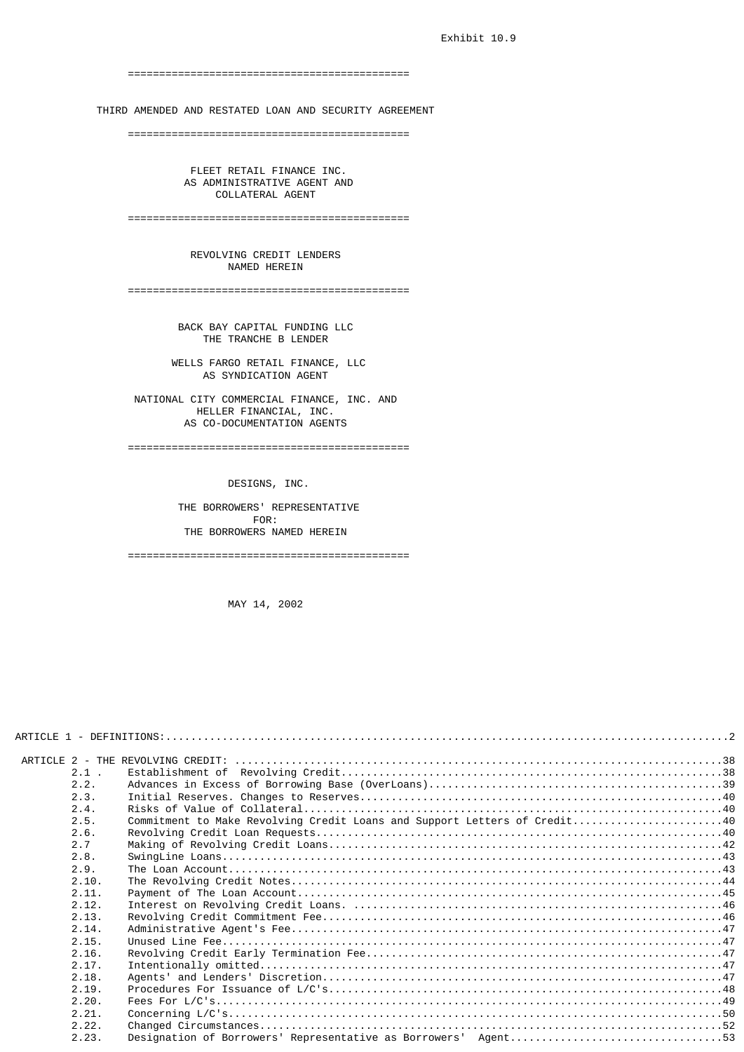=============================================

THIRD AMENDED AND RESTATED LOAN AND SECURITY AGREEMENT

=============================================

 FLEET RETAIL FINANCE INC. AS ADMINISTRATIVE AGENT AND COLLATERAL AGENT

=============================================

 REVOLVING CREDIT LENDERS NAMED HEREIN

=============================================

 BACK BAY CAPITAL FUNDING LLC THE TRANCHE B LENDER

 WELLS FARGO RETAIL FINANCE, LLC AS SYNDICATION AGENT

 NATIONAL CITY COMMERCIAL FINANCE, INC. AND HELLER FINANCIAL, INC. AS CO-DOCUMENTATION AGENTS

=============================================

DESIGNS, INC.

THE BORROWERS' REPRESENTATIVE<br>FOR: FOR: THE BORROWERS NAMED HEREIN

=============================================

MAY 14, 2002

| $2.1$ .        |                                                                           |  |
|----------------|---------------------------------------------------------------------------|--|
| 2.2.           |                                                                           |  |
| 2.3.           |                                                                           |  |
| 2.4.           |                                                                           |  |
| 2.5.           | Commitment to Make Revolving Credit Loans and Support Letters of Credit40 |  |
| 2.6.           |                                                                           |  |
| 2.7            |                                                                           |  |
| 2.8.           |                                                                           |  |
| 2.9.           |                                                                           |  |
| 2.10.          |                                                                           |  |
| 2.11.          |                                                                           |  |
| 2.12.          |                                                                           |  |
| 2.13.          |                                                                           |  |
| 2.14.          |                                                                           |  |
| 2.15.<br>2.16. |                                                                           |  |
| 2.17.          |                                                                           |  |
| 2.18.          |                                                                           |  |
| 2.19.          |                                                                           |  |
| 2.20.          |                                                                           |  |
| 2.21.          |                                                                           |  |
| 2.22.          |                                                                           |  |
| 2.23.          | Designation of Borrowers' Representative as Borrowers' Agent53            |  |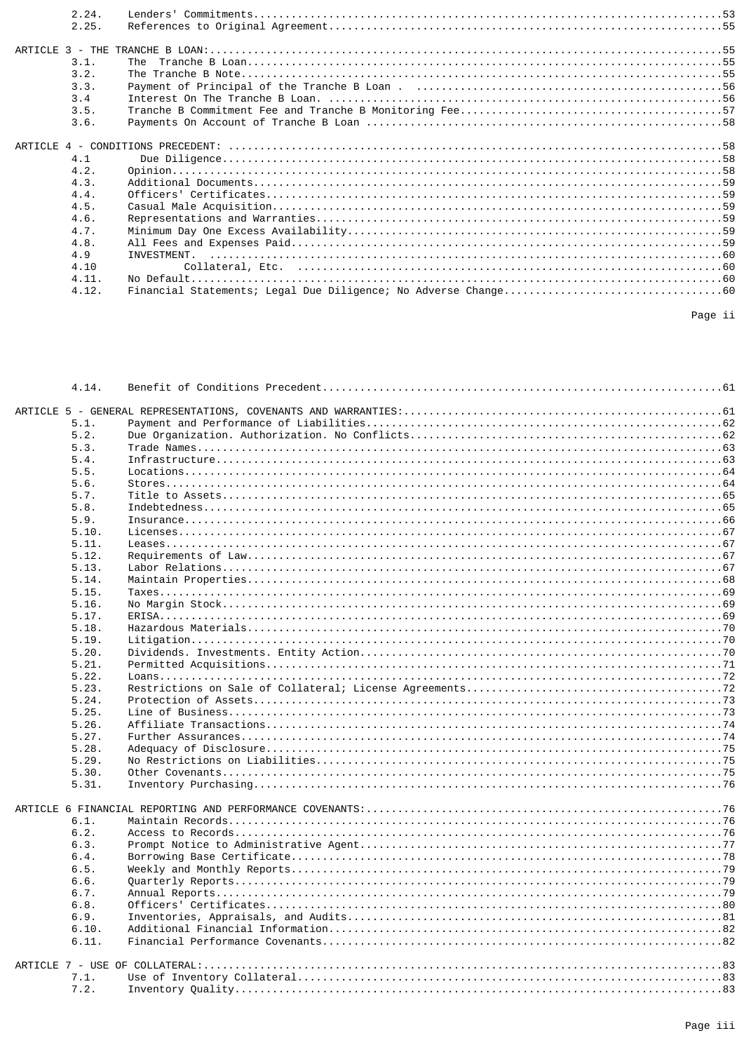| 2.24. |  |
|-------|--|
| 2.25. |  |
|       |  |
|       |  |
| 3.1.  |  |
| 3.2.  |  |
| 3.3.  |  |
| 3.4   |  |
| 3.5.  |  |
| 3.6.  |  |
|       |  |
| 4.1   |  |
| 4.2.  |  |
| 4.3.  |  |
|       |  |
| 4.4.  |  |
| 4.5.  |  |
| 4.6.  |  |
| 4.7.  |  |
| 4.8.  |  |
| 4.9   |  |
| 4.10  |  |
| 4.11. |  |
| 4.12. |  |
|       |  |

| 4.14.        |  |
|--------------|--|
|              |  |
| 5.1.         |  |
| 5.2.         |  |
| 5.3.         |  |
| 5.4.         |  |
| 5.5.         |  |
| 5.6.         |  |
| 5.7.         |  |
| 5.8.         |  |
| 5.9.         |  |
| 5.10.        |  |
| 5.11.        |  |
| 5.12.        |  |
| 5.13.        |  |
| 5.14.        |  |
| 5.15.        |  |
| 5.16.        |  |
| 5.17.        |  |
| 5.18.        |  |
| 5.19.        |  |
| 5.20.        |  |
| 5.21.        |  |
| 5.22.        |  |
| 5.23.        |  |
| 5.24.        |  |
| 5.25.        |  |
| 5.26.        |  |
| 5.27.        |  |
| 5.28.        |  |
| 5.29.        |  |
| 5.30.        |  |
| 5.31.        |  |
|              |  |
|              |  |
| 6.1.         |  |
| 6.2.         |  |
| 6.3.         |  |
| 6.4.         |  |
| 6.5.         |  |
| 6.6.<br>6.7. |  |
|              |  |
| 6.8.<br>6.9. |  |
| 6.10.        |  |
| 6.11.        |  |
|              |  |
|              |  |
| 7.1.         |  |
| 7.2.         |  |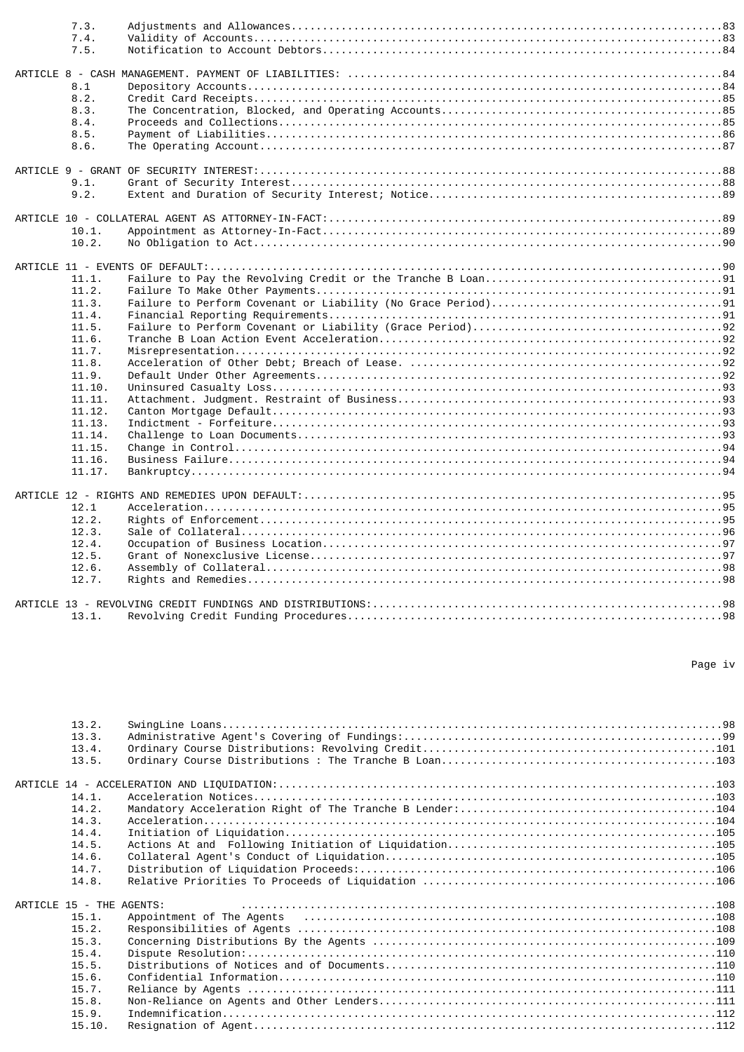| 7.3.   |  |
|--------|--|
| 7.4.   |  |
| 7.5.   |  |
|        |  |
|        |  |
| 8.1    |  |
| 8.2.   |  |
| 8.3.   |  |
| 8.4.   |  |
| 8.5.   |  |
| 8.6.   |  |
|        |  |
|        |  |
| 9.1.   |  |
| 9.2.   |  |
|        |  |
|        |  |
| 10.1.  |  |
| 10.2.  |  |
|        |  |
|        |  |
| 11.1.  |  |
| 11.2.  |  |
| 11.3.  |  |
| 11.4.  |  |
| 11.5.  |  |
| 11.6.  |  |
| 11.7.  |  |
| 11.8.  |  |
| 11.9.  |  |
| 11.10. |  |
| 11.11. |  |
| 11.12. |  |
| 11.13. |  |
| 11.14. |  |
|        |  |
| 11.15. |  |
| 11.16. |  |
| 11.17. |  |
|        |  |
|        |  |
| 12.1   |  |
| 12.2.  |  |
| 12.3.  |  |
| 12.4.  |  |
| 12.5.  |  |
| 12.6.  |  |
| 12.7.  |  |
|        |  |
|        |  |
| 13.1.  |  |

#### Page iv

| 13.2.                    |                                                                                                                                                                                                                                |
|--------------------------|--------------------------------------------------------------------------------------------------------------------------------------------------------------------------------------------------------------------------------|
| 13.3.                    |                                                                                                                                                                                                                                |
| 13.4.                    |                                                                                                                                                                                                                                |
| 13.5.                    |                                                                                                                                                                                                                                |
|                          |                                                                                                                                                                                                                                |
| 14.1.                    |                                                                                                                                                                                                                                |
| 14.2.                    |                                                                                                                                                                                                                                |
| 14.3.                    |                                                                                                                                                                                                                                |
| 14.4.                    |                                                                                                                                                                                                                                |
| 14.5.                    |                                                                                                                                                                                                                                |
| 14.6.                    |                                                                                                                                                                                                                                |
| 14.7.                    |                                                                                                                                                                                                                                |
| 14.8.                    |                                                                                                                                                                                                                                |
| ARTICLE 15 - THE AGENTS: |                                                                                                                                                                                                                                |
| 15.1.                    | Appointment of The Agents (all interactional contracts) and the Agents of The Agents (all interactions) and the Agents (all interactions) and the Agents (all interactions) and the Agents (all interactions) and the Agents o |
| 15.2.                    |                                                                                                                                                                                                                                |
| 15.3.                    |                                                                                                                                                                                                                                |
| 15.4.                    |                                                                                                                                                                                                                                |
| 15.5.                    |                                                                                                                                                                                                                                |
| 15.6.                    |                                                                                                                                                                                                                                |
| 15.7.                    |                                                                                                                                                                                                                                |
| 15.8.                    |                                                                                                                                                                                                                                |
| 15.9.                    |                                                                                                                                                                                                                                |
| 15.10.                   |                                                                                                                                                                                                                                |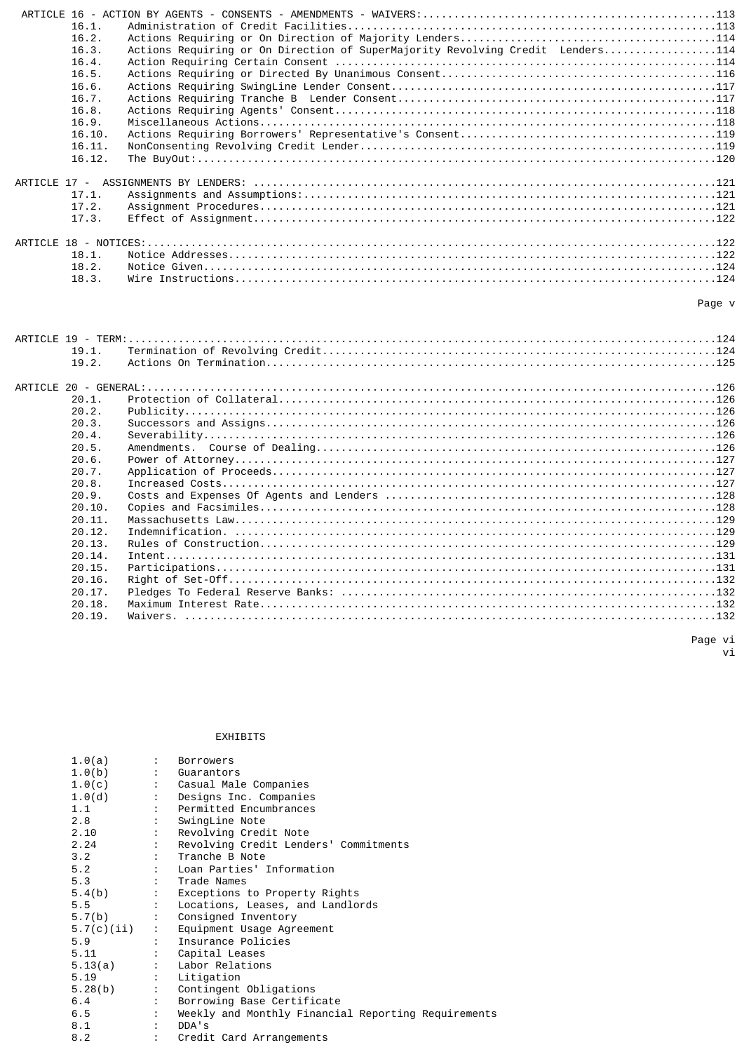| 16.1.  |                                                                                |
|--------|--------------------------------------------------------------------------------|
| 16.2.  |                                                                                |
| 16.3.  | Actions Requiring or On Direction of SuperMajority Revolving Credit Lenders114 |
| 16.4.  |                                                                                |
| 16.5.  |                                                                                |
| 16.6.  |                                                                                |
| 16.7.  |                                                                                |
| 16.8.  |                                                                                |
| 16.9.  |                                                                                |
| 16.10. |                                                                                |
| 16.11. |                                                                                |
| 16.12. |                                                                                |
|        |                                                                                |
| 17.1.  |                                                                                |
| 17.2.  |                                                                                |
| 17.3.  |                                                                                |
|        |                                                                                |
| 18.1.  |                                                                                |
| 18.2.  |                                                                                |
| 18.3.  |                                                                                |
|        | Page v                                                                         |
|        |                                                                                |

| 19.1.  |  |
|--------|--|
| 19.2.  |  |
|        |  |
|        |  |
| 20.1.  |  |
| 20.2.  |  |
| 20.3.  |  |
| 20.4.  |  |
| 20.5.  |  |
| 20.6.  |  |
| 20.7.  |  |
| 20.8.  |  |
| 20.9.  |  |
| 20.10. |  |
| 20.11. |  |
| 20.12. |  |
| 20.13. |  |
| 20.14. |  |
| 20.15. |  |
| 20.16. |  |
| 20.17. |  |
| 20.18. |  |
| 20.19. |  |
|        |  |

 Page vi vi

EXHIBITS

| $1.0(a)$ : Borrowers  |                                                                    |
|-----------------------|--------------------------------------------------------------------|
| $1.0(b)$ : Guarantors |                                                                    |
|                       | 1.0(c) : Casual Male Companies                                     |
|                       | 1.0(d) : Designs Inc. Companies                                    |
|                       | 1.1 : Permitted Encumbrances                                       |
|                       | 2.8 : SwingLine Note                                               |
|                       | 2.10 : Revolving Credit Note                                       |
|                       | 2.24 : Revolving Credit Lenders' Commitments                       |
|                       | 3.2 : Tranche B Note                                               |
|                       | 5.2 : Loan Parties' Information                                    |
|                       | 5.3 : Trade Names                                                  |
|                       | 5.4(b) : Exceptions to Property Rights                             |
|                       | 5.5 : Locations, Leases, and Landlords                             |
|                       | 5.7(b) : Consigned Inventory                                       |
|                       | 5.7(c)(ii) : Equipment Usage Agreement<br>5.9 : Insurance Policies |
|                       |                                                                    |
|                       | 5.11 : Capital Leases                                              |
|                       | 5.13(a) : Labor Relations                                          |
| 5.19 : Litigation     |                                                                    |
|                       | 5.28(b) : Contingent Obligations                                   |
|                       | 6.4 : Borrowing Base Certificate                                   |
|                       | 6.5 : Weekly and Monthly Financial Reporting Requirements          |
| 8.1 : DDA's           |                                                                    |
|                       | 8.2 : Credit Card Arrangements                                     |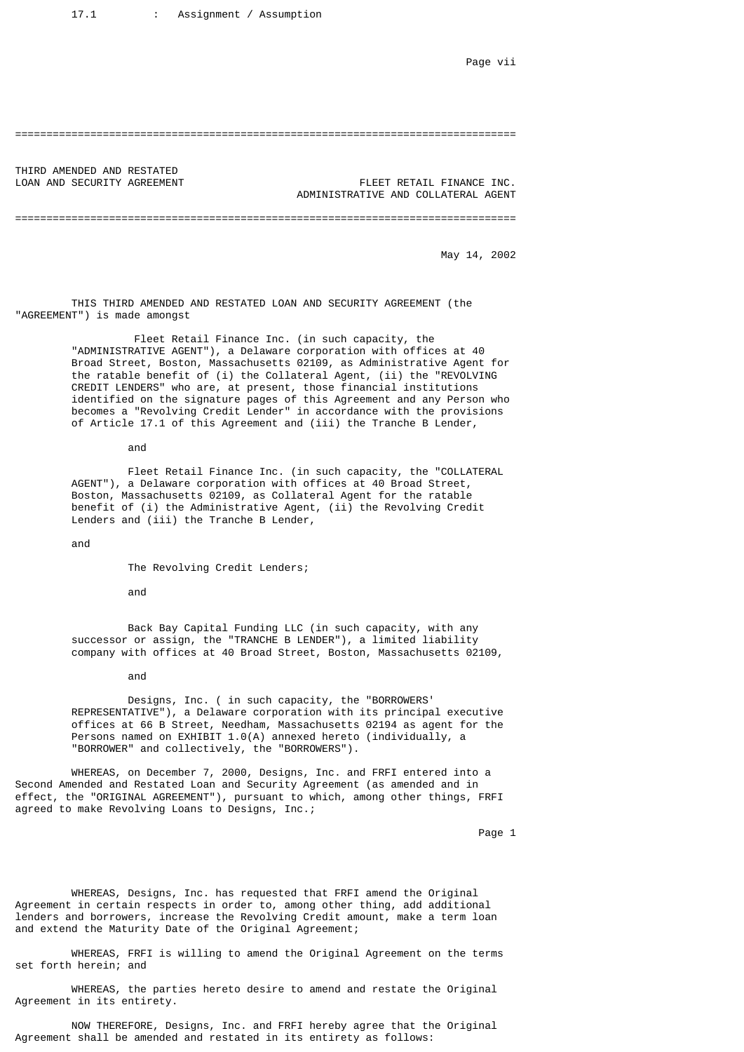Page vii

## ================================================================================

THIRD AMENDED AND RESTATED

LOAN AND SECURITY AGREEMENT FLEET RETAIL FINANCE INC. ADMINISTRATIVE AND COLLATERAL AGENT

================================================================================

May 14, 2002

 THIS THIRD AMENDED AND RESTATED LOAN AND SECURITY AGREEMENT (the "AGREEMENT") is made amongst

 Fleet Retail Finance Inc. (in such capacity, the "ADMINISTRATIVE AGENT"), a Delaware corporation with offices at 40 Broad Street, Boston, Massachusetts 02109, as Administrative Agent for the ratable benefit of (i) the Collateral Agent, (ii) the "REVOLVING CREDIT LENDERS" who are, at present, those financial institutions identified on the signature pages of this Agreement and any Person who becomes a "Revolving Credit Lender" in accordance with the provisions of Article 17.1 of this Agreement and (iii) the Tranche B Lender,

and

 Fleet Retail Finance Inc. (in such capacity, the "COLLATERAL AGENT"), a Delaware corporation with offices at 40 Broad Street, Boston, Massachusetts 02109, as Collateral Agent for the ratable benefit of (i) the Administrative Agent, (ii) the Revolving Credit Lenders and (iii) the Tranche B Lender,

and

The Revolving Credit Lenders;

and

 Back Bay Capital Funding LLC (in such capacity, with any successor or assign, the "TRANCHE B LENDER"), a limited liability company with offices at 40 Broad Street, Boston, Massachusetts 02109,

and

 Designs, Inc. ( in such capacity, the "BORROWERS' REPRESENTATIVE"), a Delaware corporation with its principal executive offices at 66 B Street, Needham, Massachusetts 02194 as agent for the Persons named on EXHIBIT 1.0(A) annexed hereto (individually, a "BORROWER" and collectively, the "BORROWERS").

 WHEREAS, on December 7, 2000, Designs, Inc. and FRFI entered into a Second Amended and Restated Loan and Security Agreement (as amended and in effect, the "ORIGINAL AGREEMENT"), pursuant to which, among other things, FRFI agreed to make Revolving Loans to Designs, Inc.;

Page 1

 WHEREAS, Designs, Inc. has requested that FRFI amend the Original Agreement in certain respects in order to, among other thing, add additional lenders and borrowers, increase the Revolving Credit amount, make a term loan and extend the Maturity Date of the Original Agreement;

 WHEREAS, FRFI is willing to amend the Original Agreement on the terms set forth herein; and

 WHEREAS, the parties hereto desire to amend and restate the Original Agreement in its entirety.

 NOW THEREFORE, Designs, Inc. and FRFI hereby agree that the Original Agreement shall be amended and restated in its entirety as follows: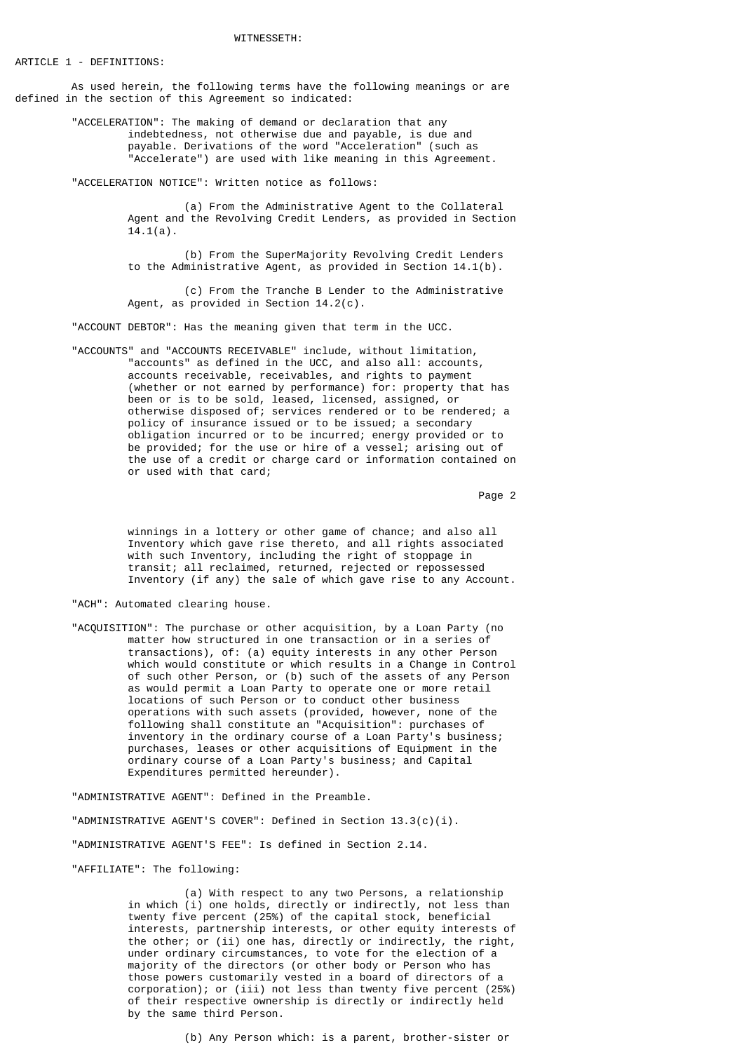ARTICLE 1 - DEFINITIONS:

 As used herein, the following terms have the following meanings or are defined in the section of this Agreement so indicated:

> "ACCELERATION": The making of demand or declaration that any indebtedness, not otherwise due and payable, is due and payable. Derivations of the word "Acceleration" (such as "Accelerate") are used with like meaning in this Agreement.

"ACCELERATION NOTICE": Written notice as follows:

 (a) From the Administrative Agent to the Collateral Agent and the Revolving Credit Lenders, as provided in Section  $14.1(a)$ .

 (b) From the SuperMajority Revolving Credit Lenders to the Administrative Agent, as provided in Section 14.1(b).

 (c) From the Tranche B Lender to the Administrative Agent, as provided in Section  $14.2(c)$ .

"ACCOUNT DEBTOR": Has the meaning given that term in the UCC.

 "ACCOUNTS" and "ACCOUNTS RECEIVABLE" include, without limitation, "accounts" as defined in the UCC, and also all: accounts, accounts receivable, receivables, and rights to payment (whether or not earned by performance) for: property that has been or is to be sold, leased, licensed, assigned, or otherwise disposed of; services rendered or to be rendered; a policy of insurance issued or to be issued; a secondary obligation incurred or to be incurred; energy provided or to be provided; for the use or hire of a vessel; arising out of the use of a credit or charge card or information contained on or used with that card;

Page 2

 winnings in a lottery or other game of chance; and also all Inventory which gave rise thereto, and all rights associated with such Inventory, including the right of stoppage in transit; all reclaimed, returned, rejected or repossessed Inventory (if any) the sale of which gave rise to any Account.

"ACH": Automated clearing house.

 "ACQUISITION": The purchase or other acquisition, by a Loan Party (no matter how structured in one transaction or in a series of transactions), of: (a) equity interests in any other Person which would constitute or which results in a Change in Control of such other Person, or (b) such of the assets of any Person as would permit a Loan Party to operate one or more retail locations of such Person or to conduct other business operations with such assets (provided, however, none of the following shall constitute an "Acquisition": purchases of inventory in the ordinary course of a Loan Party's business; purchases, leases or other acquisitions of Equipment in the ordinary course of a Loan Party's business; and Capital Expenditures permitted hereunder).

> "ADMINISTRATIVE AGENT": Defined in the Preamble. "ADMINISTRATIVE AGENT'S COVER": Defined in Section 13.3(c)(i). "ADMINISTRATIVE AGENT'S FEE": Is defined in Section 2.14. "AFFILIATE": The following:

 (a) With respect to any two Persons, a relationship in which (i) one holds, directly or indirectly, not less than twenty five percent (25%) of the capital stock, beneficial interests, partnership interests, or other equity interests of the other; or (ii) one has, directly or indirectly, the right, under ordinary circumstances, to vote for the election of a majority of the directors (or other body or Person who has those powers customarily vested in a board of directors of a corporation); or (iii) not less than twenty five percent (25%) of their respective ownership is directly or indirectly held by the same third Person.

(b) Any Person which: is a parent, brother-sister or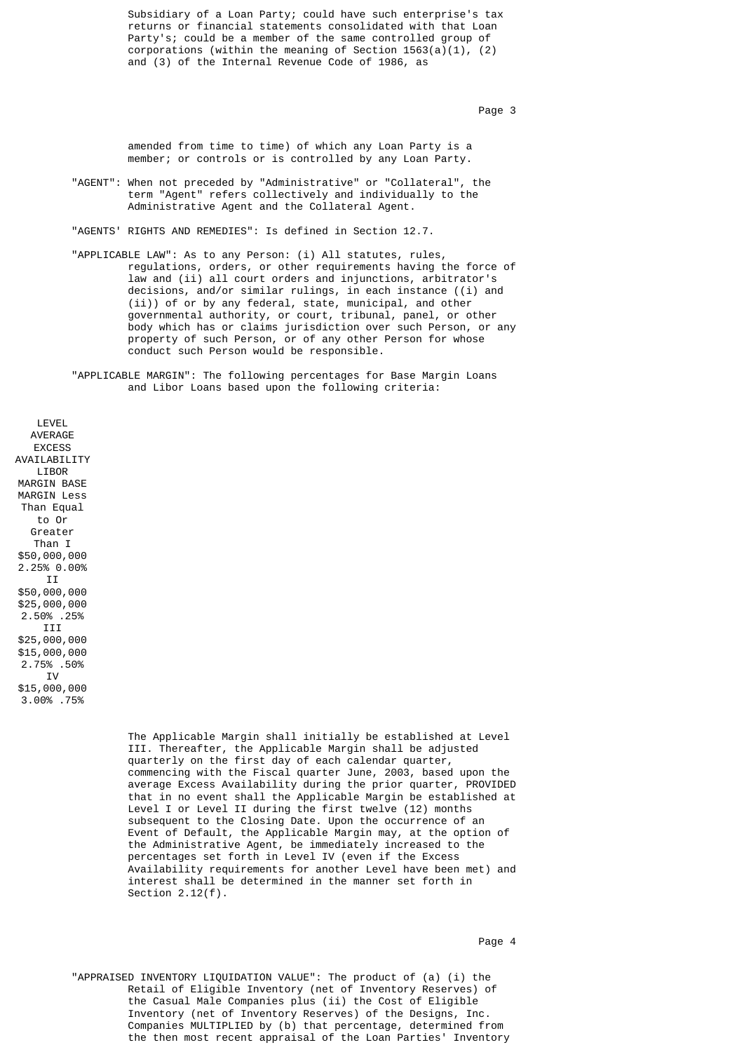Subsidiary of a Loan Party; could have such enterprise's tax returns or financial statements consolidated with that Loan Party's; could be a member of the same controlled group of corporations (within the meaning of Section 1563(a)(1), (2) and (3) of the Internal Revenue Code of 1986, as

Page 3

 amended from time to time) of which any Loan Party is a member; or controls or is controlled by any Loan Party.

 "AGENT": When not preceded by "Administrative" or "Collateral", the term "Agent" refers collectively and individually to the Administrative Agent and the Collateral Agent.

"AGENTS' RIGHTS AND REMEDIES": Is defined in Section 12.7.

 "APPLICABLE LAW": As to any Person: (i) All statutes, rules, regulations, orders, or other requirements having the force of law and (ii) all court orders and injunctions, arbitrator's decisions, and/or similar rulings, in each instance ((i) and (ii)) of or by any federal, state, municipal, and other governmental authority, or court, tribunal, panel, or other body which has or claims jurisdiction over such Person, or any property of such Person, or of any other Person for whose conduct such Person would be responsible.

 "APPLICABLE MARGIN": The following percentages for Base Margin Loans and Libor Loans based upon the following criteria:

LEVEL AVERAGE **EXCESS** AVAILABILITY **LTROR** MARGIN BASE MARGIN Less Than Equal to Or Greater Than I \$50,000,000 2.25% 0.00% II \$50,000,000 \$25,000,000 2.50% .25% III \$25,000,000 \$15,000,000 2.75% .50% IV \$15,000,000 3.00% .75%

> The Applicable Margin shall initially be established at Level III. Thereafter, the Applicable Margin shall be adjusted quarterly on the first day of each calendar quarter, commencing with the Fiscal quarter June, 2003, based upon the average Excess Availability during the prior quarter, PROVIDED that in no event shall the Applicable Margin be established at Level I or Level II during the first twelve (12) months subsequent to the Closing Date. Upon the occurrence of an Event of Default, the Applicable Margin may, at the option of the Administrative Agent, be immediately increased to the percentages set forth in Level IV (even if the Excess Availability requirements for another Level have been met) and interest shall be determined in the manner set forth in Section 2.12(f).

 "APPRAISED INVENTORY LIQUIDATION VALUE": The product of (a) (i) the Retail of Eligible Inventory (net of Inventory Reserves) of the Casual Male Companies plus (ii) the Cost of Eligible Inventory (net of Inventory Reserves) of the Designs, Inc. Companies MULTIPLIED by (b) that percentage, determined from the then most recent appraisal of the Loan Parties' Inventory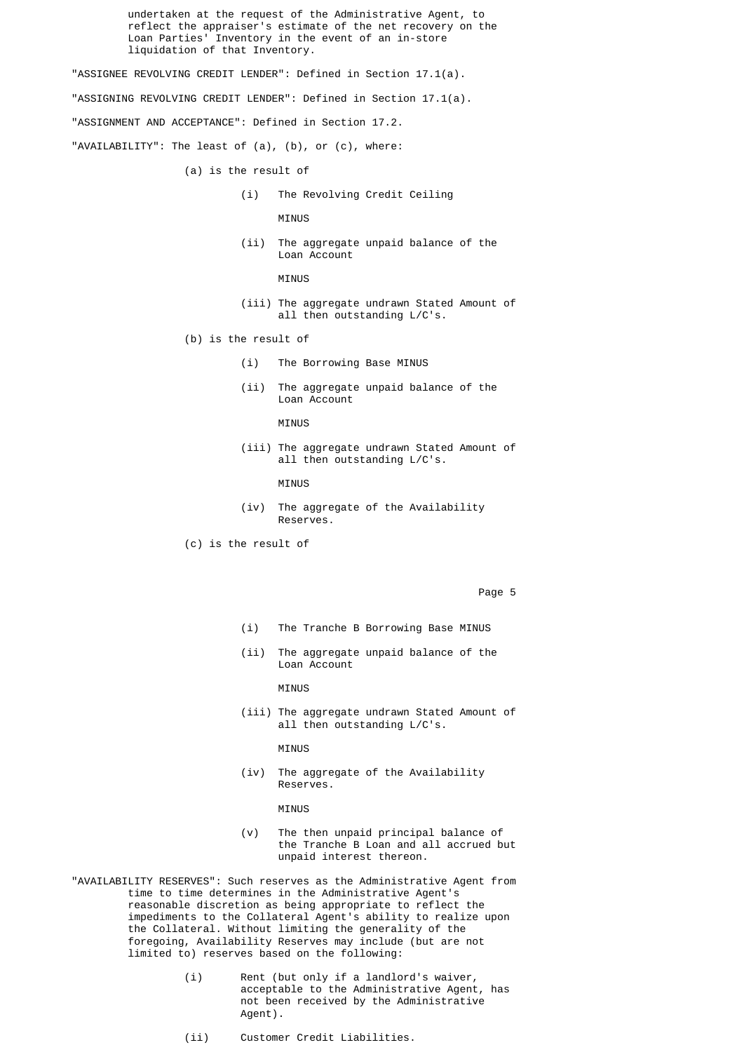undertaken at the request of the Administrative Agent, to reflect the appraiser's estimate of the net recovery on the Loan Parties' Inventory in the event of an in-store liquidation of that Inventory.

"ASSIGNEE REVOLVING CREDIT LENDER": Defined in Section 17.1(a).

"ASSIGNING REVOLVING CREDIT LENDER": Defined in Section 17.1(a).

"ASSIGNMENT AND ACCEPTANCE": Defined in Section 17.2.

"AVAILABILITY": The least of (a), (b), or (c), where:

- (a) is the result of
	- (i) The Revolving Credit Ceiling

MINUS

 (ii) The aggregate unpaid balance of the Loan Account

MINUS

- (iii) The aggregate undrawn Stated Amount of all then outstanding L/C's.
- (b) is the result of
	- (i) The Borrowing Base MINUS
	- (ii) The aggregate unpaid balance of the Loan Account

MINUS

 (iii) The aggregate undrawn Stated Amount of all then outstanding L/C's.

MINUS

- (iv) The aggregate of the Availability Reserves.
- (c) is the result of

Page 5

- (i) The Tranche B Borrowing Base MINUS
- (ii) The aggregate unpaid balance of the Loan Account

MINUS

(iii) The aggregate undrawn Stated Amount of all then outstanding L/C's.

MINUS

 (iv) The aggregate of the Availability Reserves.

MINUS

- (v) The then unpaid principal balance of the Tranche B Loan and all accrued but unpaid interest thereon.
- "AVAILABILITY RESERVES": Such reserves as the Administrative Agent from time to time determines in the Administrative Agent's reasonable discretion as being appropriate to reflect the impediments to the Collateral Agent's ability to realize upon the Collateral. Without limiting the generality of the foregoing, Availability Reserves may include (but are not limited to) reserves based on the following:
	- (i) Rent (but only if a landlord's waiver, acceptable to the Administrative Agent, has not been received by the Administrative Agent).
	- (ii) Customer Credit Liabilities.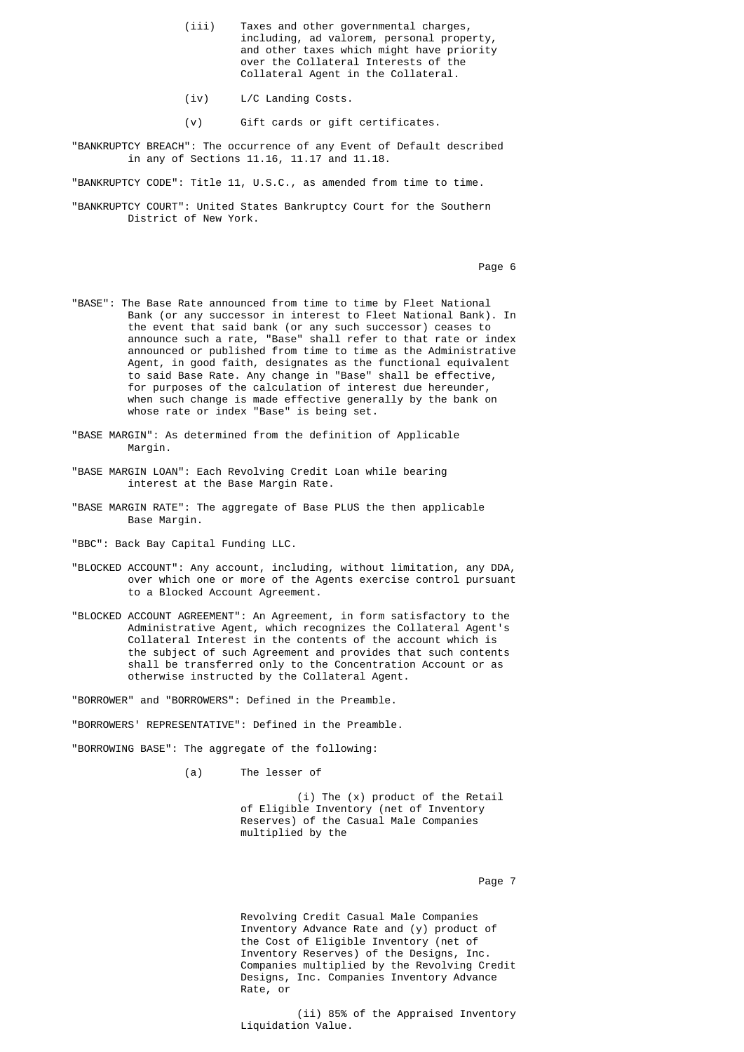- (iii) Taxes and other governmental charges, including, ad valorem, personal property, and other taxes which might have priority over the Collateral Interests of the Collateral Agent in the Collateral.
	- (iv) L/C Landing Costs.
	- (v) Gift cards or gift certificates.
	- "BANKRUPTCY BREACH": The occurrence of any Event of Default described in any of Sections 11.16, 11.17 and 11.18.

"BANKRUPTCY CODE": Title 11, U.S.C., as amended from time to time.

 "BANKRUPTCY COURT": United States Bankruptcy Court for the Southern District of New York.

Page 6 and the state of the state of the state of the state of the state of the state of the state of the state of the state of the state of the state of the state of the state of the state of the state of the state of the

- "BASE": The Base Rate announced from time to time by Fleet National Bank (or any successor in interest to Fleet National Bank). In the event that said bank (or any such successor) ceases to announce such a rate, "Base" shall refer to that rate or index announced or published from time to time as the Administrative Agent, in good faith, designates as the functional equivalent to said Base Rate. Any change in "Base" shall be effective, for purposes of the calculation of interest due hereunder, when such change is made effective generally by the bank on whose rate or index "Base" is being set.
- "BASE MARGIN": As determined from the definition of Applicable Margin.
- "BASE MARGIN LOAN": Each Revolving Credit Loan while bearing interest at the Base Margin Rate.
- "BASE MARGIN RATE": The aggregate of Base PLUS the then applicable Base Margin.
- "BBC": Back Bay Capital Funding LLC.
- "BLOCKED ACCOUNT": Any account, including, without limitation, any DDA, over which one or more of the Agents exercise control pursuant to a Blocked Account Agreement.
- "BLOCKED ACCOUNT AGREEMENT": An Agreement, in form satisfactory to the Administrative Agent, which recognizes the Collateral Agent's Collateral Interest in the contents of the account which is the subject of such Agreement and provides that such contents shall be transferred only to the Concentration Account or as otherwise instructed by the Collateral Agent.

"BORROWER" and "BORROWERS": Defined in the Preamble.

"BORROWERS' REPRESENTATIVE": Defined in the Preamble.

"BORROWING BASE": The aggregate of the following:

(a) The lesser of

 (i) The (x) product of the Retail of Eligible Inventory (net of Inventory Reserves) of the Casual Male Companies multiplied by the

Page 7 and 2012 and 2012 and 2012 and 2012 and 2012 and 2012 and 2012 and 2012 and 2012 and 2012 and 2012 and

 Revolving Credit Casual Male Companies Inventory Advance Rate and (y) product of the Cost of Eligible Inventory (net of Inventory Reserves) of the Designs, Inc. Companies multiplied by the Revolving Credit Designs, Inc. Companies Inventory Advance Rate, or

 (ii) 85% of the Appraised Inventory Liquidation Value.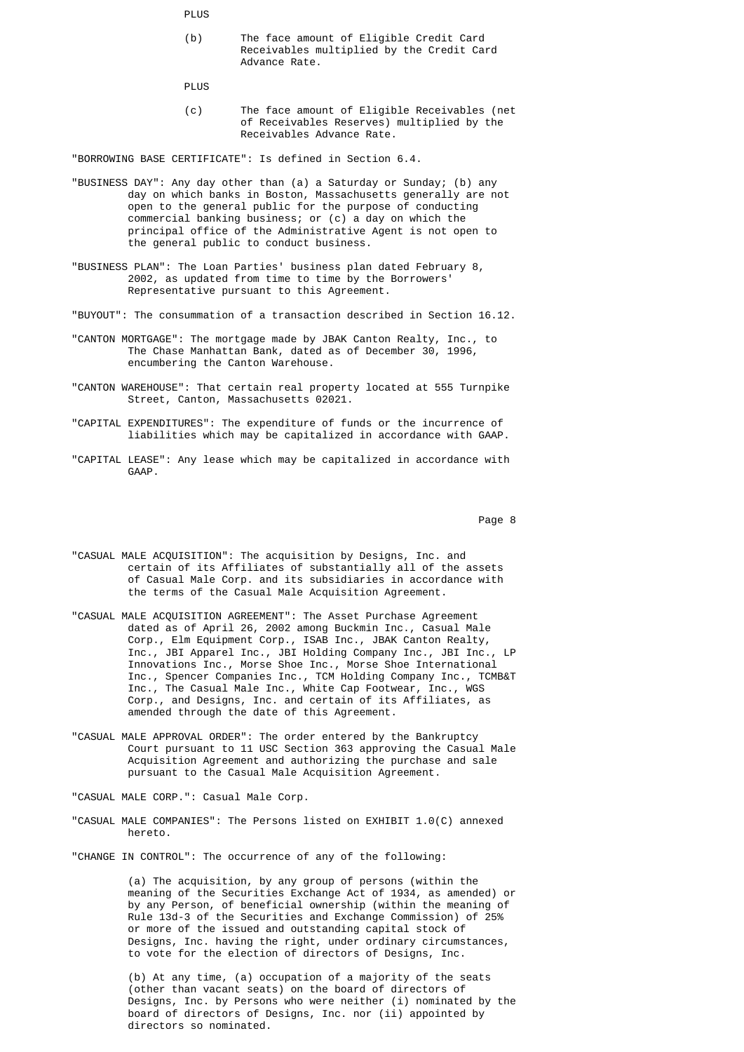**PLUS** 

 (b) The face amount of Eligible Credit Card Receivables multiplied by the Credit Card Advance Rate.

PLUS

 (c) The face amount of Eligible Receivables (net of Receivables Reserves) multiplied by the Receivables Advance Rate.

"BORROWING BASE CERTIFICATE": Is defined in Section 6.4.

- "BUSINESS DAY": Any day other than (a) a Saturday or Sunday; (b) any day on which banks in Boston, Massachusetts generally are not open to the general public for the purpose of conducting commercial banking business; or (c) a day on which the principal office of the Administrative Agent is not open to the general public to conduct business.
	- "BUSINESS PLAN": The Loan Parties' business plan dated February 8, 2002, as updated from time to time by the Borrowers' Representative pursuant to this Agreement.
	- "BUYOUT": The consummation of a transaction described in Section 16.12.
	- "CANTON MORTGAGE": The mortgage made by JBAK Canton Realty, Inc., to The Chase Manhattan Bank, dated as of December 30, 1996, encumbering the Canton Warehouse.
	- "CANTON WAREHOUSE": That certain real property located at 555 Turnpike Street, Canton, Massachusetts 02021.
	- "CAPITAL EXPENDITURES": The expenditure of funds or the incurrence of liabilities which may be capitalized in accordance with GAAP.
	- "CAPITAL LEASE": Any lease which may be capitalized in accordance with GAAP.

Page 8 and the state of the state of the state of the state of the state of the state of the state of the state of the state of the state of the state of the state of the state of the state of the state of the state of the

- "CASUAL MALE ACQUISITION": The acquisition by Designs, Inc. and certain of its Affiliates of substantially all of the assets of Casual Male Corp. and its subsidiaries in accordance with the terms of the Casual Male Acquisition Agreement.
- "CASUAL MALE ACQUISITION AGREEMENT": The Asset Purchase Agreement dated as of April 26, 2002 among Buckmin Inc., Casual Male Corp., Elm Equipment Corp., ISAB Inc., JBAK Canton Realty, Inc., JBI Apparel Inc., JBI Holding Company Inc., JBI Inc., LP Innovations Inc., Morse Shoe Inc., Morse Shoe International Inc., Spencer Companies Inc., TCM Holding Company Inc., TCMB&T Inc., The Casual Male Inc., White Cap Footwear, Inc., WGS Corp., and Designs, Inc. and certain of its Affiliates, as amended through the date of this Agreement.
- "CASUAL MALE APPROVAL ORDER": The order entered by the Bankruptcy Court pursuant to 11 USC Section 363 approving the Casual Male Acquisition Agreement and authorizing the purchase and sale pursuant to the Casual Male Acquisition Agreement.
	- "CASUAL MALE CORP.": Casual Male Corp.
	- "CASUAL MALE COMPANIES": The Persons listed on EXHIBIT 1.0(C) annexed hereto.
	- "CHANGE IN CONTROL": The occurrence of any of the following:

 (a) The acquisition, by any group of persons (within the meaning of the Securities Exchange Act of 1934, as amended) or by any Person, of beneficial ownership (within the meaning of Rule 13d-3 of the Securities and Exchange Commission) of 25% or more of the issued and outstanding capital stock of Designs, Inc. having the right, under ordinary circumstances, to vote for the election of directors of Designs, Inc.

 (b) At any time, (a) occupation of a majority of the seats (other than vacant seats) on the board of directors of Designs, Inc. by Persons who were neither (i) nominated by the board of directors of Designs, Inc. nor (ii) appointed by directors so nominated.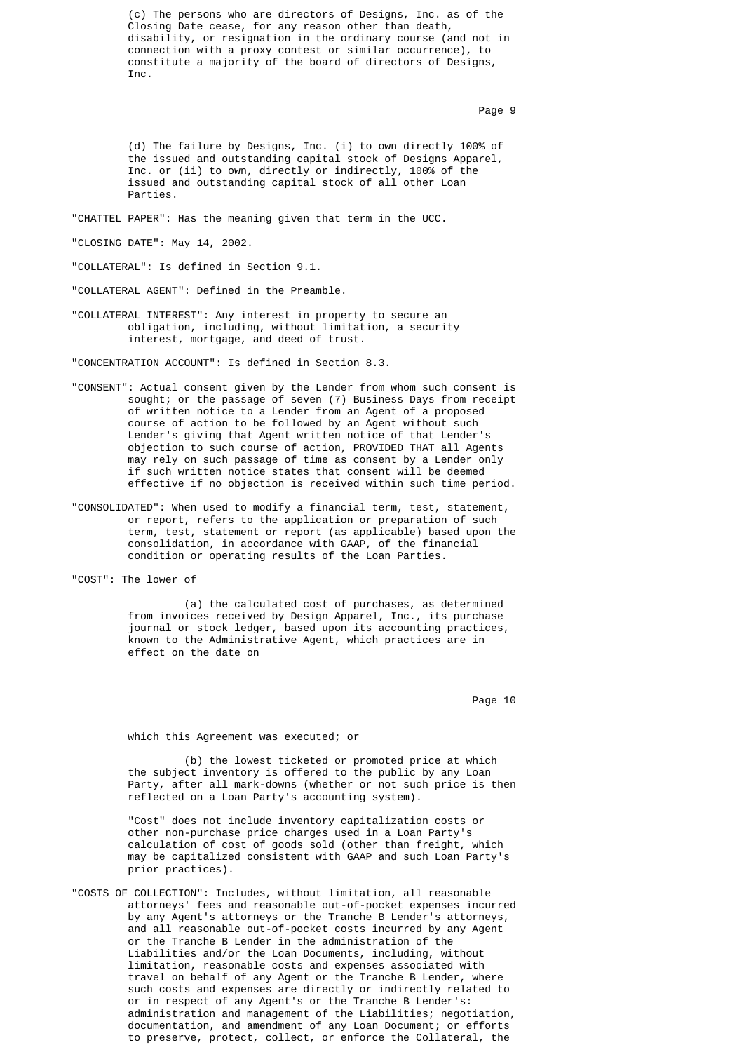(c) The persons who are directors of Designs, Inc. as of the Closing Date cease, for any reason other than death, disability, or resignation in the ordinary course (and not in connection with a proxy contest or similar occurrence), to constitute a majority of the board of directors of Designs, Inc.

Page 9 and 2012 and 2012 and 2012 and 2012 and 2012 and 2012 and 2012 and 2012 and 2012 and 2012 and 2012 and

 (d) The failure by Designs, Inc. (i) to own directly 100% of the issued and outstanding capital stock of Designs Apparel, Inc. or (ii) to own, directly or indirectly, 100% of the issued and outstanding capital stock of all other Loan Parties.

"CHATTEL PAPER": Has the meaning given that term in the UCC.

"CLOSING DATE": May 14, 2002.

"COLLATERAL": Is defined in Section 9.1.

"COLLATERAL AGENT": Defined in the Preamble.

 "COLLATERAL INTEREST": Any interest in property to secure an obligation, including, without limitation, a security interest, mortgage, and deed of trust.

"CONCENTRATION ACCOUNT": Is defined in Section 8.3.

- "CONSENT": Actual consent given by the Lender from whom such consent is sought; or the passage of seven (7) Business Days from receipt of written notice to a Lender from an Agent of a proposed course of action to be followed by an Agent without such Lender's giving that Agent written notice of that Lender's objection to such course of action, PROVIDED THAT all Agents may rely on such passage of time as consent by a Lender only if such written notice states that consent will be deemed effective if no objection is received within such time period.
	- "CONSOLIDATED": When used to modify a financial term, test, statement, or report, refers to the application or preparation of such term, test, statement or report (as applicable) based upon the consolidation, in accordance with GAAP, of the financial condition or operating results of the Loan Parties.

"COST": The lower of

 (a) the calculated cost of purchases, as determined from invoices received by Design Apparel, Inc., its purchase journal or stock ledger, based upon its accounting practices, known to the Administrative Agent, which practices are in effect on the date on

en die 10de jaar van die 10de eeu n.C. Soos van die 10de eeu n.C. Soos ander gewone jare 10de eeu n.C. 10de eeu n.C. 10de eeu n.C. 10de eeu n.C. 10de eeu n.C. 10de eeu n.C. 10de eeu n.C. 10de eeu n.C. 10de eeu n.C. 10de ee

which this Agreement was executed; or

 (b) the lowest ticketed or promoted price at which the subject inventory is offered to the public by any Loan Party, after all mark-downs (whether or not such price is then reflected on a Loan Party's accounting system).

 "Cost" does not include inventory capitalization costs or other non-purchase price charges used in a Loan Party's calculation of cost of goods sold (other than freight, which may be capitalized consistent with GAAP and such Loan Party's prior practices).

 "COSTS OF COLLECTION": Includes, without limitation, all reasonable attorneys' fees and reasonable out-of-pocket expenses incurred by any Agent's attorneys or the Tranche B Lender's attorneys, and all reasonable out-of-pocket costs incurred by any Agent or the Tranche B Lender in the administration of the Liabilities and/or the Loan Documents, including, without limitation, reasonable costs and expenses associated with travel on behalf of any Agent or the Tranche B Lender, where such costs and expenses are directly or indirectly related to or in respect of any Agent's or the Tranche B Lender's: administration and management of the Liabilities; negotiation, documentation, and amendment of any Loan Document; or efforts to preserve, protect, collect, or enforce the Collateral, the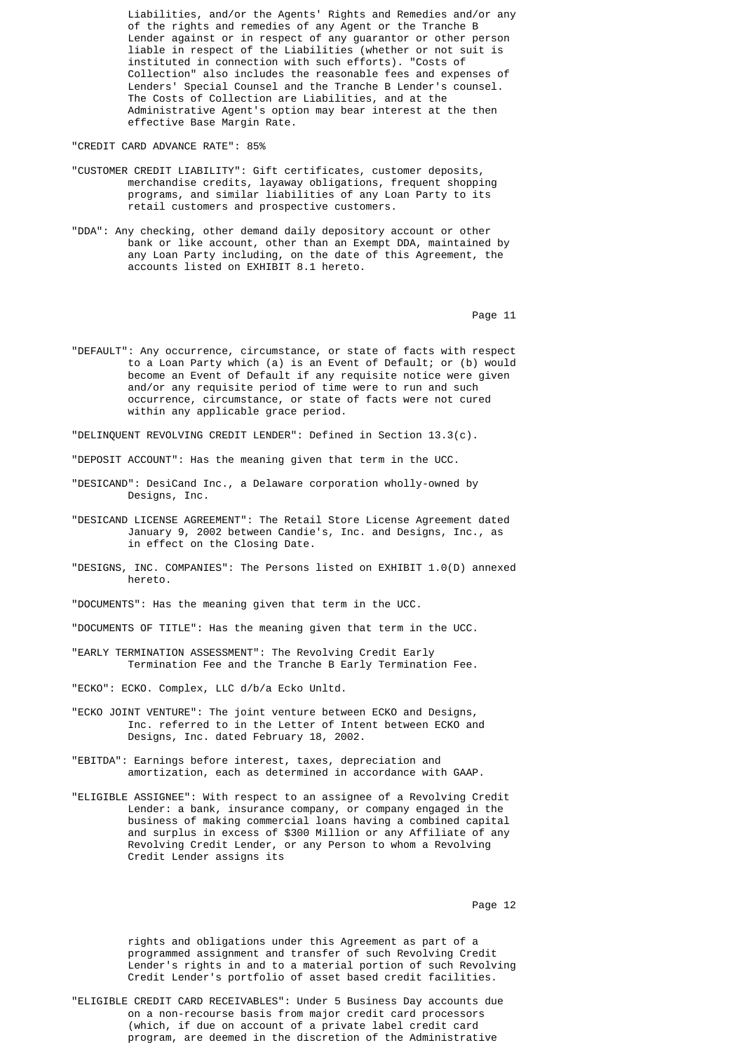Liabilities, and/or the Agents' Rights and Remedies and/or any of the rights and remedies of any Agent or the Tranche B Lender against or in respect of any guarantor or other person liable in respect of the Liabilities (whether or not suit is instituted in connection with such efforts). "Costs of Collection" also includes the reasonable fees and expenses of Lenders' Special Counsel and the Tranche B Lender's counsel. The Costs of Collection are Liabilities, and at the Administrative Agent's option may bear interest at the then effective Base Margin Rate.

"CREDIT CARD ADVANCE RATE": 85%

- "CUSTOMER CREDIT LIABILITY": Gift certificates, customer deposits, merchandise credits, layaway obligations, frequent shopping programs, and similar liabilities of any Loan Party to its retail customers and prospective customers.
- "DDA": Any checking, other demand daily depository account or other bank or like account, other than an Exempt DDA, maintained by any Loan Party including, on the date of this Agreement, the accounts listed on EXHIBIT 8.1 hereto.

experience of the contract of the contract of the contract of the contract of the contract of the contract of the contract of the contract of the contract of the contract of the contract of the contract of the contract of

 "DEFAULT": Any occurrence, circumstance, or state of facts with respect to a Loan Party which (a) is an Event of Default; or (b) would become an Event of Default if any requisite notice were given and/or any requisite period of time were to run and such occurrence, circumstance, or state of facts were not cured within any applicable grace period.

"DELINQUENT REVOLVING CREDIT LENDER": Defined in Section 13.3(c).

"DEPOSIT ACCOUNT": Has the meaning given that term in the UCC.

- "DESICAND": DesiCand Inc., a Delaware corporation wholly-owned by Designs, Inc.
- "DESICAND LICENSE AGREEMENT": The Retail Store License Agreement dated January 9, 2002 between Candie's, Inc. and Designs, Inc., as in effect on the Closing Date.
- "DESIGNS, INC. COMPANIES": The Persons listed on EXHIBIT 1.0(D) annexed hereto.

"DOCUMENTS": Has the meaning given that term in the UCC.

"DOCUMENTS OF TITLE": Has the meaning given that term in the UCC.

 "EARLY TERMINATION ASSESSMENT": The Revolving Credit Early Termination Fee and the Tranche B Early Termination Fee.

"ECKO": ECKO. Complex, LLC d/b/a Ecko Unltd.

- "ECKO JOINT VENTURE": The joint venture between ECKO and Designs, Inc. referred to in the Letter of Intent between ECKO and Designs, Inc. dated February 18, 2002.
- "EBITDA": Earnings before interest, taxes, depreciation and amortization, each as determined in accordance with GAAP.
- "ELIGIBLE ASSIGNEE": With respect to an assignee of a Revolving Credit Lender: a bank, insurance company, or company engaged in the business of making commercial loans having a combined capital and surplus in excess of \$300 Million or any Affiliate of any Revolving Credit Lender, or any Person to whom a Revolving Credit Lender assigns its

en die 12de jaar van die 12de eeu n.C. Soos van die 12de eeu n.C. Soos en gewone 12de eeu n.C. 12de eeu n.C. 1

 rights and obligations under this Agreement as part of a programmed assignment and transfer of such Revolving Credit Lender's rights in and to a material portion of such Revolving Credit Lender's portfolio of asset based credit facilities.

 "ELIGIBLE CREDIT CARD RECEIVABLES": Under 5 Business Day accounts due on a non-recourse basis from major credit card processors (which, if due on account of a private label credit card program, are deemed in the discretion of the Administrative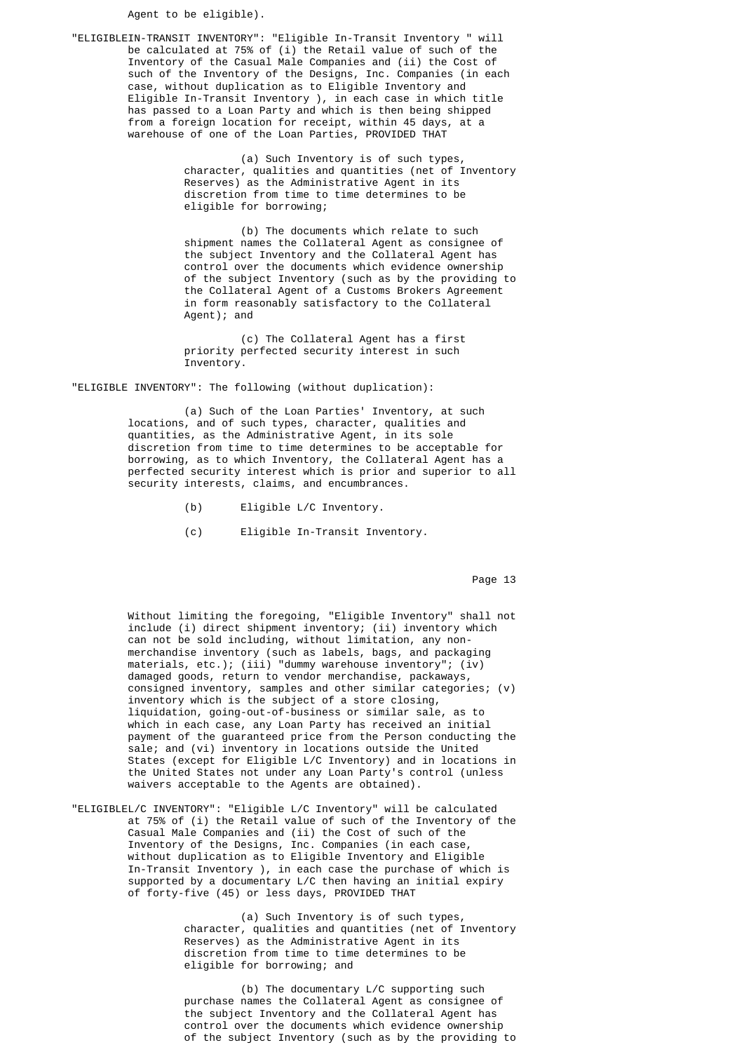Agent to be eligible).

 "ELIGIBLEIN-TRANSIT INVENTORY": "Eligible In-Transit Inventory " will be calculated at 75% of (i) the Retail value of such of the Inventory of the Casual Male Companies and (ii) the Cost of such of the Inventory of the Designs, Inc. Companies (in each case, without duplication as to Eligible Inventory and Eligible In-Transit Inventory ), in each case in which title has passed to a Loan Party and which is then being shipped from a foreign location for receipt, within 45 days, at a warehouse of one of the Loan Parties, PROVIDED THAT

> (a) Such Inventory is of such types, character, qualities and quantities (net of Inventory Reserves) as the Administrative Agent in its discretion from time to time determines to be eligible for borrowing;

> (b) The documents which relate to such shipment names the Collateral Agent as consignee of the subject Inventory and the Collateral Agent has control over the documents which evidence ownership of the subject Inventory (such as by the providing to the Collateral Agent of a Customs Brokers Agreement in form reasonably satisfactory to the Collateral Agent); and

 (c) The Collateral Agent has a first priority perfected security interest in such Inventory.

"ELIGIBLE INVENTORY": The following (without duplication):

 (a) Such of the Loan Parties' Inventory, at such locations, and of such types, character, qualities and quantities, as the Administrative Agent, in its sole discretion from time to time determines to be acceptable for borrowing, as to which Inventory, the Collateral Agent has a perfected security interest which is prior and superior to all security interests, claims, and encumbrances.

- (b) Eligible L/C Inventory.
- (c) Eligible In-Transit Inventory.

experience of the contract of the contract of the contract of the contract of the contract of the contract of the contract of the contract of the contract of the contract of the contract of the contract of the contract of

 Without limiting the foregoing, "Eligible Inventory" shall not include (i) direct shipment inventory; (ii) inventory which can not be sold including, without limitation, any non merchandise inventory (such as labels, bags, and packaging materials, etc.); (iii) "dummy warehouse inventory"; (iv) damaged goods, return to vendor merchandise, packaways, consigned inventory, samples and other similar categories; (v) inventory which is the subject of a store closing, liquidation, going-out-of-business or similar sale, as to which in each case, any Loan Party has received an initial payment of the guaranteed price from the Person conducting the sale; and (vi) inventory in locations outside the United States (except for Eligible L/C Inventory) and in locations in the United States not under any Loan Party's control (unless waivers acceptable to the Agents are obtained).

> "ELIGIBLEL/C INVENTORY": "Eligible L/C Inventory" will be calculated at 75% of (i) the Retail value of such of the Inventory of the Casual Male Companies and (ii) the Cost of such of the Inventory of the Designs, Inc. Companies (in each case, without duplication as to Eligible Inventory and Eligible In-Transit Inventory ), in each case the purchase of which is supported by a documentary L/C then having an initial expiry of forty-five (45) or less days, PROVIDED THAT

 (a) Such Inventory is of such types, character, qualities and quantities (net of Inventory Reserves) as the Administrative Agent in its discretion from time to time determines to be eligible for borrowing; and

> (b) The documentary L/C supporting such purchase names the Collateral Agent as consignee of the subject Inventory and the Collateral Agent has control over the documents which evidence ownership of the subject Inventory (such as by the providing to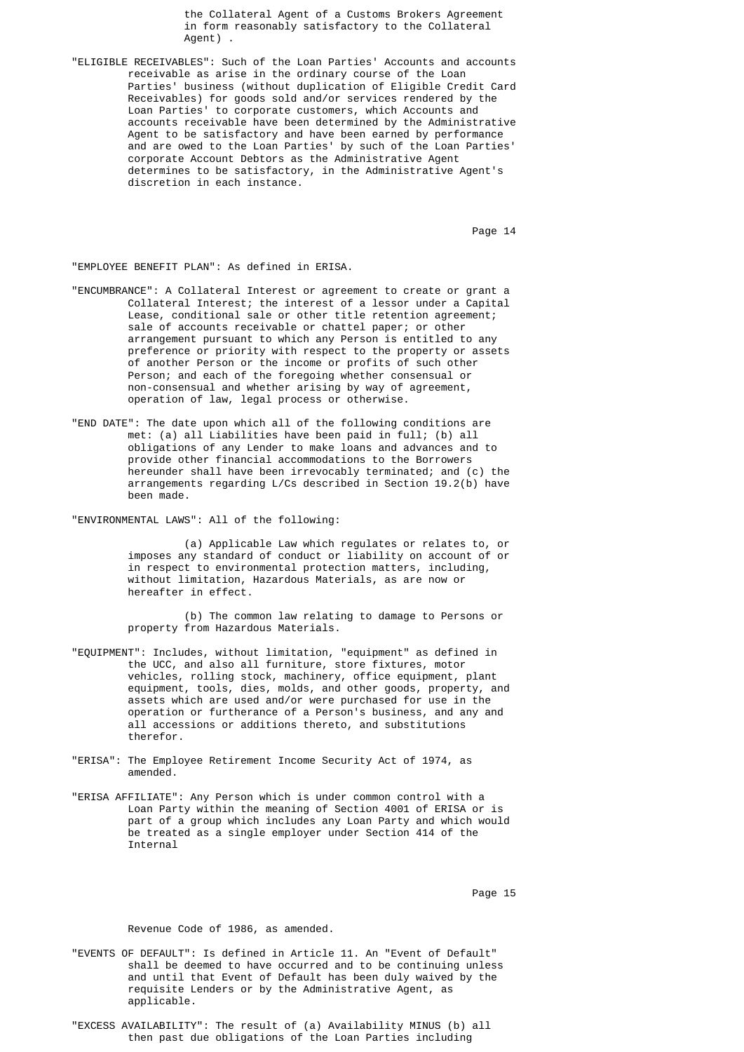the Collateral Agent of a Customs Brokers Agreement in form reasonably satisfactory to the Collateral Agent).

 "ELIGIBLE RECEIVABLES": Such of the Loan Parties' Accounts and accounts receivable as arise in the ordinary course of the Loan Parties' business (without duplication of Eligible Credit Card Receivables) for goods sold and/or services rendered by the Loan Parties' to corporate customers, which Accounts and accounts receivable have been determined by the Administrative Agent to be satisfactory and have been earned by performance and are owed to the Loan Parties' by such of the Loan Parties' corporate Account Debtors as the Administrative Agent determines to be satisfactory, in the Administrative Agent's discretion in each instance.

en die 14de jaar van die 14de eeu n.C. Soos van die 14de eeu n.C. Soos en in 14de eeu n.C. Soos en in 14de eeu n.C. Soos en in 14de eeu n.C. Soos en in 14de eeu n.C. Soos en in 14de eeu n.C. Soos en in 14de eeu n.C. Soos e

"EMPLOYEE BENEFIT PLAN": As defined in ERISA.

- "ENCUMBRANCE": A Collateral Interest or agreement to create or grant a Collateral Interest; the interest of a lessor under a Capital Lease, conditional sale or other title retention agreement; sale of accounts receivable or chattel paper; or other arrangement pursuant to which any Person is entitled to any preference or priority with respect to the property or assets of another Person or the income or profits of such other Person; and each of the foregoing whether consensual or non-consensual and whether arising by way of agreement, operation of law, legal process or otherwise.
- "END DATE": The date upon which all of the following conditions are met: (a) all Liabilities have been paid in full; (b) all obligations of any Lender to make loans and advances and to provide other financial accommodations to the Borrowers hereunder shall have been irrevocably terminated; and (c) the arrangements regarding L/Cs described in Section 19.2(b) have been made.

"ENVIRONMENTAL LAWS": All of the following:

 (a) Applicable Law which regulates or relates to, or imposes any standard of conduct or liability on account of or in respect to environmental protection matters, including, without limitation, Hazardous Materials, as are now or hereafter in effect.

 (b) The common law relating to damage to Persons or property from Hazardous Materials.

- "EQUIPMENT": Includes, without limitation, "equipment" as defined in the UCC, and also all furniture, store fixtures, motor vehicles, rolling stock, machinery, office equipment, plant equipment, tools, dies, molds, and other goods, property, and assets which are used and/or were purchased for use in the operation or furtherance of a Person's business, and any and all accessions or additions thereto, and substitutions therefor.
- "ERISA": The Employee Retirement Income Security Act of 1974, as amended.
- "ERISA AFFILIATE": Any Person which is under common control with a Loan Party within the meaning of Section 4001 of ERISA or is part of a group which includes any Loan Party and which would be treated as a single employer under Section 414 of the Internal

Page 15 and the state of the state of the state of the state of the state of the state of the state of the state of the state of the state of the state of the state of the state of the state of the state of the state of th

Revenue Code of 1986, as amended.

- "EVENTS OF DEFAULT": Is defined in Article 11. An "Event of Default" shall be deemed to have occurred and to be continuing unless and until that Event of Default has been duly waived by the requisite Lenders or by the Administrative Agent, as applicable.
- "EXCESS AVAILABILITY": The result of (a) Availability MINUS (b) all then past due obligations of the Loan Parties including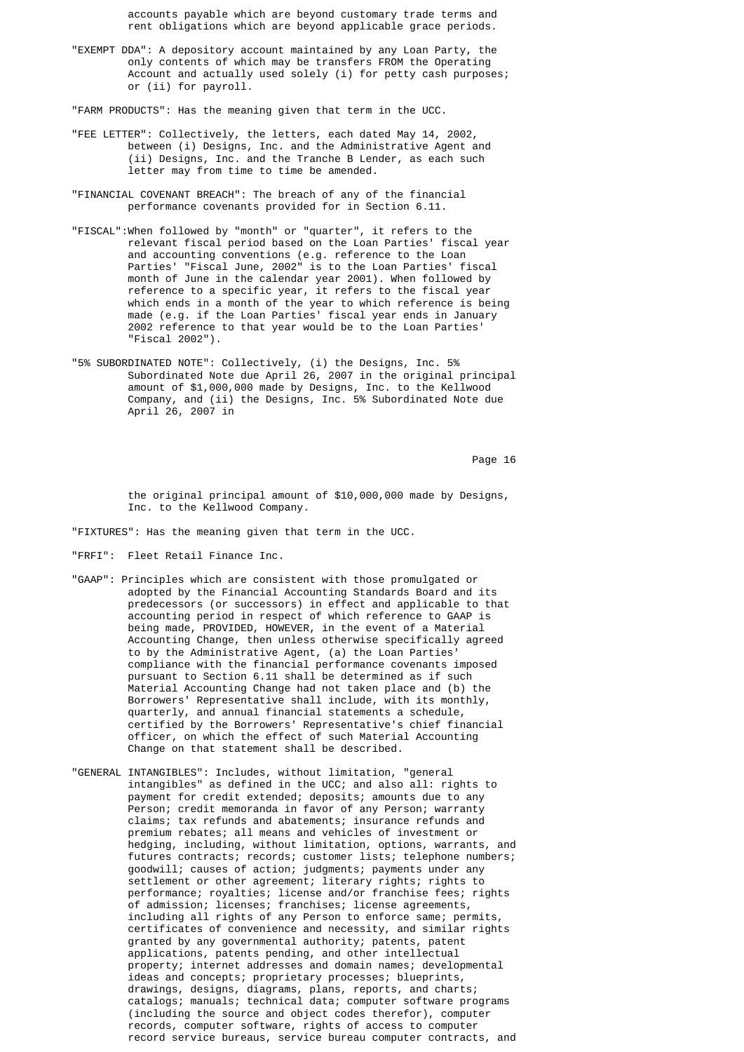accounts payable which are beyond customary trade terms and rent obligations which are beyond applicable grace periods.

 "EXEMPT DDA": A depository account maintained by any Loan Party, the only contents of which may be transfers FROM the Operating Account and actually used solely (i) for petty cash purposes; or (ii) for payroll.

"FARM PRODUCTS": Has the meaning given that term in the UCC.

- "FEE LETTER": Collectively, the letters, each dated May 14, 2002, between (i) Designs, Inc. and the Administrative Agent and (ii) Designs, Inc. and the Tranche B Lender, as each such letter may from time to time be amended.
- "FINANCIAL COVENANT BREACH": The breach of any of the financial performance covenants provided for in Section 6.11.
- "FISCAL":When followed by "month" or "quarter", it refers to the relevant fiscal period based on the Loan Parties' fiscal year and accounting conventions (e.g. reference to the Loan Parties' "Fiscal June, 2002" is to the Loan Parties' fiscal month of June in the calendar year 2001). When followed by reference to a specific year, it refers to the fiscal year which ends in a month of the year to which reference is being made (e.g. if the Loan Parties' fiscal year ends in January 2002 reference to that year would be to the Loan Parties' "Fiscal 2002").
- "5% SUBORDINATED NOTE": Collectively, (i) the Designs, Inc. 5% Subordinated Note due April 26, 2007 in the original principal amount of \$1,000,000 made by Designs, Inc. to the Kellwood Company, and (ii) the Designs, Inc. 5% Subordinated Note due April 26, 2007 in

en die 16de jaar van die 16de eeu n.C. Soos van die 16de eeu n.C. Soos en gewone gehad. Dit was die 16de eeu n

 the original principal amount of \$10,000,000 made by Designs, Inc. to the Kellwood Company.

"FIXTURES": Has the meaning given that term in the UCC.

- "FRFI": Fleet Retail Finance Inc.
- "GAAP": Principles which are consistent with those promulgated or adopted by the Financial Accounting Standards Board and its predecessors (or successors) in effect and applicable to that accounting period in respect of which reference to GAAP is being made, PROVIDED, HOWEVER, in the event of a Material Accounting Change, then unless otherwise specifically agreed to by the Administrative Agent, (a) the Loan Parties' compliance with the financial performance covenants imposed pursuant to Section 6.11 shall be determined as if such Material Accounting Change had not taken place and (b) the Borrowers' Representative shall include, with its monthly, quarterly, and annual financial statements a schedule, certified by the Borrowers' Representative's chief financial officer, on which the effect of such Material Accounting Change on that statement shall be described.
- "GENERAL INTANGIBLES": Includes, without limitation, "general intangibles" as defined in the UCC; and also all: rights to payment for credit extended; deposits; amounts due to any Person; credit memoranda in favor of any Person; warranty claims; tax refunds and abatements; insurance refunds and premium rebates; all means and vehicles of investment or hedging, including, without limitation, options, warrants, and futures contracts; records; customer lists; telephone numbers; goodwill; causes of action; judgments; payments under any settlement or other agreement; literary rights; rights to performance; royalties; license and/or franchise fees; rights of admission; licenses; franchises; license agreements, including all rights of any Person to enforce same; permits, certificates of convenience and necessity, and similar rights granted by any governmental authority; patents, patent applications, patents pending, and other intellectual property; internet addresses and domain names; developmental ideas and concepts; proprietary processes; blueprints, drawings, designs, diagrams, plans, reports, and charts; catalogs; manuals; technical data; computer software programs (including the source and object codes therefor), computer records, computer software, rights of access to computer record service bureaus, service bureau computer contracts, and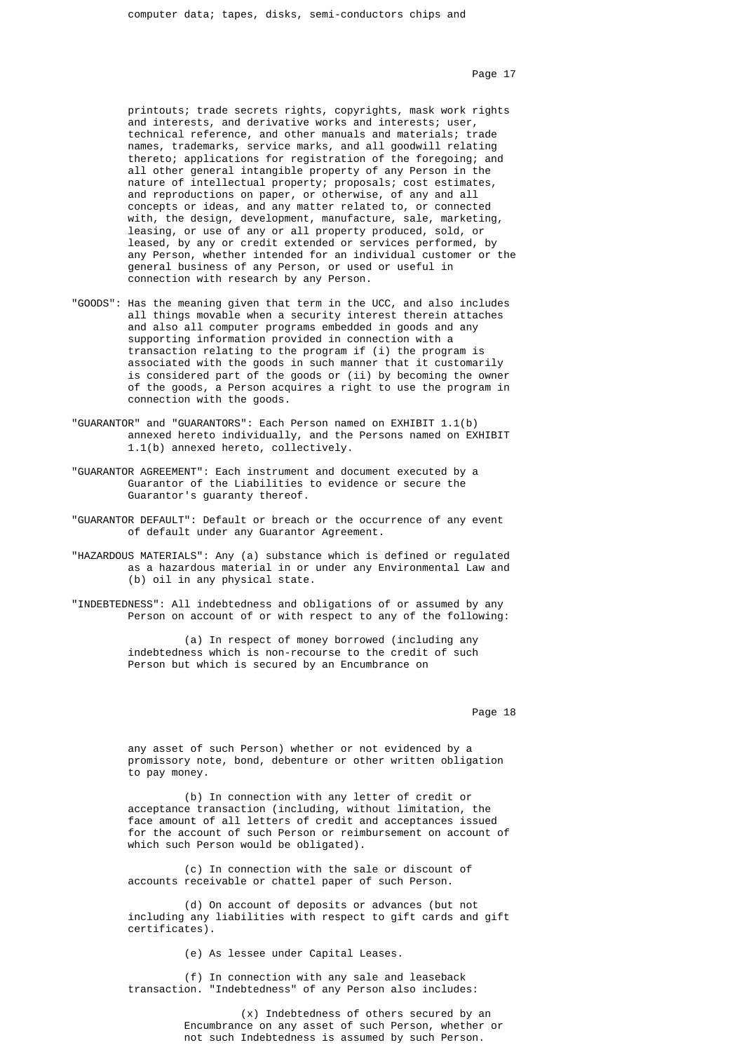Page 17

 printouts; trade secrets rights, copyrights, mask work rights and interests, and derivative works and interests; user, technical reference, and other manuals and materials; trade names, trademarks, service marks, and all goodwill relating thereto; applications for registration of the foregoing; and all other general intangible property of any Person in the nature of intellectual property; proposals; cost estimates, and reproductions on paper, or otherwise, of any and all concepts or ideas, and any matter related to, or connected with, the design, development, manufacture, sale, marketing, leasing, or use of any or all property produced, sold, or leased, by any or credit extended or services performed, by any Person, whether intended for an individual customer or the general business of any Person, or used or useful in connection with research by any Person.

- "GOODS": Has the meaning given that term in the UCC, and also includes all things movable when a security interest therein attaches and also all computer programs embedded in goods and any supporting information provided in connection with a transaction relating to the program if (i) the program is associated with the goods in such manner that it customarily is considered part of the goods or (ii) by becoming the owner of the goods, a Person acquires a right to use the program in connection with the goods.
- "GUARANTOR" and "GUARANTORS": Each Person named on EXHIBIT 1.1(b) annexed hereto individually, and the Persons named on EXHIBIT 1.1(b) annexed hereto, collectively.
- "GUARANTOR AGREEMENT": Each instrument and document executed by a Guarantor of the Liabilities to evidence or secure the Guarantor's guaranty thereof.
- "GUARANTOR DEFAULT": Default or breach or the occurrence of any event of default under any Guarantor Agreement.
- "HAZARDOUS MATERIALS": Any (a) substance which is defined or regulated as a hazardous material in or under any Environmental Law and (b) oil in any physical state.
- "INDEBTEDNESS": All indebtedness and obligations of or assumed by any Person on account of or with respect to any of the following:

 (a) In respect of money borrowed (including any indebtedness which is non-recourse to the credit of such Person but which is secured by an Encumbrance on

en die 18de jaar van die 19de eeu n.C. Soos van die 18de eeu n.C. Soos ander gewone jare 18de eeu n.C. 18de eeu n.C. 18de eeu n.C. 18de eeu n.C. 18de eeu n.C. 18de eeu n.C. 18de eeu n.C. 18de eeu n.C. 18de eeu n.C. 18de ee

 any asset of such Person) whether or not evidenced by a promissory note, bond, debenture or other written obligation to pay money.

 (b) In connection with any letter of credit or acceptance transaction (including, without limitation, the face amount of all letters of credit and acceptances issued for the account of such Person or reimbursement on account of which such Person would be obligated).

 (c) In connection with the sale or discount of accounts receivable or chattel paper of such Person.

 (d) On account of deposits or advances (but not including any liabilities with respect to gift cards and gift certificates).

(e) As lessee under Capital Leases.

 (f) In connection with any sale and leaseback transaction. "Indebtedness" of any Person also includes:

> (x) Indebtedness of others secured by an Encumbrance on any asset of such Person, whether or not such Indebtedness is assumed by such Person.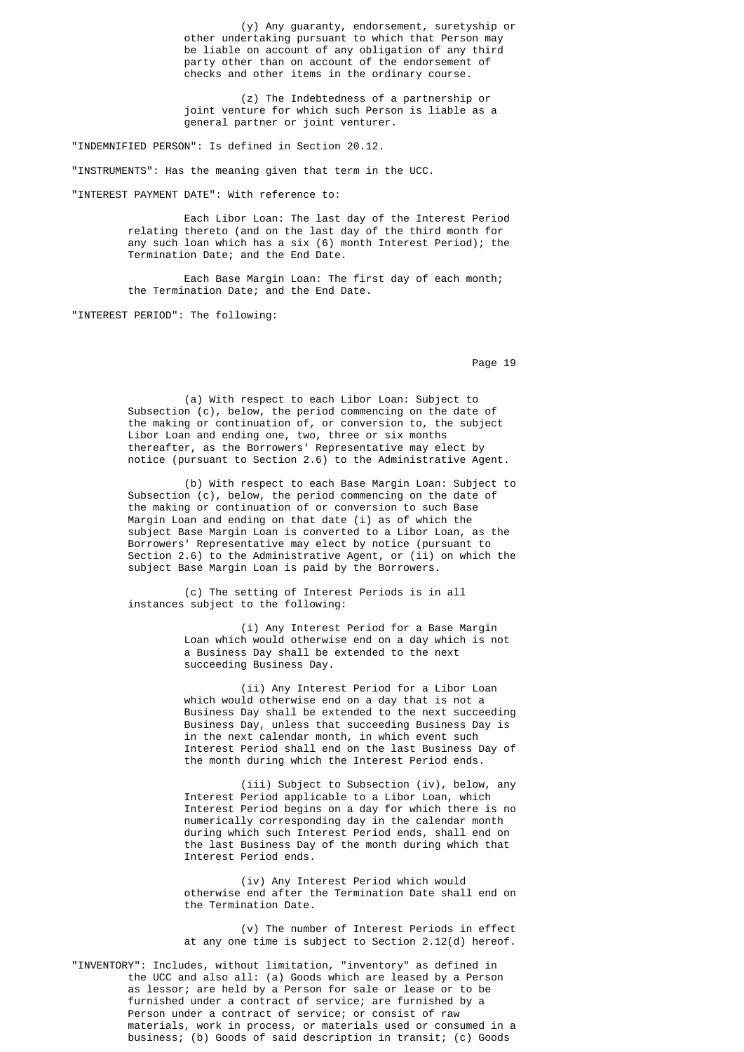(y) Any guaranty, endorsement, suretyship or other undertaking pursuant to which that Person may be liable on account of any obligation of any third party other than on account of the endorsement of checks and other items in the ordinary course.

> (z) The Indebtedness of a partnership or joint venture for which such Person is liable as a general partner or joint venturer.

"INDEMNIFIED PERSON": Is defined in Section 20.12.

"INSTRUMENTS": Has the meaning given that term in the UCC.

"INTEREST PAYMENT DATE": With reference to:

 Each Libor Loan: The last day of the Interest Period relating thereto (and on the last day of the third month for any such loan which has a six (6) month Interest Period); the Termination Date; and the End Date.

 Each Base Margin Loan: The first day of each month; the Termination Date; and the End Date.

"INTEREST PERIOD": The following:

en die 19de jaar van die 19de eeu n.C. Soos van die 19de eeu n.C. Soos en gewone gehad. Dit was die 19de eeu n

 (a) With respect to each Libor Loan: Subject to Subsection (c), below, the period commencing on the date of the making or continuation of, or conversion to, the subject Libor Loan and ending one, two, three or six months thereafter, as the Borrowers' Representative may elect by notice (pursuant to Section 2.6) to the Administrative Agent.

 (b) With respect to each Base Margin Loan: Subject to Subsection (c), below, the period commencing on the date of the making or continuation of or conversion to such Base Margin Loan and ending on that date (i) as of which the subject Base Margin Loan is converted to a Libor Loan, as the Borrowers' Representative may elect by notice (pursuant to Section 2.6) to the Administrative Agent, or (ii) on which the subject Base Margin Loan is paid by the Borrowers.

 (c) The setting of Interest Periods is in all instances subject to the following:

> (i) Any Interest Period for a Base Margin Loan which would otherwise end on a day which is not a Business Day shall be extended to the next succeeding Business Day.

 (ii) Any Interest Period for a Libor Loan which would otherwise end on a day that is not a Business Day shall be extended to the next succeeding Business Day, unless that succeeding Business Day is in the next calendar month, in which event such Interest Period shall end on the last Business Day of the month during which the Interest Period ends.

 (iii) Subject to Subsection (iv), below, any Interest Period applicable to a Libor Loan, which Interest Period begins on a day for which there is no numerically corresponding day in the calendar month during which such Interest Period ends, shall end on the last Business Day of the month during which that Interest Period ends.

 (iv) Any Interest Period which would otherwise end after the Termination Date shall end on the Termination Date.

 (v) The number of Interest Periods in effect at any one time is subject to Section 2.12(d) hereof.

 "INVENTORY": Includes, without limitation, "inventory" as defined in the UCC and also all: (a) Goods which are leased by a Person as lessor; are held by a Person for sale or lease or to be furnished under a contract of service; are furnished by a Person under a contract of service; or consist of raw materials, work in process, or materials used or consumed in a business; (b) Goods of said description in transit; (c) Goods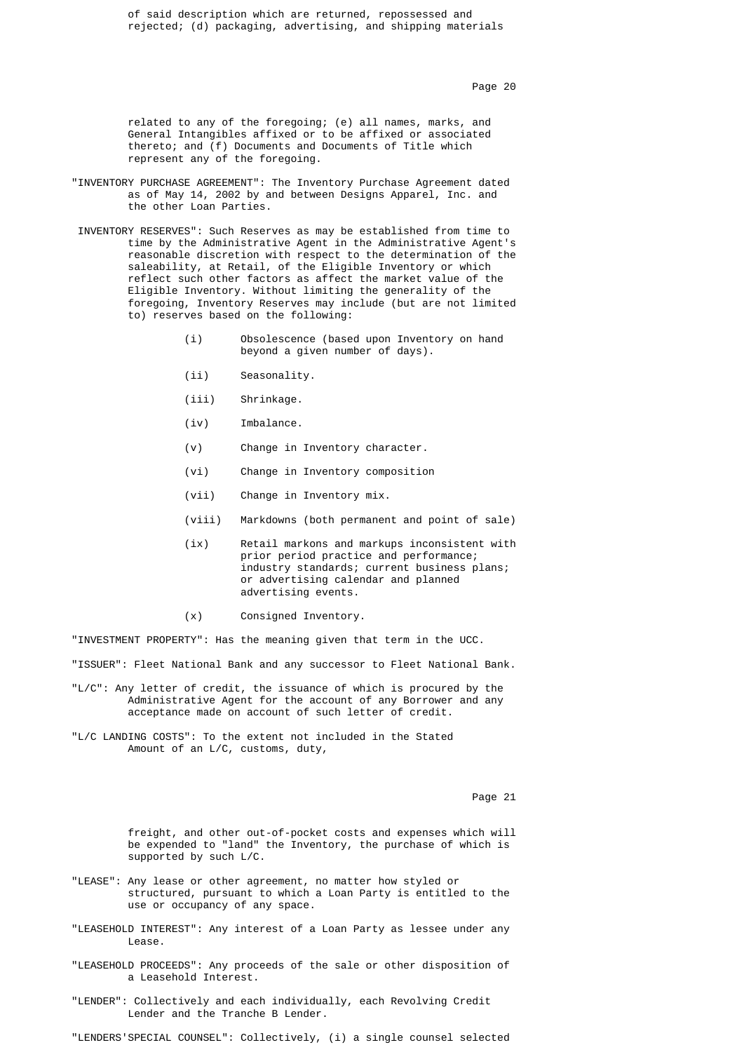of said description which are returned, repossessed and rejected; (d) packaging, advertising, and shipping materials

Page 20  $^{\circ}$  Page 20  $^{\circ}$ 

 related to any of the foregoing; (e) all names, marks, and General Intangibles affixed or to be affixed or associated thereto; and (f) Documents and Documents of Title which represent any of the foregoing.

- "INVENTORY PURCHASE AGREEMENT": The Inventory Purchase Agreement dated as of May 14, 2002 by and between Designs Apparel, Inc. and the other Loan Parties.
	- INVENTORY RESERVES": Such Reserves as may be established from time to time by the Administrative Agent in the Administrative Agent's reasonable discretion with respect to the determination of the saleability, at Retail, of the Eligible Inventory or which reflect such other factors as affect the market value of the Eligible Inventory. Without limiting the generality of the foregoing, Inventory Reserves may include (but are not limited to) reserves based on the following:
		- (i) Obsolescence (based upon Inventory on hand beyond a given number of days).
		- (ii) Seasonality.
		- (iii) Shrinkage.
		- (iv) Imbalance.
		- (v) Change in Inventory character.
		- (vi) Change in Inventory composition
		- (vii) Change in Inventory mix.
		- (viii) Markdowns (both permanent and point of sale)
		- (ix) Retail markons and markups inconsistent with prior period practice and performance; industry standards; current business plans; or advertising calendar and planned advertising events.
		- (x) Consigned Inventory.

"INVESTMENT PROPERTY": Has the meaning given that term in the UCC.

"ISSUER": Fleet National Bank and any successor to Fleet National Bank.

- "L/C": Any letter of credit, the issuance of which is procured by the Administrative Agent for the account of any Borrower and any acceptance made on account of such letter of credit.
- "L/C LANDING COSTS": To the extent not included in the Stated Amount of an L/C, customs, duty,

experience of the contract of the contract of the contract of the contract of the contract of the contract of the contract of the contract of the contract of the contract of the contract of the contract of the contract of

 freight, and other out-of-pocket costs and expenses which will be expended to "land" the Inventory, the purchase of which is supported by such L/C.

- "LEASE": Any lease or other agreement, no matter how styled or structured, pursuant to which a Loan Party is entitled to the use or occupancy of any space.
- "LEASEHOLD INTEREST": Any interest of a Loan Party as lessee under any Lease.
- "LEASEHOLD PROCEEDS": Any proceeds of the sale or other disposition of a Leasehold Interest.
- "LENDER": Collectively and each individually, each Revolving Credit Lender and the Tranche B Lender.

"LENDERS'SPECIAL COUNSEL": Collectively, (i) a single counsel selected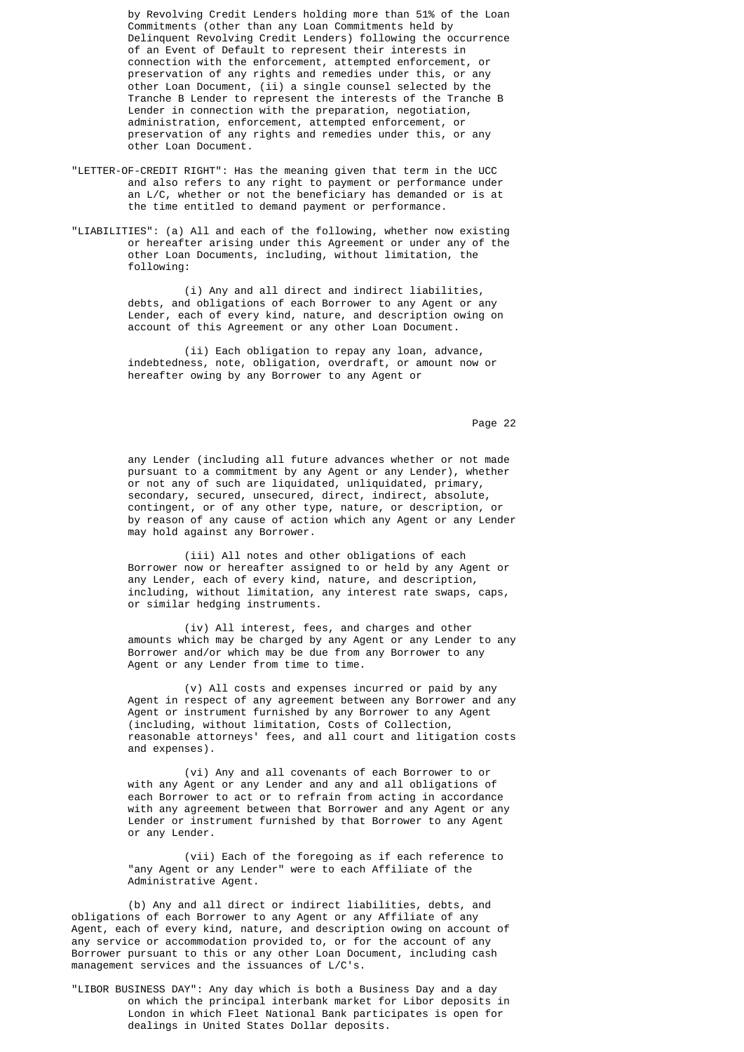by Revolving Credit Lenders holding more than 51% of the Loan Commitments (other than any Loan Commitments held by Delinquent Revolving Credit Lenders) following the occurrence of an Event of Default to represent their interests in connection with the enforcement, attempted enforcement, or preservation of any rights and remedies under this, or any other Loan Document, (ii) a single counsel selected by the Tranche B Lender to represent the interests of the Tranche B Lender in connection with the preparation, negotiation, administration, enforcement, attempted enforcement, or preservation of any rights and remedies under this, or any other Loan Document.

- "LETTER-OF-CREDIT RIGHT": Has the meaning given that term in the UCC and also refers to any right to payment or performance under an L/C, whether or not the beneficiary has demanded or is at the time entitled to demand payment or performance.
	- "LIABILITIES": (a) All and each of the following, whether now existing or hereafter arising under this Agreement or under any of the other Loan Documents, including, without limitation, the following:

 (i) Any and all direct and indirect liabilities, debts, and obligations of each Borrower to any Agent or any Lender, each of every kind, nature, and description owing on account of this Agreement or any other Loan Document.

 (ii) Each obligation to repay any loan, advance, indebtedness, note, obligation, overdraft, or amount now or hereafter owing by any Borrower to any Agent or

Page 22 **Page 22** 

 any Lender (including all future advances whether or not made pursuant to a commitment by any Agent or any Lender), whether or not any of such are liquidated, unliquidated, primary, secondary, secured, unsecured, direct, indirect, absolute, contingent, or of any other type, nature, or description, or by reason of any cause of action which any Agent or any Lender may hold against any Borrower.

> (iii) All notes and other obligations of each Borrower now or hereafter assigned to or held by any Agent or any Lender, each of every kind, nature, and description, including, without limitation, any interest rate swaps, caps, or similar hedging instruments.

 (iv) All interest, fees, and charges and other amounts which may be charged by any Agent or any Lender to any Borrower and/or which may be due from any Borrower to any Agent or any Lender from time to time.

 (v) All costs and expenses incurred or paid by any Agent in respect of any agreement between any Borrower and any Agent or instrument furnished by any Borrower to any Agent (including, without limitation, Costs of Collection, reasonable attorneys' fees, and all court and litigation costs and expenses).

 (vi) Any and all covenants of each Borrower to or with any Agent or any Lender and any and all obligations of each Borrower to act or to refrain from acting in accordance with any agreement between that Borrower and any Agent or any Lender or instrument furnished by that Borrower to any Agent or any Lender.

 (vii) Each of the foregoing as if each reference to "any Agent or any Lender" were to each Affiliate of the Administrative Agent.

> (b) Any and all direct or indirect liabilities, debts, and obligations of each Borrower to any Agent or any Affiliate of any Agent, each of every kind, nature, and description owing on account of any service or accommodation provided to, or for the account of any Borrower pursuant to this or any other Loan Document, including cash management services and the issuances of L/C's.

> "LIBOR BUSINESS DAY": Any day which is both a Business Day and a day on which the principal interbank market for Libor deposits in London in which Fleet National Bank participates is open for dealings in United States Dollar deposits.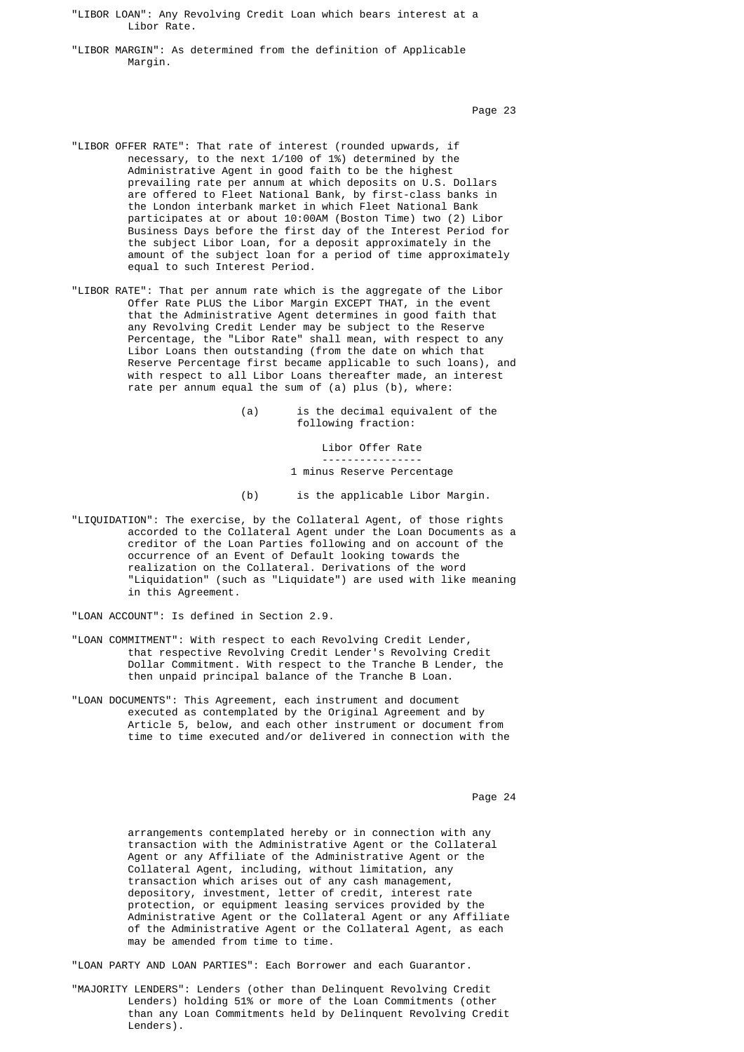"LIBOR LOAN": Any Revolving Credit Loan which bears interest at a Libor Rate.

 "LIBOR MARGIN": As determined from the definition of Applicable Margin.

Page 23 **Page 23** 

- "LIBOR OFFER RATE": That rate of interest (rounded upwards, if necessary, to the next 1/100 of 1%) determined by the Administrative Agent in good faith to be the highest prevailing rate per annum at which deposits on U.S. Dollars are offered to Fleet National Bank, by first-class banks in the London interbank market in which Fleet National Bank participates at or about 10:00AM (Boston Time) two (2) Libor Business Days before the first day of the Interest Period for the subject Libor Loan, for a deposit approximately in the amount of the subject loan for a period of time approximately equal to such Interest Period.
- "LIBOR RATE": That per annum rate which is the aggregate of the Libor Offer Rate PLUS the Libor Margin EXCEPT THAT, in the event that the Administrative Agent determines in good faith that any Revolving Credit Lender may be subject to the Reserve Percentage, the "Libor Rate" shall mean, with respect to any Libor Loans then outstanding (from the date on which that Reserve Percentage first became applicable to such loans), and with respect to all Libor Loans thereafter made, an interest rate per annum equal the sum of (a) plus (b), where:

 (a) is the decimal equivalent of the following fraction:

Libor Offer Rate

#### ---------------- 1 minus Reserve Percentage

- (b) is the applicable Libor Margin.
- "LIQUIDATION": The exercise, by the Collateral Agent, of those rights accorded to the Collateral Agent under the Loan Documents as a creditor of the Loan Parties following and on account of the occurrence of an Event of Default looking towards the realization on the Collateral. Derivations of the word "Liquidation" (such as "Liquidate") are used with like meaning in this Agreement.

"LOAN ACCOUNT": Is defined in Section 2.9.

- "LOAN COMMITMENT": With respect to each Revolving Credit Lender, that respective Revolving Credit Lender's Revolving Credit Dollar Commitment. With respect to the Tranche B Lender, the then unpaid principal balance of the Tranche B Loan.
- "LOAN DOCUMENTS": This Agreement, each instrument and document executed as contemplated by the Original Agreement and by Article 5, below, and each other instrument or document from time to time executed and/or delivered in connection with the

en die 19de jaar van die 19de eeu n.C. Soos van die 14de eeu n.C. Soos en gewone jare 124 weke en die 12de eeu

 arrangements contemplated hereby or in connection with any transaction with the Administrative Agent or the Collateral Agent or any Affiliate of the Administrative Agent or the Collateral Agent, including, without limitation, any transaction which arises out of any cash management, depository, investment, letter of credit, interest rate protection, or equipment leasing services provided by the Administrative Agent or the Collateral Agent or any Affiliate of the Administrative Agent or the Collateral Agent, as each may be amended from time to time.

"LOAN PARTY AND LOAN PARTIES": Each Borrower and each Guarantor.

 "MAJORITY LENDERS": Lenders (other than Delinquent Revolving Credit Lenders) holding 51% or more of the Loan Commitments (other than any Loan Commitments held by Delinquent Revolving Credit Lenders).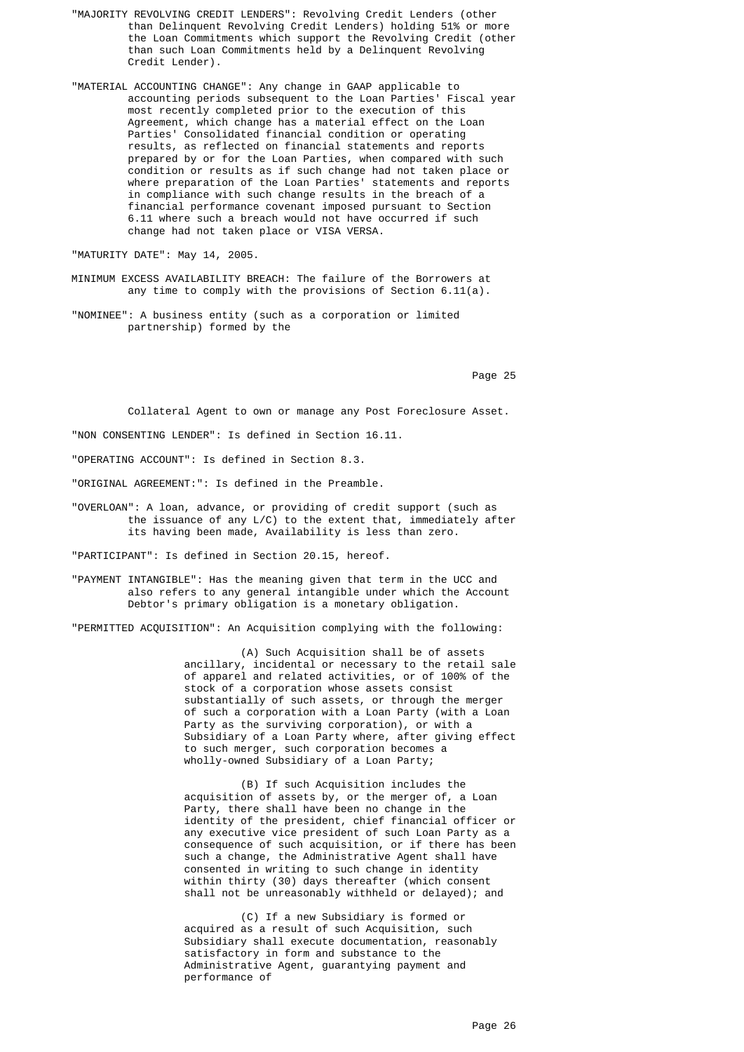- "MAJORITY REVOLVING CREDIT LENDERS": Revolving Credit Lenders (other than Delinquent Revolving Credit Lenders) holding 51% or more the Loan Commitments which support the Revolving Credit (other than such Loan Commitments held by a Delinquent Revolving Credit Lender).
- "MATERIAL ACCOUNTING CHANGE": Any change in GAAP applicable to accounting periods subsequent to the Loan Parties' Fiscal year most recently completed prior to the execution of this Agreement, which change has a material effect on the Loan Parties' Consolidated financial condition or operating results, as reflected on financial statements and reports prepared by or for the Loan Parties, when compared with such condition or results as if such change had not taken place or where preparation of the Loan Parties' statements and reports in compliance with such change results in the breach of a financial performance covenant imposed pursuant to Section 6.11 where such a breach would not have occurred if such change had not taken place or VISA VERSA.

"MATURITY DATE": May 14, 2005.

- MINIMUM EXCESS AVAILABILITY BREACH: The failure of the Borrowers at any time to comply with the provisions of Section 6.11(a).
- "NOMINEE": A business entity (such as a corporation or limited partnership) formed by the

Page 25 and the contract of the contract of the contract of the contract of the contract of the contract of the contract of the contract of the contract of the contract of the contract of the contract of the contract of th

Collateral Agent to own or manage any Post Foreclosure Asset.

"NON CONSENTING LENDER": Is defined in Section 16.11.

"OPERATING ACCOUNT": Is defined in Section 8.3.

"ORIGINAL AGREEMENT:": Is defined in the Preamble.

 "OVERLOAN": A loan, advance, or providing of credit support (such as the issuance of any L/C) to the extent that, immediately after its having been made, Availability is less than zero.

"PARTICIPANT": Is defined in Section 20.15, hereof.

 "PAYMENT INTANGIBLE": Has the meaning given that term in the UCC and also refers to any general intangible under which the Account Debtor's primary obligation is a monetary obligation.

"PERMITTED ACQUISITION": An Acquisition complying with the following:

 (A) Such Acquisition shall be of assets ancillary, incidental or necessary to the retail sale of apparel and related activities, or of 100% of the stock of a corporation whose assets consist substantially of such assets, or through the merger of such a corporation with a Loan Party (with a Loan Party as the surviving corporation), or with a Subsidiary of a Loan Party where, after giving effect to such merger, such corporation becomes a wholly-owned Subsidiary of a Loan Party;

> (B) If such Acquisition includes the acquisition of assets by, or the merger of, a Loan Party, there shall have been no change in the identity of the president, chief financial officer or any executive vice president of such Loan Party as a consequence of such acquisition, or if there has been such a change, the Administrative Agent shall have consented in writing to such change in identity within thirty (30) days thereafter (which consent shall not be unreasonably withheld or delayed); and

 (C) If a new Subsidiary is formed or acquired as a result of such Acquisition, such Subsidiary shall execute documentation, reasonably satisfactory in form and substance to the Administrative Agent, guarantying payment and performance of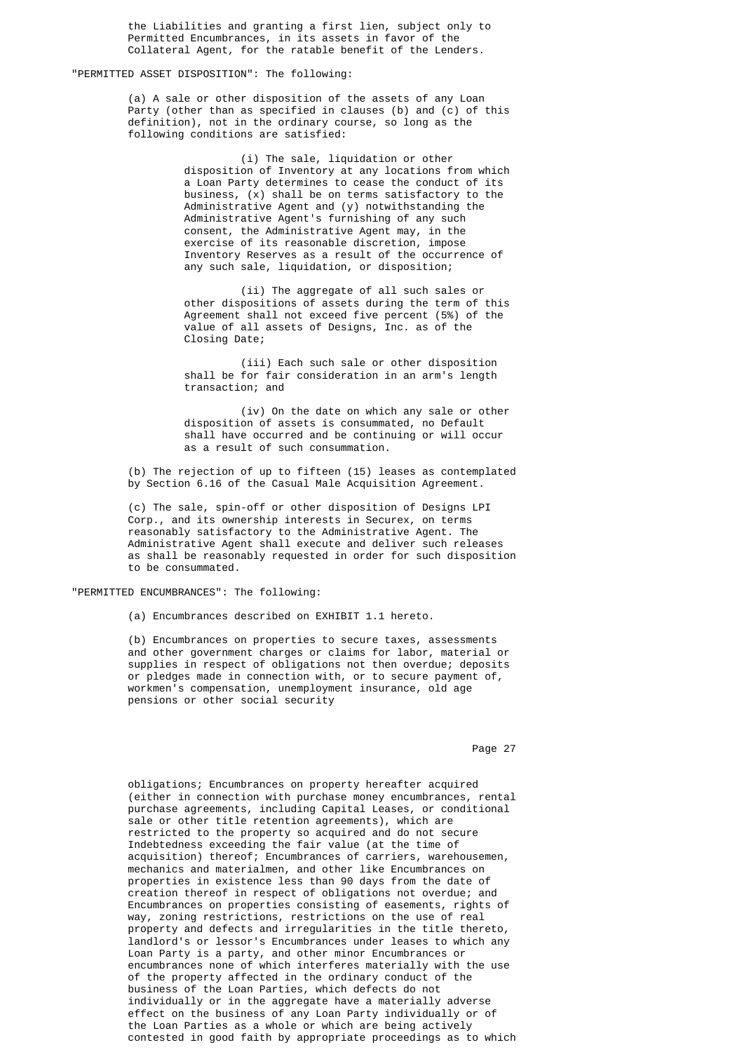the Liabilities and granting a first lien, subject only to Permitted Encumbrances, in its assets in favor of the Collateral Agent, for the ratable benefit of the Lenders.

# "PERMITTED ASSET DISPOSITION": The following:

 (a) A sale or other disposition of the assets of any Loan Party (other than as specified in clauses (b) and (c) of this definition), not in the ordinary course, so long as the following conditions are satisfied:

> (i) The sale, liquidation or other disposition of Inventory at any locations from which a Loan Party determines to cease the conduct of its business, (x) shall be on terms satisfactory to the Administrative Agent and (y) notwithstanding the Administrative Agent's furnishing of any such consent, the Administrative Agent may, in the exercise of its reasonable discretion, impose Inventory Reserves as a result of the occurrence of any such sale, liquidation, or disposition;

> (ii) The aggregate of all such sales or other dispositions of assets during the term of this Agreement shall not exceed five percent (5%) of the value of all assets of Designs, Inc. as of the Closing Date;

 (iii) Each such sale or other disposition shall be for fair consideration in an arm's length transaction; and

 (iv) On the date on which any sale or other disposition of assets is consummated, no Default shall have occurred and be continuing or will occur as a result of such consummation.

 (b) The rejection of up to fifteen (15) leases as contemplated by Section 6.16 of the Casual Male Acquisition Agreement.

 (c) The sale, spin-off or other disposition of Designs LPI Corp., and its ownership interests in Securex, on terms reasonably satisfactory to the Administrative Agent. The Administrative Agent shall execute and deliver such releases as shall be reasonably requested in order for such disposition to be consummated.

"PERMITTED ENCUMBRANCES": The following:

(a) Encumbrances described on EXHIBIT 1.1 hereto.

 (b) Encumbrances on properties to secure taxes, assessments and other government charges or claims for labor, material or supplies in respect of obligations not then overdue; deposits or pledges made in connection with, or to secure payment of, workmen's compensation, unemployment insurance, old age pensions or other social security

Page 27 (1992) 27 (1993) 27 (1994) 27 (1994) 27 (1994) 27 (1994) 27 (1995) 27 (1996) 27 (1996) 27 (1997) 27 (1997) 27 (1998) 27 (1998) 27 (1999) 27 (1999) 27 (1999) 27 (1999) 27 (1999) 27 (1999) 27 (1999) 27 (1999) 27 (199

 obligations; Encumbrances on property hereafter acquired (either in connection with purchase money encumbrances, rental purchase agreements, including Capital Leases, or conditional sale or other title retention agreements), which are restricted to the property so acquired and do not secure Indebtedness exceeding the fair value (at the time of acquisition) thereof; Encumbrances of carriers, warehousemen, mechanics and materialmen, and other like Encumbrances on properties in existence less than 90 days from the date of creation thereof in respect of obligations not overdue; and Encumbrances on properties consisting of easements, rights of way, zoning restrictions, restrictions on the use of real property and defects and irregularities in the title thereto, landlord's or lessor's Encumbrances under leases to which any Loan Party is a party, and other minor Encumbrances or encumbrances none of which interferes materially with the use of the property affected in the ordinary conduct of the business of the Loan Parties, which defects do not individually or in the aggregate have a materially adverse effect on the business of any Loan Party individually or of the Loan Parties as a whole or which are being actively contested in good faith by appropriate proceedings as to which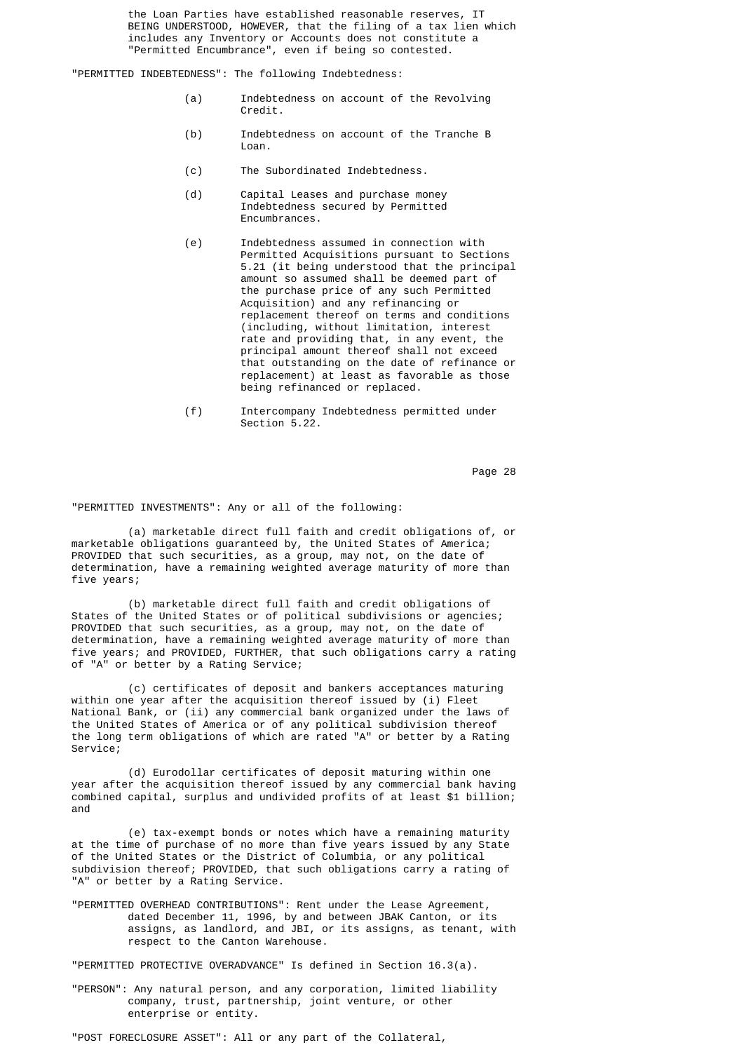the Loan Parties have established reasonable reserves, IT BEING UNDERSTOOD, HOWEVER, that the filing of a tax lien which includes any Inventory or Accounts does not constitute a "Permitted Encumbrance", even if being so contested.

"PERMITTED INDEBTEDNESS": The following Indebtedness:

- (a) Indebtedness on account of the Revolving Credit.
- (b) Indebtedness on account of the Tranche B Loan.
	- (c) The Subordinated Indebtedness.
	- (d) Capital Leases and purchase money Indebtedness secured by Permitted Encumbrances.
- (e) Indebtedness assumed in connection with Permitted Acquisitions pursuant to Sections 5.21 (it being understood that the principal amount so assumed shall be deemed part of the purchase price of any such Permitted Acquisition) and any refinancing or replacement thereof on terms and conditions (including, without limitation, interest rate and providing that, in any event, the principal amount thereof shall not exceed that outstanding on the date of refinance or replacement) at least as favorable as those being refinanced or replaced.
	- (f) Intercompany Indebtedness permitted under Section 5.22.

Page 28 and 20 and 20 and 20 and 20 and 20 and 20 and 20 and 20 and 20 and 20 and 20 and 20 and 20 and 20 and

"PERMITTED INVESTMENTS": Any or all of the following:

 (a) marketable direct full faith and credit obligations of, or marketable obligations guaranteed by, the United States of America; PROVIDED that such securities, as a group, may not, on the date of determination, have a remaining weighted average maturity of more than five years;

 (b) marketable direct full faith and credit obligations of States of the United States or of political subdivisions or agencies; PROVIDED that such securities, as a group, may not, on the date of determination, have a remaining weighted average maturity of more than five years; and PROVIDED, FURTHER, that such obligations carry a rating of "A" or better by a Rating Service;

> (c) certificates of deposit and bankers acceptances maturing within one year after the acquisition thereof issued by (i) Fleet National Bank, or (ii) any commercial bank organized under the laws of the United States of America or of any political subdivision thereof the long term obligations of which are rated "A" or better by a Rating Service;

 (d) Eurodollar certificates of deposit maturing within one year after the acquisition thereof issued by any commercial bank having combined capital, surplus and undivided profits of at least \$1 billion; and

 (e) tax-exempt bonds or notes which have a remaining maturity at the time of purchase of no more than five years issued by any State of the United States or the District of Columbia, or any political subdivision thereof; PROVIDED, that such obligations carry a rating of "A" or better by a Rating Service.

> "PERMITTED OVERHEAD CONTRIBUTIONS": Rent under the Lease Agreement, dated December 11, 1996, by and between JBAK Canton, or its assigns, as landlord, and JBI, or its assigns, as tenant, with respect to the Canton Warehouse.

"PERMITTED PROTECTIVE OVERADVANCE" Is defined in Section 16.3(a).

 "PERSON": Any natural person, and any corporation, limited liability company, trust, partnership, joint venture, or other enterprise or entity.

"POST FORECLOSURE ASSET": All or any part of the Collateral,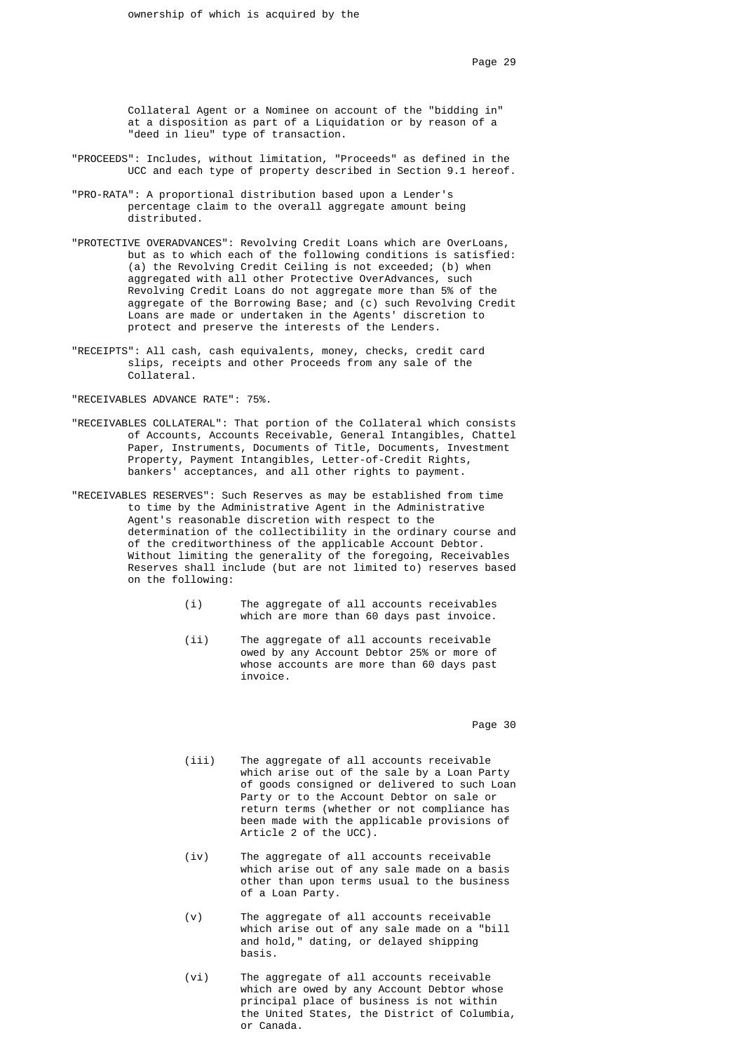Collateral Agent or a Nominee on account of the "bidding in" at a disposition as part of a Liquidation or by reason of a "deed in lieu" type of transaction.

- "PROCEEDS": Includes, without limitation, "Proceeds" as defined in the UCC and each type of property described in Section 9.1 hereof.
- "PRO-RATA": A proportional distribution based upon a Lender's percentage claim to the overall aggregate amount being distributed.
- "PROTECTIVE OVERADVANCES": Revolving Credit Loans which are OverLoans, but as to which each of the following conditions is satisfied: (a) the Revolving Credit Ceiling is not exceeded; (b) when aggregated with all other Protective OverAdvances, such Revolving Credit Loans do not aggregate more than 5% of the aggregate of the Borrowing Base; and (c) such Revolving Credit Loans are made or undertaken in the Agents' discretion to protect and preserve the interests of the Lenders.
- "RECEIPTS": All cash, cash equivalents, money, checks, credit card slips, receipts and other Proceeds from any sale of the Collateral.

"RECEIVABLES ADVANCE RATE": 75%.

- "RECEIVABLES COLLATERAL": That portion of the Collateral which consists of Accounts, Accounts Receivable, General Intangibles, Chattel Paper, Instruments, Documents of Title, Documents, Investment Property, Payment Intangibles, Letter-of-Credit Rights, bankers' acceptances, and all other rights to payment.
- "RECEIVABLES RESERVES": Such Reserves as may be established from time to time by the Administrative Agent in the Administrative Agent's reasonable discretion with respect to the determination of the collectibility in the ordinary course and of the creditworthiness of the applicable Account Debtor. Without limiting the generality of the foregoing, Receivables Reserves shall include (but are not limited to) reserves based on the following:
	- (i) The aggregate of all accounts receivables which are more than 60 days past invoice.
	- (ii) The aggregate of all accounts receivable owed by any Account Debtor 25% or more of whose accounts are more than 60 days past invoice.

Page 30 and the state of the state of the state of the state of the state of the state of the state of the state of the state of the state of the state of the state of the state of the state of the state of the state of th

- (iii) The aggregate of all accounts receivable which arise out of the sale by a Loan Party of goods consigned or delivered to such Loan Party or to the Account Debtor on sale or return terms (whether or not compliance has been made with the applicable provisions of Article 2 of the UCC).
- (iv) The aggregate of all accounts receivable which arise out of any sale made on a basis other than upon terms usual to the business of a Loan Party.
- (v) The aggregate of all accounts receivable which arise out of any sale made on a "bill and hold," dating, or delayed shipping basis.
- (vi) The aggregate of all accounts receivable which are owed by any Account Debtor whose principal place of business is not within the United States, the District of Columbia, or Canada.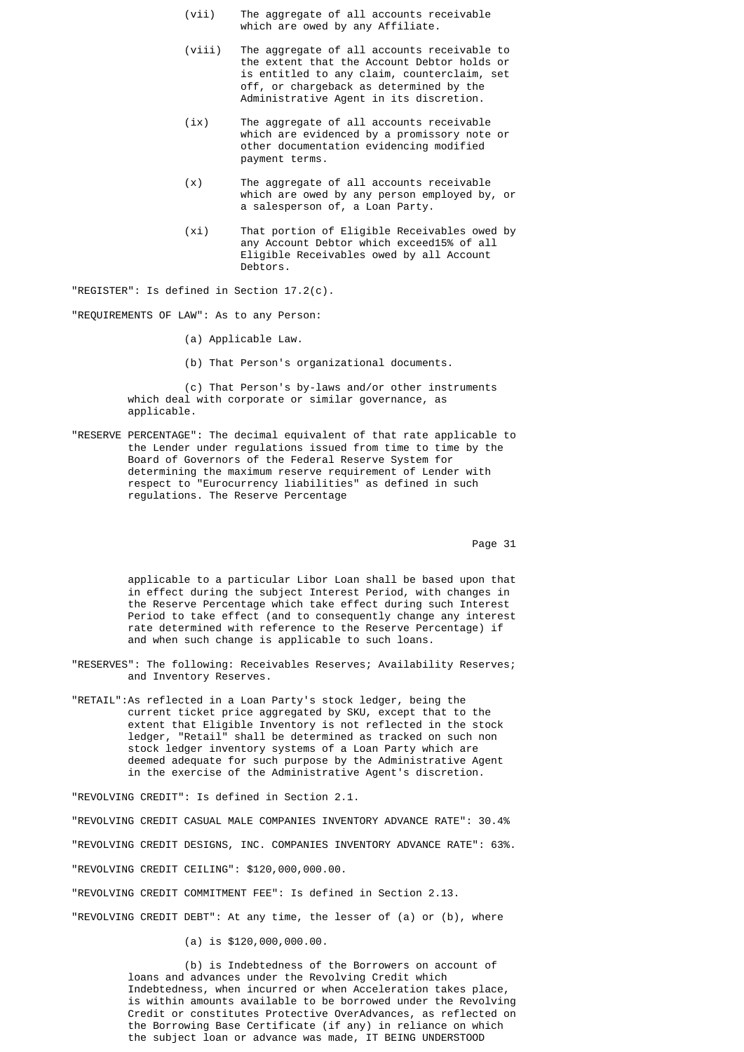- (vii) The aggregate of all accounts receivable which are owed by any Affiliate.
- (viii) The aggregate of all accounts receivable to the extent that the Account Debtor holds or is entitled to any claim, counterclaim, set off, or chargeback as determined by the Administrative Agent in its discretion.
- (ix) The aggregate of all accounts receivable which are evidenced by a promissory note or other documentation evidencing modified payment terms.
- (x) The aggregate of all accounts receivable which are owed by any person employed by, or a salesperson of, a Loan Party.
- (xi) That portion of Eligible Receivables owed by any Account Debtor which exceed15% of all Eligible Receivables owed by all Account Debtors.

"REGISTER": Is defined in Section 17.2(c).

"REQUIREMENTS OF LAW": As to any Person:

- (a) Applicable Law.
- (b) That Person's organizational documents.

 (c) That Person's by-laws and/or other instruments which deal with corporate or similar governance, as applicable.

 "RESERVE PERCENTAGE": The decimal equivalent of that rate applicable to the Lender under regulations issued from time to time by the Board of Governors of the Federal Reserve System for determining the maximum reserve requirement of Lender with respect to "Eurocurrency liabilities" as defined in such regulations. The Reserve Percentage

Page 31

 applicable to a particular Libor Loan shall be based upon that in effect during the subject Interest Period, with changes in the Reserve Percentage which take effect during such Interest Period to take effect (and to consequently change any interest rate determined with reference to the Reserve Percentage) if and when such change is applicable to such loans.

- "RESERVES": The following: Receivables Reserves; Availability Reserves; and Inventory Reserves.
- "RETAIL":As reflected in a Loan Party's stock ledger, being the current ticket price aggregated by SKU, except that to the extent that Eligible Inventory is not reflected in the stock ledger, "Retail" shall be determined as tracked on such non stock ledger inventory systems of a Loan Party which are deemed adequate for such purpose by the Administrative Agent in the exercise of the Administrative Agent's discretion.

"REVOLVING CREDIT": Is defined in Section 2.1.

"REVOLVING CREDIT CASUAL MALE COMPANIES INVENTORY ADVANCE RATE": 30.4%

"REVOLVING CREDIT DESIGNS, INC. COMPANIES INVENTORY ADVANCE RATE": 63%.

"REVOLVING CREDIT CEILING": \$120,000,000.00.

"REVOLVING CREDIT COMMITMENT FEE": Is defined in Section 2.13.

"REVOLVING CREDIT DEBT": At any time, the lesser of (a) or (b), where

(a) is \$120,000,000.00.

 (b) is Indebtedness of the Borrowers on account of loans and advances under the Revolving Credit which Indebtedness, when incurred or when Acceleration takes place, is within amounts available to be borrowed under the Revolving Credit or constitutes Protective OverAdvances, as reflected on the Borrowing Base Certificate (if any) in reliance on which the subject loan or advance was made, IT BEING UNDERSTOOD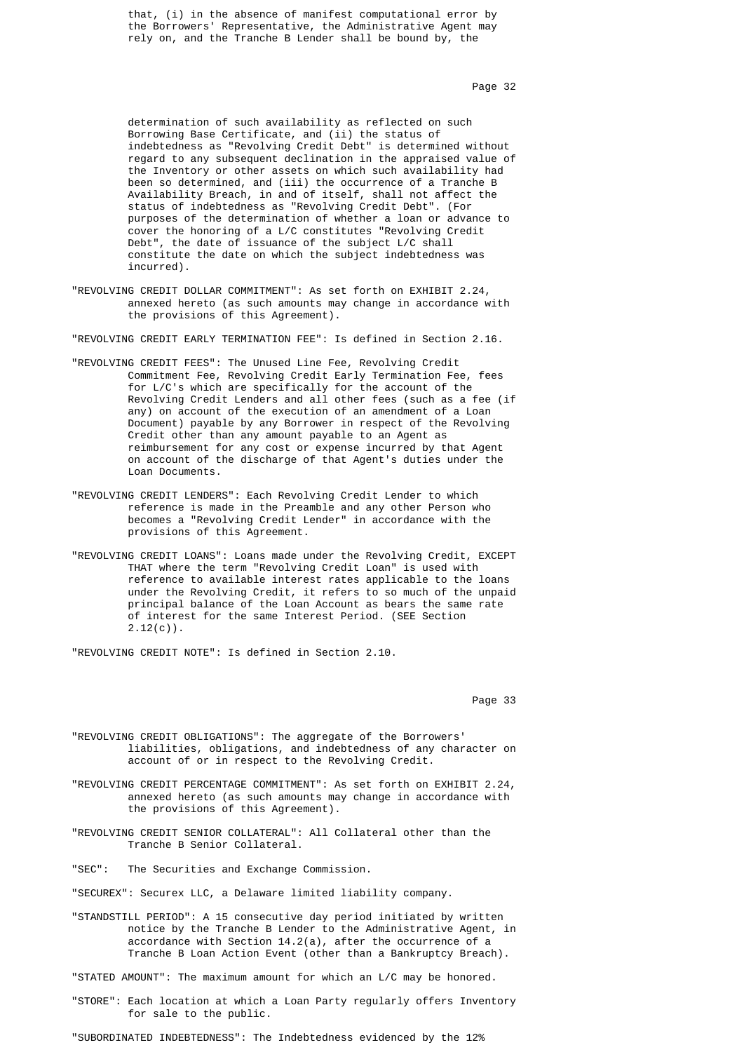that, (i) in the absence of manifest computational error by the Borrowers' Representative, the Administrative Agent may rely on, and the Tranche B Lender shall be bound by, the

Page 32 **Page 32** 

 determination of such availability as reflected on such Borrowing Base Certificate, and (ii) the status of indebtedness as "Revolving Credit Debt" is determined without regard to any subsequent declination in the appraised value of the Inventory or other assets on which such availability had been so determined, and (iii) the occurrence of a Tranche B Availability Breach, in and of itself, shall not affect the status of indebtedness as "Revolving Credit Debt". (For purposes of the determination of whether a loan or advance to cover the honoring of a L/C constitutes "Revolving Credit Debt", the date of issuance of the subject L/C shall constitute the date on which the subject indebtedness was incurred).

> "REVOLVING CREDIT DOLLAR COMMITMENT": As set forth on EXHIBIT 2.24, annexed hereto (as such amounts may change in accordance with the provisions of this Agreement).

"REVOLVING CREDIT EARLY TERMINATION FEE": Is defined in Section 2.16.

- "REVOLVING CREDIT FEES": The Unused Line Fee, Revolving Credit Commitment Fee, Revolving Credit Early Termination Fee, fees for L/C's which are specifically for the account of the Revolving Credit Lenders and all other fees (such as a fee (if any) on account of the execution of an amendment of a Loan Document) payable by any Borrower in respect of the Revolving Credit other than any amount payable to an Agent as reimbursement for any cost or expense incurred by that Agent on account of the discharge of that Agent's duties under the Loan Documents.
	- "REVOLVING CREDIT LENDERS": Each Revolving Credit Lender to which reference is made in the Preamble and any other Person who becomes a "Revolving Credit Lender" in accordance with the provisions of this Agreement.
	- "REVOLVING CREDIT LOANS": Loans made under the Revolving Credit, EXCEPT THAT where the term "Revolving Credit Loan" is used with reference to available interest rates applicable to the loans under the Revolving Credit, it refers to so much of the unpaid principal balance of the Loan Account as bears the same rate of interest for the same Interest Period. (SEE Section  $2.12(c)$ .

"REVOLVING CREDIT NOTE": Is defined in Section 2.10.

Page 33 **Page 33** 

- "REVOLVING CREDIT OBLIGATIONS": The aggregate of the Borrowers' liabilities, obligations, and indebtedness of any character on account of or in respect to the Revolving Credit.
- "REVOLVING CREDIT PERCENTAGE COMMITMENT": As set forth on EXHIBIT 2.24, annexed hereto (as such amounts may change in accordance with the provisions of this Agreement).
- "REVOLVING CREDIT SENIOR COLLATERAL": All Collateral other than the Tranche B Senior Collateral.
- "SEC": The Securities and Exchange Commission.
- "SECUREX": Securex LLC, a Delaware limited liability company.
- "STANDSTILL PERIOD": A 15 consecutive day period initiated by written notice by the Tranche B Lender to the Administrative Agent, in accordance with Section 14.2(a), after the occurrence of a Tranche B Loan Action Event (other than a Bankruptcy Breach).

"STATED AMOUNT": The maximum amount for which an L/C may be honored.

 "STORE": Each location at which a Loan Party regularly offers Inventory for sale to the public.

"SUBORDINATED INDEBTEDNESS": The Indebtedness evidenced by the 12%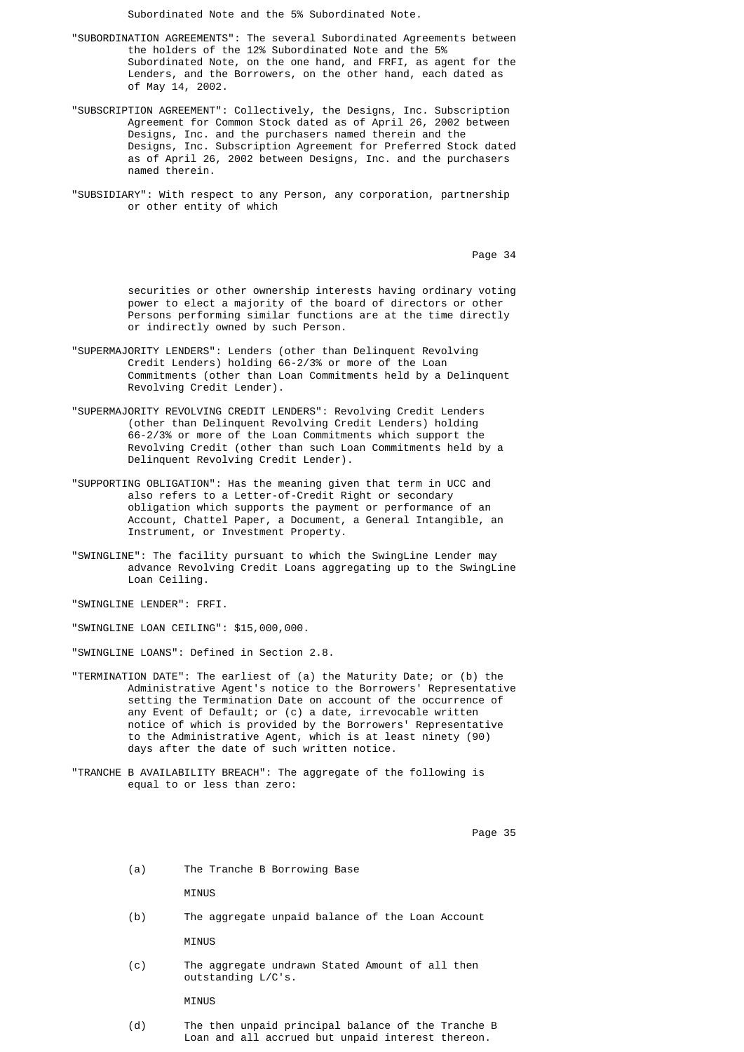Subordinated Note and the 5% Subordinated Note.

- "SUBORDINATION AGREEMENTS": The several Subordinated Agreements between the holders of the 12% Subordinated Note and the 5% Subordinated Note, on the one hand, and FRFI, as agent for the Lenders, and the Borrowers, on the other hand, each dated as of May 14, 2002.
- "SUBSCRIPTION AGREEMENT": Collectively, the Designs, Inc. Subscription Agreement for Common Stock dated as of April 26, 2002 between Designs, Inc. and the purchasers named therein and the Designs, Inc. Subscription Agreement for Preferred Stock dated as of April 26, 2002 between Designs, Inc. and the purchasers named therein.
- "SUBSIDIARY": With respect to any Person, any corporation, partnership or other entity of which

Page 34 and 20 and 20 and 20 and 20 and 20 and 20 and 20 and 20 and 20 and 20 and 20 and 20 and 20 and 20 and

 securities or other ownership interests having ordinary voting power to elect a majority of the board of directors or other Persons performing similar functions are at the time directly or indirectly owned by such Person.

- "SUPERMAJORITY LENDERS": Lenders (other than Delinquent Revolving Credit Lenders) holding 66-2/3% or more of the Loan Commitments (other than Loan Commitments held by a Delinquent Revolving Credit Lender).
	- "SUPERMAJORITY REVOLVING CREDIT LENDERS": Revolving Credit Lenders (other than Delinquent Revolving Credit Lenders) holding 66-2/3% or more of the Loan Commitments which support the Revolving Credit (other than such Loan Commitments held by a Delinquent Revolving Credit Lender).
	- "SUPPORTING OBLIGATION": Has the meaning given that term in UCC and also refers to a Letter-of-Credit Right or secondary obligation which supports the payment or performance of an Account, Chattel Paper, a Document, a General Intangible, an Instrument, or Investment Property.
	- "SWINGLINE": The facility pursuant to which the SwingLine Lender may advance Revolving Credit Loans aggregating up to the SwingLine Loan Ceiling.

"SWINGLINE LENDER": FRFI.

"SWINGLINE LOAN CEILING": \$15,000,000.

"SWINGLINE LOANS": Defined in Section 2.8.

- "TERMINATION DATE": The earliest of (a) the Maturity Date; or (b) the Administrative Agent's notice to the Borrowers' Representative setting the Termination Date on account of the occurrence of any Event of Default; or (c) a date, irrevocable written notice of which is provided by the Borrowers' Representative to the Administrative Agent, which is at least ninety (90) days after the date of such written notice.
- "TRANCHE B AVAILABILITY BREACH": The aggregate of the following is equal to or less than zero:

Page 35 and the state of the state of the state of the state of the state of the state of the state of the state of the state of the state of the state of the state of the state of the state of the state of the state of th

(a) The Tranche B Borrowing Base

**MINUS** 

- (b) The aggregate unpaid balance of the Loan Account MINUS
	- (c) The aggregate undrawn Stated Amount of all then outstanding L/C's.

**MINUS** 

 (d) The then unpaid principal balance of the Tranche B Loan and all accrued but unpaid interest thereon.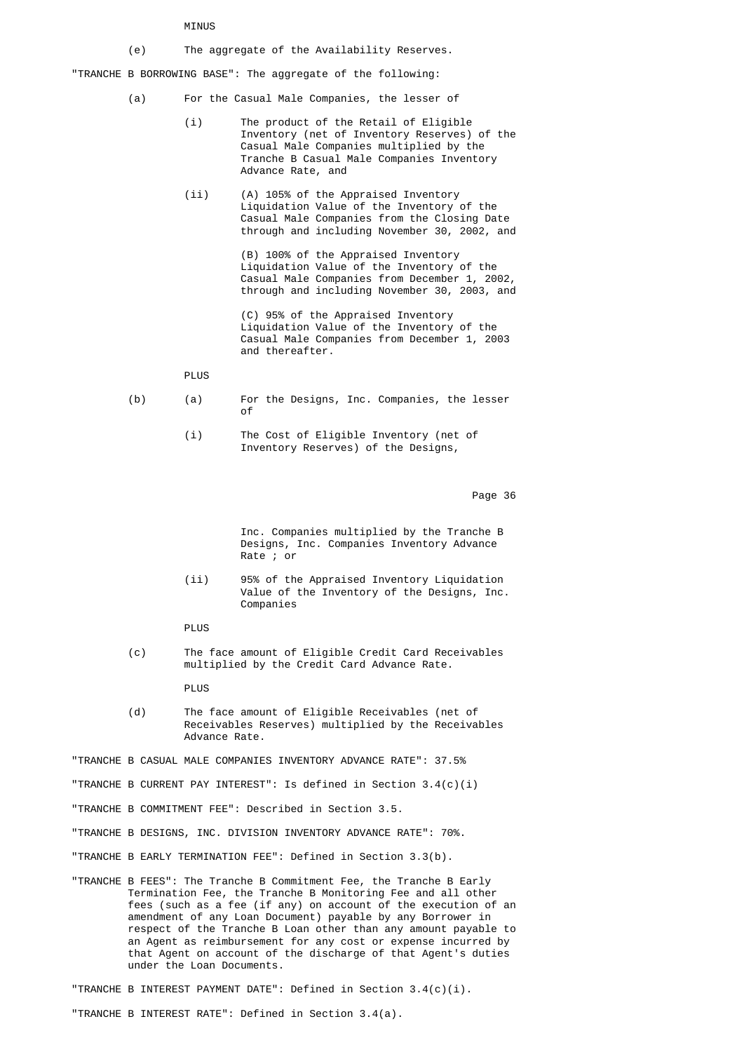### MINUS

(e) The aggregate of the Availability Reserves.

"TRANCHE B BORROWING BASE": The aggregate of the following:

- (a) For the Casual Male Companies, the lesser of
	- (i) The product of the Retail of Eligible Inventory (net of Inventory Reserves) of the Casual Male Companies multiplied by the Tranche B Casual Male Companies Inventory Advance Rate, and
	- (ii) (A) 105% of the Appraised Inventory Liquidation Value of the Inventory of the Casual Male Companies from the Closing Date through and including November 30, 2002, and

 (B) 100% of the Appraised Inventory Liquidation Value of the Inventory of the Casual Male Companies from December 1, 2002, through and including November 30, 2003, and

 (C) 95% of the Appraised Inventory Liquidation Value of the Inventory of the Casual Male Companies from December 1, 2003 and thereafter.

# PLUS

- (b) (a) For the Designs, Inc. Companies, the lesser of the contract of the contract of the contract of the contract of the contract of the contract of the contract of the contract of the contract of the contract of the contract of the contract of the contract of the contrac
	- (i) The Cost of Eligible Inventory (net of Inventory Reserves) of the Designs,

en de la provincia de la provincia de la provincia de la provincia de la provincia de la provincia de la provi

 Inc. Companies multiplied by the Tranche B Designs, Inc. Companies Inventory Advance Rate ; or

- (ii) 95% of the Appraised Inventory Liquidation Value of the Inventory of the Designs, Inc. Companies
- PLUS
- (c) The face amount of Eligible Credit Card Receivables multiplied by the Credit Card Advance Rate.

PLUS

 (d) The face amount of Eligible Receivables (net of Receivables Reserves) multiplied by the Receivables Advance Rate.

"TRANCHE B CASUAL MALE COMPANIES INVENTORY ADVANCE RATE": 37.5%

- "TRANCHE B CURRENT PAY INTEREST": Is defined in Section 3.4(c)(i)
- "TRANCHE B COMMITMENT FEE": Described in Section 3.5.
- "TRANCHE B DESIGNS, INC. DIVISION INVENTORY ADVANCE RATE": 70%.
- "TRANCHE B EARLY TERMINATION FEE": Defined in Section 3.3(b).
- "TRANCHE B FEES": The Tranche B Commitment Fee, the Tranche B Early Termination Fee, the Tranche B Monitoring Fee and all other fees (such as a fee (if any) on account of the execution of an amendment of any Loan Document) payable by any Borrower in respect of the Tranche B Loan other than any amount payable to an Agent as reimbursement for any cost or expense incurred by that Agent on account of the discharge of that Agent's duties under the Loan Documents.

"TRANCHE B INTEREST PAYMENT DATE": Defined in Section 3.4(c)(i).

"TRANCHE B INTEREST RATE": Defined in Section 3.4(a).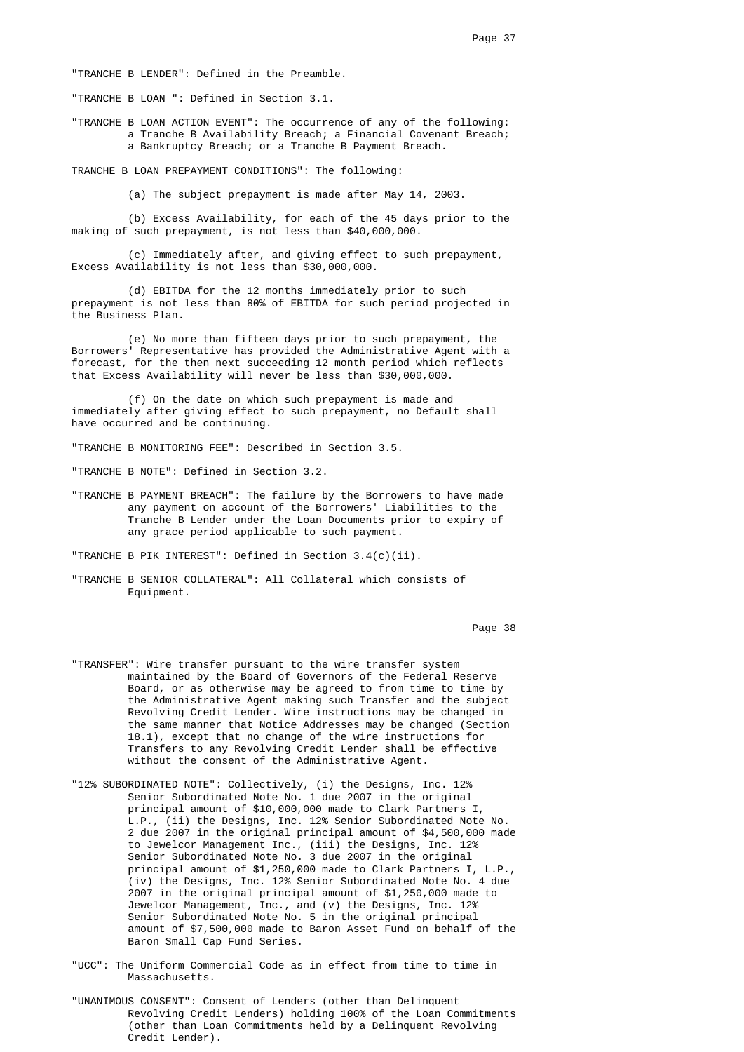"TRANCHE B LENDER": Defined in the Preamble.

"TRANCHE B LOAN ": Defined in Section 3.1.

 "TRANCHE B LOAN ACTION EVENT": The occurrence of any of the following: a Tranche B Availability Breach; a Financial Covenant Breach; a Bankruptcy Breach; or a Tranche B Payment Breach.

TRANCHE B LOAN PREPAYMENT CONDITIONS": The following:

(a) The subject prepayment is made after May 14, 2003.

 (b) Excess Availability, for each of the 45 days prior to the making of such prepayment, is not less than \$40,000,000.

> (c) Immediately after, and giving effect to such prepayment, Excess Availability is not less than \$30,000,000.

 (d) EBITDA for the 12 months immediately prior to such prepayment is not less than 80% of EBITDA for such period projected in the Business Plan.

 (e) No more than fifteen days prior to such prepayment, the Borrowers' Representative has provided the Administrative Agent with a forecast, for the then next succeeding 12 month period which reflects that Excess Availability will never be less than \$30,000,000.

 (f) On the date on which such prepayment is made and immediately after giving effect to such prepayment, no Default shall have occurred and be continuing.

"TRANCHE B MONITORING FEE": Described in Section 3.5.

"TRANCHE B NOTE": Defined in Section 3.2.

 "TRANCHE B PAYMENT BREACH": The failure by the Borrowers to have made any payment on account of the Borrowers' Liabilities to the Tranche B Lender under the Loan Documents prior to expiry of any grace period applicable to such payment.

"TRANCHE B PIK INTEREST": Defined in Section 3.4(c)(ii).

 "TRANCHE B SENIOR COLLATERAL": All Collateral which consists of Equipment.

Page 38 **Page 38** 

- "TRANSFER": Wire transfer pursuant to the wire transfer system maintained by the Board of Governors of the Federal Reserve Board, or as otherwise may be agreed to from time to time by the Administrative Agent making such Transfer and the subject Revolving Credit Lender. Wire instructions may be changed in the same manner that Notice Addresses may be changed (Section 18.1), except that no change of the wire instructions for Transfers to any Revolving Credit Lender shall be effective without the consent of the Administrative Agent.
- "12% SUBORDINATED NOTE": Collectively, (i) the Designs, Inc. 12% Senior Subordinated Note No. 1 due 2007 in the original principal amount of \$10,000,000 made to Clark Partners I, L.P., (ii) the Designs, Inc. 12% Senior Subordinated Note No. 2 due 2007 in the original principal amount of \$4,500,000 made to Jewelcor Management Inc., (iii) the Designs, Inc. 12% Senior Subordinated Note No. 3 due 2007 in the original principal amount of \$1,250,000 made to Clark Partners I, L.P., (iv) the Designs, Inc. 12% Senior Subordinated Note No. 4 due 2007 in the original principal amount of \$1,250,000 made to Jewelcor Management, Inc., and (v) the Designs, Inc. 12% Senior Subordinated Note No. 5 in the original principal amount of \$7,500,000 made to Baron Asset Fund on behalf of the Baron Small Cap Fund Series.
	- "UCC": The Uniform Commercial Code as in effect from time to time in Massachusetts.
	- "UNANIMOUS CONSENT": Consent of Lenders (other than Delinquent Revolving Credit Lenders) holding 100% of the Loan Commitments (other than Loan Commitments held by a Delinquent Revolving Credit Lender).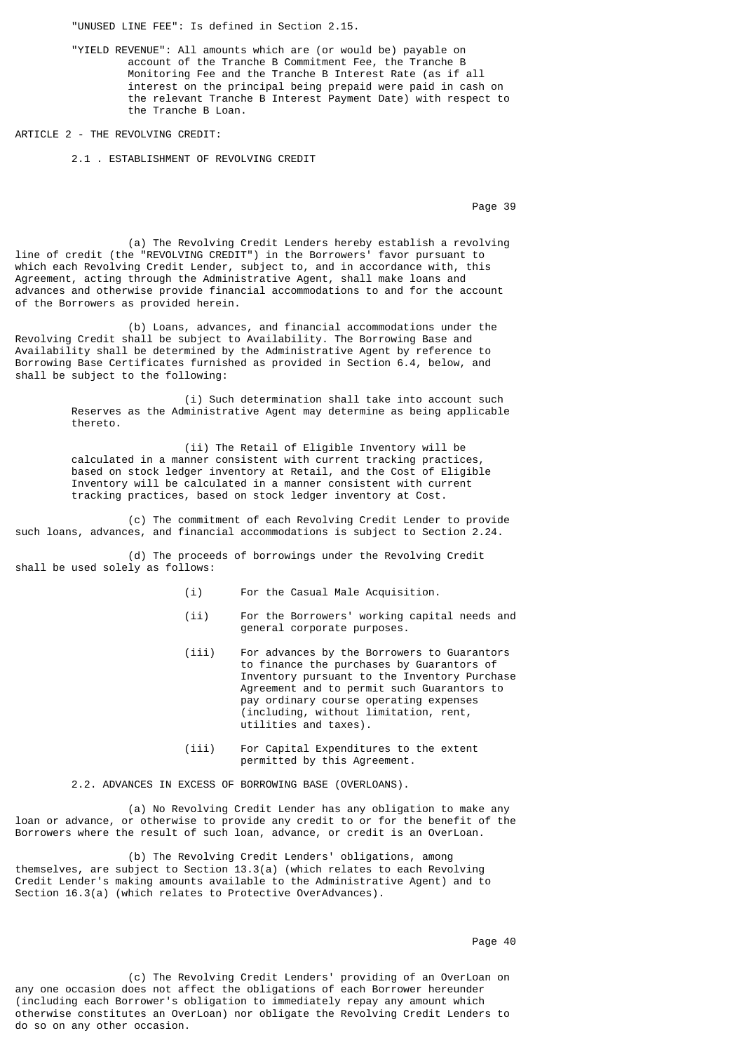"UNUSED LINE FEE": Is defined in Section 2.15.

 "YIELD REVENUE": All amounts which are (or would be) payable on account of the Tranche B Commitment Fee, the Tranche B Monitoring Fee and the Tranche B Interest Rate (as if all interest on the principal being prepaid were paid in cash on the relevant Tranche B Interest Payment Date) with respect to the Tranche B Loan.

ARTICLE 2 - THE REVOLVING CREDIT:

2.1 . ESTABLISHMENT OF REVOLVING CREDIT

Page 39 **Page 39** 

 (a) The Revolving Credit Lenders hereby establish a revolving line of credit (the "REVOLVING CREDIT") in the Borrowers' favor pursuant to which each Revolving Credit Lender, subject to, and in accordance with, this Agreement, acting through the Administrative Agent, shall make loans and advances and otherwise provide financial accommodations to and for the account of the Borrowers as provided herein.

 (b) Loans, advances, and financial accommodations under the Revolving Credit shall be subject to Availability. The Borrowing Base and Availability shall be determined by the Administrative Agent by reference to Borrowing Base Certificates furnished as provided in Section 6.4, below, and shall be subject to the following:

> (i) Such determination shall take into account such Reserves as the Administrative Agent may determine as being applicable thereto.

 (ii) The Retail of Eligible Inventory will be calculated in a manner consistent with current tracking practices, based on stock ledger inventory at Retail, and the Cost of Eligible Inventory will be calculated in a manner consistent with current tracking practices, based on stock ledger inventory at Cost.

 (c) The commitment of each Revolving Credit Lender to provide such loans, advances, and financial accommodations is subject to Section 2.24.

 (d) The proceeds of borrowings under the Revolving Credit shall be used solely as follows:

- (i) For the Casual Male Acquisition.
- (ii) For the Borrowers' working capital needs and general corporate purposes.
- (iii) For advances by the Borrowers to Guarantors to finance the purchases by Guarantors of Inventory pursuant to the Inventory Purchase Agreement and to permit such Guarantors to pay ordinary course operating expenses (including, without limitation, rent, utilities and taxes).
- (iii) For Capital Expenditures to the extent permitted by this Agreement.

2.2. ADVANCES IN EXCESS OF BORROWING BASE (OVERLOANS).

 (a) No Revolving Credit Lender has any obligation to make any loan or advance, or otherwise to provide any credit to or for the benefit of the Borrowers where the result of such loan, advance, or credit is an OverLoan.

 (b) The Revolving Credit Lenders' obligations, among themselves, are subject to Section 13.3(a) (which relates to each Revolving Credit Lender's making amounts available to the Administrative Agent) and to Section 16.3(a) (which relates to Protective OverAdvances).

en die 19de jaar van die 19de eeu n.C. Soos van die 14de eeu n.C. Soos en gewone gehad. Dit was die 19de eeu n

 (c) The Revolving Credit Lenders' providing of an OverLoan on any one occasion does not affect the obligations of each Borrower hereunder (including each Borrower's obligation to immediately repay any amount which otherwise constitutes an OverLoan) nor obligate the Revolving Credit Lenders to do so on any other occasion.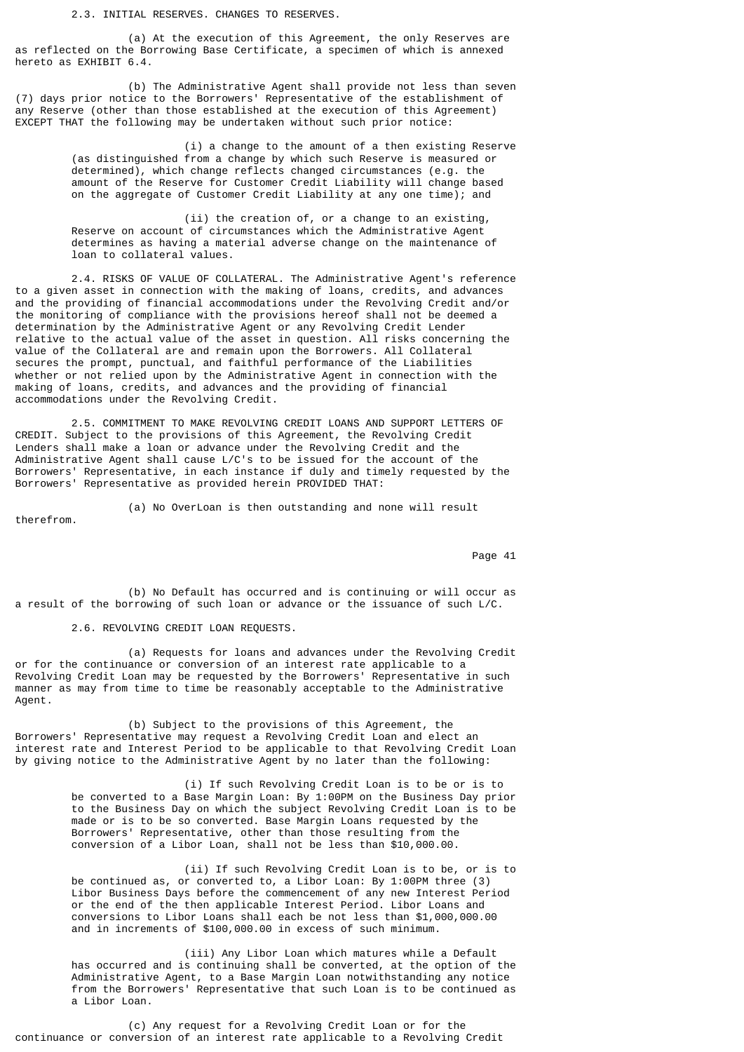2.3. INITIAL RESERVES. CHANGES TO RESERVES.

 (a) At the execution of this Agreement, the only Reserves are as reflected on the Borrowing Base Certificate, a specimen of which is annexed hereto as EXHIBIT 6.4.

 (b) The Administrative Agent shall provide not less than seven (7) days prior notice to the Borrowers' Representative of the establishment of any Reserve (other than those established at the execution of this Agreement) EXCEPT THAT the following may be undertaken without such prior notice:

> (i) a change to the amount of a then existing Reserve (as distinguished from a change by which such Reserve is measured or determined), which change reflects changed circumstances (e.g. the amount of the Reserve for Customer Credit Liability will change based on the aggregate of Customer Credit Liability at any one time); and

 (ii) the creation of, or a change to an existing, Reserve on account of circumstances which the Administrative Agent determines as having a material adverse change on the maintenance of loan to collateral values.

 2.4. RISKS OF VALUE OF COLLATERAL. The Administrative Agent's reference to a given asset in connection with the making of loans, credits, and advances and the providing of financial accommodations under the Revolving Credit and/or the monitoring of compliance with the provisions hereof shall not be deemed a determination by the Administrative Agent or any Revolving Credit Lender relative to the actual value of the asset in question. All risks concerning the value of the Collateral are and remain upon the Borrowers. All Collateral secures the prompt, punctual, and faithful performance of the Liabilities whether or not relied upon by the Administrative Agent in connection with the making of loans, credits, and advances and the providing of financial accommodations under the Revolving Credit.

 2.5. COMMITMENT TO MAKE REVOLVING CREDIT LOANS AND SUPPORT LETTERS OF CREDIT. Subject to the provisions of this Agreement, the Revolving Credit Lenders shall make a loan or advance under the Revolving Credit and the Administrative Agent shall cause L/C's to be issued for the account of the Borrowers' Representative, in each instance if duly and timely requested by the Borrowers' Representative as provided herein PROVIDED THAT:

therefrom.

(a) No OverLoan is then outstanding and none will result

experience of the state of the state of the state of the state of the state of the state of the state of the state of the state of the state of the state of the state of the state of the state of the state of the state of

 (b) No Default has occurred and is continuing or will occur as a result of the borrowing of such loan or advance or the issuance of such L/C.

2.6. REVOLVING CREDIT LOAN REQUESTS.

 (a) Requests for loans and advances under the Revolving Credit or for the continuance or conversion of an interest rate applicable to a Revolving Credit Loan may be requested by the Borrowers' Representative in such manner as may from time to time be reasonably acceptable to the Administrative Agent.

 (b) Subject to the provisions of this Agreement, the Borrowers' Representative may request a Revolving Credit Loan and elect an interest rate and Interest Period to be applicable to that Revolving Credit Loan by giving notice to the Administrative Agent by no later than the following:

> (i) If such Revolving Credit Loan is to be or is to be converted to a Base Margin Loan: By 1:00PM on the Business Day prior to the Business Day on which the subject Revolving Credit Loan is to be made or is to be so converted. Base Margin Loans requested by the Borrowers' Representative, other than those resulting from the conversion of a Libor Loan, shall not be less than \$10,000.00.

> (ii) If such Revolving Credit Loan is to be, or is to be continued as, or converted to, a Libor Loan: By 1:00PM three (3) Libor Business Days before the commencement of any new Interest Period or the end of the then applicable Interest Period. Libor Loans and conversions to Libor Loans shall each be not less than \$1,000,000.00 and in increments of \$100,000.00 in excess of such minimum.

> (iii) Any Libor Loan which matures while a Default has occurred and is continuing shall be converted, at the option of the Administrative Agent, to a Base Margin Loan notwithstanding any notice from the Borrowers' Representative that such Loan is to be continued as a Libor Loan.

 (c) Any request for a Revolving Credit Loan or for the continuance or conversion of an interest rate applicable to a Revolving Credit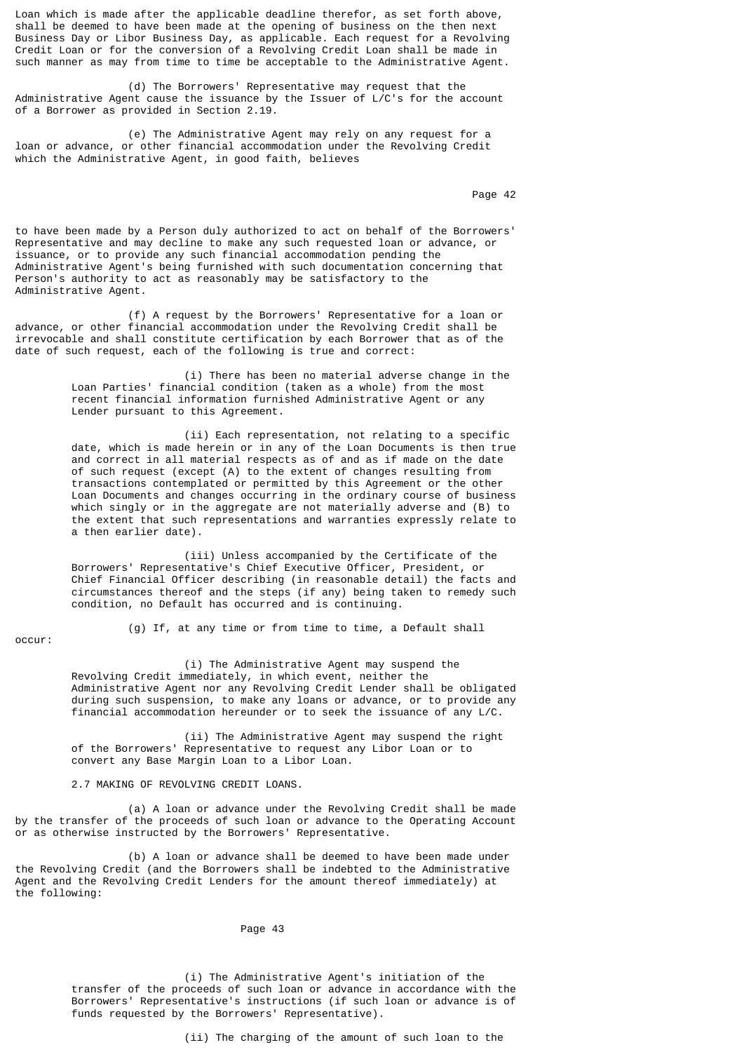Loan which is made after the applicable deadline therefor, as set forth above, shall be deemed to have been made at the opening of business on the then next Business Day or Libor Business Day, as applicable. Each request for a Revolving Credit Loan or for the conversion of a Revolving Credit Loan shall be made in such manner as may from time to time be acceptable to the Administrative Agent.

 (d) The Borrowers' Representative may request that the Administrative Agent cause the issuance by the Issuer of L/C's for the account of a Borrower as provided in Section 2.19.

 (e) The Administrative Agent may rely on any request for a loan or advance, or other financial accommodation under the Revolving Credit which the Administrative Agent, in good faith, believes

Page 42 **Page 42** 

to have been made by a Person duly authorized to act on behalf of the Borrowers' Representative and may decline to make any such requested loan or advance, or issuance, or to provide any such financial accommodation pending the Administrative Agent's being furnished with such documentation concerning that Person's authority to act as reasonably may be satisfactory to the Administrative Agent.

 (f) A request by the Borrowers' Representative for a loan or advance, or other financial accommodation under the Revolving Credit shall be irrevocable and shall constitute certification by each Borrower that as of the date of such request, each of the following is true and correct:

> (i) There has been no material adverse change in the Loan Parties' financial condition (taken as a whole) from the most recent financial information furnished Administrative Agent or any Lender pursuant to this Agreement.

 (ii) Each representation, not relating to a specific date, which is made herein or in any of the Loan Documents is then true and correct in all material respects as of and as if made on the date of such request (except (A) to the extent of changes resulting from transactions contemplated or permitted by this Agreement or the other Loan Documents and changes occurring in the ordinary course of business which singly or in the aggregate are not materially adverse and (B) to the extent that such representations and warranties expressly relate to a then earlier date).

> (iii) Unless accompanied by the Certificate of the Borrowers' Representative's Chief Executive Officer, President, or Chief Financial Officer describing (in reasonable detail) the facts and circumstances thereof and the steps (if any) being taken to remedy such condition, no Default has occurred and is continuing.

occur:

(g) If, at any time or from time to time, a Default shall

 (i) The Administrative Agent may suspend the Revolving Credit immediately, in which event, neither the Administrative Agent nor any Revolving Credit Lender shall be obligated during such suspension, to make any loans or advance, or to provide any financial accommodation hereunder or to seek the issuance of any L/C.

 (ii) The Administrative Agent may suspend the right of the Borrowers' Representative to request any Libor Loan or to convert any Base Margin Loan to a Libor Loan.

2.7 MAKING OF REVOLVING CREDIT LOANS.

 (a) A loan or advance under the Revolving Credit shall be made by the transfer of the proceeds of such loan or advance to the Operating Account or as otherwise instructed by the Borrowers' Representative.

 (b) A loan or advance shall be deemed to have been made under the Revolving Credit (and the Borrowers shall be indebted to the Administrative Agent and the Revolving Credit Lenders for the amount thereof immediately) at the following:

Page 43

 (i) The Administrative Agent's initiation of the transfer of the proceeds of such loan or advance in accordance with the Borrowers' Representative's instructions (if such loan or advance is of funds requested by the Borrowers' Representative).

(ii) The charging of the amount of such loan to the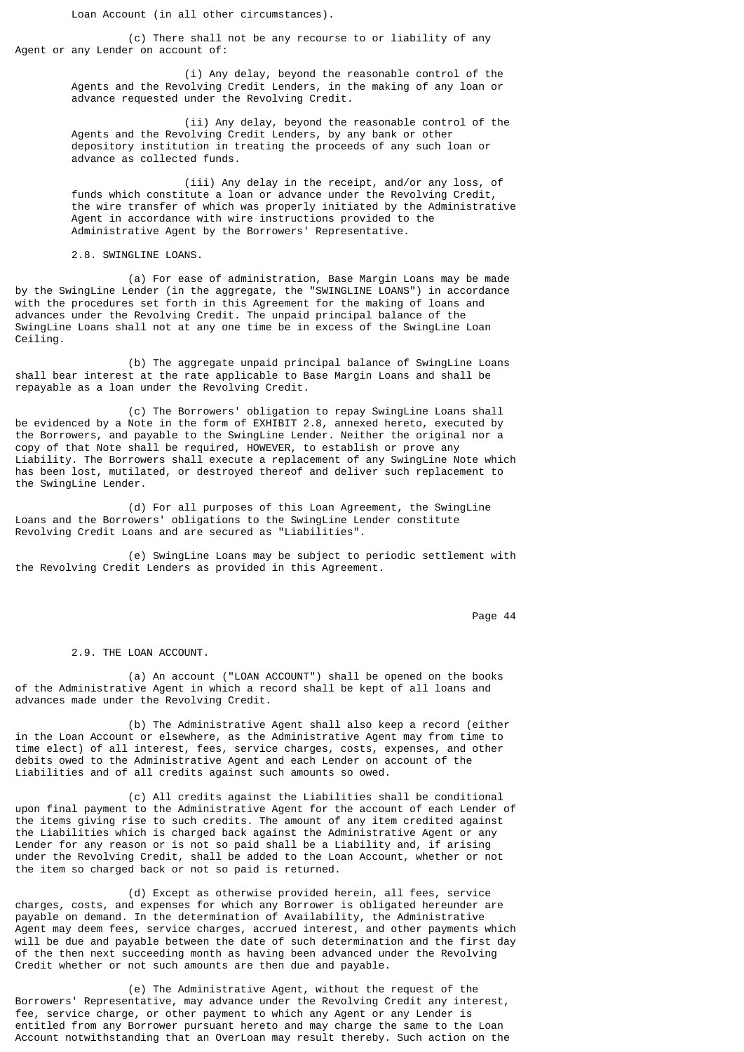Loan Account (in all other circumstances).

 (c) There shall not be any recourse to or liability of any Agent or any Lender on account of:

> (i) Any delay, beyond the reasonable control of the Agents and the Revolving Credit Lenders, in the making of any loan or advance requested under the Revolving Credit.

 (ii) Any delay, beyond the reasonable control of the Agents and the Revolving Credit Lenders, by any bank or other depository institution in treating the proceeds of any such loan or advance as collected funds.

 (iii) Any delay in the receipt, and/or any loss, of funds which constitute a loan or advance under the Revolving Credit, the wire transfer of which was properly initiated by the Administrative Agent in accordance with wire instructions provided to the Administrative Agent by the Borrowers' Representative.

2.8. SWINGLINE LOANS.

 (a) For ease of administration, Base Margin Loans may be made by the SwingLine Lender (in the aggregate, the "SWINGLINE LOANS") in accordance with the procedures set forth in this Agreement for the making of loans and advances under the Revolving Credit. The unpaid principal balance of the SwingLine Loans shall not at any one time be in excess of the SwingLine Loan Ceiling.

 (b) The aggregate unpaid principal balance of SwingLine Loans shall bear interest at the rate applicable to Base Margin Loans and shall be repayable as a loan under the Revolving Credit.

 (c) The Borrowers' obligation to repay SwingLine Loans shall be evidenced by a Note in the form of EXHIBIT 2.8, annexed hereto, executed by the Borrowers, and payable to the SwingLine Lender. Neither the original nor a copy of that Note shall be required, HOWEVER, to establish or prove any Liability. The Borrowers shall execute a replacement of any SwingLine Note which has been lost, mutilated, or destroyed thereof and deliver such replacement to the SwingLine Lender.

 (d) For all purposes of this Loan Agreement, the SwingLine Loans and the Borrowers' obligations to the SwingLine Lender constitute Revolving Credit Loans and are secured as "Liabilities".

 (e) SwingLine Loans may be subject to periodic settlement with the Revolving Credit Lenders as provided in this Agreement.

en de la provincia de la provincia de la provincia de la provincia de la provincia de la provincia de la provi

2.9. THE LOAN ACCOUNT.

 (a) An account ("LOAN ACCOUNT") shall be opened on the books of the Administrative Agent in which a record shall be kept of all loans and advances made under the Revolving Credit.

 (b) The Administrative Agent shall also keep a record (either in the Loan Account or elsewhere, as the Administrative Agent may from time to time elect) of all interest, fees, service charges, costs, expenses, and other debits owed to the Administrative Agent and each Lender on account of the Liabilities and of all credits against such amounts so owed.

 (c) All credits against the Liabilities shall be conditional upon final payment to the Administrative Agent for the account of each Lender of the items giving rise to such credits. The amount of any item credited against the Liabilities which is charged back against the Administrative Agent or any Lender for any reason or is not so paid shall be a Liability and, if arising under the Revolving Credit, shall be added to the Loan Account, whether or not the item so charged back or not so paid is returned.

 (d) Except as otherwise provided herein, all fees, service charges, costs, and expenses for which any Borrower is obligated hereunder are payable on demand. In the determination of Availability, the Administrative  $\overline{\mathsf{A}}$ gent may deem fees, service charges, accrued interest, and other payments which will be due and payable between the date of such determination and the first day of the then next succeeding month as having been advanced under the Revolving Credit whether or not such amounts are then due and payable.

 (e) The Administrative Agent, without the request of the Borrowers' Representative, may advance under the Revolving Credit any interest, fee, service charge, or other payment to which any Agent or any Lender is entitled from any Borrower pursuant hereto and may charge the same to the Loan Account notwithstanding that an OverLoan may result thereby. Such action on the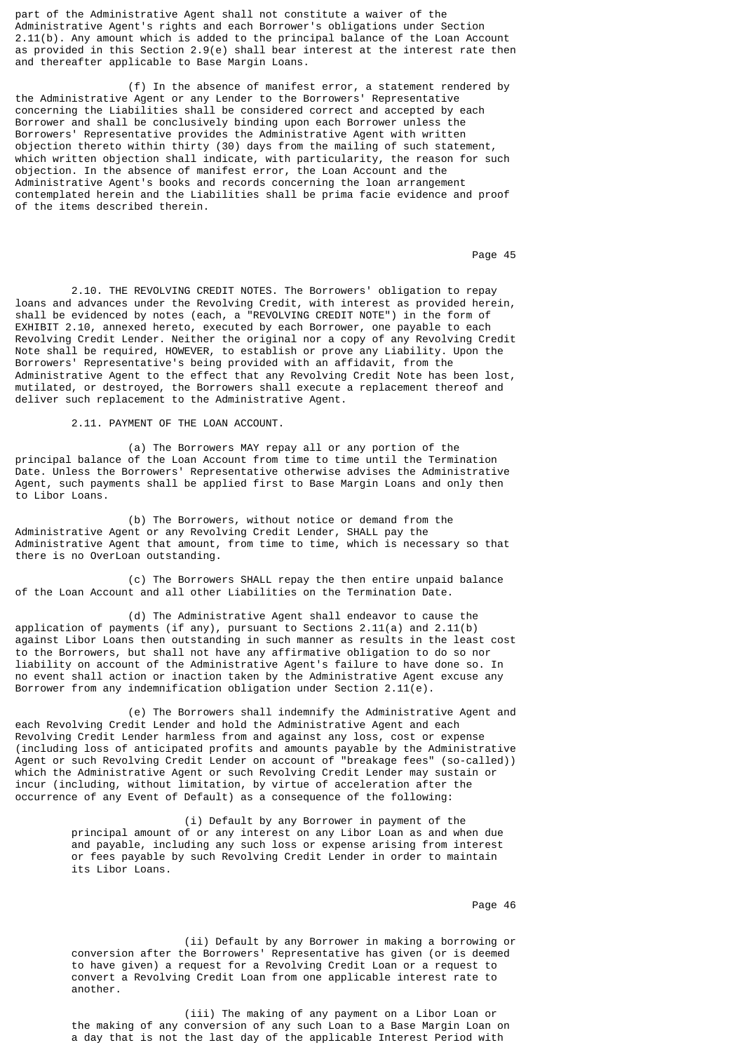part of the Administrative Agent shall not constitute a waiver of the Administrative Agent's rights and each Borrower's obligations under Section 2.11(b). Any amount which is added to the principal balance of the Loan Account as provided in this Section 2.9(e) shall bear interest at the interest rate then and thereafter applicable to Base Margin Loans.

 (f) In the absence of manifest error, a statement rendered by the Administrative Agent or any Lender to the Borrowers' Representative concerning the Liabilities shall be considered correct and accepted by each Borrower and shall be conclusively binding upon each Borrower unless the Borrowers' Representative provides the Administrative Agent with written objection thereto within thirty (30) days from the mailing of such statement, which written objection shall indicate, with particularity, the reason for such objection. In the absence of manifest error, the Loan Account and the Administrative Agent's books and records concerning the loan arrangement contemplated herein and the Liabilities shall be prima facie evidence and proof of the items described therein.

en die 19de jaar van die 19de eeu n.C. Soos van die 14de eeu n.C. Soos en gewone gehad. Dit was die 145 v.C. 1

 2.10. THE REVOLVING CREDIT NOTES. The Borrowers' obligation to repay loans and advances under the Revolving Credit, with interest as provided herein, shall be evidenced by notes (each, a "REVOLVING CREDIT NOTE") in the form of EXHIBIT 2.10, annexed hereto, executed by each Borrower, one payable to each Revolving Credit Lender. Neither the original nor a copy of any Revolving Credit Note shall be required, HOWEVER, to establish or prove any Liability. Upon the Borrowers' Representative's being provided with an affidavit, from the Administrative Agent to the effect that any Revolving Credit Note has been lost, mutilated, or destroyed, the Borrowers shall execute a replacement thereof and deliver such replacement to the Administrative Agent.

2.11. PAYMENT OF THE LOAN ACCOUNT.

 (a) The Borrowers MAY repay all or any portion of the principal balance of the Loan Account from time to time until the Termination Date. Unless the Borrowers' Representative otherwise advises the Administrative Agent, such payments shall be applied first to Base Margin Loans and only then to Libor Loans.

 (b) The Borrowers, without notice or demand from the Administrative Agent or any Revolving Credit Lender, SHALL pay the Administrative Agent that amount, from time to time, which is necessary so that there is no OverLoan outstanding.

 (c) The Borrowers SHALL repay the then entire unpaid balance of the Loan Account and all other Liabilities on the Termination Date.

 (d) The Administrative Agent shall endeavor to cause the application of payments (if any), pursuant to Sections 2.11(a) and 2.11(b) against Libor Loans then outstanding in such manner as results in the least cost to the Borrowers, but shall not have any affirmative obligation to do so nor liability on account of the Administrative Agent's failure to have done so. In no event shall action or inaction taken by the Administrative Agent excuse any Borrower from any indemnification obligation under Section 2.11(e).

 (e) The Borrowers shall indemnify the Administrative Agent and each Revolving Credit Lender and hold the Administrative Agent and each Revolving Credit Lender harmless from and against any loss, cost or expense (including loss of anticipated profits and amounts payable by the Administrative Agent or such Revolving Credit Lender on account of "breakage fees" (so-called)) which the Administrative Agent or such Revolving Credit Lender may sustain or incur (including, without limitation, by virtue of acceleration after the occurrence of any Event of Default) as a consequence of the following:

> (i) Default by any Borrower in payment of the principal amount of or any interest on any Libor Loan as and when due and payable, including any such loss or expense arising from interest or fees payable by such Revolving Credit Lender in order to maintain its Libor Loans.

en die 19de jaar van die 19de eeu n.C. Soos van die 14de eeu n.C. Soos en gewone gehad. Dit was die 14de eeu n

 (ii) Default by any Borrower in making a borrowing or conversion after the Borrowers' Representative has given (or is deemed to have given) a request for a Revolving Credit Loan or a request to convert a Revolving Credit Loan from one applicable interest rate to another.

 (iii) The making of any payment on a Libor Loan or the making of any conversion of any such Loan to a Base Margin Loan on a day that is not the last day of the applicable Interest Period with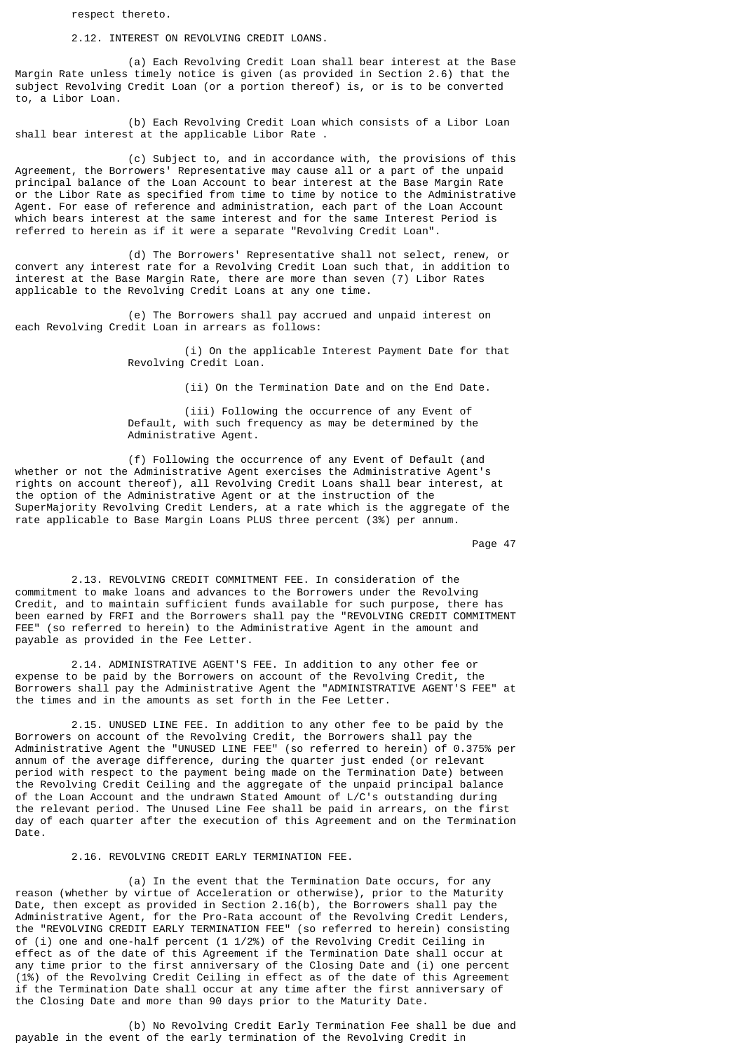respect thereto.

2.12. INTEREST ON REVOLVING CREDIT LOANS.

 (a) Each Revolving Credit Loan shall bear interest at the Base Margin Rate unless timely notice is given (as provided in Section 2.6) that the subject Revolving Credit Loan (or a portion thereof) is, or is to be converted to, a Libor Loan.

 (b) Each Revolving Credit Loan which consists of a Libor Loan shall bear interest at the applicable Libor Rate.

 (c) Subject to, and in accordance with, the provisions of this Agreement, the Borrowers' Representative may cause all or a part of the unpaid principal balance of the Loan Account to bear interest at the Base Margin Rate or the Libor Rate as specified from time to time by notice to the Administrative Agent. For ease of reference and administration, each part of the Loan Account which bears interest at the same interest and for the same Interest Period is referred to herein as if it were a separate "Revolving Credit Loan".

 (d) The Borrowers' Representative shall not select, renew, or convert any interest rate for a Revolving Credit Loan such that, in addition to interest at the Base Margin Rate, there are more than seven (7) Libor Rates applicable to the Revolving Credit Loans at any one time.

 (e) The Borrowers shall pay accrued and unpaid interest on each Revolving Credit Loan in arrears as follows:

> (i) On the applicable Interest Payment Date for that Revolving Credit Loan.

> > (ii) On the Termination Date and on the End Date.

 (iii) Following the occurrence of any Event of Default, with such frequency as may be determined by the Administrative Agent.

 (f) Following the occurrence of any Event of Default (and whether or not the Administrative Agent exercises the Administrative Agent's rights on account thereof), all Revolving Credit Loans shall bear interest, at the option of the Administrative Agent or at the instruction of the SuperMajority Revolving Credit Lenders, at a rate which is the aggregate of the rate applicable to Base Margin Loans PLUS three percent (3%) per annum.

experience of the contract of the contract of the contract of the contract of the contract of the contract of the contract of the contract of the contract of the contract of the contract of the contract of the contract of

 2.13. REVOLVING CREDIT COMMITMENT FEE. In consideration of the commitment to make loans and advances to the Borrowers under the Revolving Credit, and to maintain sufficient funds available for such purpose, there has been earned by FRFI and the Borrowers shall pay the "REVOLVING CREDIT COMMITMENT FEE" (so referred to herein) to the Administrative Agent in the amount and payable as provided in the Fee Letter.

 2.14. ADMINISTRATIVE AGENT'S FEE. In addition to any other fee or expense to be paid by the Borrowers on account of the Revolving Credit, the Borrowers shall pay the Administrative Agent the "ADMINISTRATIVE AGENT'S FEE" at the times and in the amounts as set forth in the Fee Letter.

 2.15. UNUSED LINE FEE. In addition to any other fee to be paid by the Borrowers on account of the Revolving Credit, the Borrowers shall pay the Administrative Agent the "UNUSED LINE FEE" (so referred to herein) of 0.375% per annum of the average difference, during the quarter just ended (or relevant period with respect to the payment being made on the Termination Date) between the Revolving Credit Ceiling and the aggregate of the unpaid principal balance of the Loan Account and the undrawn Stated Amount of L/C's outstanding during the relevant period. The Unused Line Fee shall be paid in arrears, on the first day of each quarter after the execution of this Agreement and on the Termination Date.

2.16. REVOLVING CREDIT EARLY TERMINATION FEE.

 (a) In the event that the Termination Date occurs, for any reason (whether by virtue of Acceleration or otherwise), prior to the Maturity Date, then except as provided in Section 2.16(b), the Borrowers shall pay the Administrative Agent, for the Pro-Rata account of the Revolving Credit Lenders, the "REVOLVING CREDIT EARLY TERMINATION FEE" (so referred to herein) consisting of (i) one and one-half percent (1 1/2%) of the Revolving Credit Ceiling in effect as of the date of this Agreement if the Termination Date shall occur at any time prior to the first anniversary of the Closing Date and (i) one percent (1%) of the Revolving Credit Ceiling in effect as of the date of this Agreement if the Termination Date shall occur at any time after the first anniversary of the Closing Date and more than 90 days prior to the Maturity Date.

 (b) No Revolving Credit Early Termination Fee shall be due and payable in the event of the early termination of the Revolving Credit in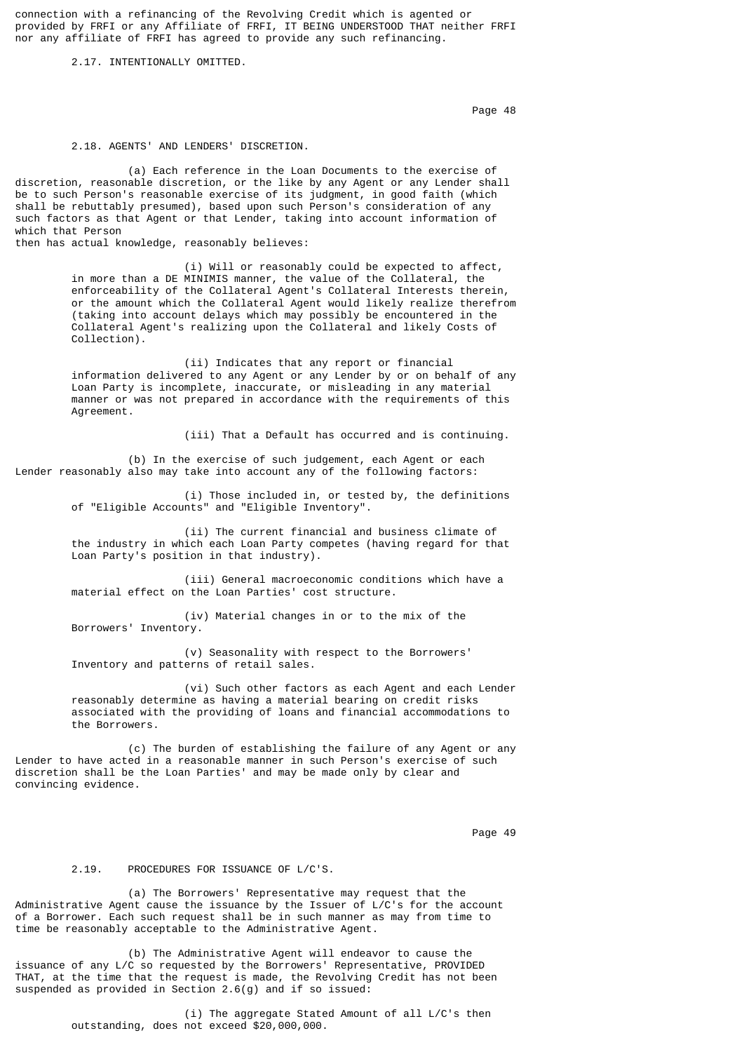connection with a refinancing of the Revolving Credit which is agented or provided by FRFI or any Affiliate of FRFI, IT BEING UNDERSTOOD THAT neither FRFI nor any affiliate of FRFI has agreed to provide any such refinancing.

### 2.17. INTENTIONALLY OMITTED.

en die 19de jaar van die 19de eeu n.C. Soos van die 148de eeu n.C. Soos en gewone gehad. Dit was die 148de eeu n.C. Soos en gewone gewone gewone gewone gewone gewone gewone gewone gewone gewone gewone gewone gewone gewone

## 2.18. AGENTS' AND LENDERS' DISCRETION.

 (a) Each reference in the Loan Documents to the exercise of discretion, reasonable discretion, or the like by any Agent or any Lender shall be to such Person's reasonable exercise of its judgment, in good faith (which shall be rebuttably presumed), based upon such Person's consideration of any such factors as that Agent or that Lender, taking into account information of which that Person

then has actual knowledge, reasonably believes:

 (i) Will or reasonably could be expected to affect, in more than a DE MINIMIS manner, the value of the Collateral, the enforceability of the Collateral Agent's Collateral Interests therein, or the amount which the Collateral Agent would likely realize therefrom (taking into account delays which may possibly be encountered in the Collateral Agent's realizing upon the Collateral and likely Costs of Collection).

 (ii) Indicates that any report or financial information delivered to any Agent or any Lender by or on behalf of any Loan Party is incomplete, inaccurate, or misleading in any material manner or was not prepared in accordance with the requirements of this Agreement.

(iii) That a Default has occurred and is continuing.

 (b) In the exercise of such judgement, each Agent or each Lender reasonably also may take into account any of the following factors:

> (i) Those included in, or tested by, the definitions of "Eligible Accounts" and "Eligible Inventory".

> (ii) The current financial and business climate of the industry in which each Loan Party competes (having regard for that Loan Party's position in that industry).

 (iii) General macroeconomic conditions which have a material effect on the Loan Parties' cost structure.

 (iv) Material changes in or to the mix of the Borrowers' Inventory.

 (v) Seasonality with respect to the Borrowers' Inventory and patterns of retail sales.

 (vi) Such other factors as each Agent and each Lender reasonably determine as having a material bearing on credit risks associated with the providing of loans and financial accommodations to the Borrowers.

 (c) The burden of establishing the failure of any Agent or any Lender to have acted in a reasonable manner in such Person's exercise of such discretion shall be the Loan Parties' and may be made only by clear and convincing evidence.

en die 19de jaar van die 19de eeu n.C. Soos van die 14de eeu n.C. Soos en gewone gehad. Dit was die 19de eeu n

# 2.19. PROCEDURES FOR ISSUANCE OF L/C'S.

 (a) The Borrowers' Representative may request that the Administrative Agent cause the issuance by the Issuer of L/C's for the account of a Borrower. Each such request shall be in such manner as may from time to time be reasonably acceptable to the Administrative Agent.

 (b) The Administrative Agent will endeavor to cause the issuance of any L/C so requested by the Borrowers' Representative, PROVIDED THAT, at the time that the request is made, the Revolving Credit has not been suspended as provided in Section 2.6(g) and if so issued:

> (i) The aggregate Stated Amount of all L/C's then outstanding, does not exceed \$20,000,000.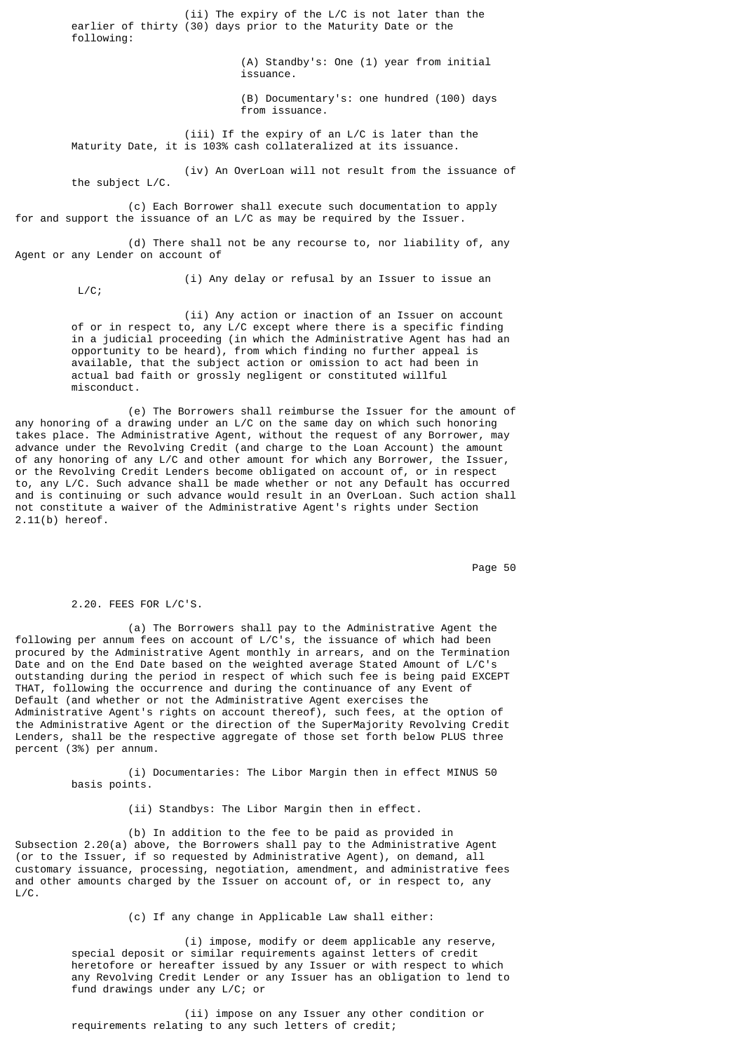(ii) The expiry of the L/C is not later than the earlier of thirty (30) days prior to the Maturity Date or the following: (A) Standby's: One (1) year from initial issuance. (B) Documentary's: one hundred (100) days from issuance. (iii) If the expiry of an L/C is later than the Maturity Date, it is 103% cash collateralized at its issuance. (iv) An OverLoan will not result from the issuance of the subject L/C. (c) Each Borrower shall execute such documentation to apply for and support the issuance of an L/C as may be required by the Issuer. (d) There shall not be any recourse to, nor liability of, any Agent or any Lender on account of

L/C;

(i) Any delay or refusal by an Issuer to issue an

 (ii) Any action or inaction of an Issuer on account of or in respect to, any L/C except where there is a specific finding in a judicial proceeding (in which the Administrative Agent has had an opportunity to be heard), from which finding no further appeal is available, that the subject action or omission to act had been in actual bad faith or grossly negligent or constituted willful misconduct.

 (e) The Borrowers shall reimburse the Issuer for the amount of any honoring of a drawing under an L/C on the same day on which such honoring takes place. The Administrative Agent, without the request of any Borrower, may advance under the Revolving Credit (and charge to the Loan Account) the amount of any honoring of any L/C and other amount for which any Borrower, the Issuer, or the Revolving Credit Lenders become obligated on account of, or in respect to, any L/C. Such advance shall be made whether or not any Default has occurred and is continuing or such advance would result in an OverLoan. Such action shall not constitute a waiver of the Administrative Agent's rights under Section 2.11(b) hereof.

Page 50  $\,$  Page 50  $\,$ 

2.20. FEES FOR L/C'S.

 (a) The Borrowers shall pay to the Administrative Agent the following per annum fees on account of L/C's, the issuance of which had been procured by the Administrative Agent monthly in arrears, and on the Termination Date and on the End Date based on the weighted average Stated Amount of L/C's outstanding during the period in respect of which such fee is being paid EXCEPT THAT, following the occurrence and during the continuance of any Event of Default (and whether or not the Administrative Agent exercises the Administrative Agent's rights on account thereof), such fees, at the option of the Administrative Agent or the direction of the SuperMajority Revolving Credit Lenders, shall be the respective aggregate of those set forth below PLUS three percent (3%) per annum.

> (i) Documentaries: The Libor Margin then in effect MINUS 50 basis points.

> > (ii) Standbys: The Libor Margin then in effect.

 (b) In addition to the fee to be paid as provided in Subsection 2.20(a) above, the Borrowers shall pay to the Administrative Agent (or to the Issuer, if so requested by Administrative Agent), on demand, all customary issuance, processing, negotiation, amendment, and administrative fees and other amounts charged by the Issuer on account of, or in respect to, any L/C.

(c) If any change in Applicable Law shall either:

 (i) impose, modify or deem applicable any reserve, special deposit or similar requirements against letters of credit heretofore or hereafter issued by any Issuer or with respect to which any Revolving Credit Lender or any Issuer has an obligation to lend to fund drawings under any L/C; or

 (ii) impose on any Issuer any other condition or requirements relating to any such letters of credit;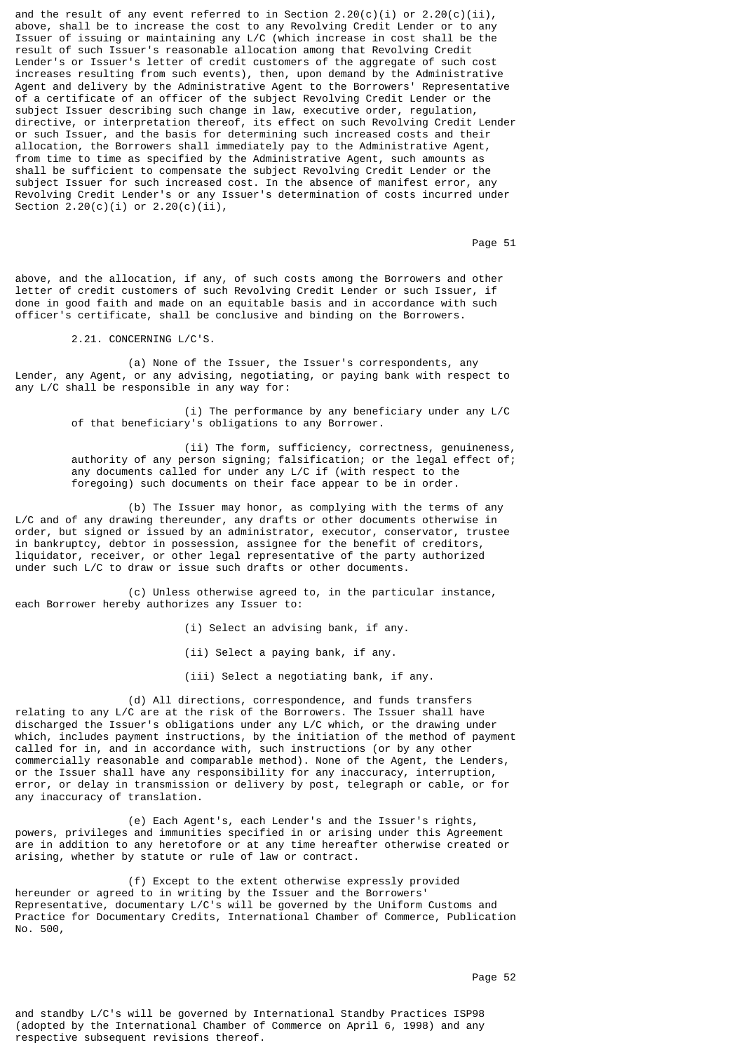and the result of any event referred to in Section 2.20(c)(i) or 2.20(c)(ii), above, shall be to increase the cost to any Revolving Credit Lender or to any Issuer of issuing or maintaining any L/C (which increase in cost shall be the result of such Issuer's reasonable allocation among that Revolving Credit Lender's or Issuer's letter of credit customers of the aggregate of such cost increases resulting from such events), then, upon demand by the Administrative Agent and delivery by the Administrative Agent to the Borrowers' Representative of a certificate of an officer of the subject Revolving Credit Lender or the subject Issuer describing such change in law, executive order, regulation, directive, or interpretation thereof, its effect on such Revolving Credit Lender or such Issuer, and the basis for determining such increased costs and their allocation, the Borrowers shall immediately pay to the Administrative Agent, from time to time as specified by the Administrative Agent, such amounts as shall be sufficient to compensate the subject Revolving Credit Lender or the subject Issuer for such increased cost. In the absence of manifest error, any Revolving Credit Lender's or any Issuer's determination of costs incurred under Section  $2.20(c)(i)$  or  $2.20(c)(ii)$ ,

Page 51 **Page 51** 

above, and the allocation, if any, of such costs among the Borrowers and other letter of credit customers of such Revolving Credit Lender or such Issuer, if done in good faith and made on an equitable basis and in accordance with such officer's certificate, shall be conclusive and binding on the Borrowers.

2.21. CONCERNING L/C'S.

 (a) None of the Issuer, the Issuer's correspondents, any Lender, any Agent, or any advising, negotiating, or paying bank with respect to any L/C shall be responsible in any way for:

> (i) The performance by any beneficiary under any L/C of that beneficiary's obligations to any Borrower.

 (ii) The form, sufficiency, correctness, genuineness, authority of any person signing; falsification; or the legal effect of; any documents called for under any L/C if (with respect to the foregoing) such documents on their face appear to be in order.

 (b) The Issuer may honor, as complying with the terms of any L/C and of any drawing thereunder, any drafts or other documents otherwise in order, but signed or issued by an administrator, executor, conservator, trustee in bankruptcy, debtor in possession, assignee for the benefit of creditors, liquidator, receiver, or other legal representative of the party authorized under such L/C to draw or issue such drafts or other documents.

 (c) Unless otherwise agreed to, in the particular instance, each Borrower hereby authorizes any Issuer to:

(i) Select an advising bank, if any.

(ii) Select a paying bank, if any.

(iii) Select a negotiating bank, if any.

 (d) All directions, correspondence, and funds transfers relating to any L/C are at the risk of the Borrowers. The Issuer shall have discharged the Issuer's obligations under any L/C which, or the drawing under which, includes payment instructions, by the initiation of the method of payment called for in, and in accordance with, such instructions (or by any other commercially reasonable and comparable method). None of the Agent, the Lenders, or the Issuer shall have any responsibility for any inaccuracy, interruption, error, or delay in transmission or delivery by post, telegraph or cable, or for any inaccuracy of translation.

 (e) Each Agent's, each Lender's and the Issuer's rights, powers, privileges and immunities specified in or arising under this Agreement are in addition to any heretofore or at any time hereafter otherwise created or arising, whether by statute or rule of law or contract.

 (f) Except to the extent otherwise expressly provided hereunder or agreed to in writing by the Issuer and the Borrowers' Representative, documentary L/C's will be governed by the Uniform Customs and Practice for Documentary Credits, International Chamber of Commerce, Publication No. 500,

and standby L/C's will be governed by International Standby Practices ISP98 (adopted by the International Chamber of Commerce on April 6, 1998) and any respective subsequent revisions thereof.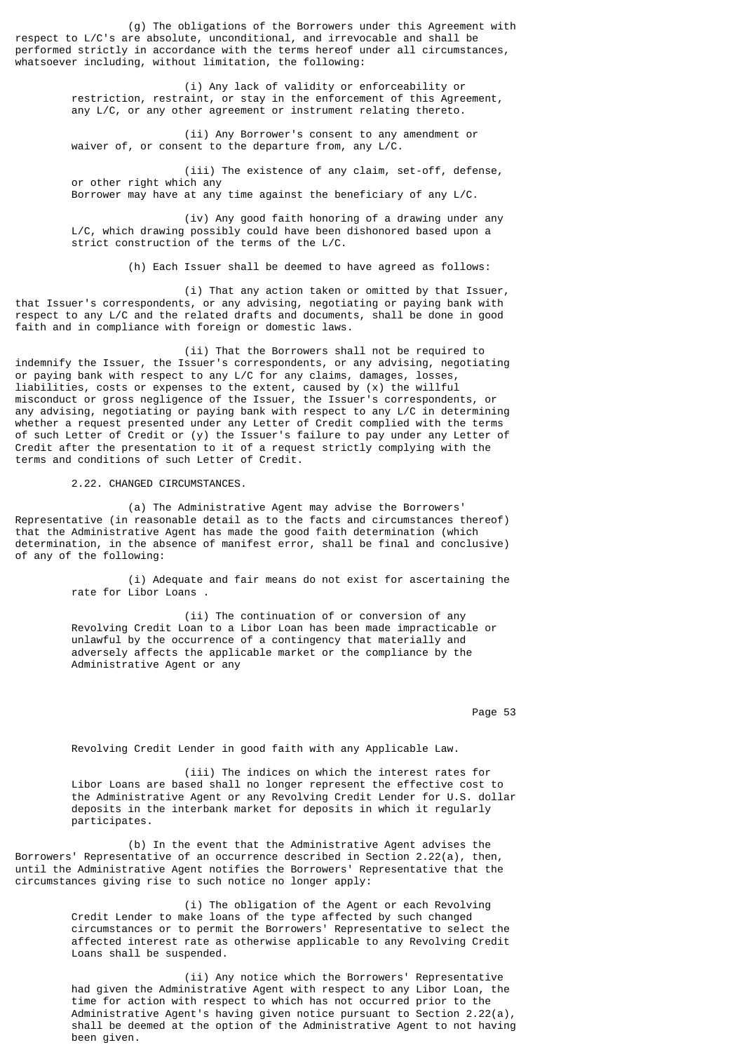(g) The obligations of the Borrowers under this Agreement with respect to L/C's are absolute, unconditional, and irrevocable and shall be performed strictly in accordance with the terms hereof under all circumstances, whatsoever including, without limitation, the following:

> (i) Any lack of validity or enforceability or restriction, restraint, or stay in the enforcement of this Agreement, any L/C, or any other agreement or instrument relating thereto.

 (ii) Any Borrower's consent to any amendment or waiver of, or consent to the departure from, any L/C.

 (iii) The existence of any claim, set-off, defense, or other right which any Borrower may have at any time against the beneficiary of any L/C.

 (iv) Any good faith honoring of a drawing under any L/C, which drawing possibly could have been dishonored based upon a strict construction of the terms of the L/C.

(h) Each Issuer shall be deemed to have agreed as follows:

 (i) That any action taken or omitted by that Issuer, that Issuer's correspondents, or any advising, negotiating or paying bank with respect to any L/C and the related drafts and documents, shall be done in good faith and in compliance with foreign or domestic laws.

 (ii) That the Borrowers shall not be required to indemnify the Issuer, the Issuer's correspondents, or any advising, negotiating or paying bank with respect to any L/C for any claims, damages, losses, liabilities, costs or expenses to the extent, caused by (x) the willful misconduct or gross negligence of the Issuer, the Issuer's correspondents, or any advising, negotiating or paying bank with respect to any L/C in determining whether a request presented under any Letter of Credit complied with the terms of such Letter of Credit or (y) the Issuer's failure to pay under any Letter of Credit after the presentation to it of a request strictly complying with the terms and conditions of such Letter of Credit.

2.22. CHANGED CIRCUMSTANCES.

 (a) The Administrative Agent may advise the Borrowers' Representative (in reasonable detail as to the facts and circumstances thereof) that the Administrative Agent has made the good faith determination (which determination, in the absence of manifest error, shall be final and conclusive) of any of the following:

> (i) Adequate and fair means do not exist for ascertaining the rate for Libor Loans .

 (ii) The continuation of or conversion of any Revolving Credit Loan to a Libor Loan has been made impracticable or unlawful by the occurrence of a contingency that materially and adversely affects the applicable market or the compliance by the Administrative Agent or any

Page 53 **Page 53** 

Revolving Credit Lender in good faith with any Applicable Law.

 (iii) The indices on which the interest rates for Libor Loans are based shall no longer represent the effective cost to the Administrative Agent or any Revolving Credit Lender for U.S. dollar deposits in the interbank market for deposits in which it regularly participates.

 (b) In the event that the Administrative Agent advises the Borrowers' Representative of an occurrence described in Section 2.22(a), then, until the Administrative Agent notifies the Borrowers' Representative that the circumstances giving rise to such notice no longer apply:

> (i) The obligation of the Agent or each Revolving Credit Lender to make loans of the type affected by such changed circumstances or to permit the Borrowers' Representative to select the affected interest rate as otherwise applicable to any Revolving Credit Loans shall be suspended.

 (ii) Any notice which the Borrowers' Representative had given the Administrative Agent with respect to any Libor Loan, the time for action with respect to which has not occurred prior to the Administrative Agent's having given notice pursuant to Section 2.22(a), shall be deemed at the option of the Administrative Agent to not having been given.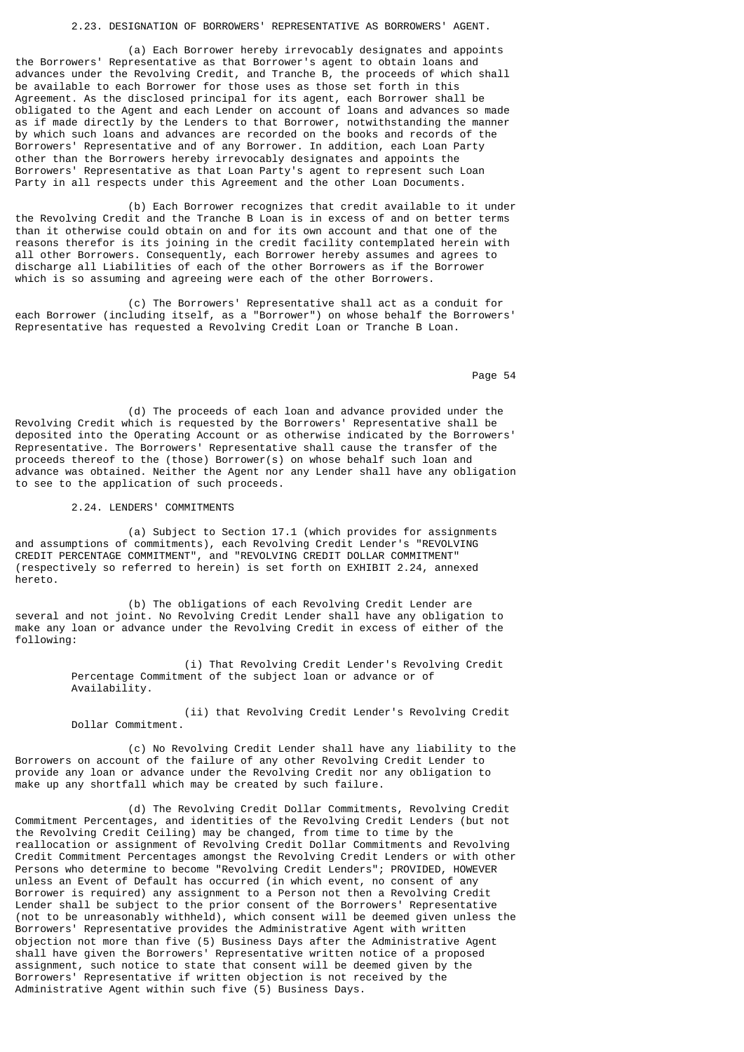# 2.23. DESIGNATION OF BORROWERS' REPRESENTATIVE AS BORROWERS' AGENT.

 (a) Each Borrower hereby irrevocably designates and appoints the Borrowers' Representative as that Borrower's agent to obtain loans and advances under the Revolving Credit, and Tranche B, the proceeds of which shall be available to each Borrower for those uses as those set forth in this Agreement. As the disclosed principal for its agent, each Borrower shall be obligated to the Agent and each Lender on account of loans and advances so made as if made directly by the Lenders to that Borrower, notwithstanding the manner by which such loans and advances are recorded on the books and records of the Borrowers' Representative and of any Borrower. In addition, each Loan Party other than the Borrowers hereby irrevocably designates and appoints the Borrowers' Representative as that Loan Party's agent to represent such Loan Party in all respects under this Agreement and the other Loan Documents.

 (b) Each Borrower recognizes that credit available to it under the Revolving Credit and the Tranche B Loan is in excess of and on better terms than it otherwise could obtain on and for its own account and that one of the reasons therefor is its joining in the credit facility contemplated herein with all other Borrowers. Consequently, each Borrower hereby assumes and agrees to discharge all Liabilities of each of the other Borrowers as if the Borrower which is so assuming and agreeing were each of the other Borrowers.

 (c) The Borrowers' Representative shall act as a conduit for each Borrower (including itself, as a "Borrower") on whose behalf the Borrowers' Representative has requested a Revolving Credit Loan or Tranche B Loan.

Page 54 and the state of the state of the state of the state of the state of the state of the state of the state of the state of the state of the state of the state of the state of the state of the state of the state of th

 (d) The proceeds of each loan and advance provided under the Revolving Credit which is requested by the Borrowers' Representative shall be deposited into the Operating Account or as otherwise indicated by the Borrowers' Representative. The Borrowers' Representative shall cause the transfer of the proceeds thereof to the (those) Borrower(s) on whose behalf such loan and advance was obtained. Neither the Agent nor any Lender shall have any obligation to see to the application of such proceeds.

2.24. LENDERS' COMMITMENTS

 (a) Subject to Section 17.1 (which provides for assignments and assumptions of commitments), each Revolving Credit Lender's "REVOLVING CREDIT PERCENTAGE COMMITMENT", and "REVOLVING CREDIT DOLLAR COMMITMENT" (respectively so referred to herein) is set forth on EXHIBIT 2.24, annexed hereto.

 (b) The obligations of each Revolving Credit Lender are several and not joint. No Revolving Credit Lender shall have any obligation to make any loan or advance under the Revolving Credit in excess of either of the following:

> (i) That Revolving Credit Lender's Revolving Credit Percentage Commitment of the subject loan or advance or of Availability.

 (ii) that Revolving Credit Lender's Revolving Credit Dollar Commitment.

 (c) No Revolving Credit Lender shall have any liability to the Borrowers on account of the failure of any other Revolving Credit Lender to provide any loan or advance under the Revolving Credit nor any obligation to make up any shortfall which may be created by such failure.

 (d) The Revolving Credit Dollar Commitments, Revolving Credit Commitment Percentages, and identities of the Revolving Credit Lenders (but not the Revolving Credit Ceiling) may be changed, from time to time by the reallocation or assignment of Revolving Credit Dollar Commitments and Revolving Credit Commitment Percentages amongst the Revolving Credit Lenders or with other Persons who determine to become "Revolving Credit Lenders"; PROVIDED, HOWEVER unless an Event of Default has occurred (in which event, no consent of any Borrower is required) any assignment to a Person not then a Revolving Credit Lender shall be subject to the prior consent of the Borrowers' Representative (not to be unreasonably withheld), which consent will be deemed given unless the Borrowers' Representative provides the Administrative Agent with written objection not more than five (5) Business Days after the Administrative Agent shall have given the Borrowers' Representative written notice of a proposed assignment, such notice to state that consent will be deemed given by the Borrowers' Representative if written objection is not received by the Administrative Agent within such five (5) Business Days.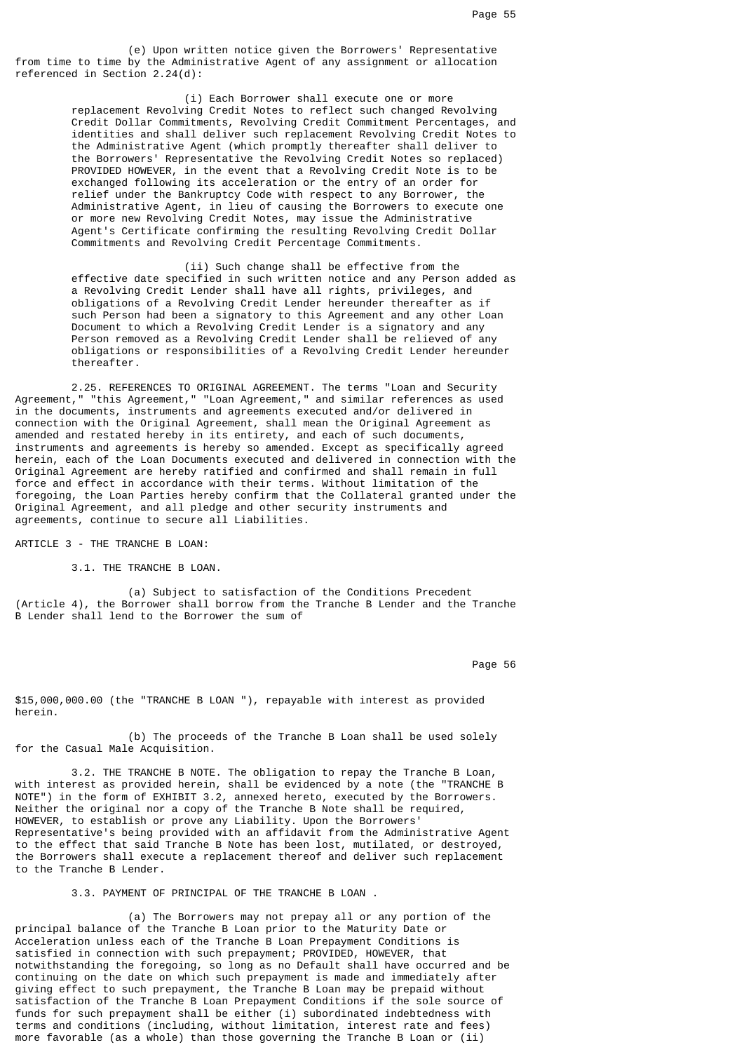(e) Upon written notice given the Borrowers' Representative from time to time by the Administrative Agent of any assignment or allocation referenced in Section 2.24(d):

> (i) Each Borrower shall execute one or more replacement Revolving Credit Notes to reflect such changed Revolving Credit Dollar Commitments, Revolving Credit Commitment Percentages, and identities and shall deliver such replacement Revolving Credit Notes to the Administrative Agent (which promptly thereafter shall deliver to the Borrowers' Representative the Revolving Credit Notes so replaced) PROVIDED HOWEVER, in the event that a Revolving Credit Note is to be exchanged following its acceleration or the entry of an order for relief under the Bankruptcy Code with respect to any Borrower, the Administrative Agent, in lieu of causing the Borrowers to execute one or more new Revolving Credit Notes, may issue the Administrative Agent's Certificate confirming the resulting Revolving Credit Dollar Commitments and Revolving Credit Percentage Commitments.

> (ii) Such change shall be effective from the effective date specified in such written notice and any Person added as a Revolving Credit Lender shall have all rights, privileges, and obligations of a Revolving Credit Lender hereunder thereafter as if such Person had been a signatory to this Agreement and any other Loan Document to which a Revolving Credit Lender is a signatory and any Person removed as a Revolving Credit Lender shall be relieved of any obligations or responsibilities of a Revolving Credit Lender hereunder thereafter.

 2.25. REFERENCES TO ORIGINAL AGREEMENT. The terms "Loan and Security Agreement," "this Agreement," "Loan Agreement," and similar references as used in the documents, instruments and agreements executed and/or delivered in connection with the Original Agreement, shall mean the Original Agreement as amended and restated hereby in its entirety, and each of such documents, instruments and agreements is hereby so amended. Except as specifically agreed herein, each of the Loan Documents executed and delivered in connection with the Original Agreement are hereby ratified and confirmed and shall remain in full force and effect in accordance with their terms. Without limitation of the foregoing, the Loan Parties hereby confirm that the Collateral granted under the Original Agreement, and all pledge and other security instruments and agreements, continue to secure all Liabilities.

ARTICLE 3 - THE TRANCHE B LOAN:

3.1. THE TRANCHE B LOAN.

 (a) Subject to satisfaction of the Conditions Precedent (Article 4), the Borrower shall borrow from the Tranche B Lender and the Tranche B Lender shall lend to the Borrower the sum of

Page 56 and the state of the state of the state of the state of the state of the state of the state of the state of the state of the state of the state of the state of the state of the state of the state of the state of th

\$15,000,000.00 (the "TRANCHE B LOAN "), repayable with interest as provided herein.

 (b) The proceeds of the Tranche B Loan shall be used solely for the Casual Male Acquisition.

 3.2. THE TRANCHE B NOTE. The obligation to repay the Tranche B Loan, with interest as provided herein, shall be evidenced by a note (the "TRANCHE B NOTE") in the form of EXHIBIT 3.2, annexed hereto, executed by the Borrowers. Neither the original nor a copy of the Tranche B Note shall be required, HOWEVER, to establish or prove any Liability. Upon the Borrowers' Representative's being provided with an affidavit from the Administrative Agent to the effect that said Tranche B Note has been lost, mutilated, or destroyed, the Borrowers shall execute a replacement thereof and deliver such replacement to the Tranche B Lender.

3.3. PAYMENT OF PRINCIPAL OF THE TRANCHE B LOAN .

 (a) The Borrowers may not prepay all or any portion of the principal balance of the Tranche B Loan prior to the Maturity Date or Acceleration unless each of the Tranche B Loan Prepayment Conditions is satisfied in connection with such prepayment; PROVIDED, HOWEVER, that notwithstanding the foregoing, so long as no Default shall have occurred and be continuing on the date on which such prepayment is made and immediately after giving effect to such prepayment, the Tranche B Loan may be prepaid without satisfaction of the Tranche B Loan Prepayment Conditions if the sole source of funds for such prepayment shall be either (i) subordinated indebtedness with terms and conditions (including, without limitation, interest rate and fees) more favorable (as a whole) than those governing the Tranche B Loan or (ii)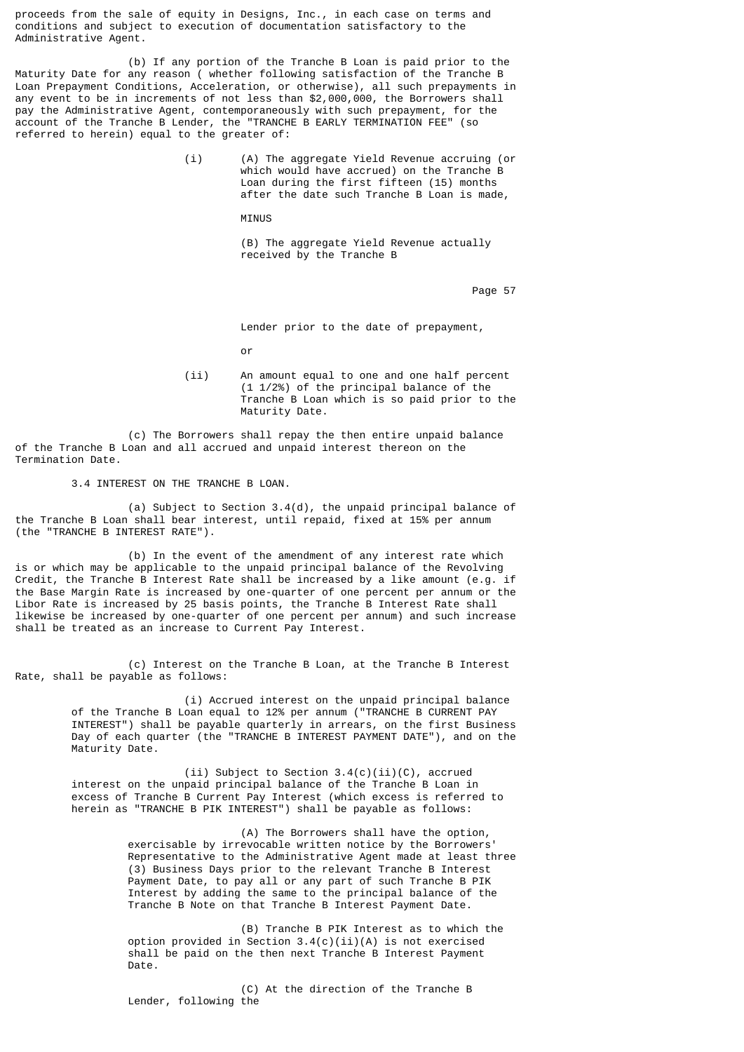proceeds from the sale of equity in Designs, Inc., in each case on terms and conditions and subject to execution of documentation satisfactory to the Administrative Agent.

 (b) If any portion of the Tranche B Loan is paid prior to the Maturity Date for any reason ( whether following satisfaction of the Tranche B Loan Prepayment Conditions, Acceleration, or otherwise), all such prepayments in any event to be in increments of not less than \$2,000,000, the Borrowers shall pay the Administrative Agent, contemporaneously with such prepayment, for the account of the Tranche B Lender, the "TRANCHE B EARLY TERMINATION FEE" (so referred to herein) equal to the greater of:

> (i) (A) The aggregate Yield Revenue accruing (or which would have accrued) on the Tranche B Loan during the first fifteen (15) months after the date such Tranche B Loan is made,

MINUS

 (B) The aggregate Yield Revenue actually received by the Tranche B

Page 57 (1992) 2008 12:30 to 1992 2009 12:30 to 1992 2009 12:30 12:30 12:30 12:30 12:30 12:30 12:30 12:30 12:30 12:30 12:30 12:30 12:30 12:30 12:30 12:30 12:30 12:30 12:30 12:30 12:30 12:30 12:30 12:30 12:30 12:30 12:30 12

Lender prior to the date of prepayment,

or and the contract of the contract of the contract of the contract of the contract of the contract of the contract of the contract of the contract of the contract of the contract of the contract of the contract of the con

 (ii) An amount equal to one and one half percent (1 1/2%) of the principal balance of the Tranche B Loan which is so paid prior to the Maturity Date.

 (c) The Borrowers shall repay the then entire unpaid balance of the Tranche B Loan and all accrued and unpaid interest thereon on the Termination Date.

3.4 INTEREST ON THE TRANCHE B LOAN.

 (a) Subject to Section 3.4(d), the unpaid principal balance of the Tranche B Loan shall bear interest, until repaid, fixed at 15% per annum (the "TRANCHE B INTEREST RATE").

 (b) In the event of the amendment of any interest rate which is or which may be applicable to the unpaid principal balance of the Revolving Credit, the Tranche B Interest Rate shall be increased by a like amount (e.g. if the Base Margin Rate is increased by one-quarter of one percent per annum or the Libor Rate is increased by 25 basis points, the Tranche B Interest Rate shall likewise be increased by one-quarter of one percent per annum) and such increase shall be treated as an increase to Current Pay Interest.

 (c) Interest on the Tranche B Loan, at the Tranche B Interest Rate, shall be payable as follows:

> (i) Accrued interest on the unpaid principal balance of the Tranche B Loan equal to 12% per annum ("TRANCHE B CURRENT PAY INTEREST") shall be payable quarterly in arrears, on the first Business Day of each quarter (the "TRANCHE B INTEREST PAYMENT DATE"), and on the Maturity Date.

(ii) Subject to Section 3.4(c)(ii)(C), accrued interest on the unpaid principal balance of the Tranche B Loan in excess of Tranche B Current Pay Interest (which excess is referred to herein as "TRANCHE B PIK INTEREST") shall be payable as follows:

> (A) The Borrowers shall have the option, exercisable by irrevocable written notice by the Borrowers' Representative to the Administrative Agent made at least three (3) Business Days prior to the relevant Tranche B Interest Payment Date, to pay all or any part of such Tranche B PIK Interest by adding the same to the principal balance of the Tranche B Note on that Tranche B Interest Payment Date.

 (B) Tranche B PIK Interest as to which the option provided in Section  $3.4(c)(ii)(A)$  is not exercised shall be paid on the then next Tranche B Interest Payment Date.

 (C) At the direction of the Tranche B Lender, following the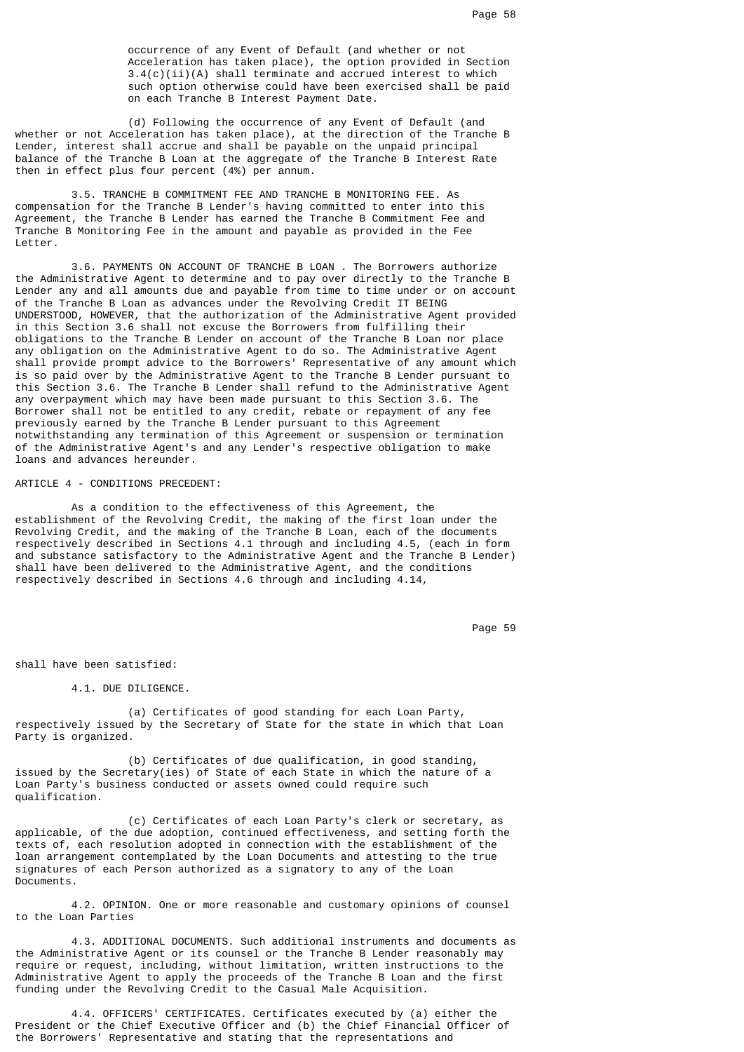occurrence of any Event of Default (and whether or not Acceleration has taken place), the option provided in Section 3.4(c)(ii)(A) shall terminate and accrued interest to which such option otherwise could have been exercised shall be paid on each Tranche B Interest Payment Date.

 (d) Following the occurrence of any Event of Default (and whether or not Acceleration has taken place), at the direction of the Tranche B Lender, interest shall accrue and shall be payable on the unpaid principal balance of the Tranche B Loan at the aggregate of the Tranche B Interest Rate then in effect plus four percent (4%) per annum.

 3.5. TRANCHE B COMMITMENT FEE AND TRANCHE B MONITORING FEE. As compensation for the Tranche B Lender's having committed to enter into this Agreement, the Tranche B Lender has earned the Tranche B Commitment Fee and Tranche B Monitoring Fee in the amount and payable as provided in the Fee Letter.

 3.6. PAYMENTS ON ACCOUNT OF TRANCHE B LOAN . The Borrowers authorize the Administrative Agent to determine and to pay over directly to the Tranche B Lender any and all amounts due and payable from time to time under or on account of the Tranche B Loan as advances under the Revolving Credit IT BEING UNDERSTOOD, HOWEVER, that the authorization of the Administrative Agent provided in this Section 3.6 shall not excuse the Borrowers from fulfilling their obligations to the Tranche B Lender on account of the Tranche B Loan nor place any obligation on the Administrative Agent to do so. The Administrative Agent shall provide prompt advice to the Borrowers' Representative of any amount which is so paid over by the Administrative Agent to the Tranche B Lender pursuant to this Section 3.6. The Tranche B Lender shall refund to the Administrative Agent any overpayment which may have been made pursuant to this Section 3.6. The Borrower shall not be entitled to any credit, rebate or repayment of any fee previously earned by the Tranche B Lender pursuant to this Agreement notwithstanding any termination of this Agreement or suspension or termination of the Administrative Agent's and any Lender's respective obligation to make loans and advances hereunder.

### ARTICLE 4 - CONDITIONS PRECEDENT:

 As a condition to the effectiveness of this Agreement, the establishment of the Revolving Credit, the making of the first loan under the Revolving Credit, and the making of the Tranche B Loan, each of the documents respectively described in Sections 4.1 through and including 4.5, (each in form and substance satisfactory to the Administrative Agent and the Tranche B Lender) shall have been delivered to the Administrative Agent, and the conditions respectively described in Sections 4.6 through and including 4.14,

en de la provincia de la provincia de la provincia de la provincia de la provincia de la provincia de la provi

shall have been satisfied:

4.1. DUE DILIGENCE.

 (a) Certificates of good standing for each Loan Party, respectively issued by the Secretary of State for the state in which that Loan Party is organized.

 (b) Certificates of due qualification, in good standing, issued by the Secretary(ies) of State of each State in which the nature of a Loan Party's business conducted or assets owned could require such qualification.

 (c) Certificates of each Loan Party's clerk or secretary, as applicable, of the due adoption, continued effectiveness, and setting forth the texts of, each resolution adopted in connection with the establishment of the loan arrangement contemplated by the Loan Documents and attesting to the true signatures of each Person authorized as a signatory to any of the Loan Documents.

 4.2. OPINION. One or more reasonable and customary opinions of counsel to the Loan Parties

 4.3. ADDITIONAL DOCUMENTS. Such additional instruments and documents as the Administrative Agent or its counsel or the Tranche B Lender reasonably may require or request, including, without limitation, written instructions to the Administrative Agent to apply the proceeds of the Tranche B Loan and the first funding under the Revolving Credit to the Casual Male Acquisition.

 4.4. OFFICERS' CERTIFICATES. Certificates executed by (a) either the President or the Chief Executive Officer and (b) the Chief Financial Officer of the Borrowers' Representative and stating that the representations and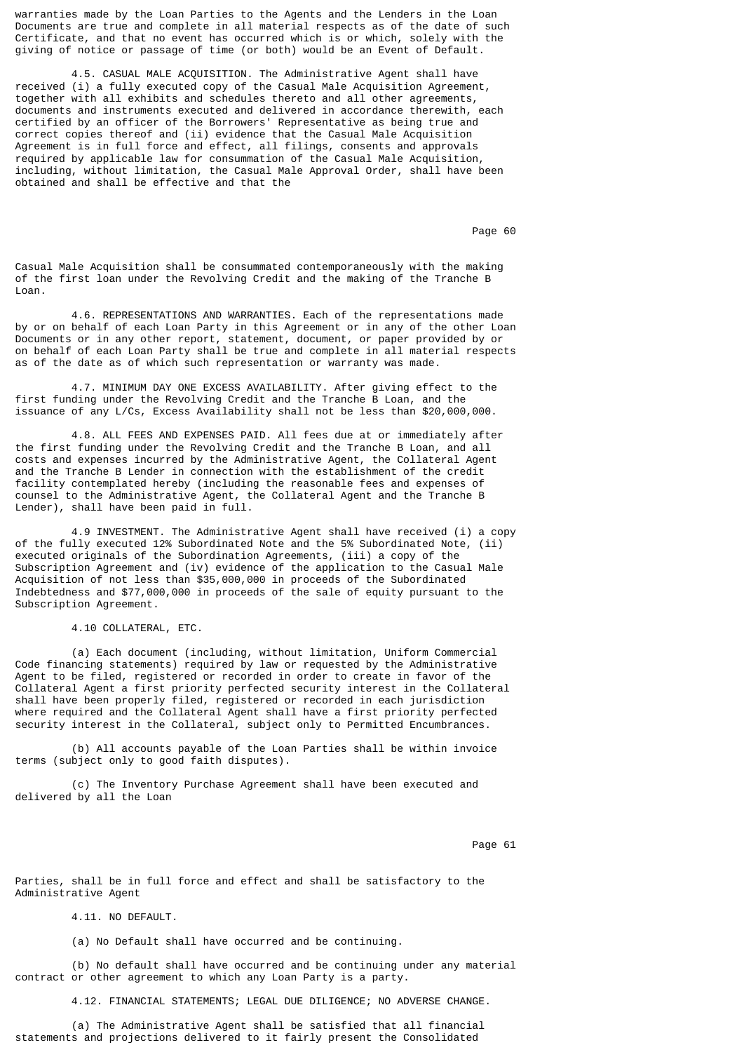warranties made by the Loan Parties to the Agents and the Lenders in the Loan Documents are true and complete in all material respects as of the date of such Certificate, and that no event has occurred which is or which, solely with the giving of notice or passage of time (or both) would be an Event of Default.

 4.5. CASUAL MALE ACQUISITION. The Administrative Agent shall have received (i) a fully executed copy of the Casual Male Acquisition Agreement, together with all exhibits and schedules thereto and all other agreements, documents and instruments executed and delivered in accordance therewith, each certified by an officer of the Borrowers' Representative as being true and correct copies thereof and (ii) evidence that the Casual Male Acquisition Agreement is in full force and effect, all filings, consents and approvals required by applicable law for consummation of the Casual Male Acquisition, including, without limitation, the Casual Male Approval Order, shall have been obtained and shall be effective and that the

en de la provincia de la provincia de la provincia de la provincia de la provincia de la provincia de la provi

Casual Male Acquisition shall be consummated contemporaneously with the making of the first loan under the Revolving Credit and the making of the Tranche B Loan.

 4.6. REPRESENTATIONS AND WARRANTIES. Each of the representations made by or on behalf of each Loan Party in this Agreement or in any of the other Loan Documents or in any other report, statement, document, or paper provided by or on behalf of each Loan Party shall be true and complete in all material respects as of the date as of which such representation or warranty was made.

 4.7. MINIMUM DAY ONE EXCESS AVAILABILITY. After giving effect to the first funding under the Revolving Credit and the Tranche B Loan, and the issuance of any L/Cs, Excess Availability shall not be less than \$20,000,000.

 4.8. ALL FEES AND EXPENSES PAID. All fees due at or immediately after the first funding under the Revolving Credit and the Tranche B Loan, and all costs and expenses incurred by the Administrative Agent, the Collateral Agent and the Tranche B Lender in connection with the establishment of the credit facility contemplated hereby (including the reasonable fees and expenses of counsel to the Administrative Agent, the Collateral Agent and the Tranche B Lender), shall have been paid in full.

 4.9 INVESTMENT. The Administrative Agent shall have received (i) a copy of the fully executed 12% Subordinated Note and the 5% Subordinated Note, (ii) executed originals of the Subordination Agreements, (iii) a copy of the Subscription Agreement and (iv) evidence of the application to the Casual Male Acquisition of not less than \$35,000,000 in proceeds of the Subordinated Indebtedness and \$77,000,000 in proceeds of the sale of equity pursuant to the Subscription Agreement.

4.10 COLLATERAL, ETC.

 (a) Each document (including, without limitation, Uniform Commercial Code financing statements) required by law or requested by the Administrative Agent to be filed, registered or recorded in order to create in favor of the Collateral Agent a first priority perfected security interest in the Collateral shall have been properly filed, registered or recorded in each jurisdiction where required and the Collateral Agent shall have a first priority perfected security interest in the Collateral, subject only to Permitted Encumbrances.

 (b) All accounts payable of the Loan Parties shall be within invoice terms (subject only to good faith disputes).

 (c) The Inventory Purchase Agreement shall have been executed and delivered by all the Loan

Page 61 **Page 61** 

Parties, shall be in full force and effect and shall be satisfactory to the Administrative Agent

4.11. NO DEFAULT.

(a) No Default shall have occurred and be continuing.

 (b) No default shall have occurred and be continuing under any material contract or other agreement to which any Loan Party is a party.

4.12. FINANCIAL STATEMENTS; LEGAL DUE DILIGENCE; NO ADVERSE CHANGE.

 (a) The Administrative Agent shall be satisfied that all financial statements and projections delivered to it fairly present the Consolidated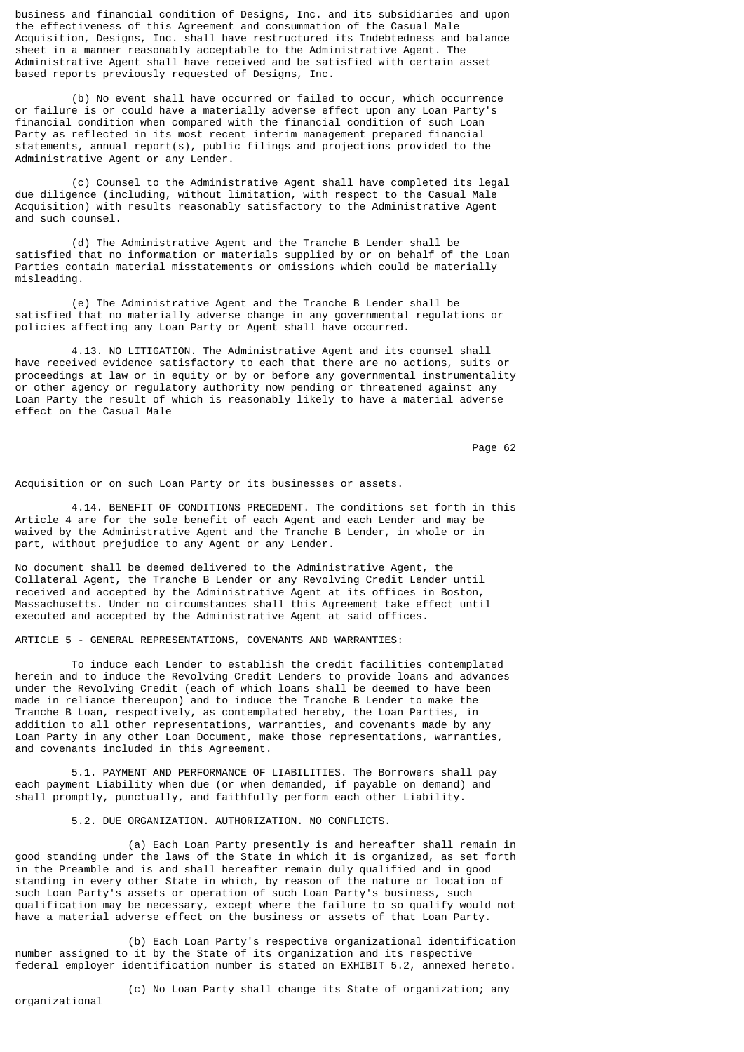business and financial condition of Designs, Inc. and its subsidiaries and upon the effectiveness of this Agreement and consummation of the Casual Male Acquisition, Designs, Inc. shall have restructured its Indebtedness and balance sheet in a manner reasonably acceptable to the Administrative Agent. The Administrative Agent shall have received and be satisfied with certain asset based reports previously requested of Designs, Inc.

 (b) No event shall have occurred or failed to occur, which occurrence or failure is or could have a materially adverse effect upon any Loan Party's financial condition when compared with the financial condition of such Loan Party as reflected in its most recent interim management prepared financial statements, annual report(s), public filings and projections provided to the Administrative Agent or any Lender.

 (c) Counsel to the Administrative Agent shall have completed its legal due diligence (including, without limitation, with respect to the Casual Male Acquisition) with results reasonably satisfactory to the Administrative Agent and such counsel.

 (d) The Administrative Agent and the Tranche B Lender shall be satisfied that no information or materials supplied by or on behalf of the Loan Parties contain material misstatements or omissions which could be materially misleading.

 (e) The Administrative Agent and the Tranche B Lender shall be satisfied that no materially adverse change in any governmental regulations or policies affecting any Loan Party or Agent shall have occurred.

 4.13. NO LITIGATION. The Administrative Agent and its counsel shall have received evidence satisfactory to each that there are no actions, suits or proceedings at law or in equity or by or before any governmental instrumentality or other agency or regulatory authority now pending or threatened against any Loan Party the result of which is reasonably likely to have a material adverse effect on the Casual Male

Page 62 **Page 62** 

Acquisition or on such Loan Party or its businesses or assets.

 4.14. BENEFIT OF CONDITIONS PRECEDENT. The conditions set forth in this Article 4 are for the sole benefit of each Agent and each Lender and may be waived by the Administrative Agent and the Tranche B Lender, in whole or in part, without prejudice to any Agent or any Lender.

No document shall be deemed delivered to the Administrative Agent, the Collateral Agent, the Tranche B Lender or any Revolving Credit Lender until received and accepted by the Administrative Agent at its offices in Boston, Massachusetts. Under no circumstances shall this Agreement take effect until executed and accepted by the Administrative Agent at said offices.

ARTICLE 5 - GENERAL REPRESENTATIONS, COVENANTS AND WARRANTIES:

 To induce each Lender to establish the credit facilities contemplated herein and to induce the Revolving Credit Lenders to provide loans and advances under the Revolving Credit (each of which loans shall be deemed to have been made in reliance thereupon) and to induce the Tranche B Lender to make the Tranche B Loan, respectively, as contemplated hereby, the Loan Parties, in addition to all other representations, warranties, and covenants made by any Loan Party in any other Loan Document, make those representations, warranties, and covenants included in this Agreement.

 5.1. PAYMENT AND PERFORMANCE OF LIABILITIES. The Borrowers shall pay each payment Liability when due (or when demanded, if payable on demand) and shall promptly, punctually, and faithfully perform each other Liability.

5.2. DUE ORGANIZATION. AUTHORIZATION. NO CONFLICTS.

 (a) Each Loan Party presently is and hereafter shall remain in good standing under the laws of the State in which it is organized, as set forth in the Preamble and is and shall hereafter remain duly qualified and in good standing in every other State in which, by reason of the nature or location of such Loan Party's assets or operation of such Loan Party's business, such qualification may be necessary, except where the failure to so qualify would not have a material adverse effect on the business or assets of that Loan Party.

 (b) Each Loan Party's respective organizational identification number assigned to it by the State of its organization and its respective federal employer identification number is stated on EXHIBIT 5.2, annexed hereto.

organizational

(c) No Loan Party shall change its State of organization; any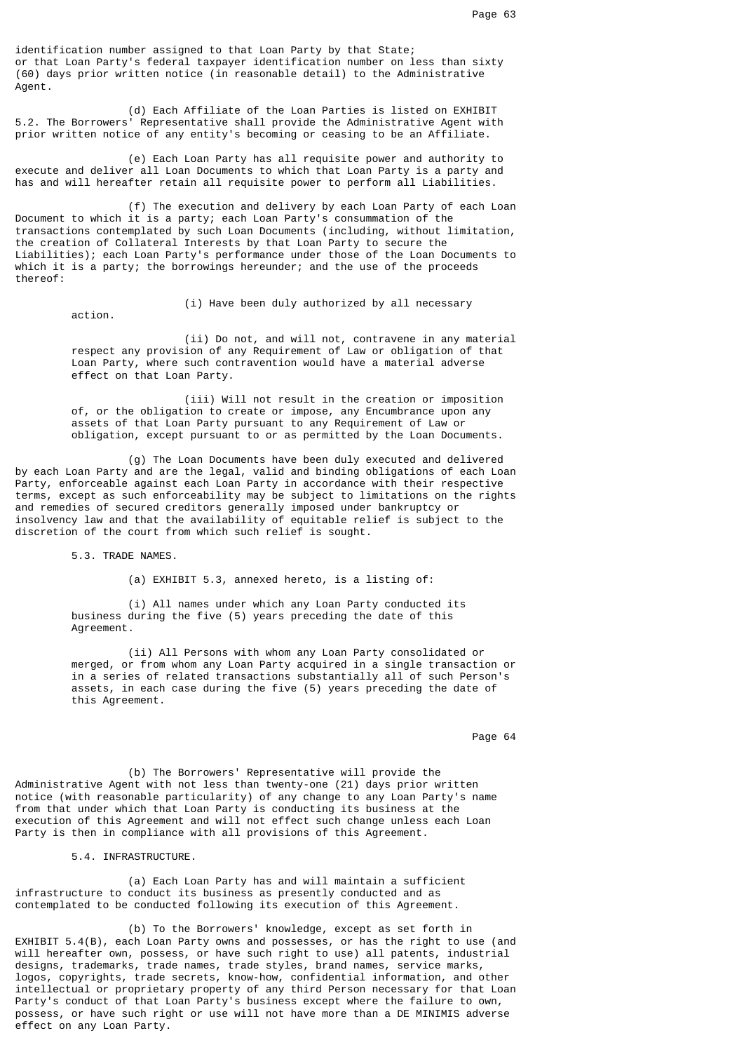identification number assigned to that Loan Party by that State; or that Loan Party's federal taxpayer identification number on less than sixty (60) days prior written notice (in reasonable detail) to the Administrative Agent.

 (d) Each Affiliate of the Loan Parties is listed on EXHIBIT 5.2. The Borrowers' Representative shall provide the Administrative Agent with prior written notice of any entity's becoming or ceasing to be an Affiliate.

 (e) Each Loan Party has all requisite power and authority to execute and deliver all Loan Documents to which that Loan Party is a party and has and will hereafter retain all requisite power to perform all Liabilities.

 (f) The execution and delivery by each Loan Party of each Loan Document to which it is a party; each Loan Party's consummation of the transactions contemplated by such Loan Documents (including, without limitation, the creation of Collateral Interests by that Loan Party to secure the Liabilities); each Loan Party's performance under those of the Loan Documents to which it is a party; the borrowings hereunder; and the use of the proceeds thereof:

action.

(i) Have been duly authorized by all necessary

 (ii) Do not, and will not, contravene in any material respect any provision of any Requirement of Law or obligation of that Loan Party, where such contravention would have a material adverse effect on that Loan Party.

> (iii) Will not result in the creation or imposition of, or the obligation to create or impose, any Encumbrance upon any assets of that Loan Party pursuant to any Requirement of Law or obligation, except pursuant to or as permitted by the Loan Documents.

 (g) The Loan Documents have been duly executed and delivered by each Loan Party and are the legal, valid and binding obligations of each Loan Party, enforceable against each Loan Party in accordance with their respective terms, except as such enforceability may be subject to limitations on the rights and remedies of secured creditors generally imposed under bankruptcy or insolvency law and that the availability of equitable relief is subject to the discretion of the court from which such relief is sought.

5.3. TRADE NAMES.

(a) EXHIBIT 5.3, annexed hereto, is a listing of:

 (i) All names under which any Loan Party conducted its business during the five (5) years preceding the date of this **Agreement** 

> (ii) All Persons with whom any Loan Party consolidated or merged, or from whom any Loan Party acquired in a single transaction or in a series of related transactions substantially all of such Person's assets, in each case during the five (5) years preceding the date of this Agreement.

en die 19de jaar van die 19de eeu n.C. Soos van die 19de eeu n.C. Soos en gewone gehad. Dit was die 19de eeu n

 (b) The Borrowers' Representative will provide the Administrative Agent with not less than twenty-one (21) days prior written notice (with reasonable particularity) of any change to any Loan Party's name from that under which that Loan Party is conducting its business at the execution of this Agreement and will not effect such change unless each Loan Party is then in compliance with all provisions of this Agreement.

5.4. INFRASTRUCTURE.

 (a) Each Loan Party has and will maintain a sufficient infrastructure to conduct its business as presently conducted and as contemplated to be conducted following its execution of this Agreement.

 (b) To the Borrowers' knowledge, except as set forth in EXHIBIT 5.4(B), each Loan Party owns and possesses, or has the right to use (and will hereafter own, possess, or have such right to use) all patents, industrial designs, trademarks, trade names, trade styles, brand names, service marks, logos, copyrights, trade secrets, know-how, confidential information, and other intellectual or proprietary property of any third Person necessary for that Loan Party's conduct of that Loan Party's business except where the failure to own, possess, or have such right or use will not have more than a DE MINIMIS adverse effect on any Loan Party.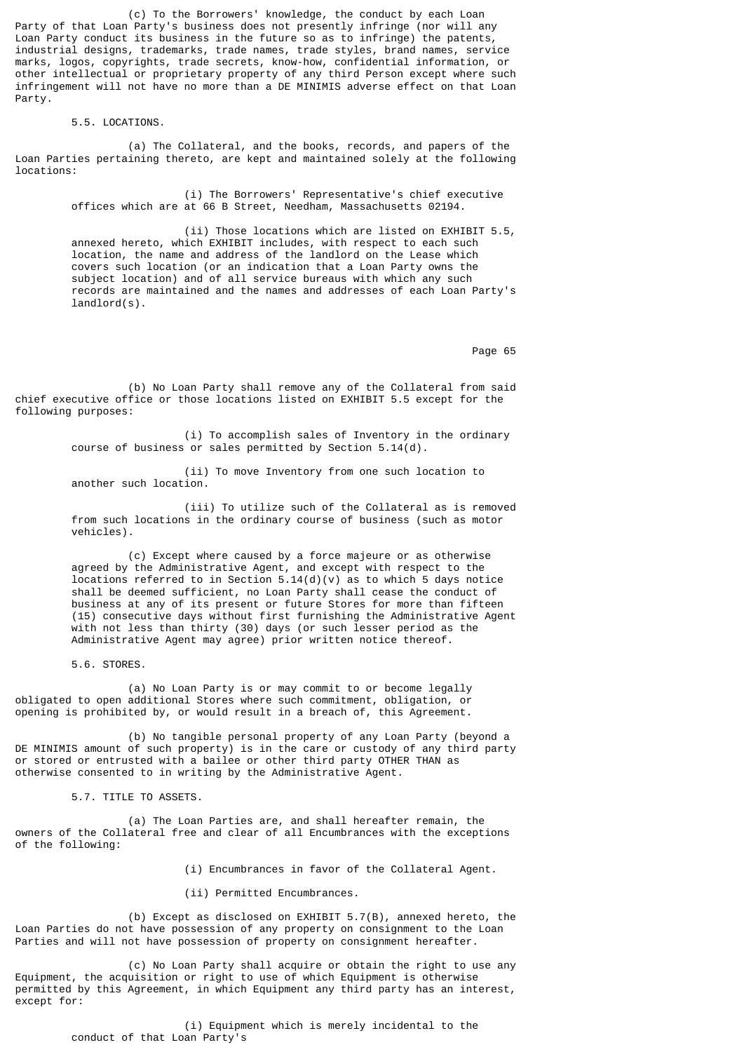(c) To the Borrowers' knowledge, the conduct by each Loan Party of that Loan Party's business does not presently infringe (nor will any Loan Party conduct its business in the future so as to infringe) the patents, industrial designs, trademarks, trade names, trade styles, brand names, service marks, logos, copyrights, trade secrets, know-how, confidential information, or other intellectual or proprietary property of any third Person except where such infringement will not have no more than a DE MINIMIS adverse effect on that Loan Party.

#### 5.5. LOCATIONS.

 (a) The Collateral, and the books, records, and papers of the Loan Parties pertaining thereto, are kept and maintained solely at the following locations:

> (i) The Borrowers' Representative's chief executive offices which are at 66 B Street, Needham, Massachusetts 02194.

 (ii) Those locations which are listed on EXHIBIT 5.5, annexed hereto, which EXHIBIT includes, with respect to each such location, the name and address of the landlord on the Lease which covers such location (or an indication that a Loan Party owns the subject location) and of all service bureaus with which any such records are maintained and the names and addresses of each Loan Party's landlord(s).

en de la provincia de la provincia de la provincia de la provincia de la provincia de la provincia de la provi

 (b) No Loan Party shall remove any of the Collateral from said chief executive office or those locations listed on EXHIBIT 5.5 except for the following purposes:

> (i) To accomplish sales of Inventory in the ordinary course of business or sales permitted by Section 5.14(d).

 (ii) To move Inventory from one such location to another such location.

 (iii) To utilize such of the Collateral as is removed from such locations in the ordinary course of business (such as motor vehicles).

 (c) Except where caused by a force majeure or as otherwise agreed by the Administrative Agent, and except with respect to the locations referred to in Section 5.14(d)(v) as to which 5 days notice shall be deemed sufficient, no Loan Party shall cease the conduct of business at any of its present or future Stores for more than fifteen (15) consecutive days without first furnishing the Administrative Agent with not less than thirty (30) days (or such lesser period as the Administrative Agent may agree) prior written notice thereof.

5.6. STORES.

 (a) No Loan Party is or may commit to or become legally obligated to open additional Stores where such commitment, obligation, or opening is prohibited by, or would result in a breach of, this Agreement.

 (b) No tangible personal property of any Loan Party (beyond a DE MINIMIS amount of such property) is in the care or custody of any third party or stored or entrusted with a bailee or other third party OTHER THAN as otherwise consented to in writing by the Administrative Agent.

5.7. TITLE TO ASSETS.

 (a) The Loan Parties are, and shall hereafter remain, the owners of the Collateral free and clear of all Encumbrances with the exceptions of the following:

(i) Encumbrances in favor of the Collateral Agent.

(ii) Permitted Encumbrances.

 (b) Except as disclosed on EXHIBIT 5.7(B), annexed hereto, the Loan Parties do not have possession of any property on consignment to the Loan Parties and will not have possession of property on consignment hereafter.

 (c) No Loan Party shall acquire or obtain the right to use any Equipment, the acquisition or right to use of which Equipment is otherwise permitted by this Agreement, in which Equipment any third party has an interest, except for:

> (i) Equipment which is merely incidental to the conduct of that Loan Party's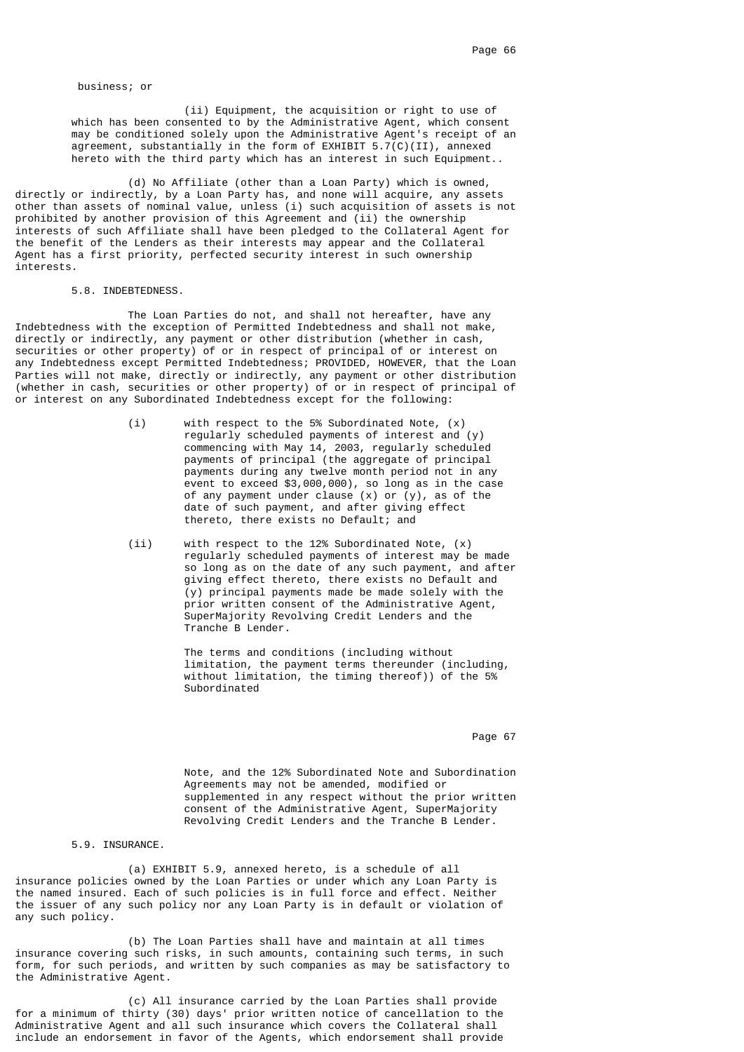business; or

 (ii) Equipment, the acquisition or right to use of which has been consented to by the Administrative Agent, which consent may be conditioned solely upon the Administrative Agent's receipt of an agreement, substantially in the form of EXHIBIT  $5.7(C)(II)$ , annexed hereto with the third party which has an interest in such Equipment..

 (d) No Affiliate (other than a Loan Party) which is owned, directly or indirectly, by a Loan Party has, and none will acquire, any assets other than assets of nominal value, unless (i) such acquisition of assets is not prohibited by another provision of this Agreement and (ii) the ownership interests of such Affiliate shall have been pledged to the Collateral Agent for the benefit of the Lenders as their interests may appear and the Collateral Agent has a first priority, perfected security interest in such ownership interests.

#### 5.8. INDEBTEDNESS.

 The Loan Parties do not, and shall not hereafter, have any Indebtedness with the exception of Permitted Indebtedness and shall not make, directly or indirectly, any payment or other distribution (whether in cash, securities or other property) of or in respect of principal of or interest on any Indebtedness except Permitted Indebtedness; PROVIDED, HOWEVER, that the Loan Parties will not make, directly or indirectly, any payment or other distribution (whether in cash, securities or other property) of or in respect of principal of or interest on any Subordinated Indebtedness except for the following:

- (i) with respect to the 5% Subordinated Note, (x) regularly scheduled payments of interest and (y) commencing with May 14, 2003, regularly scheduled payments of principal (the aggregate of principal payments during any twelve month period not in any event to exceed \$3,000,000), so long as in the case of any payment under clause (x) or (y), as of the date of such payment, and after giving effect thereto, there exists no Default; and
	- (ii) with respect to the 12% Subordinated Note, (x) regularly scheduled payments of interest may be made so long as on the date of any such payment, and after giving effect thereto, there exists no Default and (y) principal payments made be made solely with the prior written consent of the Administrative Agent, SuperMajority Revolving Credit Lenders and the Tranche B Lender.

 The terms and conditions (including without limitation, the payment terms thereunder (including, without limitation, the timing thereof)) of the 5% Subordinated

Page 67 (1992) and the state of the state of the state of the state of the state of the state of the state of the state of the state of the state of the state of the state of the state of the state of the state of the stat

 Note, and the 12% Subordinated Note and Subordination Agreements may not be amended, modified or supplemented in any respect without the prior written consent of the Administrative Agent, SuperMajority Revolving Credit Lenders and the Tranche B Lender.

### 5.9. INSURANCE.

 (a) EXHIBIT 5.9, annexed hereto, is a schedule of all insurance policies owned by the Loan Parties or under which any Loan Party is the named insured. Each of such policies is in full force and effect. Neither the issuer of any such policy nor any Loan Party is in default or violation of any such policy.

 (b) The Loan Parties shall have and maintain at all times insurance covering such risks, in such amounts, containing such terms, in such form, for such periods, and written by such companies as may be satisfactory to the Administrative Agent.

 (c) All insurance carried by the Loan Parties shall provide for a minimum of thirty (30) days' prior written notice of cancellation to the Administrative Agent and all such insurance which covers the Collateral shall include an endorsement in favor of the Agents, which endorsement shall provide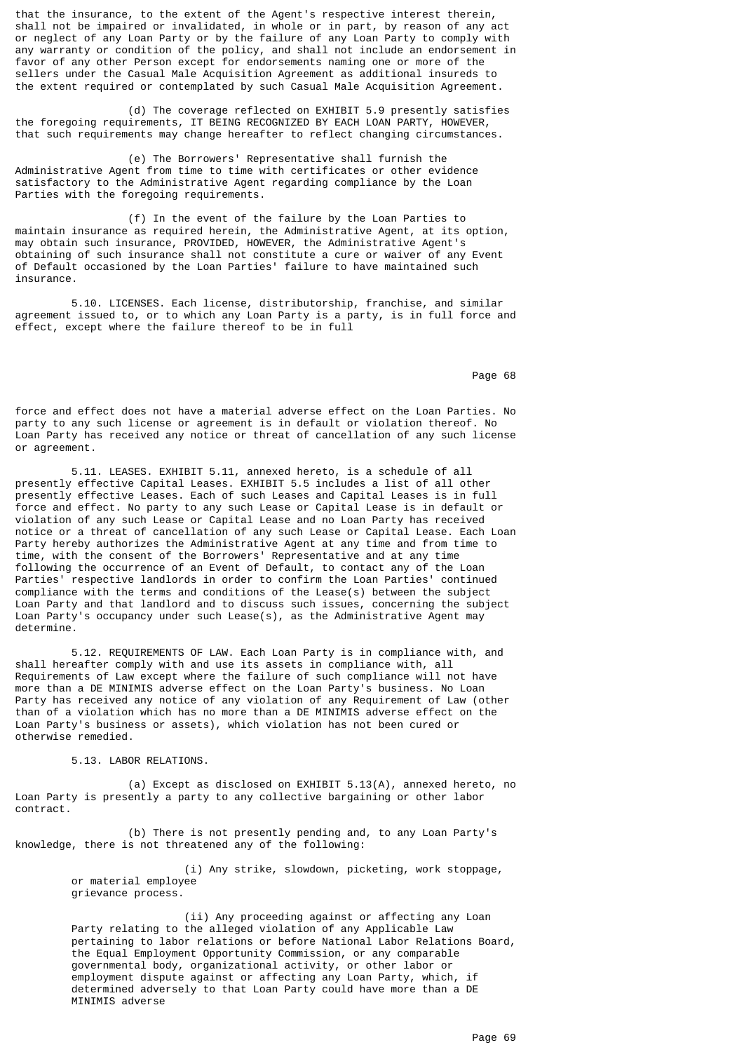that the insurance, to the extent of the Agent's respective interest therein, shall not be impaired or invalidated, in whole or in part, by reason of any act or neglect of any Loan Party or by the failure of any Loan Party to comply with any warranty or condition of the policy, and shall not include an endorsement in favor of any other Person except for endorsements naming one or more of the sellers under the Casual Male Acquisition Agreement as additional insureds to the extent required or contemplated by such Casual Male Acquisition Agreement.

 (d) The coverage reflected on EXHIBIT 5.9 presently satisfies the foregoing requirements, IT BEING RECOGNIZED BY EACH LOAN PARTY, HOWEVER, that such requirements may change hereafter to reflect changing circumstances.

 (e) The Borrowers' Representative shall furnish the Administrative Agent from time to time with certificates or other evidence satisfactory to the Administrative Agent regarding compliance by the Loan Parties with the foregoing requirements.

 (f) In the event of the failure by the Loan Parties to maintain insurance as required herein, the Administrative Agent, at its option, may obtain such insurance, PROVIDED, HOWEVER, the Administrative Agent's obtaining of such insurance shall not constitute a cure or waiver of any Event of Default occasioned by the Loan Parties' failure to have maintained such insurance.

 5.10. LICENSES. Each license, distributorship, franchise, and similar agreement issued to, or to which any Loan Party is a party, is in full force and effect, except where the failure thereof to be in full

en de la provincia de la provincia de la provincia de la provincia de la provincia de la provincia de la provi

force and effect does not have a material adverse effect on the Loan Parties. No party to any such license or agreement is in default or violation thereof. No Loan Party has received any notice or threat of cancellation of any such license or agreement.

 5.11. LEASES. EXHIBIT 5.11, annexed hereto, is a schedule of all presently effective Capital Leases. EXHIBIT 5.5 includes a list of all other presently effective Leases. Each of such Leases and Capital Leases is in full force and effect. No party to any such Lease or Capital Lease is in default or violation of any such Lease or Capital Lease and no Loan Party has received notice or a threat of cancellation of any such Lease or Capital Lease. Each Loan Party hereby authorizes the Administrative Agent at any time and from time to time, with the consent of the Borrowers' Representative and at any time following the occurrence of an Event of Default, to contact any of the Loan Parties' respective landlords in order to confirm the Loan Parties' continued compliance with the terms and conditions of the Lease(s) between the subject Loan Party and that landlord and to discuss such issues, concerning the subject Loan Party's occupancy under such Lease(s), as the Administrative Agent may determine.

 5.12. REQUIREMENTS OF LAW. Each Loan Party is in compliance with, and shall hereafter comply with and use its assets in compliance with, all Requirements of Law except where the failure of such compliance will not have more than a DE MINIMIS adverse effect on the Loan Party's business. No Loan Party has received any notice of any violation of any Requirement of Law (other than of a violation which has no more than a DE MINIMIS adverse effect on the Loan Party's business or assets), which violation has not been cured or otherwise remedied.

5.13. LABOR RELATIONS.

 (a) Except as disclosed on EXHIBIT 5.13(A), annexed hereto, no Loan Party is presently a party to any collective bargaining or other labor contract.

 (b) There is not presently pending and, to any Loan Party's knowledge, there is not threatened any of the following:

> (i) Any strike, slowdown, picketing, work stoppage, or material employee grievance process.

 (ii) Any proceeding against or affecting any Loan Party relating to the alleged violation of any Applicable Law pertaining to labor relations or before National Labor Relations Board, the Equal Employment Opportunity Commission, or any comparable governmental body, organizational activity, or other labor or employment dispute against or affecting any Loan Party, which, if determined adversely to that Loan Party could have more than a DE MINIMIS adverse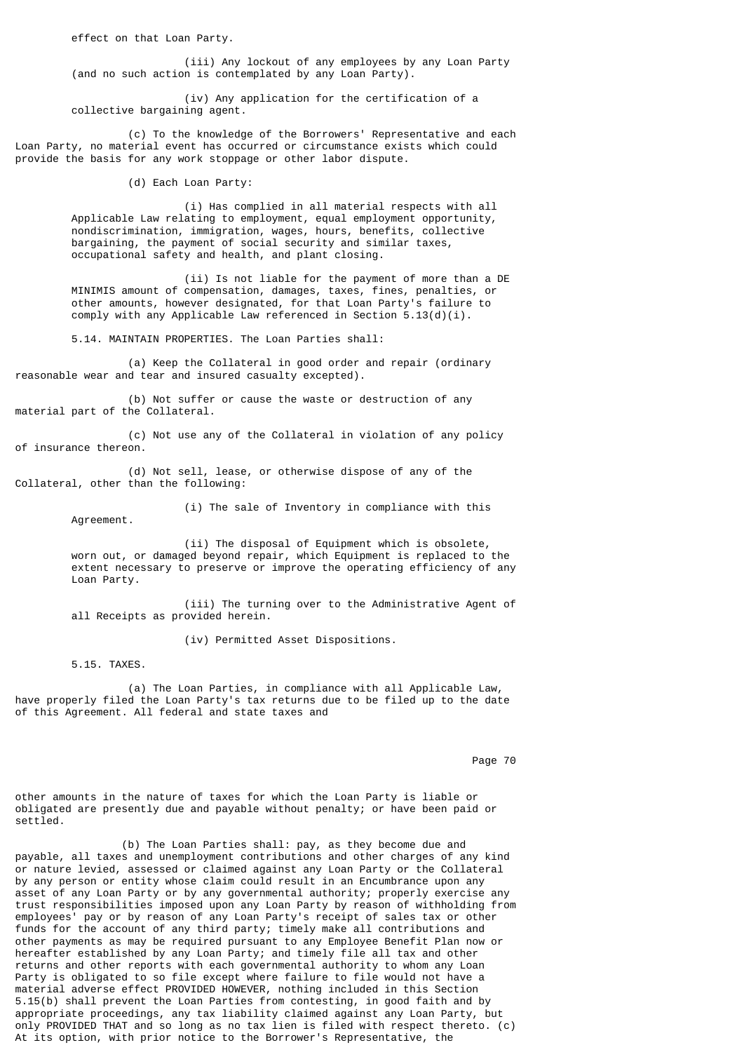effect on that Loan Party.

 (iii) Any lockout of any employees by any Loan Party (and no such action is contemplated by any Loan Party).

 (iv) Any application for the certification of a collective bargaining agent.

 (c) To the knowledge of the Borrowers' Representative and each Loan Party, no material event has occurred or circumstance exists which could provide the basis for any work stoppage or other labor dispute.

(d) Each Loan Party:

 (i) Has complied in all material respects with all Applicable Law relating to employment, equal employment opportunity, nondiscrimination, immigration, wages, hours, benefits, collective bargaining, the payment of social security and similar taxes, occupational safety and health, and plant closing.

> (ii) Is not liable for the payment of more than a DE MINIMIS amount of compensation, damages, taxes, fines, penalties, or other amounts, however designated, for that Loan Party's failure to comply with any Applicable Law referenced in Section 5.13(d)(i).

5.14. MAINTAIN PROPERTIES. The Loan Parties shall:

 (a) Keep the Collateral in good order and repair (ordinary reasonable wear and tear and insured casualty excepted).

 (b) Not suffer or cause the waste or destruction of any material part of the Collateral.

 (c) Not use any of the Collateral in violation of any policy of insurance thereon.

 (d) Not sell, lease, or otherwise dispose of any of the Collateral, other than the following:

Agreement.

(i) The sale of Inventory in compliance with this

(ii) The disposal of Equipment which is obsolete, worn out, or damaged beyond repair, which Equipment is replaced to the extent necessary to preserve or improve the operating efficiency of any Loan Party.

 (iii) The turning over to the Administrative Agent of all Receipts as provided herein.

(iv) Permitted Asset Dispositions.

5.15. TAXES.

 (a) The Loan Parties, in compliance with all Applicable Law, have properly filed the Loan Party's tax returns due to be filed up to the date of this Agreement. All federal and state taxes and

en die 19de jaar van die 19de eeu n.C. Soos van die 19de jaar van die 19de eeu n.C. Soos gewen die 19de eeu n.

other amounts in the nature of taxes for which the Loan Party is liable or obligated are presently due and payable without penalty; or have been paid or settled.

 (b) The Loan Parties shall: pay, as they become due and payable, all taxes and unemployment contributions and other charges of any kind or nature levied, assessed or claimed against any Loan Party or the Collateral by any person or entity whose claim could result in an Encumbrance upon any asset of any Loan Party or by any governmental authority; properly exercise any trust responsibilities imposed upon any Loan Party by reason of withholding from employees' pay or by reason of any Loan Party's receipt of sales tax or other funds for the account of any third party; timely make all contributions and other payments as may be required pursuant to any Employee Benefit Plan now or hereafter established by any Loan Party; and timely file all tax and other returns and other reports with each governmental authority to whom any Loan Party is obligated to so file except where failure to file would not have a material adverse effect PROVIDED HOWEVER, nothing included in this Section 5.15(b) shall prevent the Loan Parties from contesting, in good faith and by appropriate proceedings, any tax liability claimed against any Loan Party, but only PROVIDED THAT and so long as no tax lien is filed with respect thereto. (c) At its option, with prior notice to the Borrower's Representative, the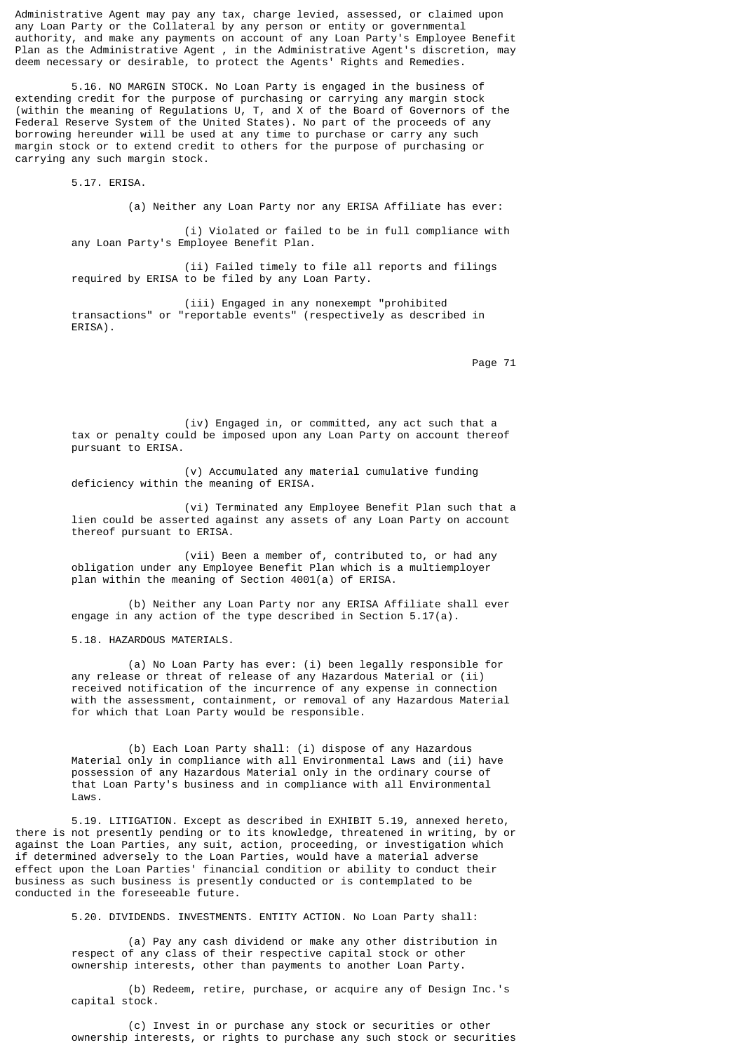Administrative Agent may pay any tax, charge levied, assessed, or claimed upon any Loan Party or the Collateral by any person or entity or governmental authority, and make any payments on account of any Loan Party's Employee Benefit Plan as the Administrative Agent, in the Administrative Agent's discretion, may deem necessary or desirable, to protect the Agents' Rights and Remedies.

 5.16. NO MARGIN STOCK. No Loan Party is engaged in the business of extending credit for the purpose of purchasing or carrying any margin stock (within the meaning of Regulations U, T, and X of the Board of Governors of the Federal Reserve System of the United States). No part of the proceeds of any borrowing hereunder will be used at any time to purchase or carry any such margin stock or to extend credit to others for the purpose of purchasing or carrying any such margin stock.

5.17. ERISA.

(a) Neither any Loan Party nor any ERISA Affiliate has ever:

 (i) Violated or failed to be in full compliance with any Loan Party's Employee Benefit Plan.

 (ii) Failed timely to file all reports and filings required by ERISA to be filed by any Loan Party.

 (iii) Engaged in any nonexempt "prohibited transactions" or "reportable events" (respectively as described in ERISA).

Page 71

 (iv) Engaged in, or committed, any act such that a tax or penalty could be imposed upon any Loan Party on account thereof pursuant to ERISA.

 (v) Accumulated any material cumulative funding deficiency within the meaning of ERISA.

 (vi) Terminated any Employee Benefit Plan such that a lien could be asserted against any assets of any Loan Party on account thereof pursuant to ERISA.

 (vii) Been a member of, contributed to, or had any obligation under any Employee Benefit Plan which is a multiemployer plan within the meaning of Section 4001(a) of ERISA.

 (b) Neither any Loan Party nor any ERISA Affiliate shall ever engage in any action of the type described in Section 5.17(a).

5.18. HAZARDOUS MATERIALS.

 (a) No Loan Party has ever: (i) been legally responsible for any release or threat of release of any Hazardous Material or (ii) received notification of the incurrence of any expense in connection with the assessment, containment, or removal of any Hazardous Material for which that Loan Party would be responsible.

 (b) Each Loan Party shall: (i) dispose of any Hazardous Material only in compliance with all Environmental Laws and (ii) have possession of any Hazardous Material only in the ordinary course of that Loan Party's business and in compliance with all Environmental Laws.

 5.19. LITIGATION. Except as described in EXHIBIT 5.19, annexed hereto, there is not presently pending or to its knowledge, threatened in writing, by or against the Loan Parties, any suit, action, proceeding, or investigation which if determined adversely to the Loan Parties, would have a material adverse effect upon the Loan Parties' financial condition or ability to conduct their business as such business is presently conducted or is contemplated to be conducted in the foreseeable future.

5.20. DIVIDENDS. INVESTMENTS. ENTITY ACTION. No Loan Party shall:

 (a) Pay any cash dividend or make any other distribution in respect of any class of their respective capital stock or other ownership interests, other than payments to another Loan Party.

 (b) Redeem, retire, purchase, or acquire any of Design Inc.'s capital stock.

 (c) Invest in or purchase any stock or securities or other ownership interests, or rights to purchase any such stock or securities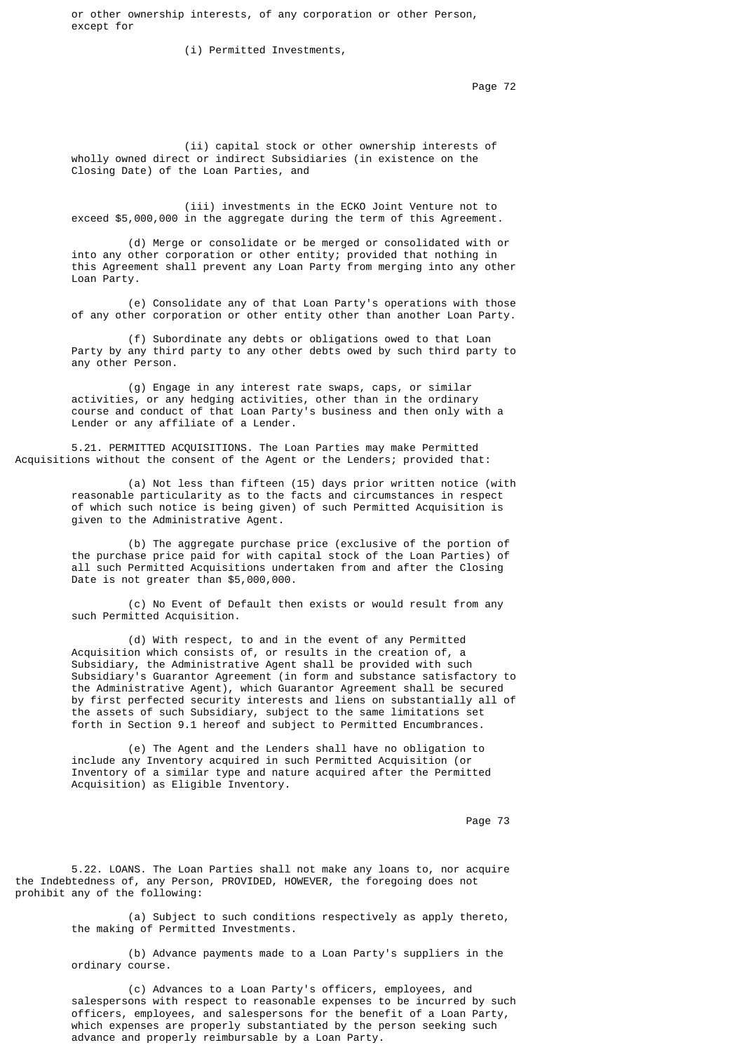or other ownership interests, of any corporation or other Person, except for

(i) Permitted Investments,

Page 72 **Page 72** 

 (ii) capital stock or other ownership interests of wholly owned direct or indirect Subsidiaries (in existence on the Closing Date) of the Loan Parties, and

 (iii) investments in the ECKO Joint Venture not to exceed \$5,000,000 in the aggregate during the term of this Agreement.

 (d) Merge or consolidate or be merged or consolidated with or into any other corporation or other entity; provided that nothing in this Agreement shall prevent any Loan Party from merging into any other Loan Party.

 (e) Consolidate any of that Loan Party's operations with those of any other corporation or other entity other than another Loan Party.

 (f) Subordinate any debts or obligations owed to that Loan Party by any third party to any other debts owed by such third party to any other Person.

 (g) Engage in any interest rate swaps, caps, or similar activities, or any hedging activities, other than in the ordinary course and conduct of that Loan Party's business and then only with a Lender or any affiliate of a Lender.

 5.21. PERMITTED ACQUISITIONS. The Loan Parties may make Permitted Acquisitions without the consent of the Agent or the Lenders; provided that:

 (a) Not less than fifteen (15) days prior written notice (with reasonable particularity as to the facts and circumstances in respect of which such notice is being given) of such Permitted Acquisition is given to the Administrative Agent.

> (b) The aggregate purchase price (exclusive of the portion of the purchase price paid for with capital stock of the Loan Parties) of all such Permitted Acquisitions undertaken from and after the Closing Date is not greater than \$5,000,000.

 (c) No Event of Default then exists or would result from any such Permitted Acquisition.

 (d) With respect, to and in the event of any Permitted Acquisition which consists of, or results in the creation of, a Subsidiary, the Administrative Agent shall be provided with such Subsidiary's Guarantor Agreement (in form and substance satisfactory to the Administrative Agent), which Guarantor Agreement shall be secured by first perfected security interests and liens on substantially all of the assets of such Subsidiary, subject to the same limitations set forth in Section 9.1 hereof and subject to Permitted Encumbrances.

> (e) The Agent and the Lenders shall have no obligation to include any Inventory acquired in such Permitted Acquisition (or Inventory of a similar type and nature acquired after the Permitted Acquisition) as Eligible Inventory.

Page 73 and the state of the state of the state of the state of the state of the state of the state of the state of the state of the state of the state of the state of the state of the state of the state of the state of th

 5.22. LOANS. The Loan Parties shall not make any loans to, nor acquire the Indebtedness of, any Person, PROVIDED, HOWEVER, the foregoing does not prohibit any of the following:

> (a) Subject to such conditions respectively as apply thereto, the making of Permitted Investments.

 (b) Advance payments made to a Loan Party's suppliers in the ordinary course.

 (c) Advances to a Loan Party's officers, employees, and salespersons with respect to reasonable expenses to be incurred by such officers, employees, and salespersons for the benefit of a Loan Party, which expenses are properly substantiated by the person seeking such advance and properly reimbursable by a Loan Party.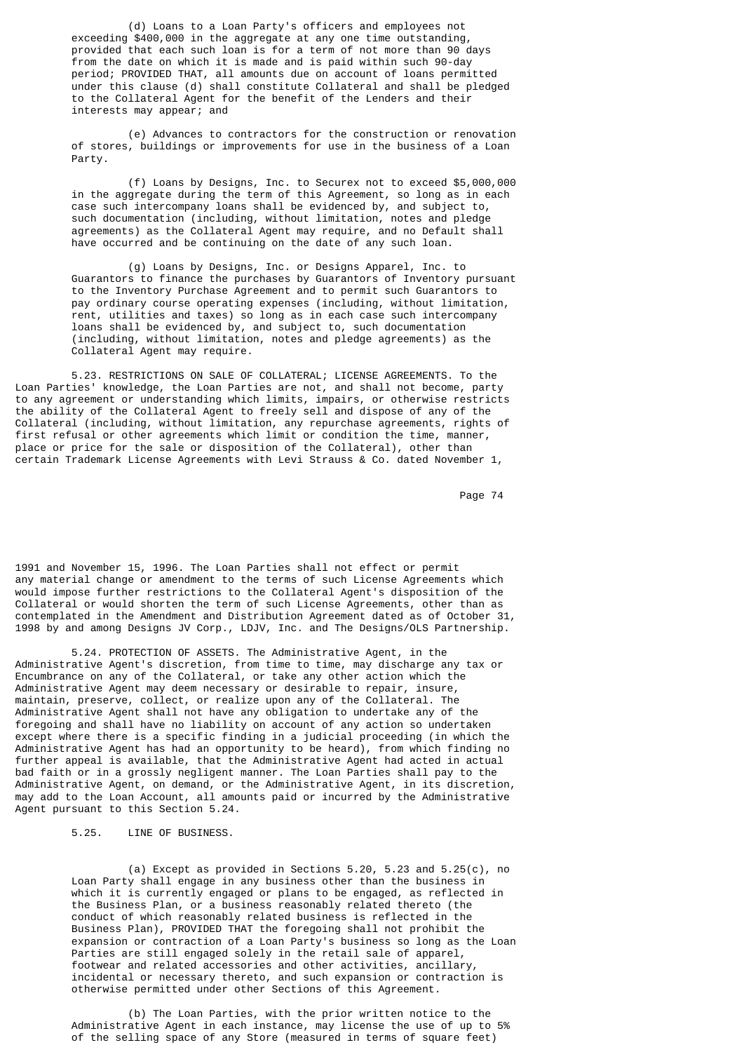(d) Loans to a Loan Party's officers and employees not exceeding \$400,000 in the aggregate at any one time outstanding, provided that each such loan is for a term of not more than 90 days from the date on which it is made and is paid within such 90-day period; PROVIDED THAT, all amounts due on account of loans permitted under this clause (d) shall constitute Collateral and shall be pledged to the Collateral Agent for the benefit of the Lenders and their interests may appear; and

 (e) Advances to contractors for the construction or renovation of stores, buildings or improvements for use in the business of a Loan Party.

 (f) Loans by Designs, Inc. to Securex not to exceed \$5,000,000 in the aggregate during the term of this Agreement, so long as in each case such intercompany loans shall be evidenced by, and subject to, such documentation (including, without limitation, notes and pledge agreements) as the Collateral Agent may require, and no Default shall have occurred and be continuing on the date of any such loan.

> (g) Loans by Designs, Inc. or Designs Apparel, Inc. to Guarantors to finance the purchases by Guarantors of Inventory pursuant to the Inventory Purchase Agreement and to permit such Guarantors to pay ordinary course operating expenses (including, without limitation, rent, utilities and taxes) so long as in each case such intercompany loans shall be evidenced by, and subject to, such documentation (including, without limitation, notes and pledge agreements) as the Collateral Agent may require.

 5.23. RESTRICTIONS ON SALE OF COLLATERAL; LICENSE AGREEMENTS. To the Loan Parties' knowledge, the Loan Parties are not, and shall not become, party to any agreement or understanding which limits, impairs, or otherwise restricts the ability of the Collateral Agent to freely sell and dispose of any of the Collateral (including, without limitation, any repurchase agreements, rights of first refusal or other agreements which limit or condition the time, manner, place or price for the sale or disposition of the Collateral), other than certain Trademark License Agreements with Levi Strauss & Co. dated November 1,

Page 74  $^{\circ}$ 

1991 and November 15, 1996. The Loan Parties shall not effect or permit any material change or amendment to the terms of such License Agreements which would impose further restrictions to the Collateral Agent's disposition of the Collateral or would shorten the term of such License Agreements, other than as contemplated in the Amendment and Distribution Agreement dated as of October 31, 1998 by and among Designs JV Corp., LDJV, Inc. and The Designs/OLS Partnership.

 5.24. PROTECTION OF ASSETS. The Administrative Agent, in the Administrative Agent's discretion, from time to time, may discharge any tax or Encumbrance on any of the Collateral, or take any other action which the Administrative Agent may deem necessary or desirable to repair, insure, maintain, preserve, collect, or realize upon any of the Collateral. The Administrative Agent shall not have any obligation to undertake any of the foregoing and shall have no liability on account of any action so undertaken except where there is a specific finding in a judicial proceeding (in which the Administrative Agent has had an opportunity to be heard), from which finding no further appeal is available, that the Administrative Agent had acted in actual bad faith or in a grossly negligent manner. The Loan Parties shall pay to the Administrative Agent, on demand, or the Administrative Agent, in its discretion, may add to the Loan Account, all amounts paid or incurred by the Administrative Agent pursuant to this Section 5.24.

5.25. LINE OF BUSINESS.

 (a) Except as provided in Sections 5.20, 5.23 and 5.25(c), no Loan Party shall engage in any business other than the business in which it is currently engaged or plans to be engaged, as reflected in the Business Plan, or a business reasonably related thereto (the conduct of which reasonably related business is reflected in the Business Plan), PROVIDED THAT the foregoing shall not prohibit the expansion or contraction of a Loan Party's business so long as the Loan Parties are still engaged solely in the retail sale of apparel, footwear and related accessories and other activities, ancillary, incidental or necessary thereto, and such expansion or contraction is otherwise permitted under other Sections of this Agreement.

 (b) The Loan Parties, with the prior written notice to the Administrative Agent in each instance, may license the use of up to 5% of the selling space of any Store (measured in terms of square feet)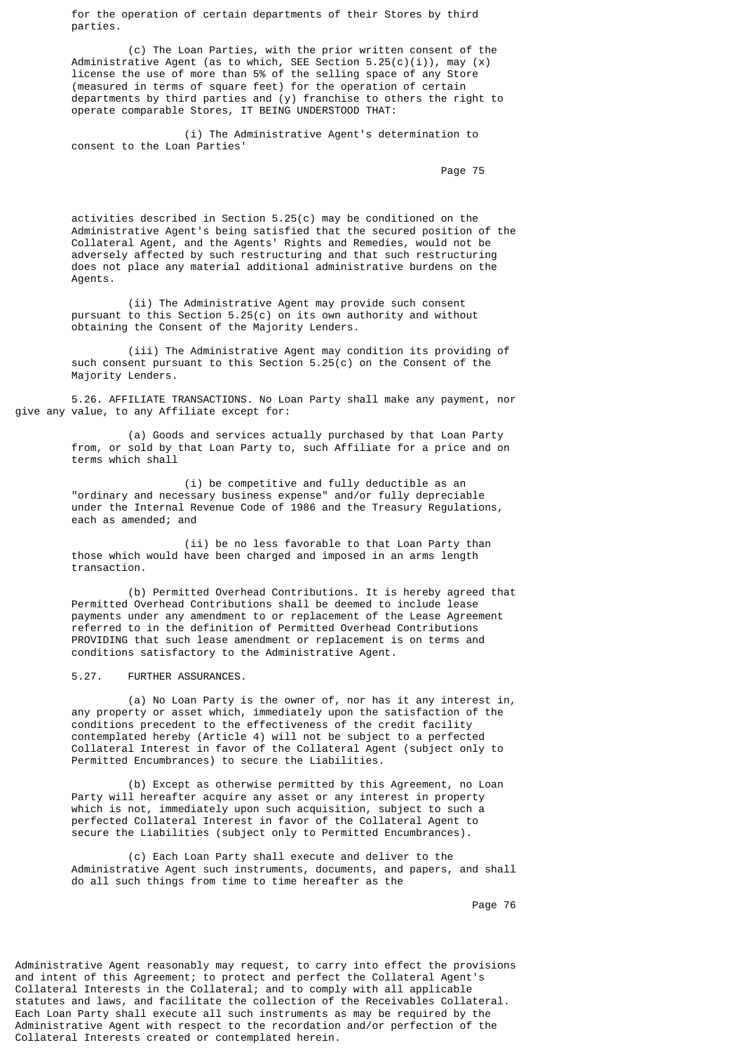for the operation of certain departments of their Stores by third parties.

 (c) The Loan Parties, with the prior written consent of the Administrative Agent (as to which, SEE Section  $5.25(c)(i)$ ), may (x) license the use of more than 5% of the selling space of any Store (measured in terms of square feet) for the operation of certain departments by third parties and (y) franchise to others the right to operate comparable Stores, IT BEING UNDERSTOOD THAT:

 (i) The Administrative Agent's determination to consent to the Loan Parties'

Page 75 and the state of the state of the state of the state of the state of the state of the state of the state of the state of the state of the state of the state of the state of the state of the state of the state of th

 activities described in Section 5.25(c) may be conditioned on the Administrative Agent's being satisfied that the secured position of the Collateral Agent, and the Agents' Rights and Remedies, would not be adversely affected by such restructuring and that such restructuring does not place any material additional administrative burdens on the Agents.

> (ii) The Administrative Agent may provide such consent pursuant to this Section 5.25(c) on its own authority and without obtaining the Consent of the Majority Lenders.

 (iii) The Administrative Agent may condition its providing of such consent pursuant to this Section 5.25(c) on the Consent of the Majority Lenders.

 5.26. AFFILIATE TRANSACTIONS. No Loan Party shall make any payment, nor give any value, to any Affiliate except for:

 (a) Goods and services actually purchased by that Loan Party from, or sold by that Loan Party to, such Affiliate for a price and on terms which shall

> (i) be competitive and fully deductible as an "ordinary and necessary business expense" and/or fully depreciable under the Internal Revenue Code of 1986 and the Treasury Regulations, each as amended; and

(ii) be no less favorable to that Loan Party than those which would have been charged and imposed in an arms length transaction.

 (b) Permitted Overhead Contributions. It is hereby agreed that Permitted Overhead Contributions shall be deemed to include lease payments under any amendment to or replacement of the Lease Agreement referred to in the definition of Permitted Overhead Contributions PROVIDING that such lease amendment or replacement is on terms and conditions satisfactory to the Administrative Agent.

5.27. FURTHER ASSURANCES.

 (a) No Loan Party is the owner of, nor has it any interest in, any property or asset which, immediately upon the satisfaction of the conditions precedent to the effectiveness of the credit facility contemplated hereby (Article 4) will not be subject to a perfected Collateral Interest in favor of the Collateral Agent (subject only to Permitted Encumbrances) to secure the Liabilities.

> (b) Except as otherwise permitted by this Agreement, no Loan Party will hereafter acquire any asset or any interest in property which is not, immediately upon such acquisition, subject to such a perfected Collateral Interest in favor of the Collateral Agent to secure the Liabilities (subject only to Permitted Encumbrances).

 (c) Each Loan Party shall execute and deliver to the Administrative Agent such instruments, documents, and papers, and shall do all such things from time to time hereafter as the

Page 76

Administrative Agent reasonably may request, to carry into effect the provisions and intent of this Agreement; to protect and perfect the Collateral Agent's Collateral Interests in the Collateral; and to comply with all applicable statutes and laws, and facilitate the collection of the Receivables Collateral. Each Loan Party shall execute all such instruments as may be required by the Administrative Agent with respect to the recordation and/or perfection of the Collateral Interests created or contemplated herein.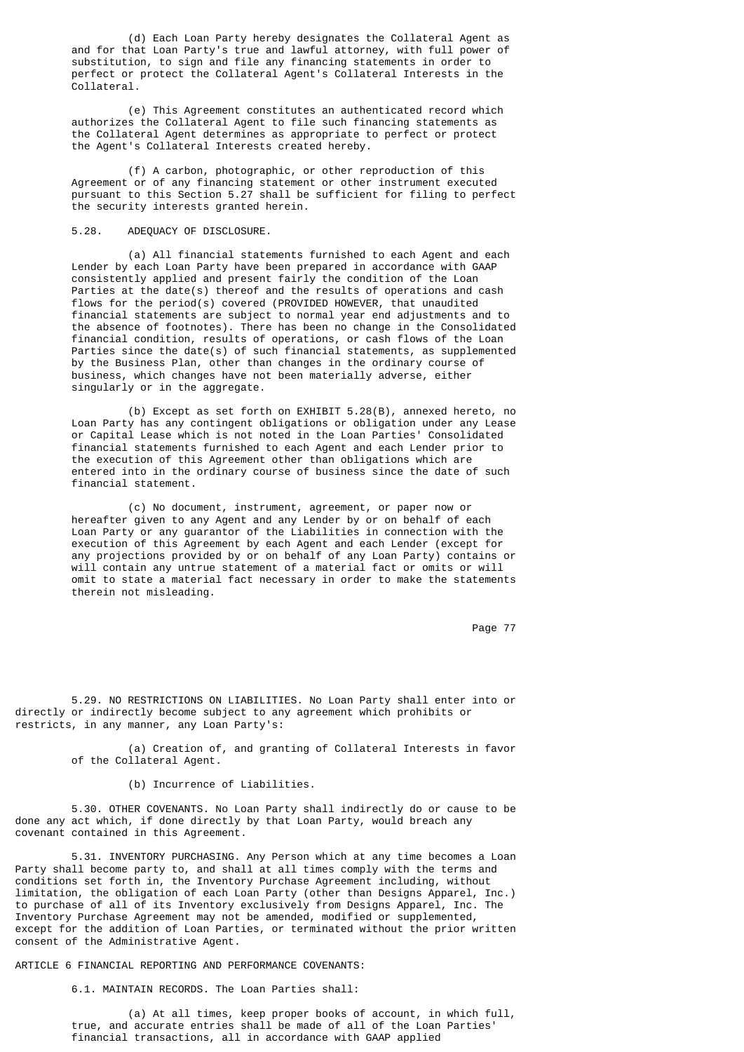(d) Each Loan Party hereby designates the Collateral Agent as and for that Loan Party's true and lawful attorney, with full power of substitution, to sign and file any financing statements in order to perfect or protect the Collateral Agent's Collateral Interests in the Collateral.

 (e) This Agreement constitutes an authenticated record which authorizes the Collateral Agent to file such financing statements as the Collateral Agent determines as appropriate to perfect or protect the Agent's Collateral Interests created hereby.

 (f) A carbon, photographic, or other reproduction of this Agreement or of any financing statement or other instrument executed pursuant to this Section 5.27 shall be sufficient for filing to perfect the security interests granted herein.

### 5.28. ADEQUACY OF DISCLOSURE.

 (a) All financial statements furnished to each Agent and each Lender by each Loan Party have been prepared in accordance with GAAP consistently applied and present fairly the condition of the Loan Parties at the date(s) thereof and the results of operations and cash flows for the  $period(s)$  covered (PROVIDED HOWEVER, that unaudited financial statements are subject to normal year end adjustments and to the absence of footnotes). There has been no change in the Consolidated financial condition, results of operations, or cash flows of the Loan Parties since the date(s) of such financial statements, as supplemented by the Business Plan, other than changes in the ordinary course of business, which changes have not been materially adverse, either singularly or in the aggregate.

 (b) Except as set forth on EXHIBIT 5.28(B), annexed hereto, no Loan Party has any contingent obligations or obligation under any Lease or Capital Lease which is not noted in the Loan Parties' Consolidated financial statements furnished to each Agent and each Lender prior to the execution of this Agreement other than obligations which are entered into in the ordinary course of business since the date of such financial statement.

 (c) No document, instrument, agreement, or paper now or hereafter given to any Agent and any Lender by or on behalf of each Loan Party or any guarantor of the Liabilities in connection with the execution of this Agreement by each Agent and each Lender (except for any projections provided by or on behalf of any Loan Party) contains or will contain any untrue statement of a material fact or omits or will omit to state a material fact necessary in order to make the statements therein not misleading.

Page 77

 5.29. NO RESTRICTIONS ON LIABILITIES. No Loan Party shall enter into or directly or indirectly become subject to any agreement which prohibits or restricts, in any manner, any Loan Party's:

> (a) Creation of, and granting of Collateral Interests in favor of the Collateral Agent.

### (b) Incurrence of Liabilities.

 5.30. OTHER COVENANTS. No Loan Party shall indirectly do or cause to be done any act which, if done directly by that Loan Party, would breach any covenant contained in this Agreement.

 5.31. INVENTORY PURCHASING. Any Person which at any time becomes a Loan Party shall become party to, and shall at all times comply with the terms and conditions set forth in, the Inventory Purchase Agreement including, without limitation, the obligation of each Loan Party (other than Designs Apparel, Inc.) to purchase of all of its Inventory exclusively from Designs Apparel, Inc. The Inventory Purchase Agreement may not be amended, modified or supplemented, except for the addition of Loan Parties, or terminated without the prior written consent of the Administrative Agent.

ARTICLE 6 FINANCIAL REPORTING AND PERFORMANCE COVENANTS:

6.1. MAINTAIN RECORDS. The Loan Parties shall:

 (a) At all times, keep proper books of account, in which full, true, and accurate entries shall be made of all of the Loan Parties' financial transactions, all in accordance with GAAP applied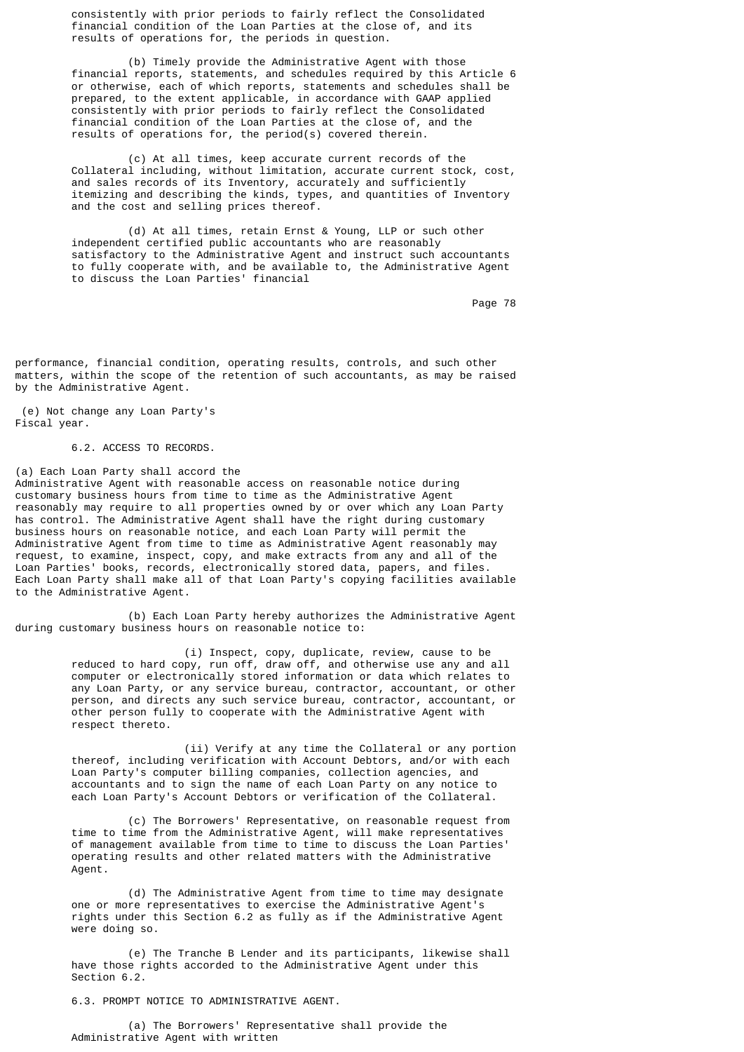consistently with prior periods to fairly reflect the Consolidated financial condition of the Loan Parties at the close of, and its results of operations for, the periods in question.

 (b) Timely provide the Administrative Agent with those financial reports, statements, and schedules required by this Article 6 or otherwise, each of which reports, statements and schedules shall be prepared, to the extent applicable, in accordance with GAAP applied consistently with prior periods to fairly reflect the Consolidated financial condition of the Loan Parties at the close of, and the results of operations for, the period(s) covered therein.

 (c) At all times, keep accurate current records of the Collateral including, without limitation, accurate current stock, cost, and sales records of its Inventory, accurately and sufficiently itemizing and describing the kinds, types, and quantities of Inventory and the cost and selling prices thereof.

> (d) At all times, retain Ernst & Young, LLP or such other independent certified public accountants who are reasonably satisfactory to the Administrative Agent and instruct such accountants to fully cooperate with, and be available to, the Administrative Agent to discuss the Loan Parties' financial

Page 78 – Page 78 – Page 78 – Page 78 – Page 78 – Page 78 – Page 78 – Page 78 – Page 78 – Page 78 – Page 78 – Page 78 – Page 78 – Page 78 – Page 78 – Page 78 – Page 78 – Page 78 – Page 78 – Page 78 – Page 78 – Page 78 – Pa

performance, financial condition, operating results, controls, and such other matters, within the scope of the retention of such accountants, as may be raised by the Administrative Agent.

 (e) Not change any Loan Party's Fiscal year.

6.2. ACCESS TO RECORDS.

(a) Each Loan Party shall accord the Administrative Agent with reasonable access on reasonable notice during customary business hours from time to time as the Administrative Agent reasonably may require to all properties owned by or over which any Loan Party has control. The Administrative Agent shall have the right during customary business hours on reasonable notice, and each Loan Party will permit the Administrative Agent from time to time as Administrative Agent reasonably may request, to examine, inspect, copy, and make extracts from any and all of the Loan Parties' books, records, electronically stored data, papers, and files. Each Loan Party shall make all of that Loan Party's copying facilities available to the Administrative Agent.

 (b) Each Loan Party hereby authorizes the Administrative Agent during customary business hours on reasonable notice to:

 (i) Inspect, copy, duplicate, review, cause to be reduced to hard copy, run off, draw off, and otherwise use any and all computer or electronically stored information or data which relates to any Loan Party, or any service bureau, contractor, accountant, or other person, and directs any such service bureau, contractor, accountant, or other person fully to cooperate with the Administrative Agent with respect thereto.

> (ii) Verify at any time the Collateral or any portion thereof, including verification with Account Debtors, and/or with each Loan Party's computer billing companies, collection agencies, and accountants and to sign the name of each Loan Party on any notice to each Loan Party's Account Debtors or verification of the Collateral.

 (c) The Borrowers' Representative, on reasonable request from time to time from the Administrative Agent, will make representatives of management available from time to time to discuss the Loan Parties' operating results and other related matters with the Administrative Agent.

> (d) The Administrative Agent from time to time may designate one or more representatives to exercise the Administrative Agent's rights under this Section 6.2 as fully as if the Administrative Agent were doing so.

> (e) The Tranche B Lender and its participants, likewise shall have those rights accorded to the Administrative Agent under this Section 6.2.

6.3. PROMPT NOTICE TO ADMINISTRATIVE AGENT.

 (a) The Borrowers' Representative shall provide the Administrative Agent with written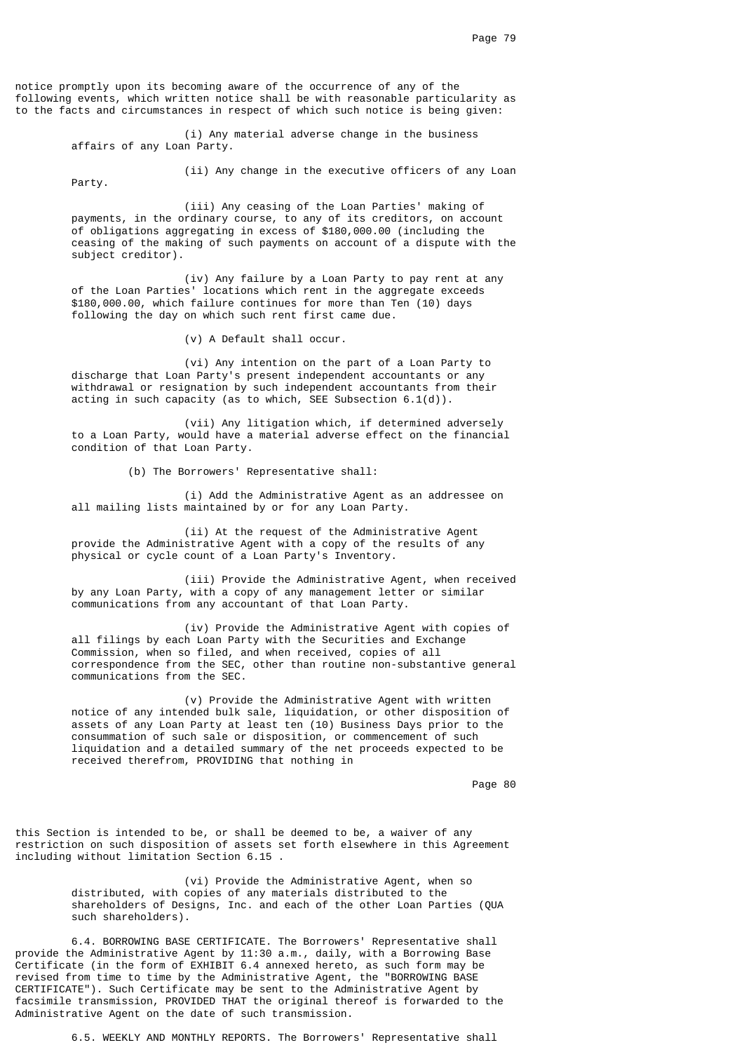notice promptly upon its becoming aware of the occurrence of any of the following events, which written notice shall be with reasonable particularity as to the facts and circumstances in respect of which such notice is being given:

> (i) Any material adverse change in the business affairs of any Loan Party.

> > (ii) Any change in the executive officers of any Loan

Party.

 (iii) Any ceasing of the Loan Parties' making of payments, in the ordinary course, to any of its creditors, on account of obligations aggregating in excess of \$180,000.00 (including the ceasing of the making of such payments on account of a dispute with the subject creditor).

 (iv) Any failure by a Loan Party to pay rent at any of the Loan Parties' locations which rent in the aggregate exceeds \$180,000.00, which failure continues for more than Ten (10) days following the day on which such rent first came due.

(v) A Default shall occur.

 (vi) Any intention on the part of a Loan Party to discharge that Loan Party's present independent accountants or any withdrawal or resignation by such independent accountants from their acting in such capacity (as to which, SEE Subsection 6.1(d)).

 (vii) Any litigation which, if determined adversely to a Loan Party, would have a material adverse effect on the financial condition of that Loan Party.

(b) The Borrowers' Representative shall:

 (i) Add the Administrative Agent as an addressee on all mailing lists maintained by or for any Loan Party.

 (ii) At the request of the Administrative Agent provide the Administrative Agent with a copy of the results of any physical or cycle count of a Loan Party's Inventory.

 (iii) Provide the Administrative Agent, when received by any Loan Party, with a copy of any management letter or similar communications from any accountant of that Loan Party.

 (iv) Provide the Administrative Agent with copies of all filings by each Loan Party with the Securities and Exchange Commission, when so filed, and when received, copies of all correspondence from the SEC, other than routine non-substantive general communications from the SEC.

 (v) Provide the Administrative Agent with written notice of any intended bulk sale, liquidation, or other disposition of assets of any Loan Party at least ten (10) Business Days prior to the consummation of such sale or disposition, or commencement of such liquidation and a detailed summary of the net proceeds expected to be received therefrom, PROVIDING that nothing in

en de la provincia de la provincia de la provincia de la provincia de la provincia de la provincia de la provi

this Section is intended to be, or shall be deemed to be, a waiver of any restriction on such disposition of assets set forth elsewhere in this Agreement including without limitation Section 6.15 .

> (vi) Provide the Administrative Agent, when so distributed, with copies of any materials distributed to the shareholders of Designs, Inc. and each of the other Loan Parties (QUA such shareholders).

 6.4. BORROWING BASE CERTIFICATE. The Borrowers' Representative shall provide the Administrative Agent by 11:30 a.m., daily, with a Borrowing Base Certificate (in the form of EXHIBIT 6.4 annexed hereto, as such form may be revised from time to time by the Administrative Agent, the "BORROWING BASE CERTIFICATE"). Such Certificate may be sent to the Administrative Agent by facsimile transmission, PROVIDED THAT the original thereof is forwarded to the Administrative Agent on the date of such transmission.

6.5. WEEKLY AND MONTHLY REPORTS. The Borrowers' Representative shall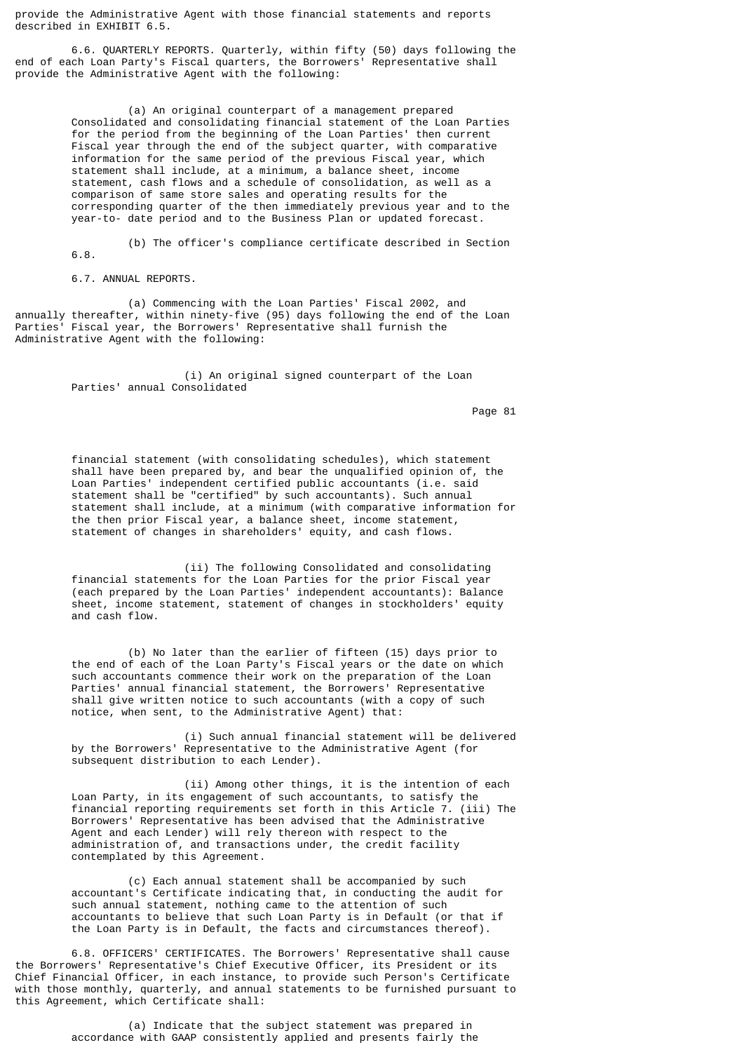provide the Administrative Agent with those financial statements and reports described in EXHIBIT 6.5.

 6.6. QUARTERLY REPORTS. Quarterly, within fifty (50) days following the end of each Loan Party's Fiscal quarters, the Borrowers' Representative shall provide the Administrative Agent with the following:

> (a) An original counterpart of a management prepared Consolidated and consolidating financial statement of the Loan Parties for the period from the beginning of the Loan Parties' then current Fiscal year through the end of the subject quarter, with comparative information for the same period of the previous Fiscal year, which statement shall include, at a minimum, a balance sheet, income statement, cash flows and a schedule of consolidation, as well as a comparison of same store sales and operating results for the corresponding quarter of the then immediately previous year and to the year-to- date period and to the Business Plan or updated forecast.

 (b) The officer's compliance certificate described in Section 6.8.

6.7. ANNUAL REPORTS.

 (a) Commencing with the Loan Parties' Fiscal 2002, and annually thereafter, within ninety-five (95) days following the end of the Loan Parties' Fiscal year, the Borrowers' Representative shall furnish the Administrative Agent with the following:

> (i) An original signed counterpart of the Loan Parties' annual Consolidated

experience of the state of the state of the state of the state of the state of the state of the state of the state of the state of the state of the state of the state of the state of the state of the state of the state of

 financial statement (with consolidating schedules), which statement shall have been prepared by, and bear the unqualified opinion of, the Loan Parties' independent certified public accountants (i.e. said statement shall be "certified" by such accountants). Such annual statement shall include, at a minimum (with comparative information for the then prior Fiscal year, a balance sheet, income statement, statement of changes in shareholders' equity, and cash flows.

> (ii) The following Consolidated and consolidating financial statements for the Loan Parties for the prior Fiscal year (each prepared by the Loan Parties' independent accountants): Balance sheet, income statement, statement of changes in stockholders' equity and cash flow.

> (b) No later than the earlier of fifteen (15) days prior to the end of each of the Loan Party's Fiscal years or the date on which such accountants commence their work on the preparation of the Loan Parties' annual financial statement, the Borrowers' Representative shall give written notice to such accountants (with a copy of such notice, when sent, to the Administrative Agent) that:

 (i) Such annual financial statement will be delivered by the Borrowers' Representative to the Administrative Agent (for subsequent distribution to each Lender).

 (ii) Among other things, it is the intention of each Loan Party, in its engagement of such accountants, to satisfy the financial reporting requirements set forth in this Article 7. (iii) The Borrowers' Representative has been advised that the Administrative Agent and each Lender) will rely thereon with respect to the administration of, and transactions under, the credit facility contemplated by this Agreement.

 (c) Each annual statement shall be accompanied by such accountant's Certificate indicating that, in conducting the audit for such annual statement, nothing came to the attention of such accountants to believe that such Loan Party is in Default (or that if the Loan Party is in Default, the facts and circumstances thereof).

 6.8. OFFICERS' CERTIFICATES. The Borrowers' Representative shall cause the Borrowers' Representative's Chief Executive Officer, its President or its Chief Financial Officer, in each instance, to provide such Person's Certificate with those monthly, quarterly, and annual statements to be furnished pursuant to this Agreement, which Certificate shall:

> (a) Indicate that the subject statement was prepared in accordance with GAAP consistently applied and presents fairly the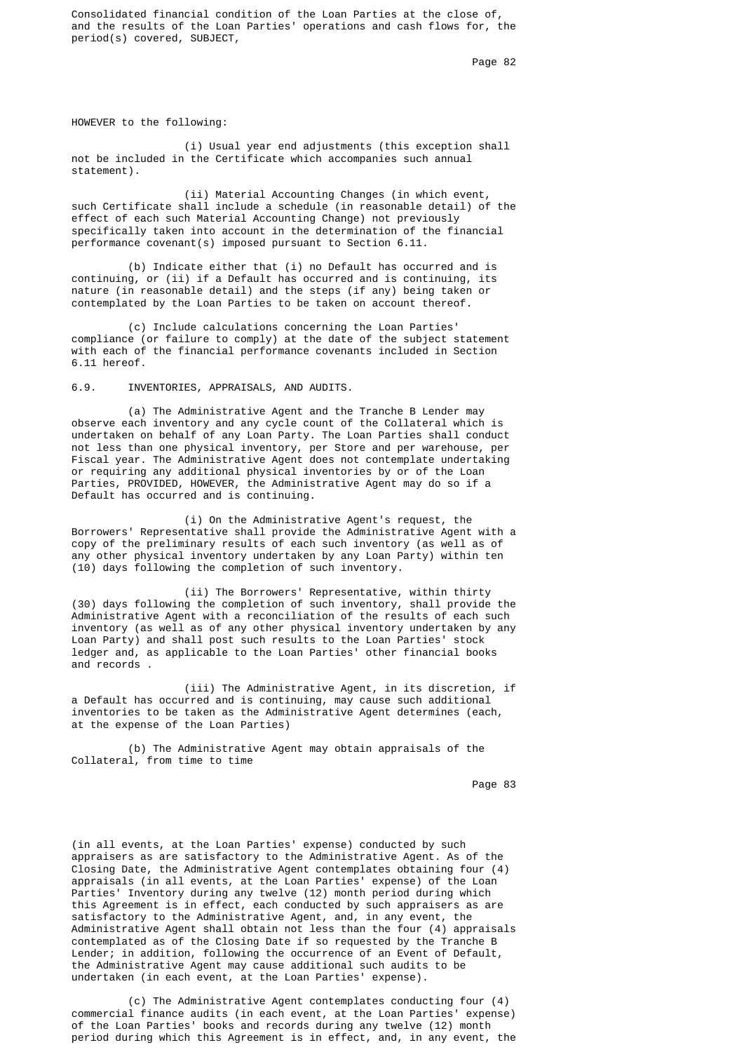Consolidated financial condition of the Loan Parties at the close of, and the results of the Loan Parties' operations and cash flows for, the period(s) covered, SUBJECT,

Page 82 **Page 82** 

HOWEVER to the following:

 (i) Usual year end adjustments (this exception shall not be included in the Certificate which accompanies such annual statement).

 (ii) Material Accounting Changes (in which event, such Certificate shall include a schedule (in reasonable detail) of the effect of each such Material Accounting Change) not previously specifically taken into account in the determination of the financial performance covenant(s) imposed pursuant to Section 6.11.

 (b) Indicate either that (i) no Default has occurred and is continuing, or (ii) if a Default has occurred and is continuing, its nature (in reasonable detail) and the steps (if any) being taken or contemplated by the Loan Parties to be taken on account thereof.

 (c) Include calculations concerning the Loan Parties' compliance (or failure to comply) at the date of the subject statement with each of the financial performance covenants included in Section 6.11 hereof.

6.9. INVENTORIES, APPRAISALS, AND AUDITS.

 (a) The Administrative Agent and the Tranche B Lender may observe each inventory and any cycle count of the Collateral which is undertaken on behalf of any Loan Party. The Loan Parties shall conduct not less than one physical inventory, per Store and per warehouse, per Fiscal year. The Administrative Agent does not contemplate undertaking or requiring any additional physical inventories by or of the Loan Parties, PROVIDED, HOWEVER, the Administrative Agent may do so if a Default has occurred and is continuing.

> (i) On the Administrative Agent's request, the Borrowers' Representative shall provide the Administrative Agent with a copy of the preliminary results of each such inventory (as well as of any other physical inventory undertaken by any Loan Party) within ten (10) days following the completion of such inventory.

> (ii) The Borrowers' Representative, within thirty (30) days following the completion of such inventory, shall provide the Administrative Agent with a reconciliation of the results of each such inventory (as well as of any other physical inventory undertaken by any Loan Party) and shall post such results to the Loan Parties' stock ledger and, as applicable to the Loan Parties' other financial books and records .

> (iii) The Administrative Agent, in its discretion, if a Default has occurred and is continuing, may cause such additional inventories to be taken as the Administrative Agent determines (each, at the expense of the Loan Parties)

 (b) The Administrative Agent may obtain appraisals of the Collateral, from time to time

Page 83 **Page 83** 

 (in all events, at the Loan Parties' expense) conducted by such appraisers as are satisfactory to the Administrative Agent. As of the Closing Date, the Administrative Agent contemplates obtaining four (4) appraisals (in all events, at the Loan Parties' expense) of the Loan Parties' Inventory during any twelve (12) month period during which this Agreement is in effect, each conducted by such appraisers as are satisfactory to the Administrative Agent, and, in any event, the Administrative Agent shall obtain not less than the four (4) appraisals contemplated as of the Closing Date if so requested by the Tranche B Lender; in addition, following the occurrence of an Event of Default, the Administrative Agent may cause additional such audits to be undertaken (in each event, at the Loan Parties' expense).

> (c) The Administrative Agent contemplates conducting four (4) commercial finance audits (in each event, at the Loan Parties' expense) of the Loan Parties' books and records during any twelve (12) month period during which this Agreement is in effect, and, in any event, the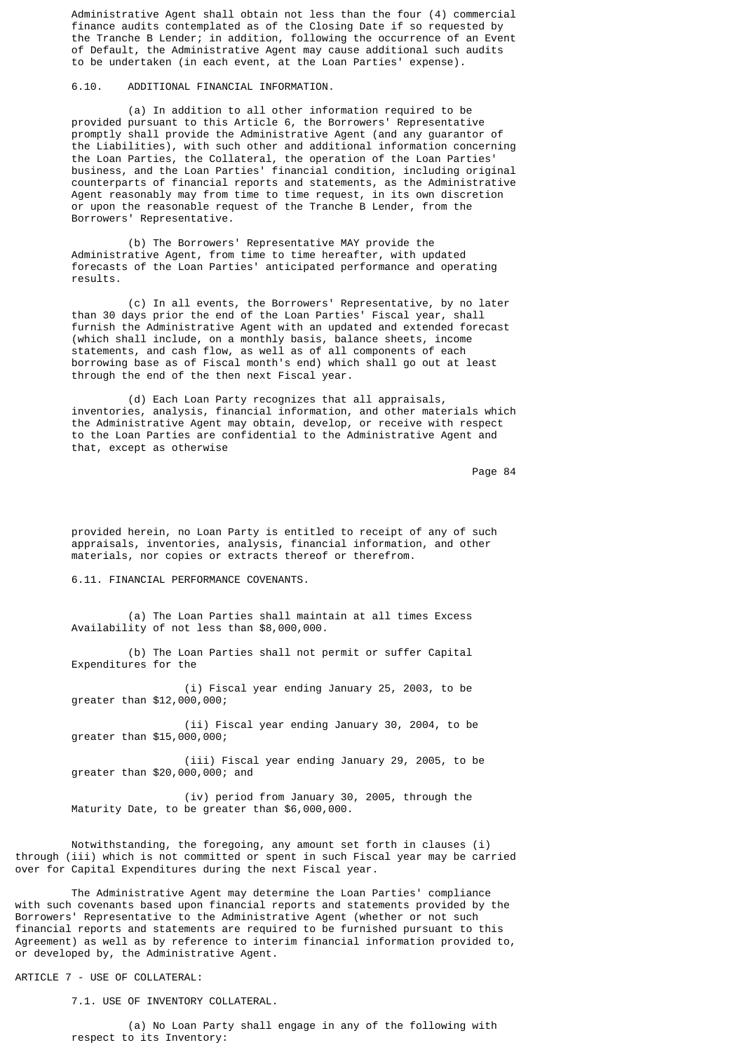Administrative Agent shall obtain not less than the four (4) commercial finance audits contemplated as of the Closing Date if so requested by the Tranche B Lender; in addition, following the occurrence of an Event of Default, the Administrative Agent may cause additional such audits to be undertaken (in each event, at the Loan Parties' expense).

6.10. ADDITIONAL FINANCIAL INFORMATION.

 (a) In addition to all other information required to be provided pursuant to this Article 6, the Borrowers' Representative promptly shall provide the Administrative Agent (and any guarantor of the Liabilities), with such other and additional information concerning the Loan Parties, the Collateral, the operation of the Loan Parties' business, and the Loan Parties' financial condition, including original counterparts of financial reports and statements, as the Administrative Agent reasonably may from time to time request, in its own discretion or upon the reasonable request of the Tranche B Lender, from the Borrowers' Representative.

 (b) The Borrowers' Representative MAY provide the Administrative Agent, from time to time hereafter, with updated forecasts of the Loan Parties' anticipated performance and operating results.

 (c) In all events, the Borrowers' Representative, by no later than 30 days prior the end of the Loan Parties' Fiscal year, shall furnish the Administrative Agent with an updated and extended forecast (which shall include, on a monthly basis, balance sheets, income statements, and cash flow, as well as of all components of each borrowing base as of Fiscal month's end) which shall go out at least through the end of the then next Fiscal year.

> (d) Each Loan Party recognizes that all appraisals, inventories, analysis, financial information, and other materials which the Administrative Agent may obtain, develop, or receive with respect to the Loan Parties are confidential to the Administrative Agent and that, except as otherwise

en die 19de jaar van die 19de eeu n.C. Soos van die 19de eeu n.C. Soos en gewone jare 19de eeu n.C. 19de eeu n

 provided herein, no Loan Party is entitled to receipt of any of such appraisals, inventories, analysis, financial information, and other materials, nor copies or extracts thereof or therefrom.

6.11. FINANCIAL PERFORMANCE COVENANTS.

 (a) The Loan Parties shall maintain at all times Excess Availability of not less than \$8,000,000.

 (b) The Loan Parties shall not permit or suffer Capital Expenditures for the

 (i) Fiscal year ending January 25, 2003, to be greater than \$12,000,000;

 (ii) Fiscal year ending January 30, 2004, to be greater than \$15,000,000;

 (iii) Fiscal year ending January 29, 2005, to be greater than \$20,000,000; and

 (iv) period from January 30, 2005, through the Maturity Date, to be greater than \$6,000,000.

 Notwithstanding, the foregoing, any amount set forth in clauses (i) through (iii) which is not committed or spent in such Fiscal year may be carried over for Capital Expenditures during the next Fiscal year.

 The Administrative Agent may determine the Loan Parties' compliance with such covenants based upon financial reports and statements provided by the Borrowers' Representative to the Administrative Agent (whether or not such financial reports and statements are required to be furnished pursuant to this Agreement) as well as by reference to interim financial information provided to, or developed by, the Administrative Agent.

ARTICLE 7 - USE OF COLLATERAL:

7.1. USE OF INVENTORY COLLATERAL.

 (a) No Loan Party shall engage in any of the following with respect to its Inventory: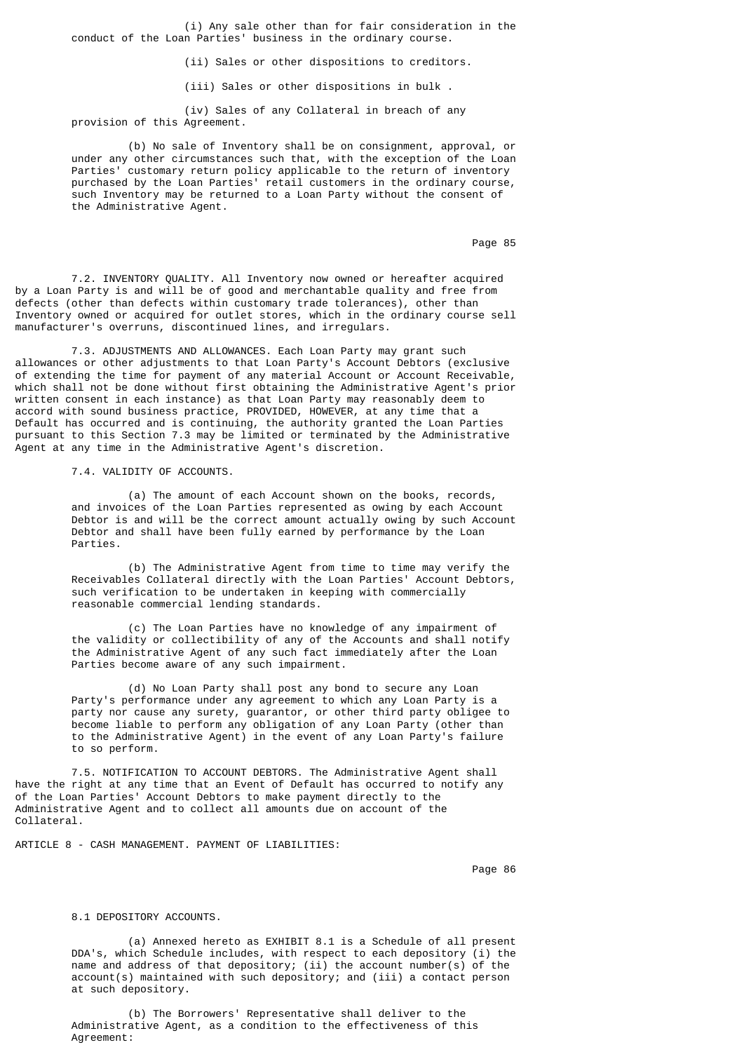(i) Any sale other than for fair consideration in the conduct of the Loan Parties' business in the ordinary course.

(ii) Sales or other dispositions to creditors.

(iii) Sales or other dispositions in bulk .

 (iv) Sales of any Collateral in breach of any provision of this Agreement.

 (b) No sale of Inventory shall be on consignment, approval, or under any other circumstances such that, with the exception of the Loan Parties' customary return policy applicable to the return of inventory purchased by the Loan Parties' retail customers in the ordinary course, such Inventory may be returned to a Loan Party without the consent of the Administrative Agent.

Page 85 and the state of the state of the state of the state of the state of the state of the state of the state of the state of the state of the state of the state of the state of the state of the state of the state of th

 7.2. INVENTORY QUALITY. All Inventory now owned or hereafter acquired by a Loan Party is and will be of good and merchantable quality and free from defects (other than defects within customary trade tolerances), other than Inventory owned or acquired for outlet stores, which in the ordinary course sell manufacturer's overruns, discontinued lines, and irregulars.

 7.3. ADJUSTMENTS AND ALLOWANCES. Each Loan Party may grant such allowances or other adjustments to that Loan Party's Account Debtors (exclusive of extending the time for payment of any material Account or Account Receivable, which shall not be done without first obtaining the Administrative Agent's prior written consent in each instance) as that Loan Party may reasonably deem to accord with sound business practice, PROVIDED, HOWEVER, at any time that a Default has occurred and is continuing, the authority granted the Loan Parties pursuant to this Section 7.3 may be limited or terminated by the Administrative Agent at any time in the Administrative Agent's discretion.

7.4. VALIDITY OF ACCOUNTS.

 (a) The amount of each Account shown on the books, records, and invoices of the Loan Parties represented as owing by each Account Debtor is and will be the correct amount actually owing by such Account Debtor and shall have been fully earned by performance by the Loan Parties.

 (b) The Administrative Agent from time to time may verify the Receivables Collateral directly with the Loan Parties' Account Debtors, such verification to be undertaken in keeping with commercially reasonable commercial lending standards.

 (c) The Loan Parties have no knowledge of any impairment of the validity or collectibility of any of the Accounts and shall notify the Administrative Agent of any such fact immediately after the Loan Parties become aware of any such impairment.

 (d) No Loan Party shall post any bond to secure any Loan Party's performance under any agreement to which any Loan Party is a party nor cause any surety, guarantor, or other third party obligee to become liable to perform any obligation of any Loan Party (other than to the Administrative Agent) in the event of any Loan Party's failure to so perform.

 7.5. NOTIFICATION TO ACCOUNT DEBTORS. The Administrative Agent shall have the right at any time that an Event of Default has occurred to notify any of the Loan Parties' Account Debtors to make payment directly to the Administrative Agent and to collect all amounts due on account of the Collateral.

ARTICLE 8 - CASH MANAGEMENT. PAYMENT OF LIABILITIES:

en de la provincia de la provincia de la provincia de la provincia de la provincia de la provincia de la provi

## 8.1 DEPOSITORY ACCOUNTS.

 (a) Annexed hereto as EXHIBIT 8.1 is a Schedule of all present DDA's, which Schedule includes, with respect to each depository (i) the name and address of that depository; (ii) the account number(s) of the account(s) maintained with such depository; and (iii) a contact person at such depository.

 (b) The Borrowers' Representative shall deliver to the Administrative Agent, as a condition to the effectiveness of this Agreement: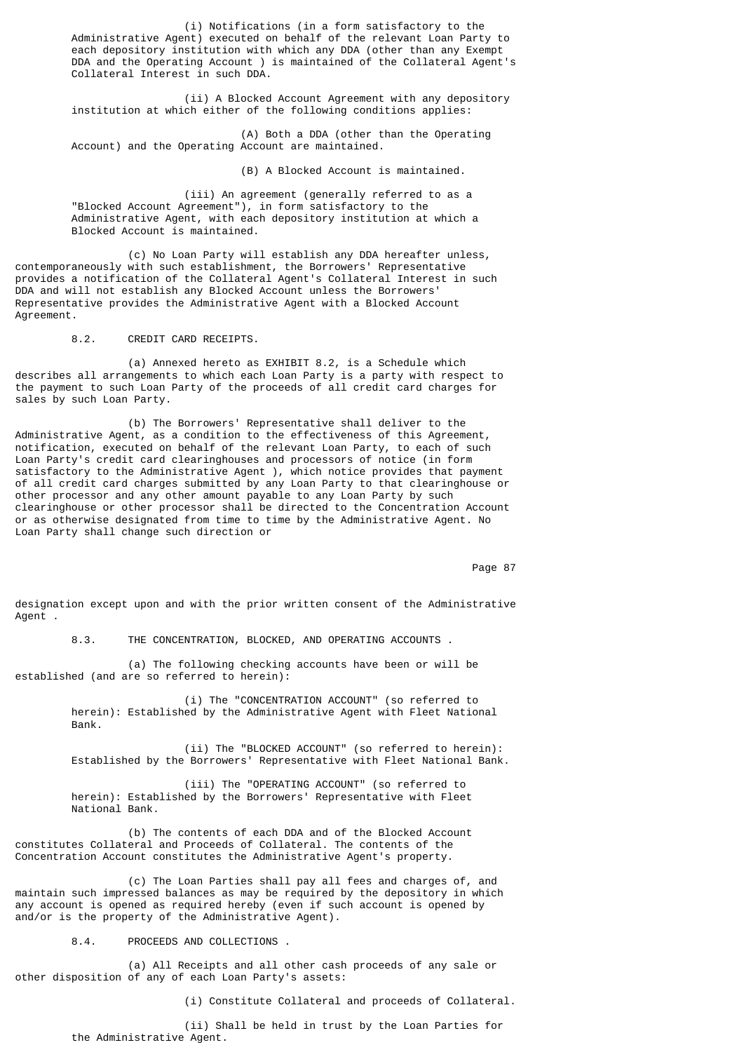(i) Notifications (in a form satisfactory to the Administrative Agent) executed on behalf of the relevant Loan Party to each depository institution with which any DDA (other than any Exempt DDA and the Operating Account ) is maintained of the Collateral Agent's Collateral Interest in such DDA.

 (ii) A Blocked Account Agreement with any depository institution at which either of the following conditions applies:

 (A) Both a DDA (other than the Operating Account) and the Operating Account are maintained.

(B) A Blocked Account is maintained.

 (iii) An agreement (generally referred to as a "Blocked Account Agreement"), in form satisfactory to the Administrative Agent, with each depository institution at which a Blocked Account is maintained.

 (c) No Loan Party will establish any DDA hereafter unless, contemporaneously with such establishment, the Borrowers' Representative provides a notification of the Collateral Agent's Collateral Interest in such DDA and will not establish any Blocked Account unless the Borrowers' Representative provides the Administrative Agent with a Blocked Account Agreement.

8.2. CREDIT CARD RECEIPTS.

 (a) Annexed hereto as EXHIBIT 8.2, is a Schedule which describes all arrangements to which each Loan Party is a party with respect to the payment to such Loan Party of the proceeds of all credit card charges for sales by such Loan Party.

 (b) The Borrowers' Representative shall deliver to the Administrative Agent, as a condition to the effectiveness of this Agreement, notification, executed on behalf of the relevant Loan Party, to each of such Loan Party's credit card clearinghouses and processors of notice (in form satisfactory to the Administrative Agent ), which notice provides that payment of all credit card charges submitted by any Loan Party to that clearinghouse or other processor and any other amount payable to any Loan Party by such clearinghouse or other processor shall be directed to the Concentration Account or as otherwise designated from time to time by the Administrative Agent. No Loan Party shall change such direction or

Page 87 (1992) 2008 12:30 to 1992 2009 2009 2012 2022 203 204 205 206 207 208 209 209 209 209 209 209 209 209 20

designation except upon and with the prior written consent of the Administrative Agent .

8.3. THE CONCENTRATION, BLOCKED, AND OPERATING ACCOUNTS .

 (a) The following checking accounts have been or will be established (and are so referred to herein):

> (i) The "CONCENTRATION ACCOUNT" (so referred to herein): Established by the Administrative Agent with Fleet National Bank.

 (ii) The "BLOCKED ACCOUNT" (so referred to herein): Established by the Borrowers' Representative with Fleet National Bank.

 (iii) The "OPERATING ACCOUNT" (so referred to herein): Established by the Borrowers' Representative with Fleet National Bank.

 (b) The contents of each DDA and of the Blocked Account constitutes Collateral and Proceeds of Collateral. The contents of the Concentration Account constitutes the Administrative Agent's property.

 (c) The Loan Parties shall pay all fees and charges of, and maintain such impressed balances as may be required by the depository in which any account is opened as required hereby (even if such account is opened by and/or is the property of the Administrative Agent).

8.4. PROCEEDS AND COLLECTIONS .

 (a) All Receipts and all other cash proceeds of any sale or other disposition of any of each Loan Party's assets:

(i) Constitute Collateral and proceeds of Collateral.

 (ii) Shall be held in trust by the Loan Parties for the Administrative Agent.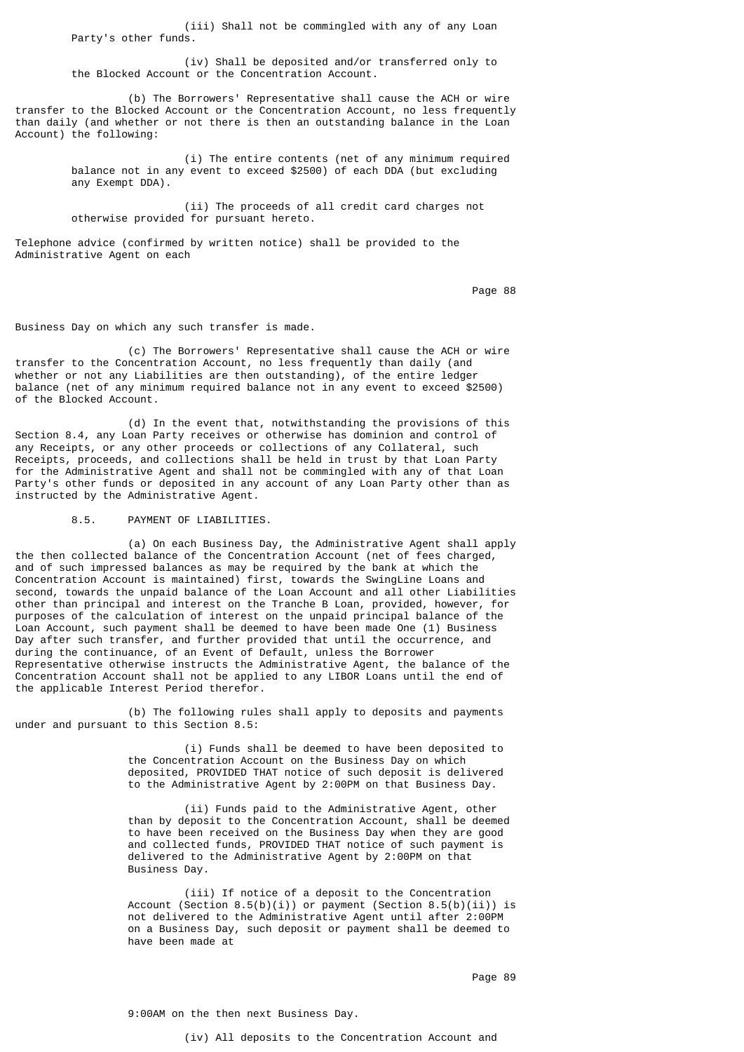(iii) Shall not be commingled with any of any Loan Party's other funds.

 (iv) Shall be deposited and/or transferred only to the Blocked Account or the Concentration Account.

 (b) The Borrowers' Representative shall cause the ACH or wire transfer to the Blocked Account or the Concentration Account, no less frequently than daily (and whether or not there is then an outstanding balance in the Loan Account) the following:

> (i) The entire contents (net of any minimum required balance not in any event to exceed \$2500) of each DDA (but excluding any Exempt DDA).

 (ii) The proceeds of all credit card charges not otherwise provided for pursuant hereto.

Telephone advice (confirmed by written notice) shall be provided to the Administrative Agent on each

en de la provincia de la provincia de la provincia de la provincia de la provincia de la provincia de la provi

Business Day on which any such transfer is made.

 (c) The Borrowers' Representative shall cause the ACH or wire transfer to the Concentration Account, no less frequently than daily (and whether or not any Liabilities are then outstanding), of the entire ledger balance (net of any minimum required balance not in any event to exceed \$2500) of the Blocked Account.

 (d) In the event that, notwithstanding the provisions of this Section 8.4, any Loan Party receives or otherwise has dominion and control of any Receipts, or any other proceeds or collections of any Collateral, such Receipts, proceeds, and collections shall be held in trust by that Loan Party for the Administrative Agent and shall not be commingled with any of that Loan Party's other funds or deposited in any account of any Loan Party other than as instructed by the Administrative Agent.

8.5. PAYMENT OF LIABILITIES.

 (a) On each Business Day, the Administrative Agent shall apply the then collected balance of the Concentration Account (net of fees charged, and of such impressed balances as may be required by the bank at which the Concentration Account is maintained) first, towards the SwingLine Loans and second, towards the unpaid balance of the Loan Account and all other Liabilities other than principal and interest on the Tranche B Loan, provided, however, for purposes of the calculation of interest on the unpaid principal balance of the Loan Account, such payment shall be deemed to have been made One (1) Business Day after such transfer, and further provided that until the occurrence, and during the continuance, of an Event of Default, unless the Borrower Representative otherwise instructs the Administrative Agent, the balance of the Concentration Account shall not be applied to any LIBOR Loans until the end of the applicable Interest Period therefor.

 (b) The following rules shall apply to deposits and payments under and pursuant to this Section 8.5:

> (i) Funds shall be deemed to have been deposited to the Concentration Account on the Business Day on which deposited, PROVIDED THAT notice of such deposit is delivered to the Administrative Agent by 2:00PM on that Business Day.

 (ii) Funds paid to the Administrative Agent, other than by deposit to the Concentration Account, shall be deemed to have been received on the Business Day when they are good and collected funds, PROVIDED THAT notice of such payment is delivered to the Administrative Agent by 2:00PM on that Business Day.

 (iii) If notice of a deposit to the Concentration Account (Section  $8.5(b)(i)$ ) or payment (Section  $8.5(b)(ii)$ ) is not delivered to the Administrative Agent until after 2:00PM on a Business Day, such deposit or payment shall be deemed to have been made at

en de la provincia de la provincia de la provincia de la provincia de la provincia de la provincia de la provi

9:00AM on the then next Business Day.

(iv) All deposits to the Concentration Account and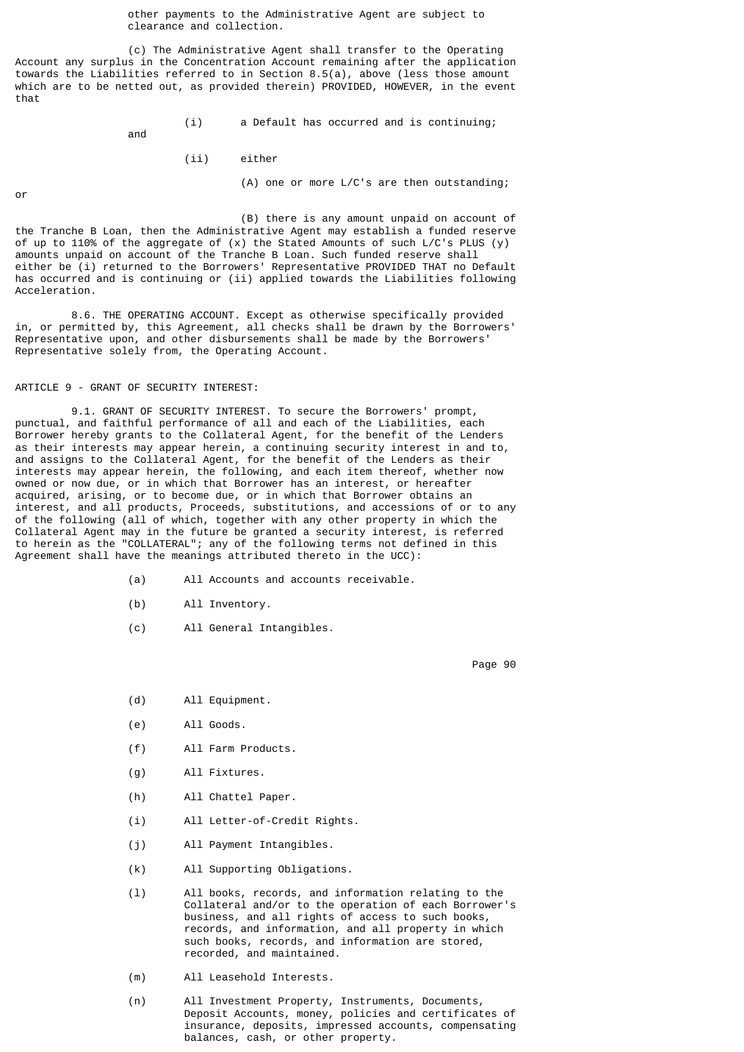other payments to the Administrative Agent are subject to clearance and collection.

 (c) The Administrative Agent shall transfer to the Operating Account any surplus in the Concentration Account remaining after the application towards the Liabilities referred to in Section 8.5(a), above (less those amount which are to be netted out, as provided therein) PROVIDED, HOWEVER, in the event that

(i) a Default has occurred and is continuing;

(ii) either

(A) one or more L/C's are then outstanding;

 (B) there is any amount unpaid on account of the Tranche B Loan, then the Administrative Agent may establish a funded reserve of up to 110% of the aggregate of (x) the Stated Amounts of such L/C's PLUS (y) amounts unpaid on account of the Tranche B Loan. Such funded reserve shall either be (i) returned to the Borrowers' Representative PROVIDED THAT no Default has occurred and is continuing or (ii) applied towards the Liabilities following Acceleration.

 8.6. THE OPERATING ACCOUNT. Except as otherwise specifically provided in, or permitted by, this Agreement, all checks shall be drawn by the Borrowers' Representative upon, and other disbursements shall be made by the Borrowers' Representative solely from, the Operating Account.

### ARTICLE 9 - GRANT OF SECURITY INTEREST:

and

 9.1. GRANT OF SECURITY INTEREST. To secure the Borrowers' prompt, punctual, and faithful performance of all and each of the Liabilities, each Borrower hereby grants to the Collateral Agent, for the benefit of the Lenders as their interests may appear herein, a continuing security interest in and to, and assigns to the Collateral Agent, for the benefit of the Lenders as their interests may appear herein, the following, and each item thereof, whether now owned or now due, or in which that Borrower has an interest, or hereafter acquired, arising, or to become due, or in which that Borrower obtains an interest, and all products, Proceeds, substitutions, and accessions of or to any of the following (all of which, together with any other property in which the Collateral Agent may in the future be granted a security interest, is referred to herein as the "COLLATERAL"; any of the following terms not defined in this Agreement shall have the meanings attributed thereto in the UCC):

- (a) All Accounts and accounts receivable.
- (b) All Inventory.
- (c) All General Intangibles.

en de la provincia de la provincia de la provincia de la provincia de la provincia de la provincia de la provi

- (d) All Equipment.
- (e) All Goods.
- (f) All Farm Products.
- (g) All Fixtures.
- (h) All Chattel Paper.
- (i) All Letter-of-Credit Rights.
- (j) All Payment Intangibles.
- (k) All Supporting Obligations.
- (l) All books, records, and information relating to the Collateral and/or to the operation of each Borrower's business, and all rights of access to such books, records, and information, and all property in which such books, records, and information are stored, recorded, and maintained.
	- (m) All Leasehold Interests.
	- (n) All Investment Property, Instruments, Documents, Deposit Accounts, money, policies and certificates of insurance, deposits, impressed accounts, compensating balances, cash, or other property.

or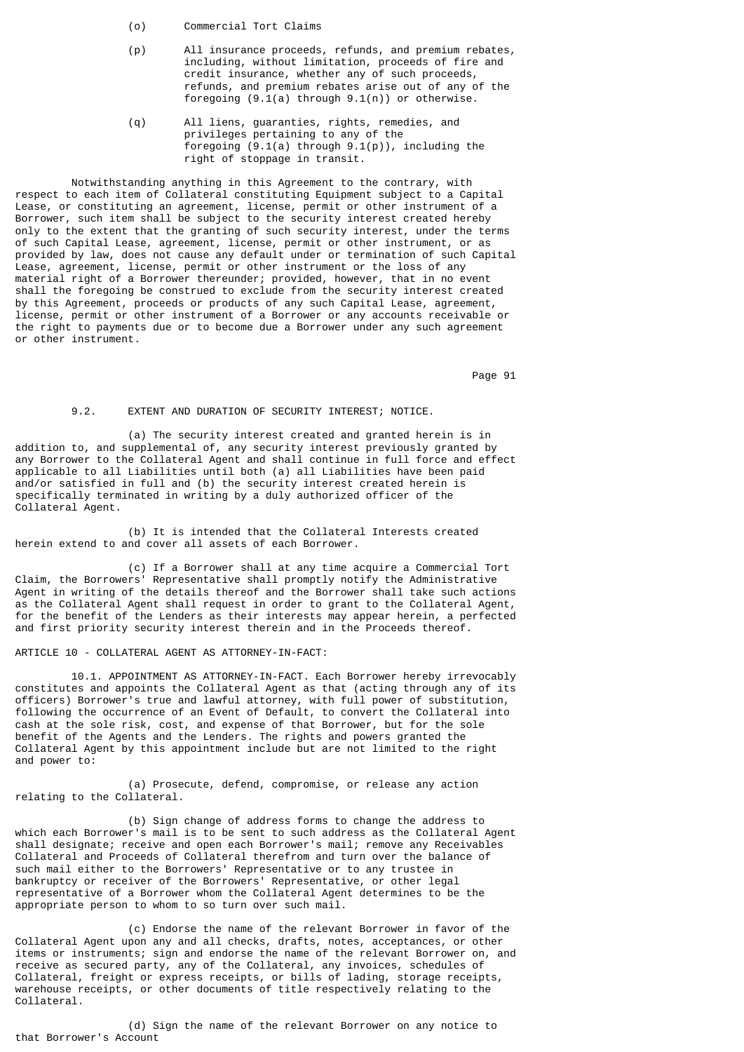- (o) Commercial Tort Claims
- (p) All insurance proceeds, refunds, and premium rebates, including, without limitation, proceeds of fire and credit insurance, whether any of such proceeds, refunds, and premium rebates arise out of any of the foregoing (9.1(a) through 9.1(n)) or otherwise.
- (q) All liens, guaranties, rights, remedies, and privileges pertaining to any of the foregoing  $(9.1(a)$  through  $9.1(p)$ , including the right of stoppage in transit.

 Notwithstanding anything in this Agreement to the contrary, with respect to each item of Collateral constituting Equipment subject to a Capital Lease, or constituting an agreement, license, permit or other instrument of a Borrower, such item shall be subject to the security interest created hereby only to the extent that the granting of such security interest, under the terms of such Capital Lease, agreement, license, permit or other instrument, or as provided by law, does not cause any default under or termination of such Capital Lease, agreement, license, permit or other instrument or the loss of any material right of a Borrower thereunder; provided, however, that in no event shall the foregoing be construed to exclude from the security interest created by this Agreement, proceeds or products of any such Capital Lease, agreement, license, permit or other instrument of a Borrower or any accounts receivable or the right to payments due or to become due a Borrower under any such agreement or other instrument.

Page 91

## 9.2. EXTENT AND DURATION OF SECURITY INTEREST; NOTICE.

 (a) The security interest created and granted herein is in addition to, and supplemental of, any security interest previously granted by any Borrower to the Collateral Agent and shall continue in full force and effect applicable to all Liabilities until both (a) all Liabilities have been paid and/or satisfied in full and (b) the security interest created herein is specifically terminated in writing by a duly authorized officer of the Collateral Agent.

 (b) It is intended that the Collateral Interests created herein extend to and cover all assets of each Borrower.

 (c) If a Borrower shall at any time acquire a Commercial Tort Claim, the Borrowers' Representative shall promptly notify the Administrative Agent in writing of the details thereof and the Borrower shall take such actions as the Collateral Agent shall request in order to grant to the Collateral Agent, for the benefit of the Lenders as their interests may appear herein, a perfected and first priority security interest therein and in the Proceeds thereof.

## ARTICLE 10 - COLLATERAL AGENT AS ATTORNEY-IN-FACT:

 10.1. APPOINTMENT AS ATTORNEY-IN-FACT. Each Borrower hereby irrevocably constitutes and appoints the Collateral Agent as that (acting through any of its officers) Borrower's true and lawful attorney, with full power of substitution, following the occurrence of an Event of Default, to convert the Collateral into cash at the sole risk, cost, and expense of that Borrower, but for the sole benefit of the Agents and the Lenders. The rights and powers granted the Collateral Agent by this appointment include but are not limited to the right and power to:

 (a) Prosecute, defend, compromise, or release any action relating to the Collateral.

 (b) Sign change of address forms to change the address to which each Borrower's mail is to be sent to such address as the Collateral Agent shall designate; receive and open each Borrower's mail; remove any Receivables Collateral and Proceeds of Collateral therefrom and turn over the balance of such mail either to the Borrowers' Representative or to any trustee in bankruptcy or receiver of the Borrowers' Representative, or other legal representative of a Borrower whom the Collateral Agent determines to be the appropriate person to whom to so turn over such mail.

 (c) Endorse the name of the relevant Borrower in favor of the Collateral Agent upon any and all checks, drafts, notes, acceptances, or other items or instruments; sign and endorse the name of the relevant Borrower on, and receive as secured party, any of the Collateral, any invoices, schedules of Collateral, freight or express receipts, or bills of lading, storage receipts, warehouse receipts, or other documents of title respectively relating to the Collateral.

 (d) Sign the name of the relevant Borrower on any notice to that Borrower's Account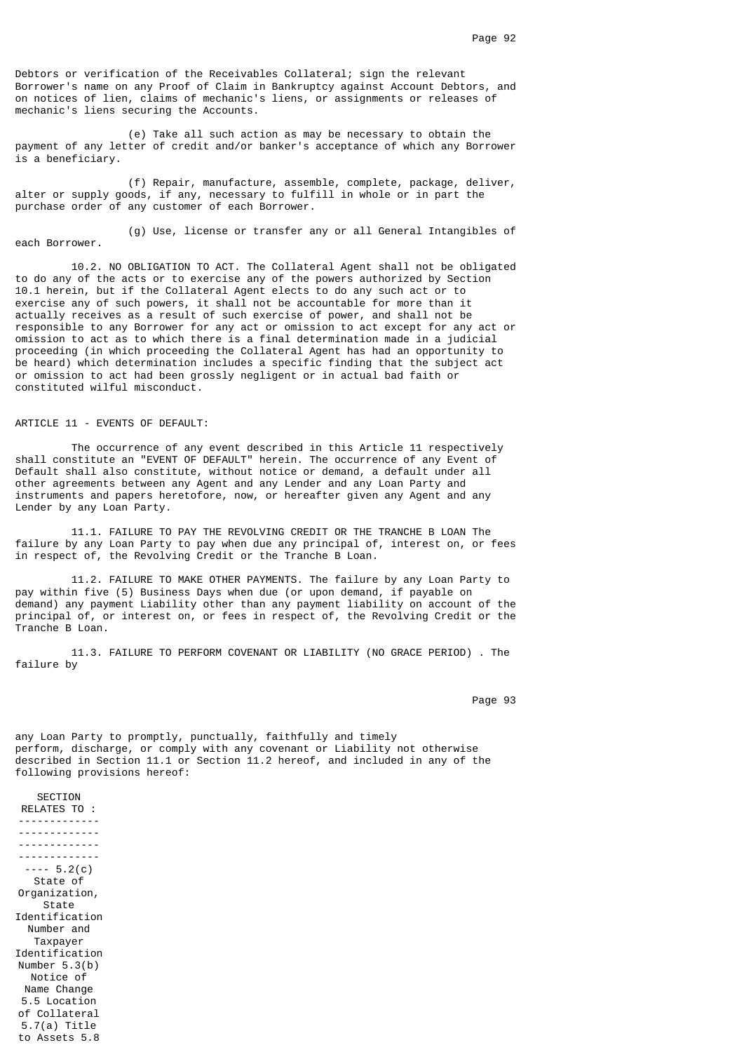Debtors or verification of the Receivables Collateral; sign the relevant Borrower's name on any Proof of Claim in Bankruptcy against Account Debtors, and on notices of lien, claims of mechanic's liens, or assignments or releases of mechanic's liens securing the Accounts.

 (e) Take all such action as may be necessary to obtain the payment of any letter of credit and/or banker's acceptance of which any Borrower is a beneficiary.

 (f) Repair, manufacture, assemble, complete, package, deliver, alter or supply goods, if any, necessary to fulfill in whole or in part the purchase order of any customer of each Borrower.

 (g) Use, license or transfer any or all General Intangibles of each Borrower.

 10.2. NO OBLIGATION TO ACT. The Collateral Agent shall not be obligated to do any of the acts or to exercise any of the powers authorized by Section 10.1 herein, but if the Collateral Agent elects to do any such act or to exercise any of such powers, it shall not be accountable for more than it actually receives as a result of such exercise of power, and shall not be responsible to any Borrower for any act or omission to act except for any act or omission to act as to which there is a final determination made in a judicial proceeding (in which proceeding the Collateral Agent has had an opportunity to be heard) which determination includes a specific finding that the subject act or omission to act had been grossly negligent or in actual bad faith or constituted wilful misconduct.

ARTICLE 11 - EVENTS OF DEFAULT:

 The occurrence of any event described in this Article 11 respectively shall constitute an "EVENT OF DEFAULT" herein. The occurrence of any Event of Default shall also constitute, without notice or demand, a default under all other agreements between any Agent and any Lender and any Loan Party and instruments and papers heretofore, now, or hereafter given any Agent and any Lender by any Loan Party.

 11.1. FAILURE TO PAY THE REVOLVING CREDIT OR THE TRANCHE B LOAN The failure by any Loan Party to pay when due any principal of, interest on, or fees in respect of, the Revolving Credit or the Tranche B Loan.

 11.2. FAILURE TO MAKE OTHER PAYMENTS. The failure by any Loan Party to pay within five (5) Business Days when due (or upon demand, if payable on demand) any payment Liability other than any payment liability on account of the principal of, or interest on, or fees in respect of, the Revolving Credit or the Tranche B Loan.

 11.3. FAILURE TO PERFORM COVENANT OR LIABILITY (NO GRACE PERIOD) . The failure by

Page 93 **Page 93** 

any Loan Party to promptly, punctually, faithfully and timely perform, discharge, or comply with any covenant or Liability not otherwise described in Section 11.1 or Section 11.2 hereof, and included in any of the following provisions hereof:

RELATES TO : ------------- ------------- ------------- -------------  $---5.2(c)$ State of Organization, State Identification Number and Taxpayer Identification Number 5.3(b) Notice of Name Change 5.5 Location of Collateral 5.7(a) Title to Assets 5.8

SECTION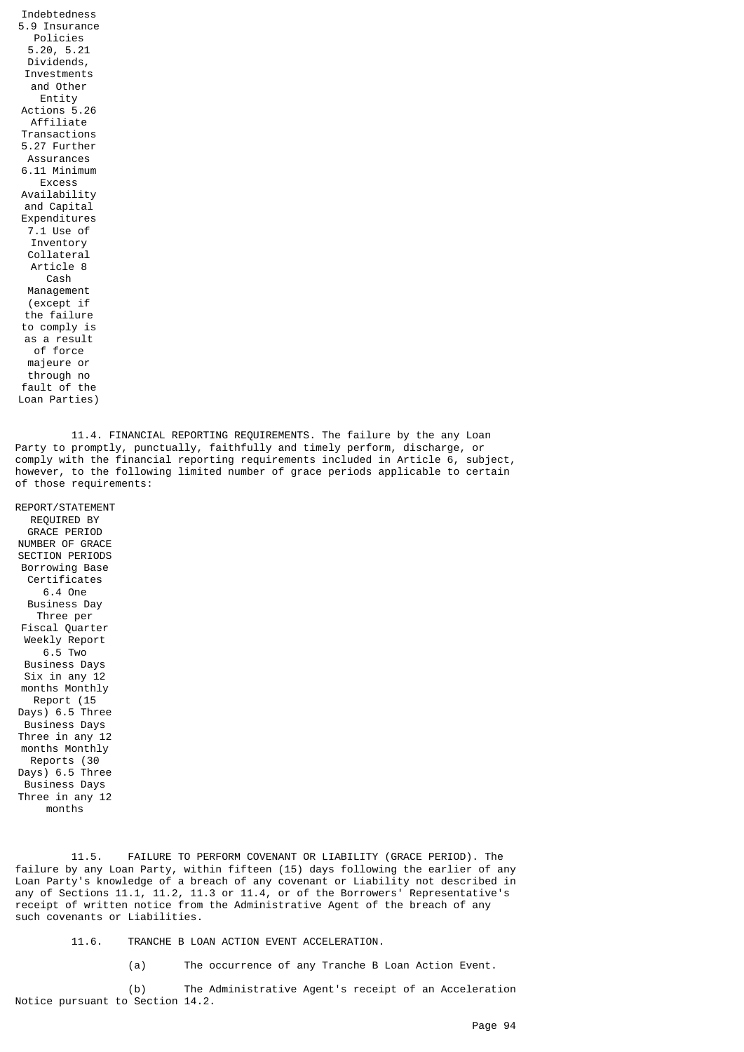Indebtedness 5.9 Insurance Policies 5.20, 5.21 Dividends, Investments and Other Entity Actions 5.26 Affiliate Transactions 5.27 Further Assurances 6.11 Minimum Excess Availability and Capital Expenditures 7.1 Use of Inventory Collateral Article 8 Cash Management (except if the failure to comply is as a result of force majeure or through no fault of the Loan Parties)

 11.4. FINANCIAL REPORTING REQUIREMENTS. The failure by the any Loan Party to promptly, punctually, faithfully and timely perform, discharge, or comply with the financial reporting requirements included in Article 6, subject, however, to the following limited number of grace periods applicable to certain of those requirements:

REPORT/STATEMENT REQUIRED BY GRACE PERIOD NUMBER OF GRACE SECTION PERIODS Borrowing Base Certificates 6.4 One Business Day Three per Fiscal Quarter Weekly Report 6.5 Two Business Days Six in any 12 months Monthly Report (15 Days) 6.5 Three Business Days Three in any 12 months Monthly Reports (30 Days) 6.5 Three Business Days Three in any 12 months

 11.5. FAILURE TO PERFORM COVENANT OR LIABILITY (GRACE PERIOD). The failure by any Loan Party, within fifteen (15) days following the earlier of any Loan Party's knowledge of a breach of any covenant or Liability not described in any of Sections 11.1, 11.2, 11.3 or 11.4, or of the Borrowers' Representative's receipt of written notice from the Administrative Agent of the breach of any such covenants or Liabilities.

11.6. TRANCHE B LOAN ACTION EVENT ACCELERATION.

(a) The occurrence of any Tranche B Loan Action Event.

 (b) The Administrative Agent's receipt of an Acceleration Notice pursuant to Section 14.2.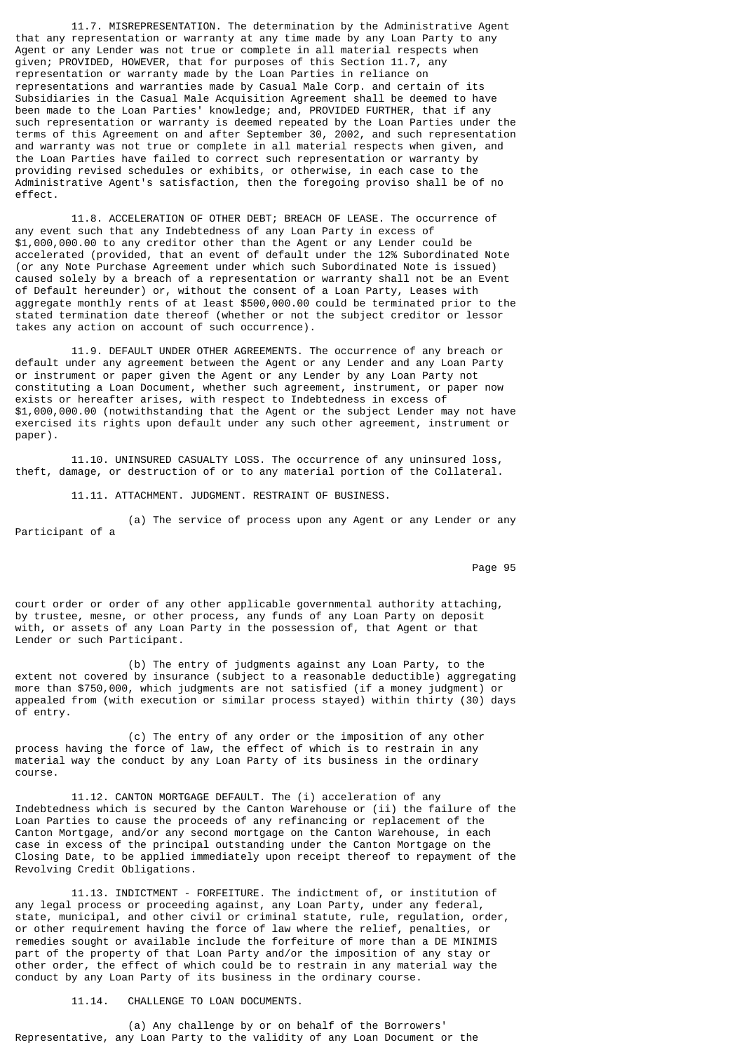11.7. MISREPRESENTATION. The determination by the Administrative Agent that any representation or warranty at any time made by any Loan Party to any Agent or any Lender was not true or complete in all material respects when given; PROVIDED, HOWEVER, that for purposes of this Section 11.7, any representation or warranty made by the Loan Parties in reliance on representations and warranties made by Casual Male Corp. and certain of its Subsidiaries in the Casual Male Acquisition Agreement shall be deemed to have been made to the Loan Parties' knowledge; and, PROVIDED FURTHER, that if any such representation or warranty is deemed repeated by the Loan Parties under the terms of this Agreement on and after September 30, 2002, and such representation and warranty was not true or complete in all material respects when given, and the Loan Parties have failed to correct such representation or warranty by providing revised schedules or exhibits, or otherwise, in each case to the Administrative Agent's satisfaction, then the foregoing proviso shall be of no effect.

 11.8. ACCELERATION OF OTHER DEBT; BREACH OF LEASE. The occurrence of any event such that any Indebtedness of any Loan Party in excess of \$1,000,000.00 to any creditor other than the Agent or any Lender could be accelerated (provided, that an event of default under the 12% Subordinated Note (or any Note Purchase Agreement under which such Subordinated Note is issued) caused solely by a breach of a representation or warranty shall not be an Event of Default hereunder) or, without the consent of a Loan Party, Leases with aggregate monthly rents of at least \$500,000.00 could be terminated prior to the stated termination date thereof (whether or not the subject creditor or lessor takes any action on account of such occurrence).

 11.9. DEFAULT UNDER OTHER AGREEMENTS. The occurrence of any breach or default under any agreement between the Agent or any Lender and any Loan Party or instrument or paper given the Agent or any Lender by any Loan Party not constituting a Loan Document, whether such agreement, instrument, or paper now exists or hereafter arises, with respect to Indebtedness in excess of \$1,000,000.00 (notwithstanding that the Agent or the subject Lender may not have exercised its rights upon default under any such other agreement, instrument or paper).

 11.10. UNINSURED CASUALTY LOSS. The occurrence of any uninsured loss, theft, damage, or destruction of or to any material portion of the Collateral.

11.11. ATTACHMENT. JUDGMENT. RESTRAINT OF BUSINESS.

 (a) The service of process upon any Agent or any Lender or any Participant of a

Page 95 and the state of the state of the state of the state of the state of the state of the state of the state of the state of the state of the state of the state of the state of the state of the state of the state of th

court order or order of any other applicable governmental authority attaching, by trustee, mesne, or other process, any funds of any Loan Party on deposit with, or assets of any Loan Party in the possession of, that Agent or that Lender or such Participant.

 (b) The entry of judgments against any Loan Party, to the extent not covered by insurance (subject to a reasonable deductible) aggregating more than \$750,000, which judgments are not satisfied (if a money judgment) or appealed from (with execution or similar process stayed) within thirty (30) days of entry.

 (c) The entry of any order or the imposition of any other process having the force of law, the effect of which is to restrain in any material way the conduct by any Loan Party of its business in the ordinary course.

 11.12. CANTON MORTGAGE DEFAULT. The (i) acceleration of any Indebtedness which is secured by the Canton Warehouse or (ii) the failure of the Loan Parties to cause the proceeds of any refinancing or replacement of the Canton Mortgage, and/or any second mortgage on the Canton Warehouse, in each case in excess of the principal outstanding under the Canton Mortgage on the Closing Date, to be applied immediately upon receipt thereof to repayment of the Revolving Credit Obligations.

 11.13. INDICTMENT - FORFEITURE. The indictment of, or institution of any legal process or proceeding against, any Loan Party, under any federal, state, municipal, and other civil or criminal statute, rule, regulation, order, or other requirement having the force of law where the relief, penalties, or remedies sought or available include the forfeiture of more than a DE MINIMIS part of the property of that Loan Party and/or the imposition of any stay or other order, the effect of which could be to restrain in any material way the conduct by any Loan Party of its business in the ordinary course.

11.14. CHALLENGE TO LOAN DOCUMENTS.

 (a) Any challenge by or on behalf of the Borrowers' Representative, any Loan Party to the validity of any Loan Document or the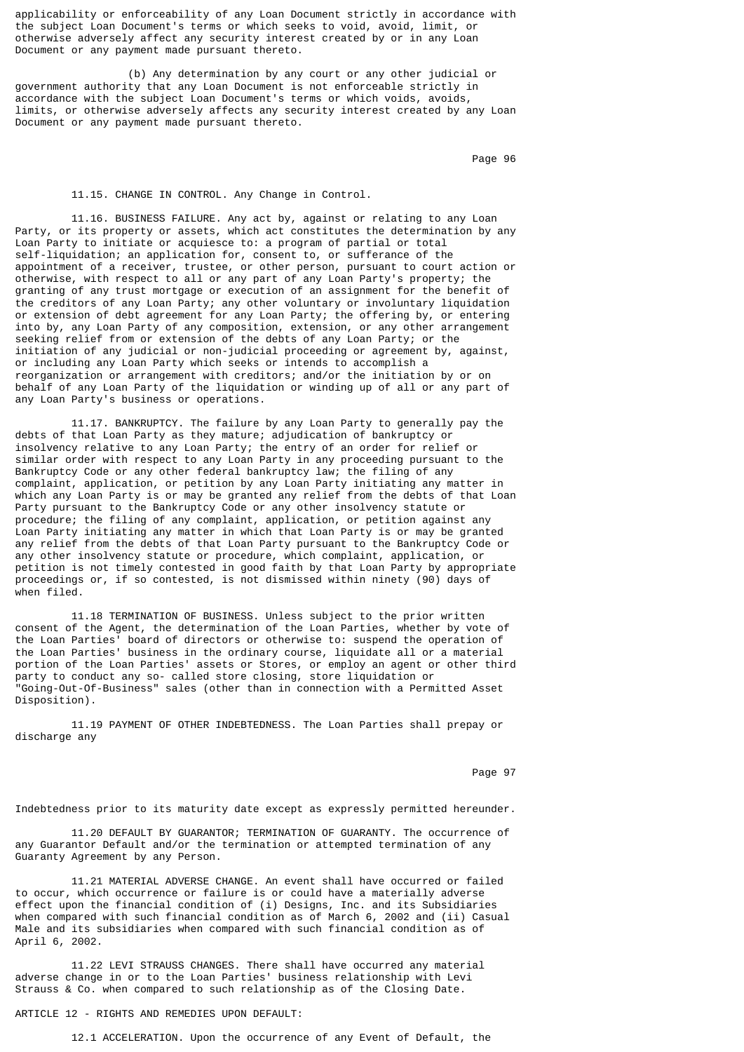applicability or enforceability of any Loan Document strictly in accordance with the subject Loan Document's terms or which seeks to void, avoid, limit, or otherwise adversely affect any security interest created by or in any Loan Document or any payment made pursuant thereto.

 (b) Any determination by any court or any other judicial or government authority that any Loan Document is not enforceable strictly in accordance with the subject Loan Document's terms or which voids, avoids, limits, or otherwise adversely affects any security interest created by any Loan Document or any payment made pursuant thereto.

Page 96 in the state of the state of the state of the state of the state of the state of the state of the state of the state of the state of the state of the state of the state of the state of the state of the state of the

#### 11.15. CHANGE IN CONTROL. Any Change in Control.

 11.16. BUSINESS FAILURE. Any act by, against or relating to any Loan Party, or its property or assets, which act constitutes the determination by any Loan Party to initiate or acquiesce to: a program of partial or total self-liquidation; an application for, consent to, or sufferance of the appointment of a receiver, trustee, or other person, pursuant to court action or otherwise, with respect to all or any part of any Loan Party's property; the granting of any trust mortgage or execution of an assignment for the benefit of the creditors of any Loan Party; any other voluntary or involuntary liquidation or extension of debt agreement for any Loan Party; the offering by, or entering into by, any Loan Party of any composition, extension, or any other arrangement seeking relief from or extension of the debts of any Loan Party; or the initiation of any judicial or non-judicial proceeding or agreement by, against, or including any Loan Party which seeks or intends to accomplish a reorganization or arrangement with creditors; and/or the initiation by or on behalf of any Loan Party of the liquidation or winding up of all or any part of any Loan Party's business or operations.

 11.17. BANKRUPTCY. The failure by any Loan Party to generally pay the debts of that Loan Party as they mature; adjudication of bankruptcy or insolvency relative to any Loan Party; the entry of an order for relief or similar order with respect to any Loan Party in any proceeding pursuant to the Bankruptcy Code or any other federal bankruptcy law; the filing of any complaint, application, or petition by any Loan Party initiating any matter in which any Loan Party is or may be granted any relief from the debts of that Loan Party pursuant to the Bankruptcy Code or any other insolvency statute or procedure; the filing of any complaint, application, or petition against any Loan Party initiating any matter in which that Loan Party is or may be granted any relief from the debts of that Loan Party pursuant to the Bankruptcy Code or any other insolvency statute or procedure, which complaint, application, or petition is not timely contested in good faith by that Loan Party by appropriate proceedings or, if so contested, is not dismissed within ninety (90) days of when filed.

 11.18 TERMINATION OF BUSINESS. Unless subject to the prior written consent of the Agent, the determination of the Loan Parties, whether by vote of the Loan Parties' board of directors or otherwise to: suspend the operation of the Loan Parties' business in the ordinary course, liquidate all or a material portion of the Loan Parties' assets or Stores, or employ an agent or other third party to conduct any so- called store closing, store liquidation or "Going-Out-Of-Business" sales (other than in connection with a Permitted Asset Disposition).

 11.19 PAYMENT OF OTHER INDEBTEDNESS. The Loan Parties shall prepay or discharge any

Page 97 (1992) 2008 12:30 to 1992 2008 12:30 to 1992 2008 12:30 to 1992 2008 12:30 12:30 12:30 12:30 12:30 12:30 12:30 12:30 12:30 12:30 12:30 12:30 12:30 12:30 12:30 12:30 12:30 12:30 12:30 12:30 12:30 12:30 12:30 12:30 1

Indebtedness prior to its maturity date except as expressly permitted hereunder.

 11.20 DEFAULT BY GUARANTOR; TERMINATION OF GUARANTY. The occurrence of any Guarantor Default and/or the termination or attempted termination of any Guaranty Agreement by any Person.

 11.21 MATERIAL ADVERSE CHANGE. An event shall have occurred or failed to occur, which occurrence or failure is or could have a materially adverse effect upon the financial condition of (i) Designs, Inc. and its Subsidiaries when compared with such financial condition as of March 6, 2002 and (ii) Casual Male and its subsidiaries when compared with such financial condition as of April 6, 2002.

 11.22 LEVI STRAUSS CHANGES. There shall have occurred any material adverse change in or to the Loan Parties' business relationship with Levi Strauss & Co. when compared to such relationship as of the Closing Date.

ARTICLE 12 - RIGHTS AND REMEDIES UPON DEFAULT:

12.1 ACCELERATION. Upon the occurrence of any Event of Default, the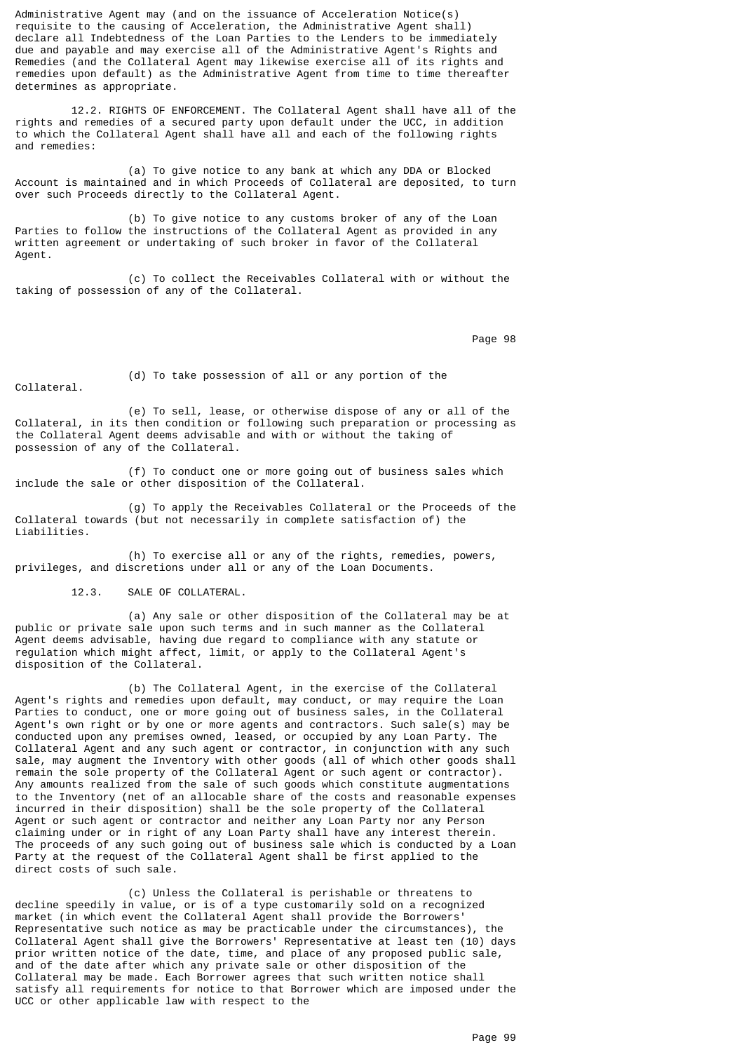Administrative Agent may (and on the issuance of Acceleration Notice(s) requisite to the causing of Acceleration, the Administrative Agent shall) declare all Indebtedness of the Loan Parties to the Lenders to be immediately due and payable and may exercise all of the Administrative Agent's Rights and Remedies (and the Collateral Agent may likewise exercise all of its rights and remedies upon default) as the Administrative Agent from time to time thereafter determines as appropriate.

 12.2. RIGHTS OF ENFORCEMENT. The Collateral Agent shall have all of the rights and remedies of a secured party upon default under the UCC, in addition to which the Collateral Agent shall have all and each of the following rights and remedies:

 (a) To give notice to any bank at which any DDA or Blocked Account is maintained and in which Proceeds of Collateral are deposited, to turn over such Proceeds directly to the Collateral Agent.

 (b) To give notice to any customs broker of any of the Loan Parties to follow the instructions of the Collateral Agent as provided in any written agreement or undertaking of such broker in favor of the Collateral Agent.

 (c) To collect the Receivables Collateral with or without the taking of possession of any of the Collateral.

en de la provincia de la provincia de la provincia de la provincia de la provincia de la provincia de la provi

Collateral.

(d) To take possession of all or any portion of the

 (e) To sell, lease, or otherwise dispose of any or all of the Collateral, in its then condition or following such preparation or processing as the Collateral Agent deems advisable and with or without the taking of possession of any of the Collateral.

 (f) To conduct one or more going out of business sales which include the sale or other disposition of the Collateral.

 (g) To apply the Receivables Collateral or the Proceeds of the Collateral towards (but not necessarily in complete satisfaction of) the Liabilities.

 (h) To exercise all or any of the rights, remedies, powers, privileges, and discretions under all or any of the Loan Documents.

12.3. SALE OF COLLATERAL.

 (a) Any sale or other disposition of the Collateral may be at public or private sale upon such terms and in such manner as the Collateral Agent deems advisable, having due regard to compliance with any statute or regulation which might affect, limit, or apply to the Collateral Agent's disposition of the Collateral.

 (b) The Collateral Agent, in the exercise of the Collateral Agent's rights and remedies upon default, may conduct, or may require the Loan Parties to conduct, one or more going out of business sales, in the Collateral Agent's own right or by one or more agents and contractors. Such sale(s) may be conducted upon any premises owned, leased, or occupied by any Loan Party. The Collateral Agent and any such agent or contractor, in conjunction with any such sale, may augment the Inventory with other goods (all of which other goods shall remain the sole property of the Collateral Agent or such agent or contractor). Any amounts realized from the sale of such goods which constitute augmentations to the Inventory (net of an allocable share of the costs and reasonable expenses incurred in their disposition) shall be the sole property of the Collateral Agent or such agent or contractor and neither any Loan Party nor any Person claiming under or in right of any Loan Party shall have any interest therein. The proceeds of any such going out of business sale which is conducted by a Loan Party at the request of the Collateral Agent shall be first applied to the direct costs of such sale.

 (c) Unless the Collateral is perishable or threatens to decline speedily in value, or is of a type customarily sold on a recognized market (in which event the Collateral Agent shall provide the Borrowers' Representative such notice as may be practicable under the circumstances), the Collateral Agent shall give the Borrowers' Representative at least ten (10) days prior written notice of the date, time, and place of any proposed public sale, and of the date after which any private sale or other disposition of the Collateral may be made. Each Borrower agrees that such written notice shall satisfy all requirements for notice to that Borrower which are imposed under the UCC or other applicable law with respect to the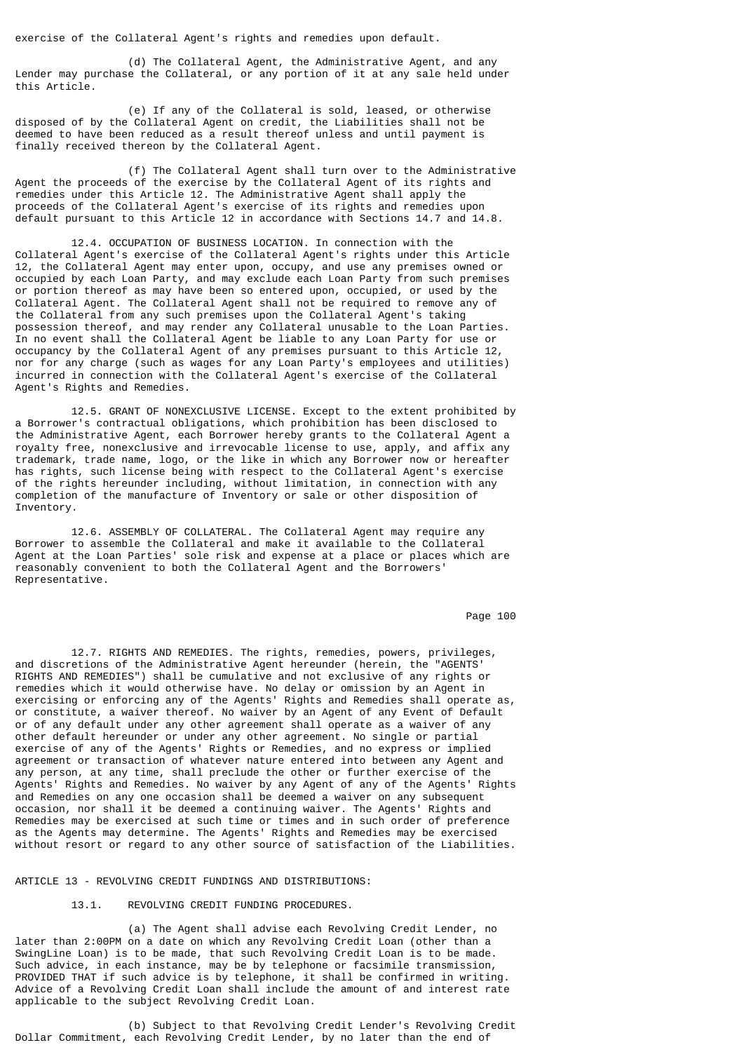exercise of the Collateral Agent's rights and remedies upon default.

 (d) The Collateral Agent, the Administrative Agent, and any Lender may purchase the Collateral, or any portion of it at any sale held under this Article.

 (e) If any of the Collateral is sold, leased, or otherwise disposed of by the Collateral Agent on credit, the Liabilities shall not be deemed to have been reduced as a result thereof unless and until payment is finally received thereon by the Collateral Agent.

 (f) The Collateral Agent shall turn over to the Administrative Agent the proceeds of the exercise by the Collateral Agent of its rights and remedies under this Article 12. The Administrative Agent shall apply the proceeds of the Collateral Agent's exercise of its rights and remedies upon default pursuant to this Article 12 in accordance with Sections 14.7 and 14.8.

 12.4. OCCUPATION OF BUSINESS LOCATION. In connection with the Collateral Agent's exercise of the Collateral Agent's rights under this Article 12, the Collateral Agent may enter upon, occupy, and use any premises owned or occupied by each Loan Party, and may exclude each Loan Party from such premises or portion thereof as may have been so entered upon, occupied, or used by the Collateral Agent. The Collateral Agent shall not be required to remove any of the Collateral from any such premises upon the Collateral Agent's taking possession thereof, and may render any Collateral unusable to the Loan Parties. In no event shall the Collateral Agent be liable to any Loan Party for use or occupancy by the Collateral Agent of any premises pursuant to this Article 12, nor for any charge (such as wages for any Loan Party's employees and utilities) incurred in connection with the Collateral Agent's exercise of the Collateral Agent's Rights and Remedies.

 12.5. GRANT OF NONEXCLUSIVE LICENSE. Except to the extent prohibited by a Borrower's contractual obligations, which prohibition has been disclosed to the Administrative Agent, each Borrower hereby grants to the Collateral Agent a royalty free, nonexclusive and irrevocable license to use, apply, and affix any trademark, trade name, logo, or the like in which any Borrower now or hereafter has rights, such license being with respect to the Collateral Agent's exercise of the rights hereunder including, without limitation, in connection with any completion of the manufacture of Inventory or sale or other disposition of Inventory.

 12.6. ASSEMBLY OF COLLATERAL. The Collateral Agent may require any Borrower to assemble the Collateral and make it available to the Collateral Agent at the Loan Parties' sole risk and expense at a place or places which are reasonably convenient to both the Collateral Agent and the Borrowers' Representative.

Page 100

 12.7. RIGHTS AND REMEDIES. The rights, remedies, powers, privileges, and discretions of the Administrative Agent hereunder (herein, the "AGENTS' RIGHTS AND REMEDIES") shall be cumulative and not exclusive of any rights or remedies which it would otherwise have. No delay or omission by an Agent in exercising or enforcing any of the Agents' Rights and Remedies shall operate as, or constitute, a waiver thereof. No waiver by an Agent of any Event of Default or of any default under any other agreement shall operate as a waiver of any other default hereunder or under any other agreement. No single or partial exercise of any of the Agents' Rights or Remedies, and no express or implied agreement or transaction of whatever nature entered into between any Agent and any person, at any time, shall preclude the other or further exercise of the Agents' Rights and Remedies. No waiver by any Agent of any of the Agents' Rights and Remedies on any one occasion shall be deemed a waiver on any subsequent occasion, nor shall it be deemed a continuing waiver. The Agents' Rights and Remedies may be exercised at such time or times and in such order of preference as the Agents may determine. The Agents' Rights and Remedies may be exercised without resort or regard to any other source of satisfaction of the Liabilities.

ARTICLE 13 - REVOLVING CREDIT FUNDINGS AND DISTRIBUTIONS:

13.1. REVOLVING CREDIT FUNDING PROCEDURES.

 (a) The Agent shall advise each Revolving Credit Lender, no later than 2:00PM on a date on which any Revolving Credit Loan (other than a SwingLine Loan) is to be made, that such Revolving Credit Loan is to be made. Such advice, in each instance, may be by telephone or facsimile transmission, PROVIDED THAT if such advice is by telephone, it shall be confirmed in writing. Advice of a Revolving Credit Loan shall include the amount of and interest rate applicable to the subject Revolving Credit Loan.

 (b) Subject to that Revolving Credit Lender's Revolving Credit Dollar Commitment, each Revolving Credit Lender, by no later than the end of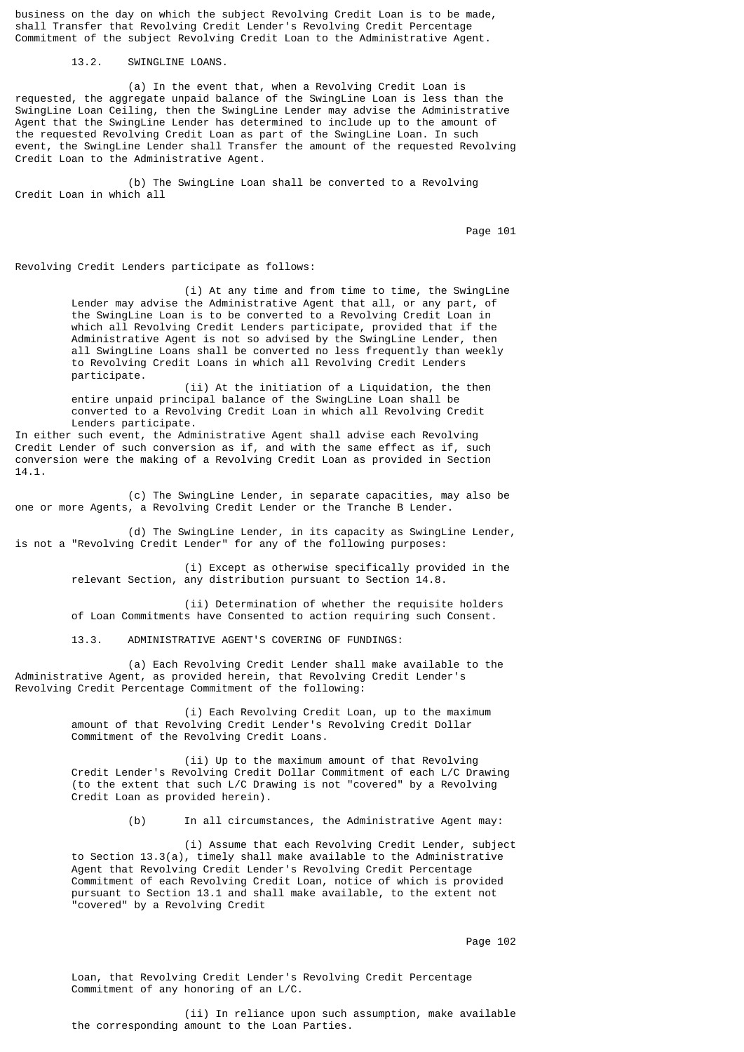business on the day on which the subject Revolving Credit Loan is to be made, shall Transfer that Revolving Credit Lender's Revolving Credit Percentage Commitment of the subject Revolving Credit Loan to the Administrative Agent.

13.2. SWINGLINE LOANS.

 (a) In the event that, when a Revolving Credit Loan is requested, the aggregate unpaid balance of the SwingLine Loan is less than the SwingLine Loan Ceiling, then the SwingLine Lender may advise the Administrative Agent that the SwingLine Lender has determined to include up to the amount of the requested Revolving Credit Loan as part of the SwingLine Loan. In such event, the SwingLine Lender shall Transfer the amount of the requested Revolving Credit Loan to the Administrative Agent.

 (b) The SwingLine Loan shall be converted to a Revolving Credit Loan in which all

Page 101

Revolving Credit Lenders participate as follows:

 (i) At any time and from time to time, the SwingLine Lender may advise the Administrative Agent that all, or any part, of the SwingLine Loan is to be converted to a Revolving Credit Loan in which all Revolving Credit Lenders participate, provided that if the Administrative Agent is not so advised by the SwingLine Lender, then all SwingLine Loans shall be converted no less frequently than weekly to Revolving Credit Loans in which all Revolving Credit Lenders participate.

 (ii) At the initiation of a Liquidation, the then entire unpaid principal balance of the SwingLine Loan shall be converted to a Revolving Credit Loan in which all Revolving Credit Lenders participate.

In either such event, the Administrative Agent shall advise each Revolving Credit Lender of such conversion as if, and with the same effect as if, such conversion were the making of a Revolving Credit Loan as provided in Section 14.1.

 (c) The SwingLine Lender, in separate capacities, may also be one or more Agents, a Revolving Credit Lender or the Tranche B Lender.

 (d) The SwingLine Lender, in its capacity as SwingLine Lender, is not a "Revolving Credit Lender" for any of the following purposes:

> (i) Except as otherwise specifically provided in the relevant Section, any distribution pursuant to Section 14.8.

 (ii) Determination of whether the requisite holders of Loan Commitments have Consented to action requiring such Consent.

13.3. ADMINISTRATIVE AGENT'S COVERING OF FUNDINGS:

 (a) Each Revolving Credit Lender shall make available to the Administrative Agent, as provided herein, that Revolving Credit Lender's Revolving Credit Percentage Commitment of the following:

> (i) Each Revolving Credit Loan, up to the maximum amount of that Revolving Credit Lender's Revolving Credit Dollar Commitment of the Revolving Credit Loans.

 (ii) Up to the maximum amount of that Revolving Credit Lender's Revolving Credit Dollar Commitment of each L/C Drawing (to the extent that such L/C Drawing is not "covered" by a Revolving Credit Loan as provided herein).

(b) In all circumstances, the Administrative Agent may:

 (i) Assume that each Revolving Credit Lender, subject to Section 13.3(a), timely shall make available to the Administrative Agent that Revolving Credit Lender's Revolving Credit Percentage Commitment of each Revolving Credit Loan, notice of which is provided pursuant to Section 13.1 and shall make available, to the extent not "covered" by a Revolving Credit

Page 102

 Loan, that Revolving Credit Lender's Revolving Credit Percentage Commitment of any honoring of an L/C.

 (ii) In reliance upon such assumption, make available the corresponding amount to the Loan Parties.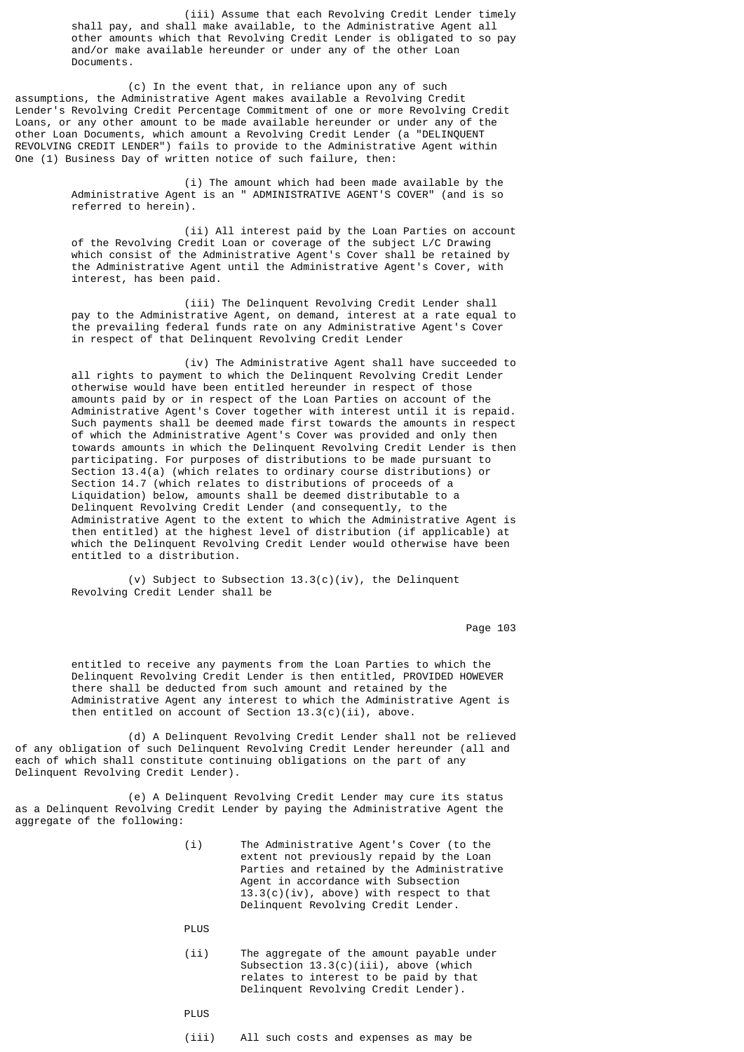(iii) Assume that each Revolving Credit Lender timely shall pay, and shall make available, to the Administrative Agent all other amounts which that Revolving Credit Lender is obligated to so pay and/or make available hereunder or under any of the other Loan Documents.

 (c) In the event that, in reliance upon any of such assumptions, the Administrative Agent makes available a Revolving Credit Lender's Revolving Credit Percentage Commitment of one or more Revolving Credit Loans, or any other amount to be made available hereunder or under any of the other Loan Documents, which amount a Revolving Credit Lender (a "DELINQUENT REVOLVING CREDIT LENDER") fails to provide to the Administrative Agent within One (1) Business Day of written notice of such failure, then:

> (i) The amount which had been made available by the Administrative Agent is an " ADMINISTRATIVE AGENT'S COVER" (and is so referred to herein).

 (ii) All interest paid by the Loan Parties on account of the Revolving Credit Loan or coverage of the subject L/C Drawing which consist of the Administrative Agent's Cover shall be retained by the Administrative Agent until the Administrative Agent's Cover, with interest, has been paid.

 (iii) The Delinquent Revolving Credit Lender shall pay to the Administrative Agent, on demand, interest at a rate equal to the prevailing federal funds rate on any Administrative Agent's Cover in respect of that Delinquent Revolving Credit Lender

 (iv) The Administrative Agent shall have succeeded to all rights to payment to which the Delinquent Revolving Credit Lender otherwise would have been entitled hereunder in respect of those amounts paid by or in respect of the Loan Parties on account of the Administrative Agent's Cover together with interest until it is repaid. Such payments shall be deemed made first towards the amounts in respect of which the Administrative Agent's Cover was provided and only then towards amounts in which the Delinquent Revolving Credit Lender is then participating. For purposes of distributions to be made pursuant to Section 13.4(a) (which relates to ordinary course distributions) or Section 14.7 (which relates to distributions of proceeds of a Liquidation) below, amounts shall be deemed distributable to a Delinquent Revolving Credit Lender (and consequently, to the Administrative Agent to the extent to which the Administrative Agent is then entitled) at the highest level of distribution (if applicable) at which the Delinquent Revolving Credit Lender would otherwise have been entitled to a distribution.

 (v) Subject to Subsection 13.3(c)(iv), the Delinquent Revolving Credit Lender shall be

Page 103

 entitled to receive any payments from the Loan Parties to which the Delinquent Revolving Credit Lender is then entitled, PROVIDED HOWEVER there shall be deducted from such amount and retained by the Administrative Agent any interest to which the Administrative Agent is then entitled on account of Section  $13.3(c)(ii)$ , above.

 (d) A Delinquent Revolving Credit Lender shall not be relieved of any obligation of such Delinquent Revolving Credit Lender hereunder (all and each of which shall constitute continuing obligations on the part of any Delinquent Revolving Credit Lender).

 (e) A Delinquent Revolving Credit Lender may cure its status as a Delinquent Revolving Credit Lender by paying the Administrative Agent the aggregate of the following:

> (i) The Administrative Agent's Cover (to the extent not previously repaid by the Loan Parties and retained by the Administrative Agent in accordance with Subsection  $13.3(c)(iv)$ , above) with respect to that Delinquent Revolving Credit Lender.

PLUS

 (ii) The aggregate of the amount payable under Subsection 13.3(c)(iii), above (which relates to interest to be paid by that Delinquent Revolving Credit Lender).

PLUS

(iii) All such costs and expenses as may be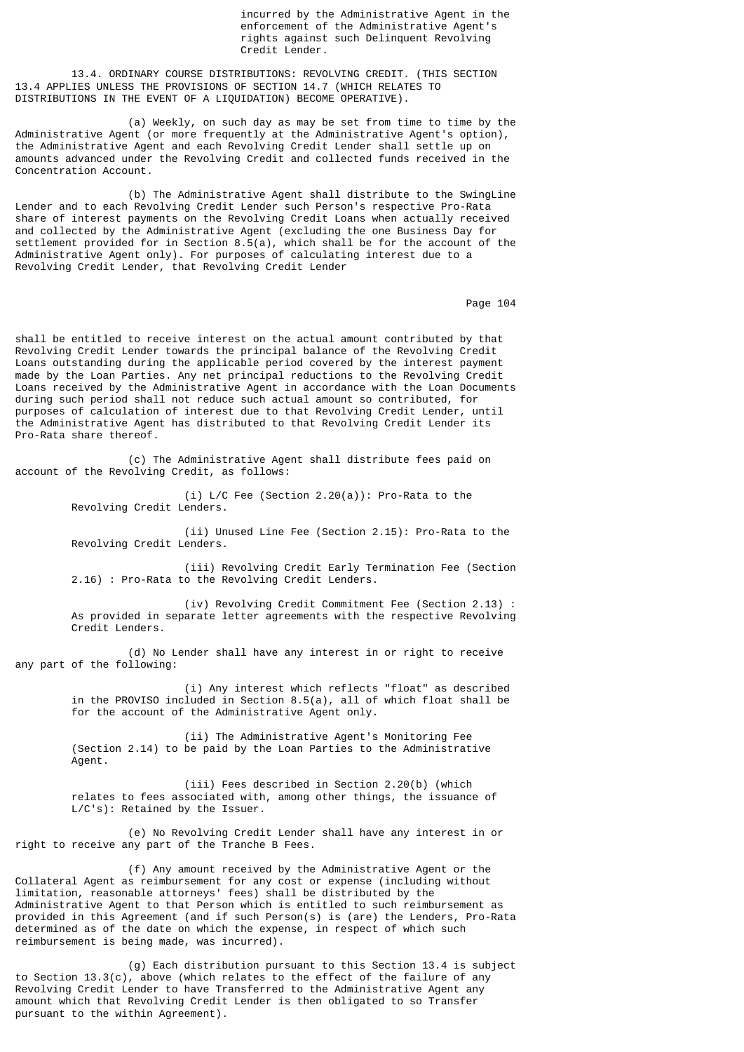incurred by the Administrative Agent in the enforcement of the Administrative Agent's rights against such Delinquent Revolving Credit Lender.

 13.4. ORDINARY COURSE DISTRIBUTIONS: REVOLVING CREDIT. (THIS SECTION 13.4 APPLIES UNLESS THE PROVISIONS OF SECTION 14.7 (WHICH RELATES TO DISTRIBUTIONS IN THE EVENT OF A LIQUIDATION) BECOME OPERATIVE).

 (a) Weekly, on such day as may be set from time to time by the Administrative Agent (or more frequently at the Administrative Agent's option), the Administrative Agent and each Revolving Credit Lender shall settle up on amounts advanced under the Revolving Credit and collected funds received in the Concentration Account.

 (b) The Administrative Agent shall distribute to the SwingLine Lender and to each Revolving Credit Lender such Person's respective Pro-Rata share of interest payments on the Revolving Credit Loans when actually received and collected by the Administrative Agent (excluding the one Business Day for settlement provided for in Section 8.5(a), which shall be for the account of the Administrative Agent only). For purposes of calculating interest due to a Revolving Credit Lender, that Revolving Credit Lender

Page 104

shall be entitled to receive interest on the actual amount contributed by that Revolving Credit Lender towards the principal balance of the Revolving Credit Loans outstanding during the applicable period covered by the interest payment made by the Loan Parties. Any net principal reductions to the Revolving Credit Loans received by the Administrative Agent in accordance with the Loan Documents during such period shall not reduce such actual amount so contributed, for purposes of calculation of interest due to that Revolving Credit Lender, until the Administrative Agent has distributed to that Revolving Credit Lender its Pro-Rata share thereof.

 (c) The Administrative Agent shall distribute fees paid on account of the Revolving Credit, as follows:

> (i) L/C Fee (Section 2.20(a)): Pro-Rata to the Revolving Credit Lenders.

 (ii) Unused Line Fee (Section 2.15): Pro-Rata to the Revolving Credit Lenders.

 (iii) Revolving Credit Early Termination Fee (Section 2.16) : Pro-Rata to the Revolving Credit Lenders.

 (iv) Revolving Credit Commitment Fee (Section 2.13) : As provided in separate letter agreements with the respective Revolving Credit Lenders.

 (d) No Lender shall have any interest in or right to receive any part of the following:

> (i) Any interest which reflects "float" as described in the PROVISO included in Section 8.5(a), all of which float shall be for the account of the Administrative Agent only.

 (ii) The Administrative Agent's Monitoring Fee (Section 2.14) to be paid by the Loan Parties to the Administrative Agent.

 (iii) Fees described in Section 2.20(b) (which relates to fees associated with, among other things, the issuance of L/C's): Retained by the Issuer.

 (e) No Revolving Credit Lender shall have any interest in or right to receive any part of the Tranche B Fees.

 (f) Any amount received by the Administrative Agent or the Collateral Agent as reimbursement for any cost or expense (including without limitation, reasonable attorneys' fees) shall be distributed by the Administrative Agent to that Person which is entitled to such reimbursement as provided in this Agreement (and if such Person(s) is (are) the Lenders, Pro-Rata determined as of the date on which the expense, in respect of which such reimbursement is being made, was incurred).

 (g) Each distribution pursuant to this Section 13.4 is subject to Section 13.3(c), above (which relates to the effect of the failure of any Revolving Credit Lender to have Transferred to the Administrative Agent any amount which that Revolving Credit Lender is then obligated to so Transfer pursuant to the within Agreement).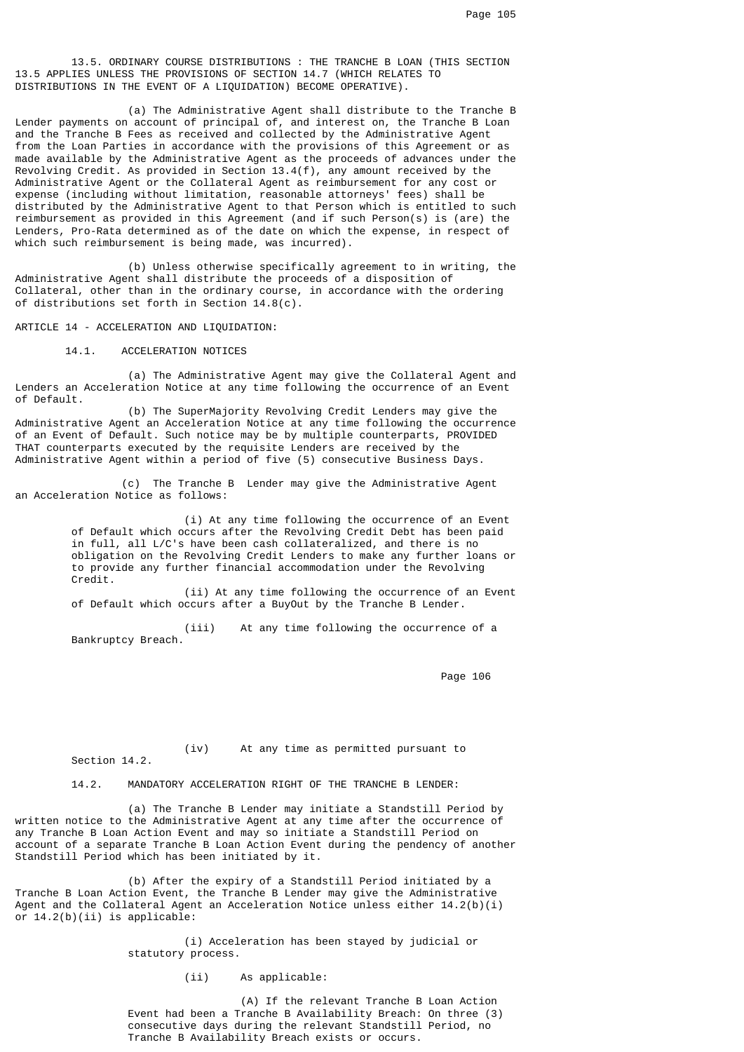13.5. ORDINARY COURSE DISTRIBUTIONS : THE TRANCHE B LOAN (THIS SECTION 13.5 APPLIES UNLESS THE PROVISIONS OF SECTION 14.7 (WHICH RELATES TO DISTRIBUTIONS IN THE EVENT OF A LIQUIDATION) BECOME OPERATIVE).

 (a) The Administrative Agent shall distribute to the Tranche B Lender payments on account of principal of, and interest on, the Tranche B Loan and the Tranche B Fees as received and collected by the Administrative Agent from the Loan Parties in accordance with the provisions of this Agreement or as made available by the Administrative Agent as the proceeds of advances under the Revolving Credit. As provided in Section 13.4(f), any amount received by the Administrative Agent or the Collateral Agent as reimbursement for any cost or expense (including without limitation, reasonable attorneys' fees) shall be distributed by the Administrative Agent to that Person which is entitled to such reimbursement as provided in this Agreement (and if such Person(s) is (are) the Lenders, Pro-Rata determined as of the date on which the expense, in respect of which such reimbursement is being made, was incurred).

 (b) Unless otherwise specifically agreement to in writing, the Administrative Agent shall distribute the proceeds of a disposition of Collateral, other than in the ordinary course, in accordance with the ordering of distributions set forth in Section 14.8(c).

ARTICLE 14 - ACCELERATION AND LIQUIDATION:

14.1. ACCELERATION NOTICES

 (a) The Administrative Agent may give the Collateral Agent and Lenders an Acceleration Notice at any time following the occurrence of an Event of Default.

 (b) The SuperMajority Revolving Credit Lenders may give the Administrative Agent an Acceleration Notice at any time following the occurrence of an Event of Default. Such notice may be by multiple counterparts, PROVIDED THAT counterparts executed by the requisite Lenders are received by the Administrative Agent within a period of five (5) consecutive Business Days.

 (c) The Tranche B Lender may give the Administrative Agent an Acceleration Notice as follows:

 (i) At any time following the occurrence of an Event of Default which occurs after the Revolving Credit Debt has been paid in full, all L/C's have been cash collateralized, and there is no obligation on the Revolving Credit Lenders to make any further loans or to provide any further financial accommodation under the Revolving Credit.

> (ii) At any time following the occurrence of an Event of Default which occurs after a BuyOut by the Tranche B Lender.

 (iii) At any time following the occurrence of a Bankruptcy Breach.

Page 106

Section 14.2.

(iv) At any time as permitted pursuant to

14.2. MANDATORY ACCELERATION RIGHT OF THE TRANCHE B LENDER:

 (a) The Tranche B Lender may initiate a Standstill Period by written notice to the Administrative Agent at any time after the occurrence of any Tranche B Loan Action Event and may so initiate a Standstill Period on account of a separate Tranche B Loan Action Event during the pendency of another Standstill Period which has been initiated by it.

 (b) After the expiry of a Standstill Period initiated by a Tranche B Loan Action Event, the Tranche B Lender may give the Administrative Agent and the Collateral Agent an Acceleration Notice unless either 14.2(b)(i) or  $14.2(b)(ii)$  is applicable:

> (i) Acceleration has been stayed by judicial or statutory process.

> > (ii) As applicable:

 (A) If the relevant Tranche B Loan Action Event had been a Tranche B Availability Breach: On three (3) consecutive days during the relevant Standstill Period, no Tranche B Availability Breach exists or occurs.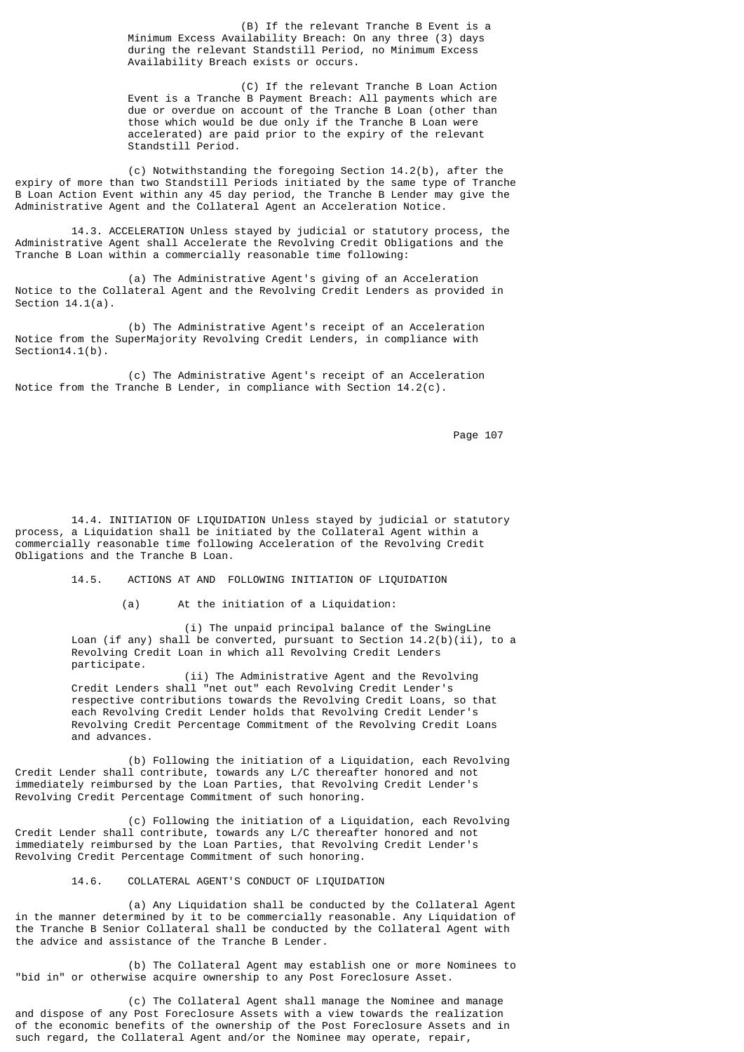(B) If the relevant Tranche B Event is a Minimum Excess Availability Breach: On any three (3) days during the relevant Standstill Period, no Minimum Excess Availability Breach exists or occurs.

 (C) If the relevant Tranche B Loan Action Event is a Tranche B Payment Breach: All payments which are due or overdue on account of the Tranche B Loan (other than those which would be due only if the Tranche B Loan were accelerated) are paid prior to the expiry of the relevant Standstill Period.

 (c) Notwithstanding the foregoing Section 14.2(b), after the expiry of more than two Standstill Periods initiated by the same type of Tranche B Loan Action Event within any 45 day period, the Tranche B Lender may give the Administrative Agent and the Collateral Agent an Acceleration Notice.

 14.3. ACCELERATION Unless stayed by judicial or statutory process, the Administrative Agent shall Accelerate the Revolving Credit Obligations and the Tranche B Loan within a commercially reasonable time following:

 (a) The Administrative Agent's giving of an Acceleration Notice to the Collateral Agent and the Revolving Credit Lenders as provided in Section 14.1(a).

 (b) The Administrative Agent's receipt of an Acceleration Notice from the SuperMajority Revolving Credit Lenders, in compliance with Section<sub>14.1</sub>(b).

 (c) The Administrative Agent's receipt of an Acceleration Notice from the Tranche B Lender, in compliance with Section 14.2(c).

Page 107

 14.4. INITIATION OF LIQUIDATION Unless stayed by judicial or statutory process, a Liquidation shall be initiated by the Collateral Agent within a commercially reasonable time following Acceleration of the Revolving Credit Obligations and the Tranche B Loan.

14.5. ACTIONS AT AND FOLLOWING INITIATION OF LIQUIDATION

(a) At the initiation of a Liquidation:

 (i) The unpaid principal balance of the SwingLine Loan (if any) shall be converted, pursuant to Section  $14.2(b)(ii)$ , to a Revolving Credit Loan in which all Revolving Credit Lenders participate.

 (ii) The Administrative Agent and the Revolving Credit Lenders shall "net out" each Revolving Credit Lender's respective contributions towards the Revolving Credit Loans, so that each Revolving Credit Lender holds that Revolving Credit Lender's Revolving Credit Percentage Commitment of the Revolving Credit Loans and advances.

 (b) Following the initiation of a Liquidation, each Revolving Credit Lender shall contribute, towards any L/C thereafter honored and not immediately reimbursed by the Loan Parties, that Revolving Credit Lender's Revolving Credit Percentage Commitment of such honoring.

 (c) Following the initiation of a Liquidation, each Revolving Credit Lender shall contribute, towards any L/C thereafter honored and not immediately reimbursed by the Loan Parties, that Revolving Credit Lender's Revolving Credit Percentage Commitment of such honoring.

# 14.6. COLLATERAL AGENT'S CONDUCT OF LIQUIDATION

 (a) Any Liquidation shall be conducted by the Collateral Agent in the manner determined by it to be commercially reasonable. Any Liquidation of the Tranche B Senior Collateral shall be conducted by the Collateral Agent with the advice and assistance of the Tranche B Lender.

 (b) The Collateral Agent may establish one or more Nominees to "bid in" or otherwise acquire ownership to any Post Foreclosure Asset.

 (c) The Collateral Agent shall manage the Nominee and manage and dispose of any Post Foreclosure Assets with a view towards the realization of the economic benefits of the ownership of the Post Foreclosure Assets and in such regard, the Collateral Agent and/or the Nominee may operate, repair,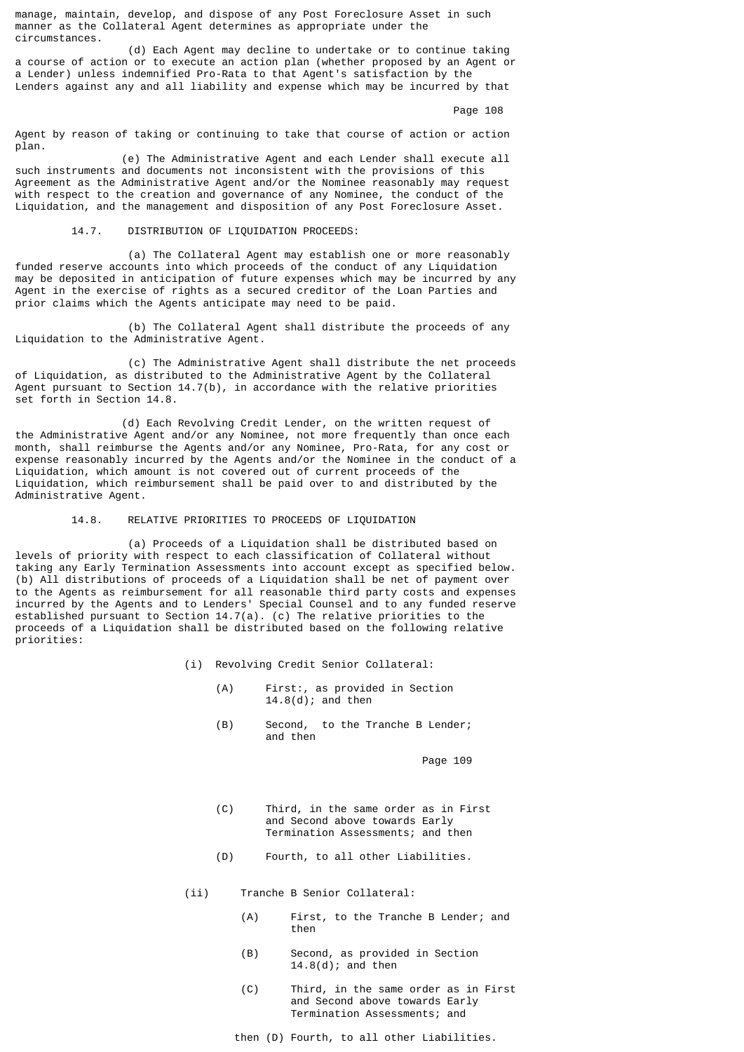manage, maintain, develop, and dispose of any Post Foreclosure Asset in such manner as the Collateral Agent determines as appropriate under the circumstances.

 (d) Each Agent may decline to undertake or to continue taking a course of action or to execute an action plan (whether proposed by an Agent or a Lender) unless indemnified Pro-Rata to that Agent's satisfaction by the Lenders against any and all liability and expense which may be incurred by that

Page 108

Agent by reason of taking or continuing to take that course of action or action plan.

 (e) The Administrative Agent and each Lender shall execute all such instruments and documents not inconsistent with the provisions of this Agreement as the Administrative Agent and/or the Nominee reasonably may request with respect to the creation and governance of any Nominee, the conduct of the Liquidation, and the management and disposition of any Post Foreclosure Asset.

14.7. DISTRIBUTION OF LIQUIDATION PROCEEDS:

 (a) The Collateral Agent may establish one or more reasonably funded reserve accounts into which proceeds of the conduct of any Liquidation may be deposited in anticipation of future expenses which may be incurred by any Agent in the exercise of rights as a secured creditor of the Loan Parties and prior claims which the Agents anticipate may need to be paid.

 (b) The Collateral Agent shall distribute the proceeds of any Liquidation to the Administrative Agent.

 (c) The Administrative Agent shall distribute the net proceeds of Liquidation, as distributed to the Administrative Agent by the Collateral Agent pursuant to Section 14.7(b), in accordance with the relative priorities set forth in Section 14.8.

 (d) Each Revolving Credit Lender, on the written request of the Administrative Agent and/or any Nominee, not more frequently than once each month, shall reimburse the Agents and/or any Nominee, Pro-Rata, for any cost or expense reasonably incurred by the Agents and/or the Nominee in the conduct of a Liquidation, which amount is not covered out of current proceeds of the Liquidation, which reimbursement shall be paid over to and distributed by the Administrative Agent.

## 14.8. RELATIVE PRIORITIES TO PROCEEDS OF LIQUIDATION

 (a) Proceeds of a Liquidation shall be distributed based on levels of priority with respect to each classification of Collateral without taking any Early Termination Assessments into account except as specified below. (b) All distributions of proceeds of a Liquidation shall be net of payment over to the Agents as reimbursement for all reasonable third party costs and expenses incurred by the Agents and to Lenders' Special Counsel and to any funded reserve established pursuant to Section 14.7(a). (c) The relative priorities to the proceeds of a Liquidation shall be distributed based on the following relative priorities:

- (i) Revolving Credit Senior Collateral:
	- (A) First:, as provided in Section 14.8(d); and then
	- (B) Second, to the Tranche B Lender; and then

- (C) Third, in the same order as in First and Second above towards Early Termination Assessments; and then
- (D) Fourth, to all other Liabilities.
- (ii) Tranche B Senior Collateral:
- (A) First, to the Tranche B Lender; and then we have a state of the state of the state of the state of the state of the state of the state of the state of the state of the state of the state of the state of the state of the state of the state of the state of the
	- (B) Second, as provided in Section 14.8(d); and then
	- (C) Third, in the same order as in First and Second above towards Early Termination Assessments; and
	- then (D) Fourth, to all other Liabilities.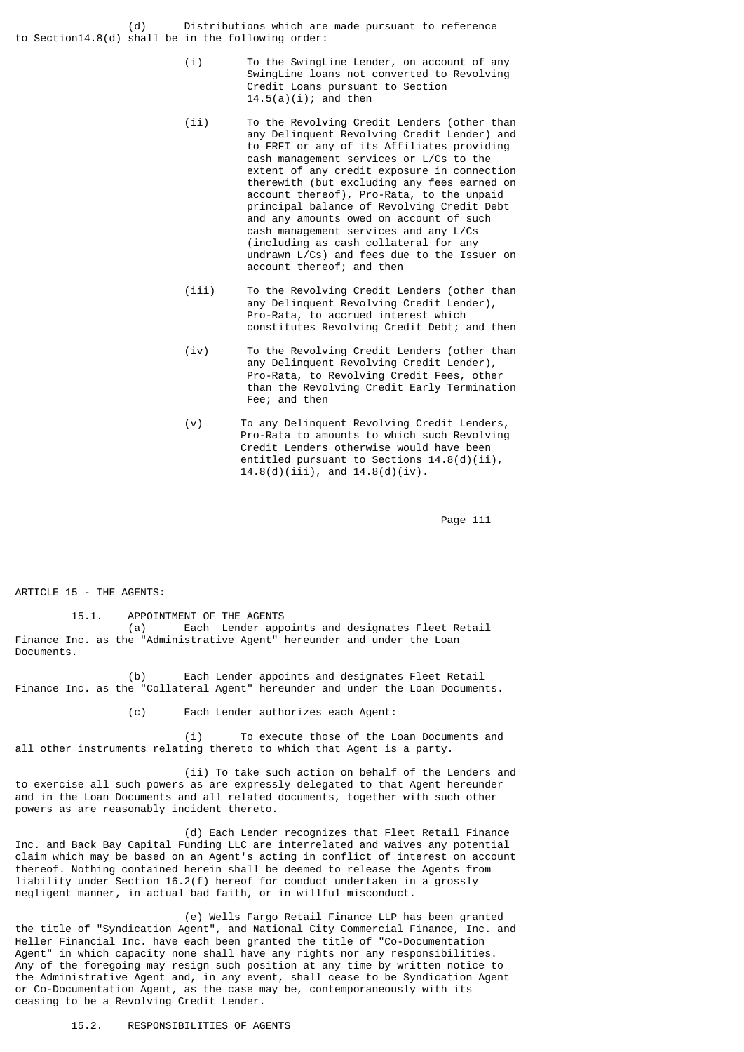(d) Distributions which are made pursuant to reference to Section14.8(d) shall be in the following order:

- (i) To the SwingLine Lender, on account of any SwingLine loans not converted to Revolving Credit Loans pursuant to Section  $14.5(a)(i)$ ; and then
- (ii) To the Revolving Credit Lenders (other than any Delinquent Revolving Credit Lender) and to FRFI or any of its Affiliates providing cash management services or L/Cs to the extent of any credit exposure in connection therewith (but excluding any fees earned on account thereof), Pro-Rata, to the unpaid principal balance of Revolving Credit Debt and any amounts owed on account of such cash management services and any L/Cs (including as cash collateral for any undrawn L/Cs) and fees due to the Issuer on account thereof; and then
- (iii) To the Revolving Credit Lenders (other than any Delinquent Revolving Credit Lender), Pro-Rata, to accrued interest which constitutes Revolving Credit Debt; and then
- (iv) To the Revolving Credit Lenders (other than any Delinquent Revolving Credit Lender), Pro-Rata, to Revolving Credit Fees, other than the Revolving Credit Early Termination Fee; and then
	- (v) To any Delinquent Revolving Credit Lenders, Pro-Rata to amounts to which such Revolving Credit Lenders otherwise would have been entitled pursuant to Sections 14.8(d)(ii),  $14.8(d)(iii)$ , and  $14.8(d)(iv)$ .

Page 111

ARTICLE 15 - THE AGENTS:

 15.1. APPOINTMENT OF THE AGENTS (a) Each Lender appoints and designates Fleet Retail

Finance Inc. as the "Administrative Agent" hereunder and under the Loan Documents.

 (b) Each Lender appoints and designates Fleet Retail Finance Inc. as the "Collateral Agent" hereunder and under the Loan Documents.

(c) Each Lender authorizes each Agent:

 (i) To execute those of the Loan Documents and all other instruments relating thereto to which that Agent is a party.

 (ii) To take such action on behalf of the Lenders and to exercise all such powers as are expressly delegated to that Agent hereunder and in the Loan Documents and all related documents, together with such other powers as are reasonably incident thereto.

 (d) Each Lender recognizes that Fleet Retail Finance Inc. and Back Bay Capital Funding LLC are interrelated and waives any potential claim which may be based on an Agent's acting in conflict of interest on account thereof. Nothing contained herein shall be deemed to release the Agents from liability under Section 16.2(f) hereof for conduct undertaken in a grossly negligent manner, in actual bad faith, or in willful misconduct.

 (e) Wells Fargo Retail Finance LLP has been granted the title of "Syndication Agent", and National City Commercial Finance, Inc. and Heller Financial Inc. have each been granted the title of "Co-Documentation Agent" in which capacity none shall have any rights nor any responsibilities. Any of the foregoing may resign such position at any time by written notice to the Administrative Agent and, in any event, shall cease to be Syndication Agent or Co-Documentation Agent, as the case may be, contemporaneously with its ceasing to be a Revolving Credit Lender.

15.2. RESPONSIBILITIES OF AGENTS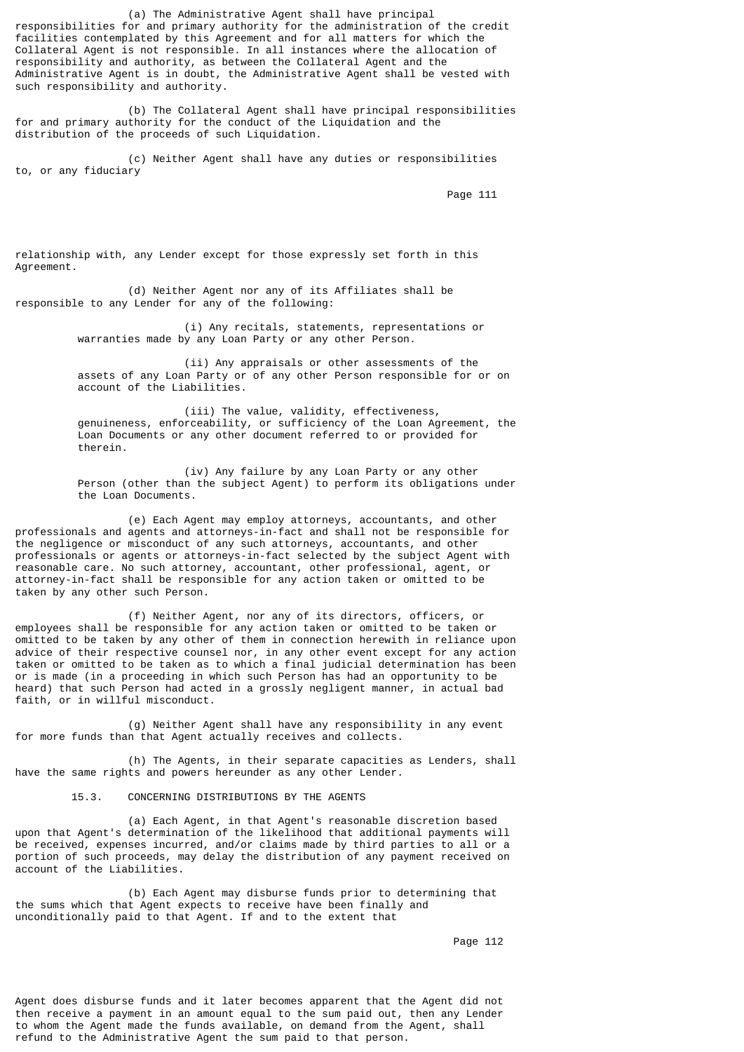(a) The Administrative Agent shall have principal responsibilities for and primary authority for the administration of the credit facilities contemplated by this Agreement and for all matters for which the Collateral Agent is not responsible. In all instances where the allocation of responsibility and authority, as between the Collateral Agent and the Administrative Agent is in doubt, the Administrative Agent shall be vested with such responsibility and authority.

 (b) The Collateral Agent shall have principal responsibilities for and primary authority for the conduct of the Liquidation and the distribution of the proceeds of such Liquidation.

 (c) Neither Agent shall have any duties or responsibilities to, or any fiduciary

Page 111

relationship with, any Lender except for those expressly set forth in this Agreement.

 (d) Neither Agent nor any of its Affiliates shall be responsible to any Lender for any of the following:

> (i) Any recitals, statements, representations or warranties made by any Loan Party or any other Person.

 (ii) Any appraisals or other assessments of the assets of any Loan Party or of any other Person responsible for or on account of the Liabilities.

 (iii) The value, validity, effectiveness, genuineness, enforceability, or sufficiency of the Loan Agreement, the Loan Documents or any other document referred to or provided for therein.

 (iv) Any failure by any Loan Party or any other Person (other than the subject Agent) to perform its obligations under the Loan Documents.

 (e) Each Agent may employ attorneys, accountants, and other professionals and agents and attorneys-in-fact and shall not be responsible for the negligence or misconduct of any such attorneys, accountants, and other professionals or agents or attorneys-in-fact selected by the subject Agent with reasonable care. No such attorney, accountant, other professional, agent, or attorney-in-fact shall be responsible for any action taken or omitted to be taken by any other such Person.

 (f) Neither Agent, nor any of its directors, officers, or employees shall be responsible for any action taken or omitted to be taken or omitted to be taken by any other of them in connection herewith in reliance upon advice of their respective counsel nor, in any other event except for any action taken or omitted to be taken as to which a final judicial determination has been or is made (in a proceeding in which such Person has had an opportunity to be heard) that such Person had acted in a grossly negligent manner, in actual bad faith, or in willful misconduct.

 (g) Neither Agent shall have any responsibility in any event for more funds than that Agent actually receives and collects.

 (h) The Agents, in their separate capacities as Lenders, shall have the same rights and powers hereunder as any other Lender.

15.3. CONCERNING DISTRIBUTIONS BY THE AGENTS

 (a) Each Agent, in that Agent's reasonable discretion based upon that Agent's determination of the likelihood that additional payments will be received, expenses incurred, and/or claims made by third parties to all or a portion of such proceeds, may delay the distribution of any payment received on account of the Liabilities.

 (b) Each Agent may disburse funds prior to determining that the sums which that Agent expects to receive have been finally and unconditionally paid to that Agent. If and to the extent that

Page 112

Agent does disburse funds and it later becomes apparent that the Agent did not then receive a payment in an amount equal to the sum paid out, then any Lender to whom the Agent made the funds available, on demand from the Agent, shall refund to the Administrative Agent the sum paid to that person.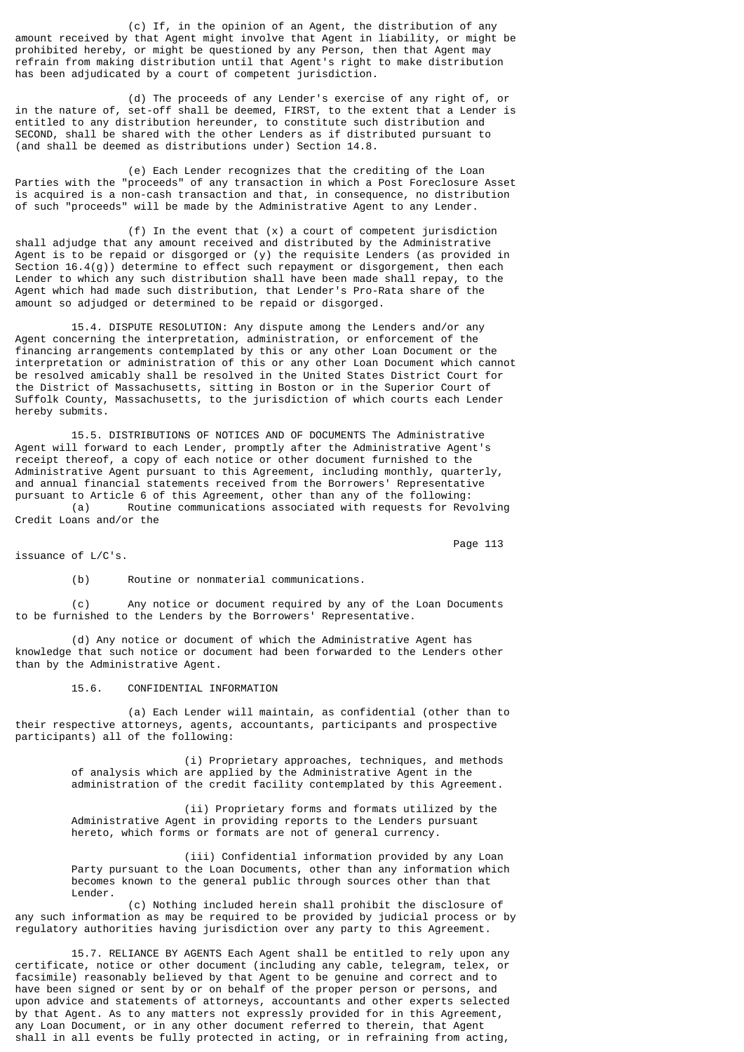(c) If, in the opinion of an Agent, the distribution of any amount received by that Agent might involve that Agent in liability, or might be prohibited hereby, or might be questioned by any Person, then that Agent may refrain from making distribution until that Agent's right to make distribution has been adjudicated by a court of competent jurisdiction.

 (d) The proceeds of any Lender's exercise of any right of, or in the nature of, set-off shall be deemed, FIRST, to the extent that a Lender is entitled to any distribution hereunder, to constitute such distribution and SECOND, shall be shared with the other Lenders as if distributed pursuant to (and shall be deemed as distributions under) Section 14.8.

 (e) Each Lender recognizes that the crediting of the Loan Parties with the "proceeds" of any transaction in which a Post Foreclosure Asset is acquired is a non-cash transaction and that, in consequence, no distribution of such "proceeds" will be made by the Administrative Agent to any Lender.

 (f) In the event that (x) a court of competent jurisdiction shall adjudge that any amount received and distributed by the Administrative Agent is to be repaid or disgorged or (y) the requisite Lenders (as provided in Section 16.4(g)) determine to effect such repayment or disgorgement, then each Lender to which any such distribution shall have been made shall repay, to the Agent which had made such distribution, that Lender's Pro-Rata share of the amount so adjudged or determined to be repaid or disgorged.

 15.4. DISPUTE RESOLUTION: Any dispute among the Lenders and/or any Agent concerning the interpretation, administration, or enforcement of the financing arrangements contemplated by this or any other Loan Document or the interpretation or administration of this or any other Loan Document which cannot be resolved amicably shall be resolved in the United States District Court for the District of Massachusetts, sitting in Boston or in the Superior Court of Suffolk County, Massachusetts, to the jurisdiction of which courts each Lender hereby submits.

 15.5. DISTRIBUTIONS OF NOTICES AND OF DOCUMENTS The Administrative Agent will forward to each Lender, promptly after the Administrative Agent's receipt thereof, a copy of each notice or other document furnished to the Administrative Agent pursuant to this Agreement, including monthly, quarterly, and annual financial statements received from the Borrowers' Representative pursuant to Article 6 of this Agreement, other than any of the following: (a) Routine communications associated with requests for Revolving

Credit Loans and/or the

issuance of L/C's.

Page 113

(b) Routine or nonmaterial communications.

 (c) Any notice or document required by any of the Loan Documents to be furnished to the Lenders by the Borrowers' Representative.

 (d) Any notice or document of which the Administrative Agent has knowledge that such notice or document had been forwarded to the Lenders other than by the Administrative Agent.

15.6. CONFIDENTIAL INFORMATION

 (a) Each Lender will maintain, as confidential (other than to their respective attorneys, agents, accountants, participants and prospective participants) all of the following:

> (i) Proprietary approaches, techniques, and methods of analysis which are applied by the Administrative Agent in the administration of the credit facility contemplated by this Agreement.

 (ii) Proprietary forms and formats utilized by the Administrative Agent in providing reports to the Lenders pursuant hereto, which forms or formats are not of general currency.

 (iii) Confidential information provided by any Loan Party pursuant to the Loan Documents, other than any information which becomes known to the general public through sources other than that Lender.

 (c) Nothing included herein shall prohibit the disclosure of any such information as may be required to be provided by judicial process or by regulatory authorities having jurisdiction over any party to this Agreement.

 15.7. RELIANCE BY AGENTS Each Agent shall be entitled to rely upon any certificate, notice or other document (including any cable, telegram, telex, or facsimile) reasonably believed by that Agent to be genuine and correct and to have been signed or sent by or on behalf of the proper person or persons, and upon advice and statements of attorneys, accountants and other experts selected by that Agent. As to any matters not expressly provided for in this Agreement, any Loan Document, or in any other document referred to therein, that Agent shall in all events be fully protected in acting, or in refraining from acting,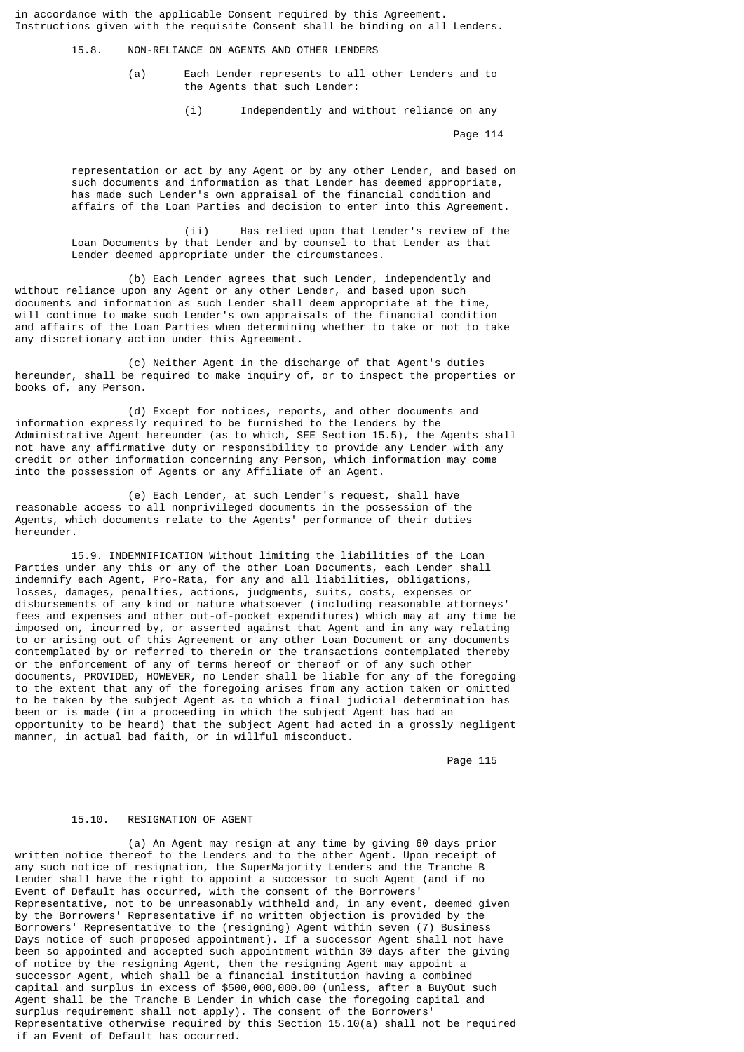in accordance with the applicable Consent required by this Agreement. Instructions given with the requisite Consent shall be binding on all Lenders.

15.8. NON-RELIANCE ON AGENTS AND OTHER LENDERS

- (a) Each Lender represents to all other Lenders and to the Agents that such Lender:
	- (i) Independently and without reliance on any

Page 114

 representation or act by any Agent or by any other Lender, and based on such documents and information as that Lender has deemed appropriate, has made such Lender's own appraisal of the financial condition and affairs of the Loan Parties and decision to enter into this Agreement.

 (ii) Has relied upon that Lender's review of the Loan Documents by that Lender and by counsel to that Lender as that Lender deemed appropriate under the circumstances.

 (b) Each Lender agrees that such Lender, independently and without reliance upon any Agent or any other Lender, and based upon such documents and information as such Lender shall deem appropriate at the time, will continue to make such Lender's own appraisals of the financial condition and affairs of the Loan Parties when determining whether to take or not to take any discretionary action under this Agreement.

 (c) Neither Agent in the discharge of that Agent's duties hereunder, shall be required to make inquiry of, or to inspect the properties or books of, any Person.

 (d) Except for notices, reports, and other documents and information expressly required to be furnished to the Lenders by the Administrative Agent hereunder (as to which, SEE Section 15.5), the Agents shall not have any affirmative duty or responsibility to provide any Lender with any credit or other information concerning any Person, which information may come into the possession of Agents or any Affiliate of an Agent.

 (e) Each Lender, at such Lender's request, shall have reasonable access to all nonprivileged documents in the possession of the Agents, which documents relate to the Agents' performance of their duties hereunder.

 15.9. INDEMNIFICATION Without limiting the liabilities of the Loan Parties under any this or any of the other Loan Documents, each Lender shall indemnify each Agent, Pro-Rata, for any and all liabilities, obligations, losses, damages, penalties, actions, judgments, suits, costs, expenses or disbursements of any kind or nature whatsoever (including reasonable attorneys' fees and expenses and other out-of-pocket expenditures) which may at any time be imposed on, incurred by, or asserted against that Agent and in any way relating to or arising out of this Agreement or any other Loan Document or any documents contemplated by or referred to therein or the transactions contemplated thereby or the enforcement of any of terms hereof or thereof or of any such other documents, PROVIDED, HOWEVER, no Lender shall be liable for any of the foregoing to the extent that any of the foregoing arises from any action taken or omitted to be taken by the subject Agent as to which a final judicial determination has been or is made (in a proceeding in which the subject Agent has had an opportunity to be heard) that the subject Agent had acted in a grossly negligent manner, in actual bad faith, or in willful misconduct.

Page 115

#### 15.10. RESIGNATION OF AGENT

 (a) An Agent may resign at any time by giving 60 days prior written notice thereof to the Lenders and to the other Agent. Upon receipt of any such notice of resignation, the SuperMajority Lenders and the Tranche B Lender shall have the right to appoint a successor to such Agent (and if no Event of Default has occurred, with the consent of the Borrowers' Representative, not to be unreasonably withheld and, in any event, deemed given by the Borrowers' Representative if no written objection is provided by the Borrowers' Representative to the (resigning) Agent within seven (7) Business Days notice of such proposed appointment). If a successor Agent shall not have been so appointed and accepted such appointment within 30 days after the giving of notice by the resigning Agent, then the resigning Agent may appoint a successor Agent, which shall be a financial institution having a combined capital and surplus in excess of \$500,000,000.00 (unless, after a BuyOut such Agent shall be the Tranche B Lender in which case the foregoing capital and surplus requirement shall not apply). The consent of the Borrowers' Representative otherwise required by this Section 15.10(a) shall not be required if an Event of Default has occurred.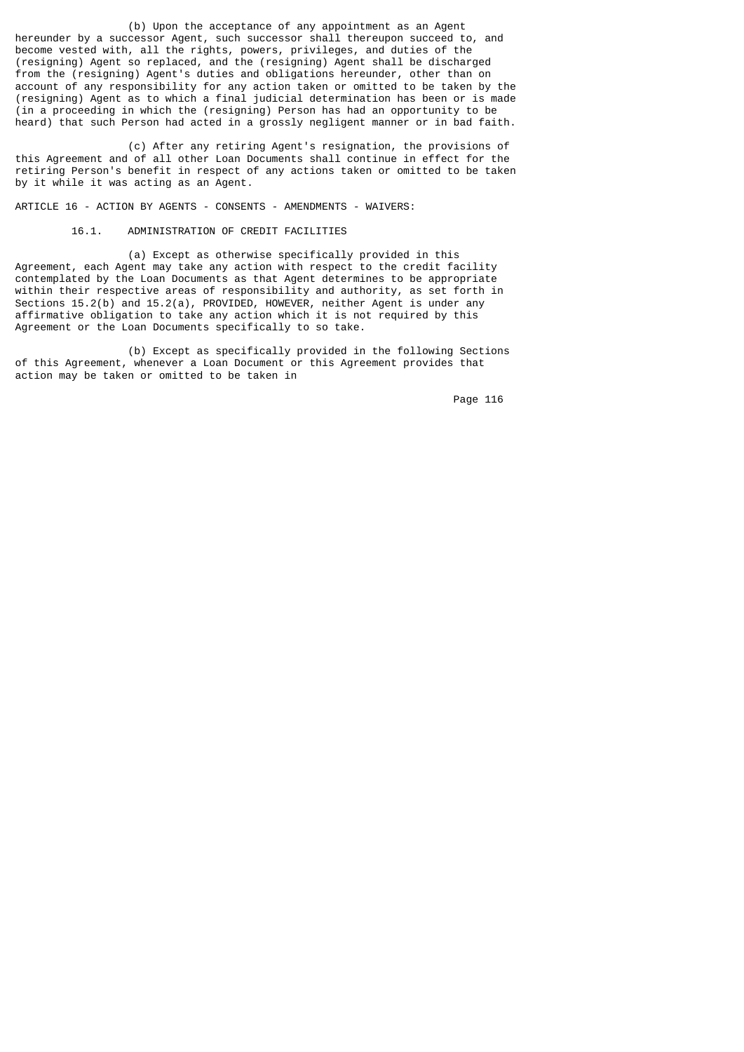(b) Upon the acceptance of any appointment as an Agent hereunder by a successor Agent, such successor shall thereupon succeed to, and become vested with, all the rights, powers, privileges, and duties of the (resigning) Agent so replaced, and the (resigning) Agent shall be discharged from the (resigning) Agent's duties and obligations hereunder, other than on account of any responsibility for any action taken or omitted to be taken by the (resigning) Agent as to which a final judicial determination has been or is made (in a proceeding in which the (resigning) Person has had an opportunity to be heard) that such Person had acted in a grossly negligent manner or in bad faith.

 (c) After any retiring Agent's resignation, the provisions of this Agreement and of all other Loan Documents shall continue in effect for the retiring Person's benefit in respect of any actions taken or omitted to be taken by it while it was acting as an Agent.

ARTICLE 16 - ACTION BY AGENTS - CONSENTS - AMENDMENTS - WAIVERS:

16.1. ADMINISTRATION OF CREDIT FACILITIES

 (a) Except as otherwise specifically provided in this Agreement, each Agent may take any action with respect to the credit facility contemplated by the Loan Documents as that Agent determines to be appropriate within their respective areas of responsibility and authority, as set forth in Sections 15.2(b) and 15.2(a), PROVIDED, HOWEVER, neither Agent is under any affirmative obligation to take any action which it is not required by this Agreement or the Loan Documents specifically to so take.

 (b) Except as specifically provided in the following Sections of this Agreement, whenever a Loan Document or this Agreement provides that action may be taken or omitted to be taken in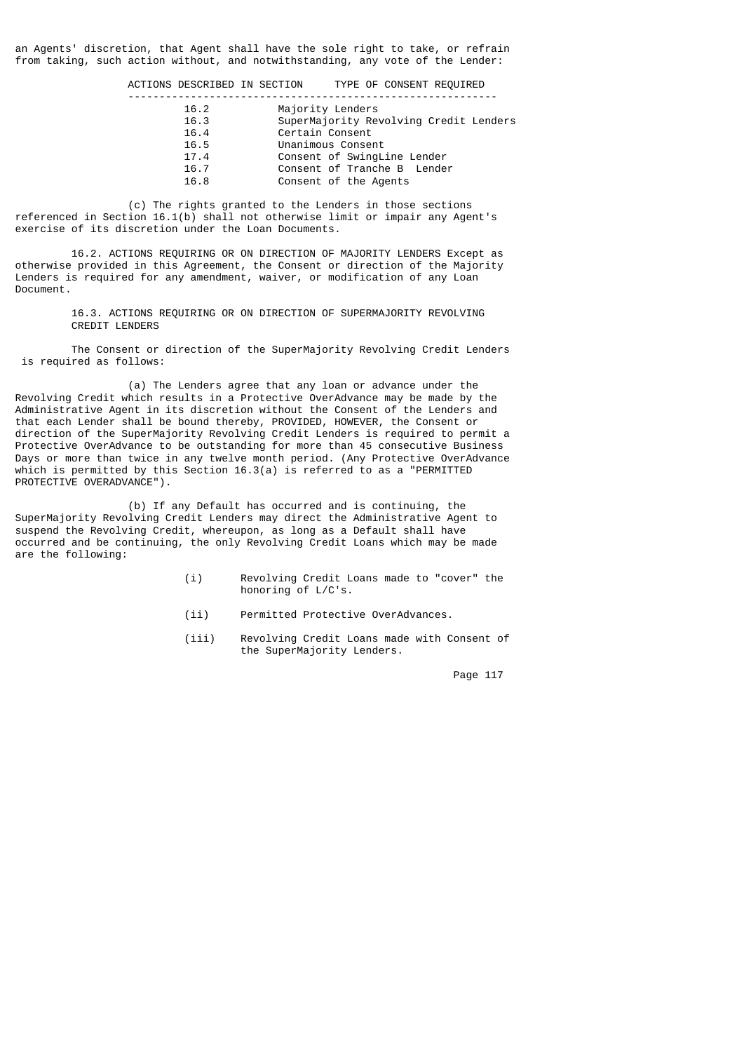an Agents' discretion, that Agent shall have the sole right to take, or refrain from taking, such action without, and notwithstanding, any vote of the Lender:

ACTIONS DESCRIBED IN SECTION TYPE OF CONSENT REQUIRED

| 16.2 | Majority Lenders                       |
|------|----------------------------------------|
| 16.3 | SuperMajority Revolving Credit Lenders |
| 16.4 | Certain Consent                        |
| 16.5 | Unanimous Consent                      |
| 17.4 | Consent of SwingLine Lender            |
| 16.7 | Consent of Tranche B Lender            |
| 16.8 | Consent of the Agents                  |
|      |                                        |

 (c) The rights granted to the Lenders in those sections referenced in Section 16.1(b) shall not otherwise limit or impair any Agent's exercise of its discretion under the Loan Documents.

 16.2. ACTIONS REQUIRING OR ON DIRECTION OF MAJORITY LENDERS Except as otherwise provided in this Agreement, the Consent or direction of the Majority Lenders is required for any amendment, waiver, or modification of any Loan Document.

> 16.3. ACTIONS REQUIRING OR ON DIRECTION OF SUPERMAJORITY REVOLVING CREDIT LENDERS

 The Consent or direction of the SuperMajority Revolving Credit Lenders is required as follows:

 (a) The Lenders agree that any loan or advance under the Revolving Credit which results in a Protective OverAdvance may be made by the Administrative Agent in its discretion without the Consent of the Lenders and that each Lender shall be bound thereby, PROVIDED, HOWEVER, the Consent or direction of the SuperMajority Revolving Credit Lenders is required to permit a Protective OverAdvance to be outstanding for more than 45 consecutive Business Days or more than twice in any twelve month period. (Any Protective OverAdvance which is permitted by this Section 16.3(a) is referred to as a "PERMITTED PROTECTIVE OVERADVANCE").

 (b) If any Default has occurred and is continuing, the SuperMajority Revolving Credit Lenders may direct the Administrative Agent to suspend the Revolving Credit, whereupon, as long as a Default shall have occurred and be continuing, the only Revolving Credit Loans which may be made are the following:

- (i) Revolving Credit Loans made to "cover" the honoring of L/C's.
- (ii) Permitted Protective OverAdvances.
- (iii) Revolving Credit Loans made with Consent of the SuperMajority Lenders.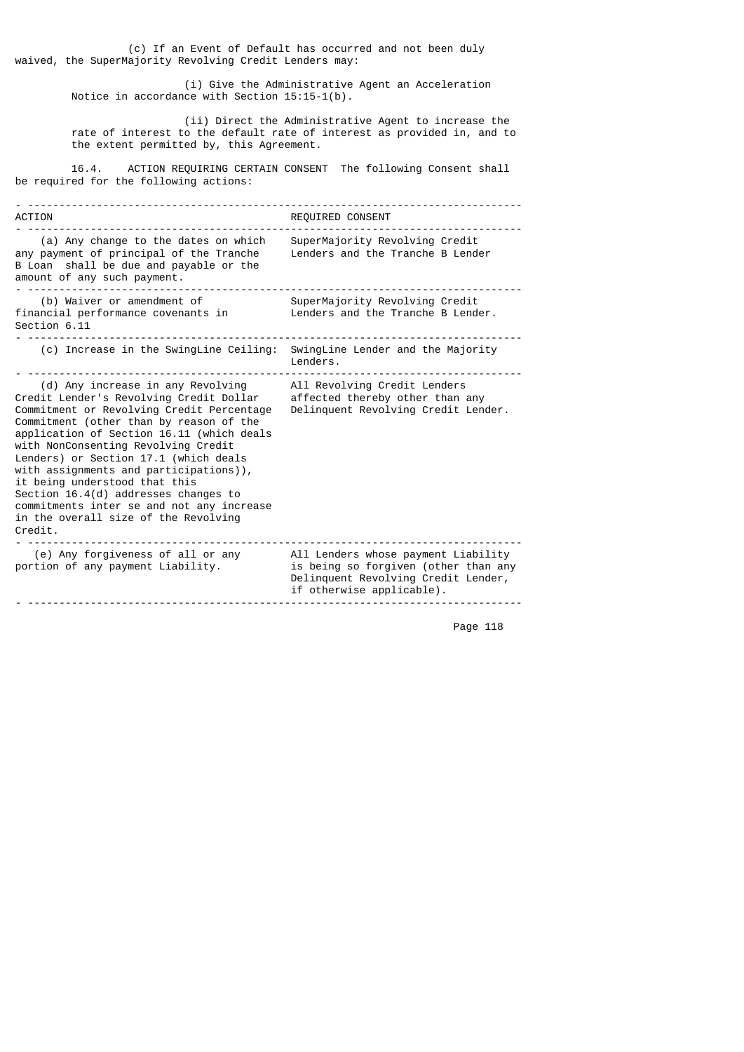(c) If an Event of Default has occurred and not been duly waived, the SuperMajority Revolving Credit Lenders may:

> (i) Give the Administrative Agent an Acceleration Notice in accordance with Section 15:15-1(b).

 (ii) Direct the Administrative Agent to increase the rate of interest to the default rate of interest as provided in, and to the extent permitted by, this Agreement.

 16.4. ACTION REQUIRING CERTAIN CONSENT The following Consent shall be required for the following actions:

- ------------------------------------------------------------------------------- ACTION REQUIRED CONSENT - ------------------------------------------------------------------------------- (a) Any change to the dates on which SuperMajority Revolving Credit any payment of principal of the Tranche Lenders and the Tranche B Lender B Loan shall be due and payable or the amount of any such payment. - ------------------------------------------------------------------------------- (b) Waiver or amendment of  $\hbox{\tt SuperMajority Revolving Credit}$ financial performance covenants in Lenders and the Tranche B Lender. Section 6.11 - ------------------------------------------------------------------------------- (c) Increase in the SwingLine Ceiling: SwingLine Lender and the Majority Lenders. - ------------------------------------------------------------------------------- (d) Any increase in any Revolving All Revolving Credit Lenders Credit Lender's Revolving Credit Dollar affected thereby other than any Commitment or Revolving Credit Percentage Delinquent Revolving Credit Lender. Commitment (other than by reason of the application of Section 16.11 (which deals with NonConsenting Revolving Credit Lenders) or Section 17.1 (which deals with assignments and participations)), it being understood that this Section 16.4(d) addresses changes to commitments inter se and not any increase in the overall size of the Revolving Credit. - ------------------------------------------------------------------------------- (e) Any forgiveness of all or any All Lenders whose payment Liability portion of any payment Liability.  $\hskip1cm$  is being so forgiven (other than any Delinquent Revolving Credit Lender, if otherwise applicable). - -------------------------------------------------------------------------------

```
 Page 118
```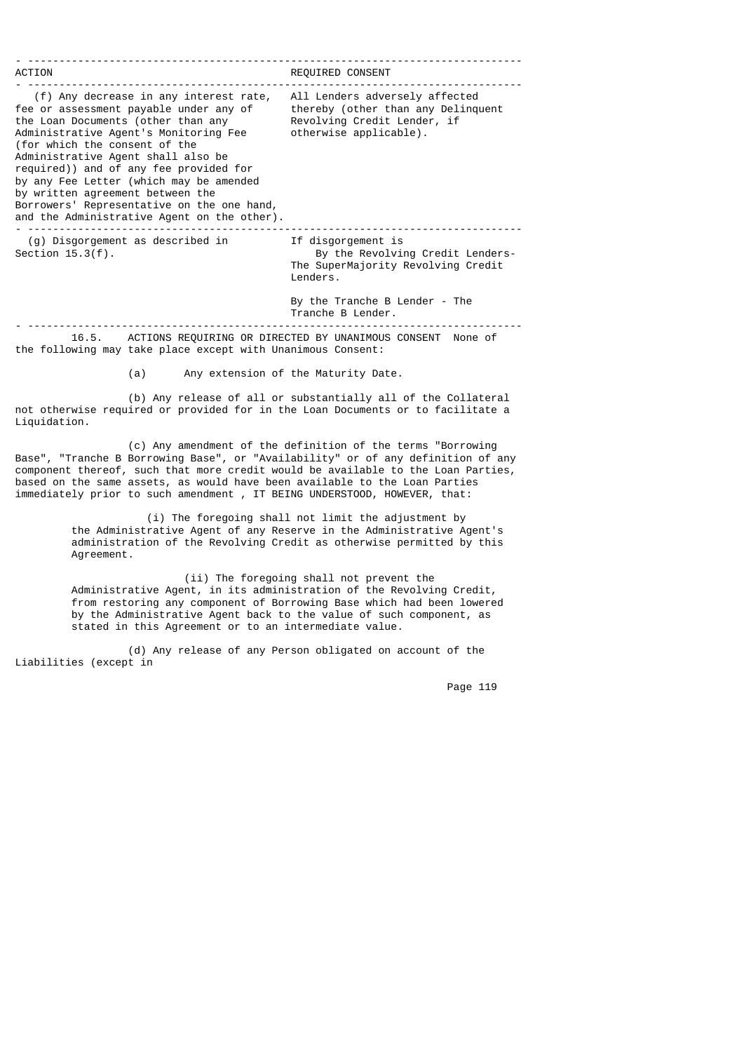| ACTION                                                                                                                                                                                                                                                                                                                                                                                                                                                       | REQUIRED CONSENT                                                                                                                          |
|--------------------------------------------------------------------------------------------------------------------------------------------------------------------------------------------------------------------------------------------------------------------------------------------------------------------------------------------------------------------------------------------------------------------------------------------------------------|-------------------------------------------------------------------------------------------------------------------------------------------|
| (f) Any decrease in any interest rate,<br>fee or assessment payable under any of<br>the Loan Documents (other than any<br>Administrative Agent's Monitoring Fee<br>(for which the consent of the<br>Administrative Agent shall also be<br>required)) and of any fee provided for<br>by any Fee Letter (which may be amended<br>by written agreement between the<br>Borrowers' Representative on the one hand,<br>and the Administrative Agent on the other). | All Lenders adversely affected<br>thereby (other than any Delinguent<br>Revolving Credit Lender, if<br>otherwise applicable).             |
| (g) Disgorgement as described in<br>Section $15.3(f)$ .                                                                                                                                                                                                                                                                                                                                                                                                      | If disgorgement is<br>By the Revolving Credit Lenders-<br>The SuperMajority Revolving Credit<br>Lenders.<br>By the Tranche B Lender - The |
|                                                                                                                                                                                                                                                                                                                                                                                                                                                              | Tranche B Lender.                                                                                                                         |
| ACTIONS REQUIRING OR DIRECTED BY UNANIMOUS CONSENT<br>16.5.                                                                                                                                                                                                                                                                                                                                                                                                  | None of                                                                                                                                   |

the following may take place except with Unanimous Consent:

(a) Any extension of the Maturity Date.

 (b) Any release of all or substantially all of the Collateral not otherwise required or provided for in the Loan Documents or to facilitate a Liquidation.

 (c) Any amendment of the definition of the terms "Borrowing Base", "Tranche B Borrowing Base", or "Availability" or of any definition of any component thereof, such that more credit would be available to the Loan Parties, based on the same assets, as would have been available to the Loan Parties immediately prior to such amendment , IT BEING UNDERSTOOD, HOWEVER, that:

> (i) The foregoing shall not limit the adjustment by the Administrative Agent of any Reserve in the Administrative Agent's administration of the Revolving Credit as otherwise permitted by this Agreement.

> (ii) The foregoing shall not prevent the Administrative Agent, in its administration of the Revolving Credit, from restoring any component of Borrowing Base which had been lowered by the Administrative Agent back to the value of such component, as stated in this Agreement or to an intermediate value.

 (d) Any release of any Person obligated on account of the Liabilities (except in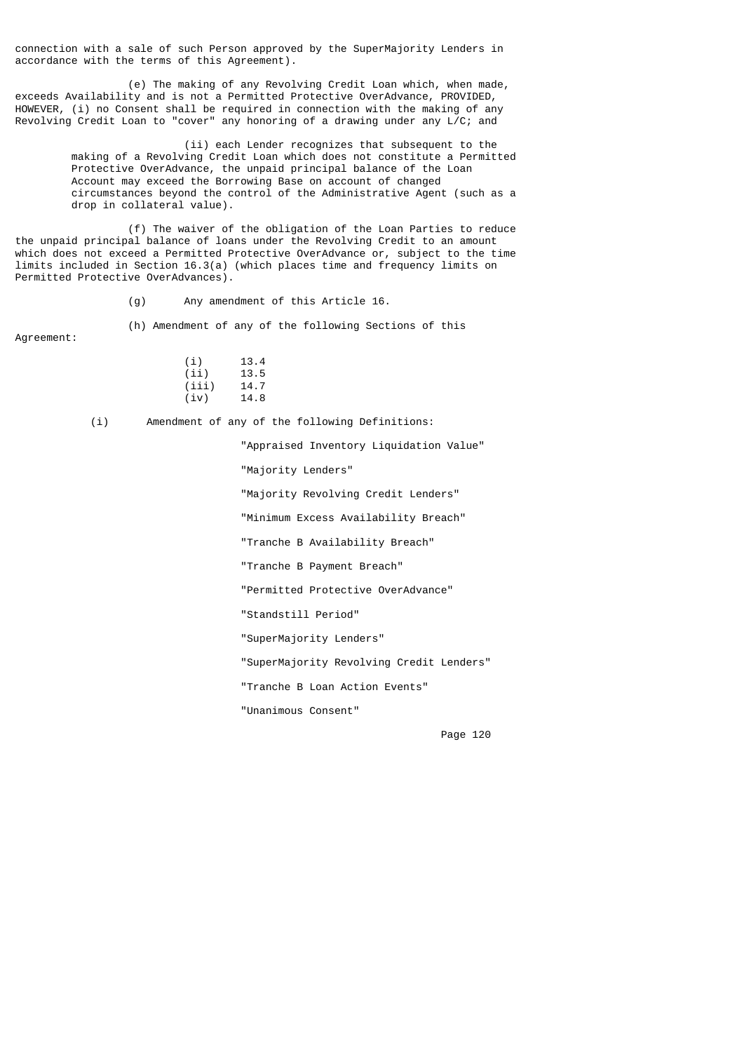connection with a sale of such Person approved by the SuperMajority Lenders in accordance with the terms of this Agreement).

 (e) The making of any Revolving Credit Loan which, when made, exceeds Availability and is not a Permitted Protective OverAdvance, PROVIDED, HOWEVER, (i) no Consent shall be required in connection with the making of any Revolving Credit Loan to "cover" any honoring of a drawing under any  $L/C$ ; and

> (ii) each Lender recognizes that subsequent to the making of a Revolving Credit Loan which does not constitute a Permitted Protective OverAdvance, the unpaid principal balance of the Loan Account may exceed the Borrowing Base on account of changed circumstances beyond the control of the Administrative Agent (such as a drop in collateral value).

 (f) The waiver of the obligation of the Loan Parties to reduce the unpaid principal balance of loans under the Revolving Credit to an amount which does not exceed a Permitted Protective OverAdvance or, subject to the time limits included in Section 16.3(a) (which places time and frequency limits on Permitted Protective OverAdvances).

(g) Any amendment of this Article 16.

 (h) Amendment of any of the following Sections of this Agreement:

| Agreement: |  |  |  |  |
|------------|--|--|--|--|
|            |  |  |  |  |

| (i)   | 13.4 |
|-------|------|
| (iii) | 13.5 |
| (iii) | 14.7 |
| (iv)  | 14.8 |

(i) Amendment of any of the following Definitions:

"Appraised Inventory Liquidation Value"

"Majority Lenders"

"Majority Revolving Credit Lenders"

"Minimum Excess Availability Breach"

"Tranche B Availability Breach"

"Tranche B Payment Breach"

"Permitted Protective OverAdvance"

"Standstill Period"

"SuperMajority Lenders"

"SuperMajority Revolving Credit Lenders"

"Tranche B Loan Action Events"

"Unanimous Consent"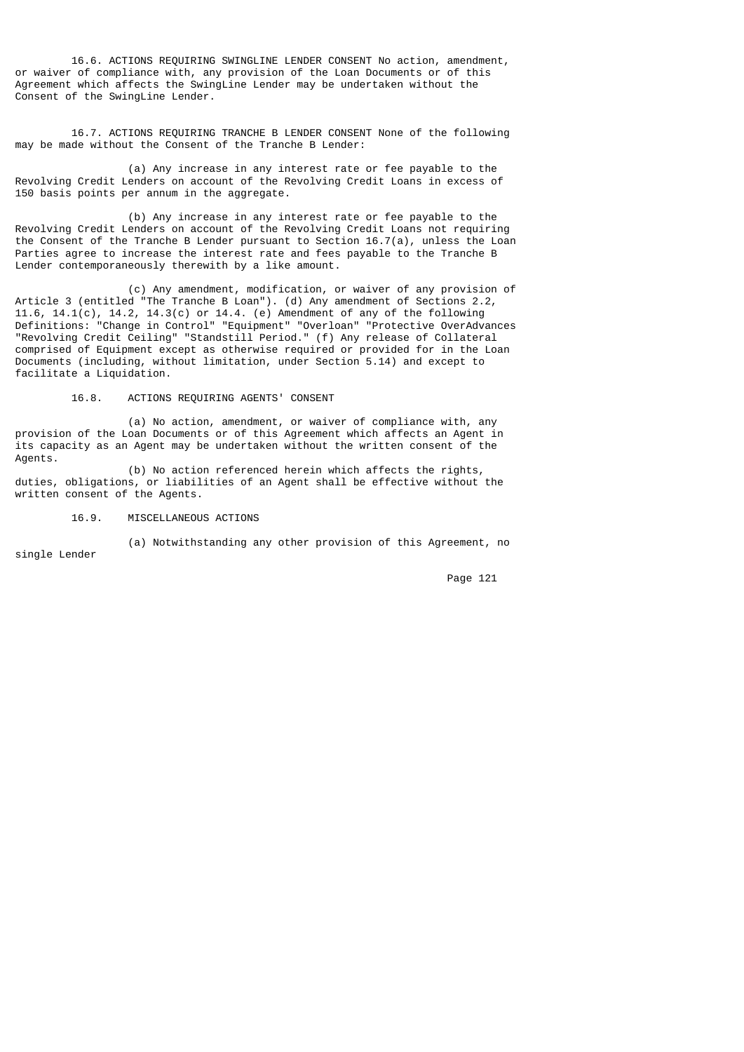16.6. ACTIONS REQUIRING SWINGLINE LENDER CONSENT No action, amendment, or waiver of compliance with, any provision of the Loan Documents or of this Agreement which affects the SwingLine Lender may be undertaken without the Consent of the SwingLine Lender.

 16.7. ACTIONS REQUIRING TRANCHE B LENDER CONSENT None of the following may be made without the Consent of the Tranche B Lender:

 (a) Any increase in any interest rate or fee payable to the Revolving Credit Lenders on account of the Revolving Credit Loans in excess of 150 basis points per annum in the aggregate.

 (b) Any increase in any interest rate or fee payable to the Revolving Credit Lenders on account of the Revolving Credit Loans not requiring the Consent of the Tranche B Lender pursuant to Section 16.7(a), unless the Loan Parties agree to increase the interest rate and fees payable to the Tranche B Lender contemporaneously therewith by a like amount.

 (c) Any amendment, modification, or waiver of any provision of Article 3 (entitled "The Tranche B Loan"). (d) Any amendment of Sections 2.2, 11.6, 14.1(c), 14.2, 14.3(c) or 14.4. (e) Amendment of any of the following Definitions: "Change in Control" "Equipment" "Overloan" "Protective OverAdvances "Revolving Credit Ceiling" "Standstill Period." (f) Any release of Collateral comprised of Equipment except as otherwise required or provided for in the Loan Documents (including, without limitation, under Section 5.14) and except to facilitate a Liquidation.

### 16.8. ACTIONS REQUIRING AGENTS' CONSENT

 (a) No action, amendment, or waiver of compliance with, any provision of the Loan Documents or of this Agreement which affects an Agent in its capacity as an Agent may be undertaken without the written consent of the Agents.

 (b) No action referenced herein which affects the rights, duties, obligations, or liabilities of an Agent shall be effective without the written consent of the Agents.

#### 16.9. MISCELLANEOUS ACTIONS

(a) Notwithstanding any other provision of this Agreement, no

single Lender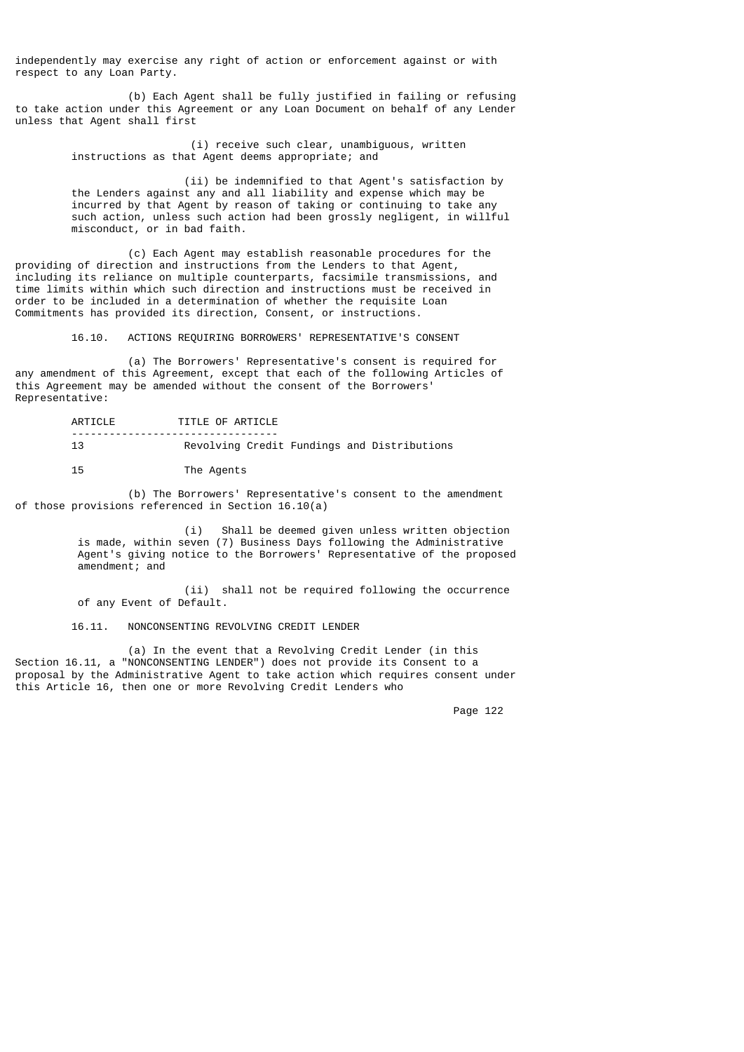independently may exercise any right of action or enforcement against or with respect to any Loan Party.

 (b) Each Agent shall be fully justified in failing or refusing to take action under this Agreement or any Loan Document on behalf of any Lender unless that Agent shall first

> (i) receive such clear, unambiguous, written instructions as that Agent deems appropriate; and

 (ii) be indemnified to that Agent's satisfaction by the Lenders against any and all liability and expense which may be incurred by that Agent by reason of taking or continuing to take any such action, unless such action had been grossly negligent, in willful misconduct, or in bad faith.

 (c) Each Agent may establish reasonable procedures for the providing of direction and instructions from the Lenders to that Agent, including its reliance on multiple counterparts, facsimile transmissions, and time limits within which such direction and instructions must be received in order to be included in a determination of whether the requisite Loan Commitments has provided its direction, Consent, or instructions.

16.10. ACTIONS REQUIRING BORROWERS' REPRESENTATIVE'S CONSENT

 (a) The Borrowers' Representative's consent is required for any amendment of this Agreement, except that each of the following Articles of this Agreement may be amended without the consent of the Borrowers' Representative:

> ARTICLE TITLE OF ARTICLE --------------------------------- Revolving Credit Fundings and Distributions 15 The Agents

 (b) The Borrowers' Representative's consent to the amendment of those provisions referenced in Section 16.10(a)

 (i) Shall be deemed given unless written objection is made, within seven (7) Business Days following the Administrative Agent's giving notice to the Borrowers' Representative of the proposed amendment; and

> (ii) shall not be required following the occurrence of any Event of Default.

16.11. NONCONSENTING REVOLVING CREDIT LENDER

 (a) In the event that a Revolving Credit Lender (in this Section 16.11, a "NONCONSENTING LENDER") does not provide its Consent to a proposal by the Administrative Agent to take action which requires consent under this Article 16, then one or more Revolving Credit Lenders who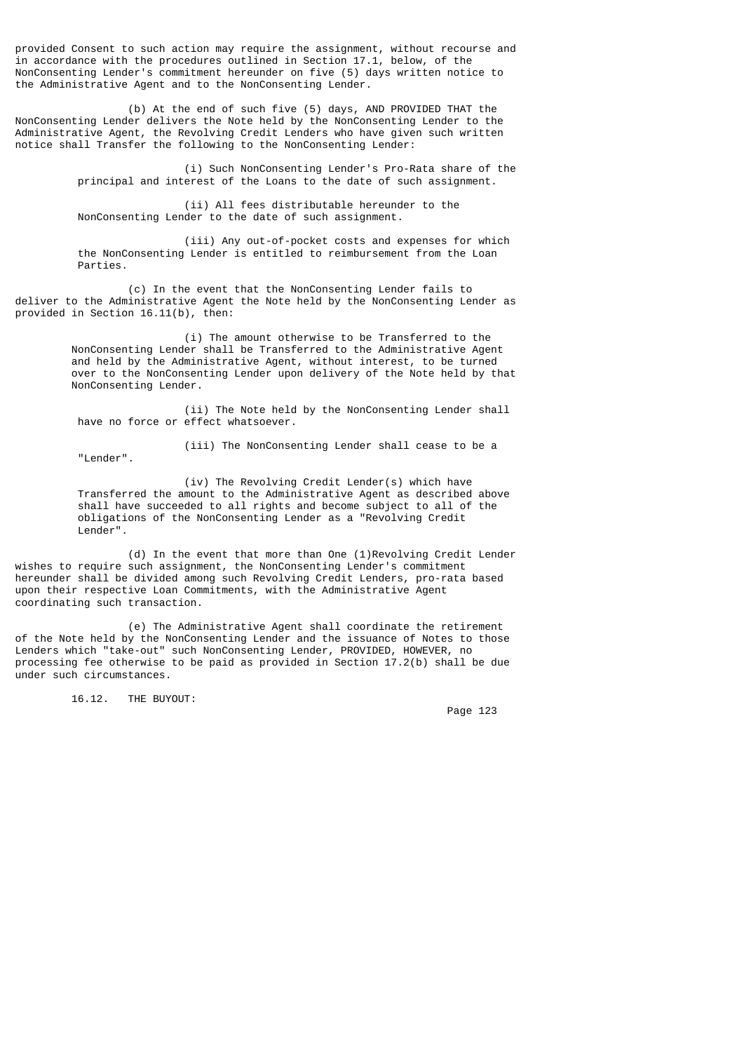provided Consent to such action may require the assignment, without recourse and in accordance with the procedures outlined in Section 17.1, below, of the NonConsenting Lender's commitment hereunder on five (5) days written notice to the Administrative Agent and to the NonConsenting Lender.

 (b) At the end of such five (5) days, AND PROVIDED THAT the NonConsenting Lender delivers the Note held by the NonConsenting Lender to the Administrative Agent, the Revolving Credit Lenders who have given such written notice shall Transfer the following to the NonConsenting Lender:

> (i) Such NonConsenting Lender's Pro-Rata share of the principal and interest of the Loans to the date of such assignment.

 (ii) All fees distributable hereunder to the NonConsenting Lender to the date of such assignment.

 (iii) Any out-of-pocket costs and expenses for which the NonConsenting Lender is entitled to reimbursement from the Loan Parties.

 (c) In the event that the NonConsenting Lender fails to deliver to the Administrative Agent the Note held by the NonConsenting Lender as provided in Section 16.11(b), then:

> (i) The amount otherwise to be Transferred to the NonConsenting Lender shall be Transferred to the Administrative Agent and held by the Administrative Agent, without interest, to be turned over to the NonConsenting Lender upon delivery of the Note held by that NonConsenting Lender.

 (ii) The Note held by the NonConsenting Lender shall have no force or effect whatsoever.

"Lender".

(iii) The NonConsenting Lender shall cease to be a

 (iv) The Revolving Credit Lender(s) which have Transferred the amount to the Administrative Agent as described above shall have succeeded to all rights and become subject to all of the obligations of the NonConsenting Lender as a "Revolving Credit Lender".

 (d) In the event that more than One (1)Revolving Credit Lender wishes to require such assignment, the NonConsenting Lender's commitment hereunder shall be divided among such Revolving Credit Lenders, pro-rata based upon their respective Loan Commitments, with the Administrative Agent coordinating such transaction.

 (e) The Administrative Agent shall coordinate the retirement of the Note held by the NonConsenting Lender and the issuance of Notes to those Lenders which "take-out" such NonConsenting Lender, PROVIDED, HOWEVER, no processing fee otherwise to be paid as provided in Section 17.2(b) shall be due under such circumstances.

16.12. THE BUYOUT: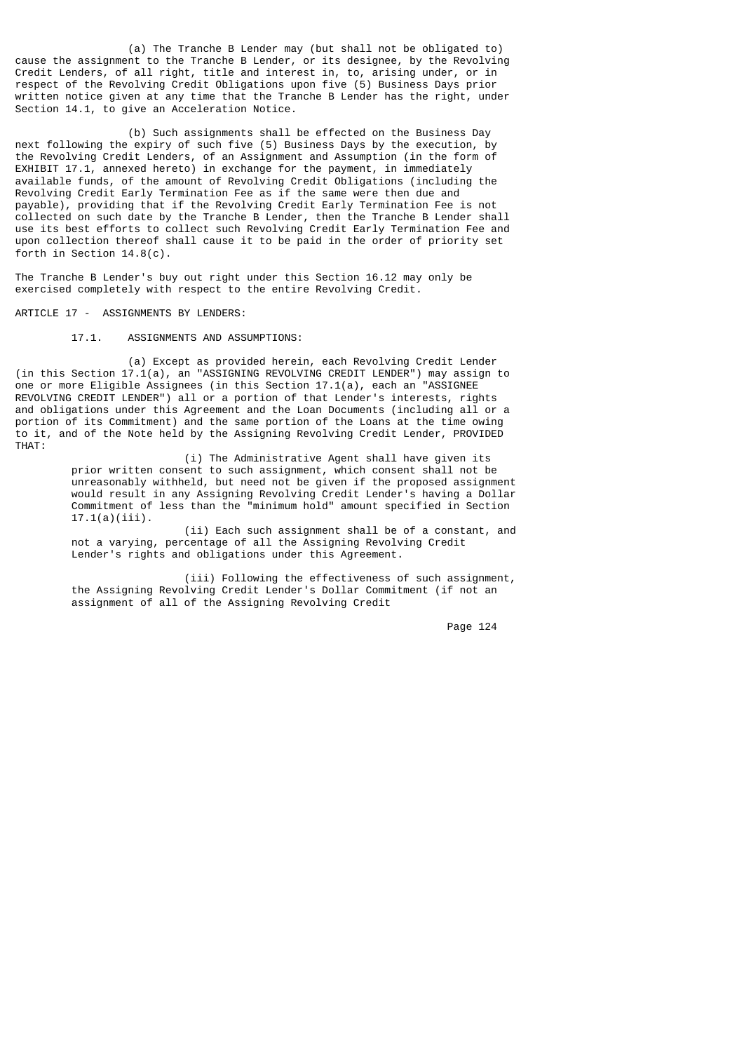(a) The Tranche B Lender may (but shall not be obligated to) cause the assignment to the Tranche B Lender, or its designee, by the Revolving Credit Lenders, of all right, title and interest in, to, arising under, or in respect of the Revolving Credit Obligations upon five (5) Business Days prior written notice given at any time that the Tranche B Lender has the right, under Section 14.1, to give an Acceleration Notice.

 (b) Such assignments shall be effected on the Business Day next following the expiry of such five (5) Business Days by the execution, by the Revolving Credit Lenders, of an Assignment and Assumption (in the form of EXHIBIT 17.1, annexed hereto) in exchange for the payment, in immediately available funds, of the amount of Revolving Credit Obligations (including the Revolving Credit Early Termination Fee as if the same were then due and payable), providing that if the Revolving Credit Early Termination Fee is not collected on such date by the Tranche B Lender, then the Tranche B Lender shall use its best efforts to collect such Revolving Credit Early Termination Fee and upon collection thereof shall cause it to be paid in the order of priority set forth in Section 14.8(c).

The Tranche B Lender's buy out right under this Section 16.12 may only be exercised completely with respect to the entire Revolving Credit.

ARTICLE 17 - ASSIGNMENTS BY LENDERS:

17.1. ASSIGNMENTS AND ASSUMPTIONS:

 (a) Except as provided herein, each Revolving Credit Lender (in this Section 17.1(a), an "ASSIGNING REVOLVING CREDIT LENDER") may assign to one or more Eligible Assignees (in this Section 17.1(a), each an "ASSIGNEE REVOLVING CREDIT LENDER") all or a portion of that Lender's interests, rights and obligations under this Agreement and the Loan Documents (including all or a portion of its Commitment) and the same portion of the Loans at the time owing to it, and of the Note held by the Assigning Revolving Credit Lender, PROVIDED THAT:

> (i) The Administrative Agent shall have given its prior written consent to such assignment, which consent shall not be unreasonably withheld, but need not be given if the proposed assignment would result in any Assigning Revolving Credit Lender's having a Dollar Commitment of less than the "minimum hold" amount specified in Section 17.1(a)(iii).

> (ii) Each such assignment shall be of a constant, and not a varying, percentage of all the Assigning Revolving Credit Lender's rights and obligations under this Agreement.

> (iii) Following the effectiveness of such assignment, the Assigning Revolving Credit Lender's Dollar Commitment (if not an assignment of all of the Assigning Revolving Credit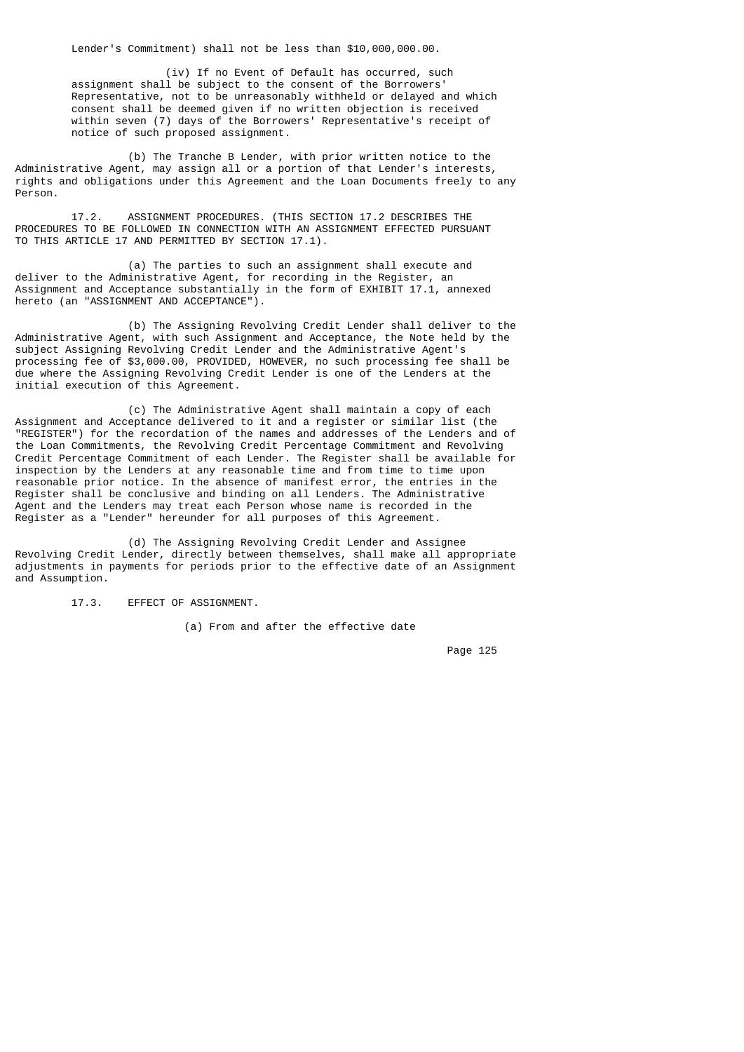Lender's Commitment) shall not be less than \$10,000,000.00.

 (iv) If no Event of Default has occurred, such assignment shall be subject to the consent of the Borrowers' Representative, not to be unreasonably withheld or delayed and which consent shall be deemed given if no written objection is received within seven (7) days of the Borrowers' Representative's receipt of notice of such proposed assignment.

 (b) The Tranche B Lender, with prior written notice to the Administrative Agent, may assign all or a portion of that Lender's interests, rights and obligations under this Agreement and the Loan Documents freely to any Person.

 17.2. ASSIGNMENT PROCEDURES. (THIS SECTION 17.2 DESCRIBES THE PROCEDURES TO BE FOLLOWED IN CONNECTION WITH AN ASSIGNMENT EFFECTED PURSUANT TO THIS ARTICLE 17 AND PERMITTED BY SECTION 17.1).

 (a) The parties to such an assignment shall execute and deliver to the Administrative Agent, for recording in the Register, an Assignment and Acceptance substantially in the form of EXHIBIT 17.1, annexed hereto (an "ASSIGNMENT AND ACCEPTANCE").

 (b) The Assigning Revolving Credit Lender shall deliver to the Administrative Agent, with such Assignment and Acceptance, the Note held by the subject Assigning Revolving Credit Lender and the Administrative Agent's processing fee of \$3,000.00, PROVIDED, HOWEVER, no such processing fee shall be due where the Assigning Revolving Credit Lender is one of the Lenders at the initial execution of this Agreement.

 (c) The Administrative Agent shall maintain a copy of each Assignment and Acceptance delivered to it and a register or similar list (the "REGISTER") for the recordation of the names and addresses of the Lenders and of the Loan Commitments, the Revolving Credit Percentage Commitment and Revolving Credit Percentage Commitment of each Lender. The Register shall be available for inspection by the Lenders at any reasonable time and from time to time upon reasonable prior notice. In the absence of manifest error, the entries in the Register shall be conclusive and binding on all Lenders. The Administrative Agent and the Lenders may treat each Person whose name is recorded in the Register as a "Lender" hereunder for all purposes of this Agreement.

 (d) The Assigning Revolving Credit Lender and Assignee Revolving Credit Lender, directly between themselves, shall make all appropriate adjustments in payments for periods prior to the effective date of an Assignment and Assumption.

17.3. EFFECT OF ASSIGNMENT.

(a) From and after the effective date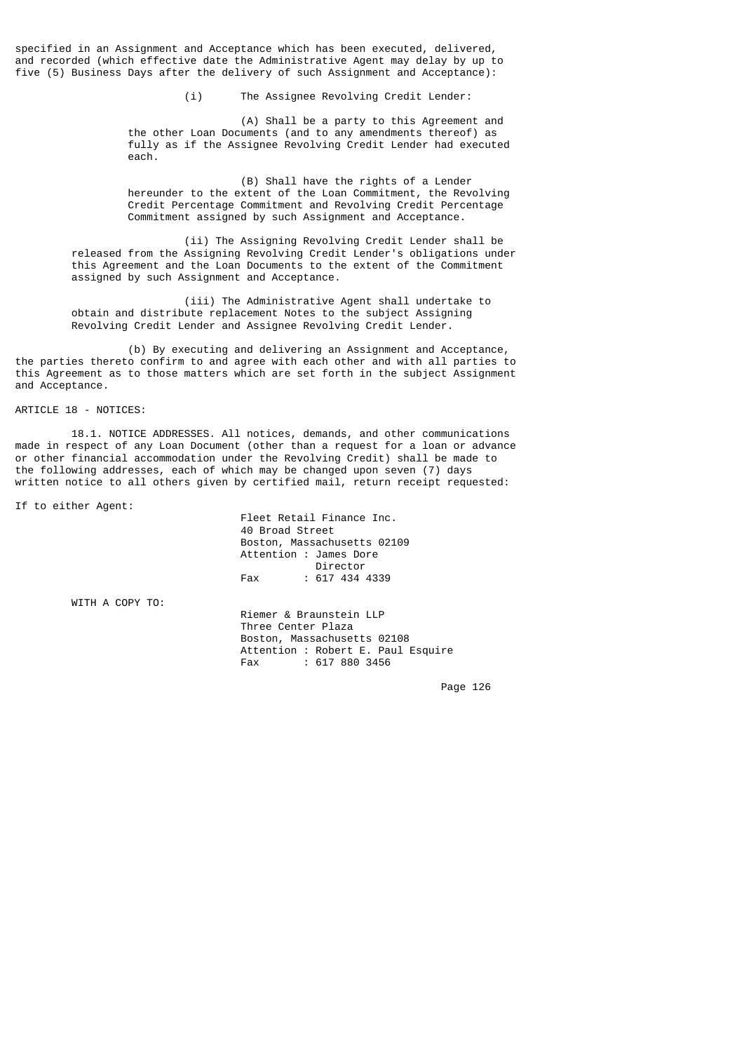specified in an Assignment and Acceptance which has been executed, delivered, and recorded (which effective date the Administrative Agent may delay by up to five (5) Business Days after the delivery of such Assignment and Acceptance):

(i) The Assignee Revolving Credit Lender:

 (A) Shall be a party to this Agreement and the other Loan Documents (and to any amendments thereof) as fully as if the Assignee Revolving Credit Lender had executed each.

> (B) Shall have the rights of a Lender hereunder to the extent of the Loan Commitment, the Revolving Credit Percentage Commitment and Revolving Credit Percentage Commitment assigned by such Assignment and Acceptance.

 (ii) The Assigning Revolving Credit Lender shall be released from the Assigning Revolving Credit Lender's obligations under this Agreement and the Loan Documents to the extent of the Commitment assigned by such Assignment and Acceptance.

 (iii) The Administrative Agent shall undertake to obtain and distribute replacement Notes to the subject Assigning Revolving Credit Lender and Assignee Revolving Credit Lender.

 (b) By executing and delivering an Assignment and Acceptance, the parties thereto confirm to and agree with each other and with all parties to this Agreement as to those matters which are set forth in the subject Assignment and Acceptance.

ARTICLE 18 - NOTICES:

 18.1. NOTICE ADDRESSES. All notices, demands, and other communications made in respect of any Loan Document (other than a request for a loan or advance or other financial accommodation under the Revolving Credit) shall be made to the following addresses, each of which may be changed upon seven (7) days written notice to all others given by certified mail, return receipt requested:

If to either Agent:

 Fleet Retail Finance Inc. 40 Broad Street Boston, Massachusetts 02109 Attention : James Dore<br>Director Director Fax : 617 434 4339

WITH A COPY TO:

 Riemer & Braunstein LLP Three Center Plaza Boston, Massachusetts 02108 Attention : Robert E. Paul Esquire<br>Fax : 617 880 3456  $: 617 880 3456$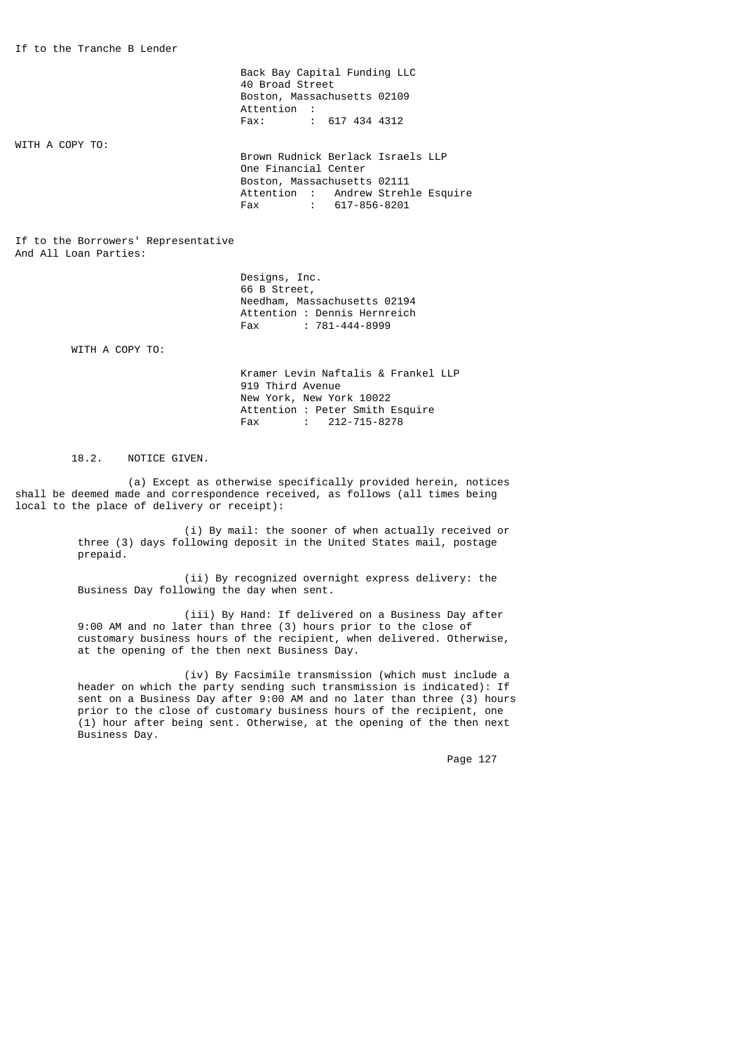Back Bay Capital Funding LLC 40 Broad Street Boston, Massachusetts 02109 Attention :<br>Fax: : Fax: : 617 434 4312

WITH A COPY TO:

 Brown Rudnick Berlack Israels LLP One Financial Center Boston, Massachusetts 02111 Attention : Andrew Strehle Esquire Fax : 617-856-8201

If to the Borrowers' Representative And All Loan Parties:

> Designs, Inc. 66 B Street, Needham, Massachusetts 02194 Attention : Dennis Hernreich<br>Fax : 781-444-8999  $: 781 - 444 - 8999$

WITH A COPY TO:

 Kramer Levin Naftalis & Frankel LLP 919 Third Avenue New York, New York 10022 Attention : Peter Smith Esquire<br>Eax : 212-715-8278  $: 212 - 715 - 8278$ 

## 18.2. NOTICE GIVEN.

 (a) Except as otherwise specifically provided herein, notices shall be deemed made and correspondence received, as follows (all times being local to the place of delivery or receipt):

> (i) By mail: the sooner of when actually received or three (3) days following deposit in the United States mail, postage prepaid.

 (ii) By recognized overnight express delivery: the Business Day following the day when sent.

 (iii) By Hand: If delivered on a Business Day after 9:00 AM and no later than three (3) hours prior to the close of customary business hours of the recipient, when delivered. Otherwise, at the opening of the then next Business Day.

> (iv) By Facsimile transmission (which must include a header on which the party sending such transmission is indicated): If sent on a Business Day after 9:00 AM and no later than three (3) hours prior to the close of customary business hours of the recipient, one (1) hour after being sent. Otherwise, at the opening of the then next Business Day.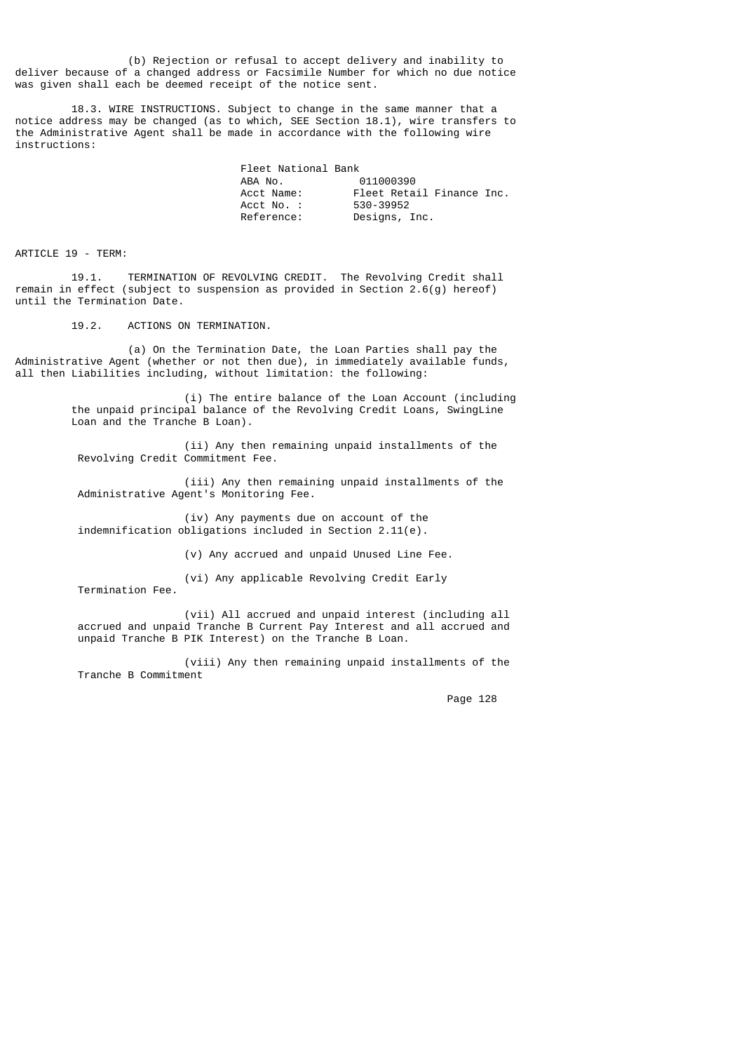(b) Rejection or refusal to accept delivery and inability to deliver because of a changed address or Facsimile Number for which no due notice was given shall each be deemed receipt of the notice sent.

 18.3. WIRE INSTRUCTIONS. Subject to change in the same manner that a notice address may be changed (as to which, SEE Section 18.1), wire transfers to the Administrative Agent shall be made in accordance with the following wire instructions:

| Fleet National Bank |                           |  |
|---------------------|---------------------------|--|
| ABA NO.             | 011000390                 |  |
| Acct Name:          | Fleet Retail Finance Inc. |  |
| Acct No. :          | 530-39952                 |  |
| Reference:          | Designs, Inc.             |  |

ARTICLE 19 - TERM:

 19.1. TERMINATION OF REVOLVING CREDIT. The Revolving Credit shall remain in effect (subject to suspension as provided in Section 2.6(g) hereof) until the Termination Date.

19.2. ACTIONS ON TERMINATION.

 (a) On the Termination Date, the Loan Parties shall pay the Administrative Agent (whether or not then due), in immediately available funds, all then Liabilities including, without limitation: the following:

> (i) The entire balance of the Loan Account (including the unpaid principal balance of the Revolving Credit Loans, SwingLine Loan and the Tranche B Loan).

 (ii) Any then remaining unpaid installments of the Revolving Credit Commitment Fee.

 (iii) Any then remaining unpaid installments of the Administrative Agent's Monitoring Fee.

 (iv) Any payments due on account of the indemnification obligations included in Section 2.11(e).

(v) Any accrued and unpaid Unused Line Fee.

(vi) Any applicable Revolving Credit Early

Termination Fee.

 (vii) All accrued and unpaid interest (including all accrued and unpaid Tranche B Current Pay Interest and all accrued and unpaid Tranche B PIK Interest) on the Tranche B Loan.

 (viii) Any then remaining unpaid installments of the Tranche B Commitment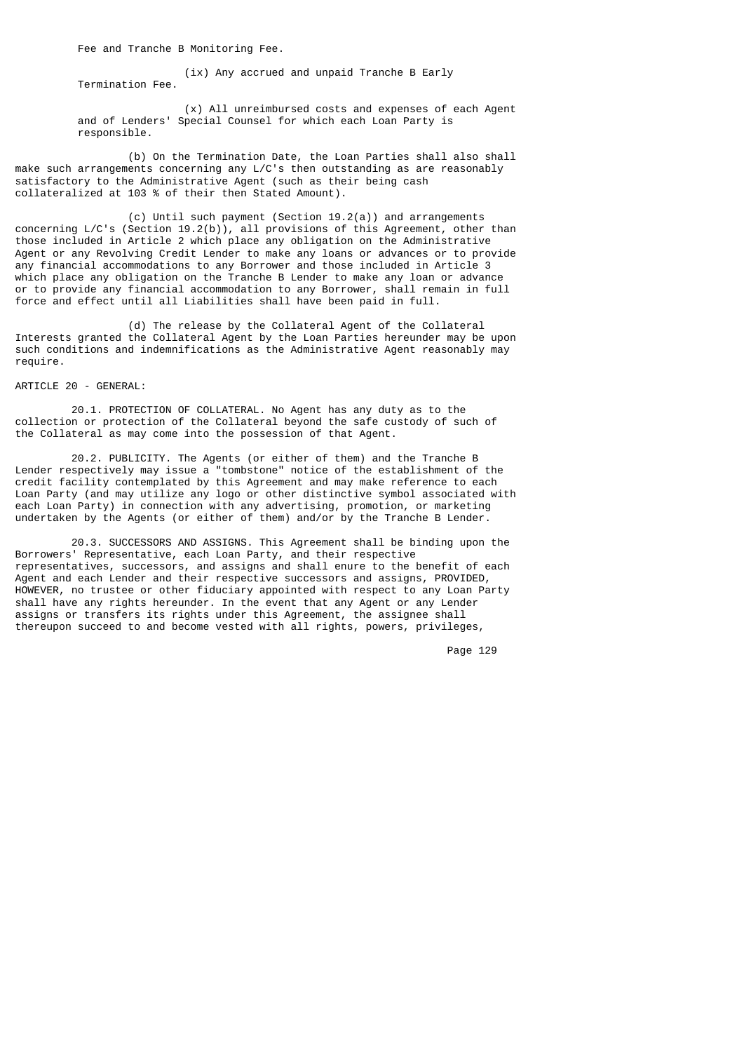Fee and Tranche B Monitoring Fee.

 (ix) Any accrued and unpaid Tranche B Early Termination Fee.

 (x) All unreimbursed costs and expenses of each Agent and of Lenders' Special Counsel for which each Loan Party is responsible.

 (b) On the Termination Date, the Loan Parties shall also shall make such arrangements concerning any L/C's then outstanding as are reasonably satisfactory to the Administrative Agent (such as their being cash collateralized at 103 % of their then Stated Amount).

 (c) Until such payment (Section 19.2(a)) and arrangements concerning L/C's (Section 19.2(b)), all provisions of this Agreement, other than those included in Article 2 which place any obligation on the Administrative Agent or any Revolving Credit Lender to make any loans or advances or to provide any financial accommodations to any Borrower and those included in Article 3 which place any obligation on the Tranche B Lender to make any loan or advance or to provide any financial accommodation to any Borrower, shall remain in full force and effect until all Liabilities shall have been paid in full.

 (d) The release by the Collateral Agent of the Collateral Interests granted the Collateral Agent by the Loan Parties hereunder may be upon such conditions and indemnifications as the Administrative Agent reasonably may require.

ARTICLE 20 - GENERAL:

 20.1. PROTECTION OF COLLATERAL. No Agent has any duty as to the collection or protection of the Collateral beyond the safe custody of such of the Collateral as may come into the possession of that Agent.

 20.2. PUBLICITY. The Agents (or either of them) and the Tranche B Lender respectively may issue a "tombstone" notice of the establishment of the credit facility contemplated by this Agreement and may make reference to each Loan Party (and may utilize any logo or other distinctive symbol associated with each Loan Party) in connection with any advertising, promotion, or marketing undertaken by the Agents (or either of them) and/or by the Tranche B Lender.

 20.3. SUCCESSORS AND ASSIGNS. This Agreement shall be binding upon the Borrowers' Representative, each Loan Party, and their respective representatives, successors, and assigns and shall enure to the benefit of each Agent and each Lender and their respective successors and assigns, PROVIDED, HOWEVER, no trustee or other fiduciary appointed with respect to any Loan Party shall have any rights hereunder. In the event that any Agent or any Lender assigns or transfers its rights under this Agreement, the assignee shall thereupon succeed to and become vested with all rights, powers, privileges,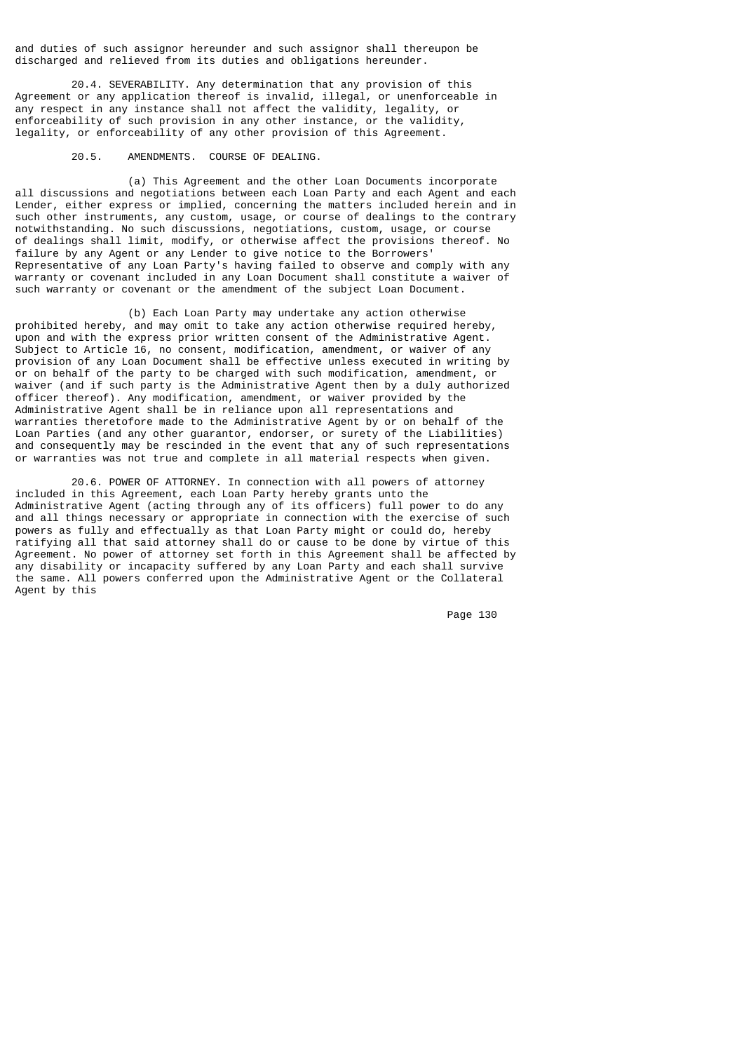and duties of such assignor hereunder and such assignor shall thereupon be discharged and relieved from its duties and obligations hereunder.

 20.4. SEVERABILITY. Any determination that any provision of this Agreement or any application thereof is invalid, illegal, or unenforceable in any respect in any instance shall not affect the validity, legality, or enforceability of such provision in any other instance, or the validity, legality, or enforceability of any other provision of this Agreement.

### 20.5. AMENDMENTS. COURSE OF DEALING.

 (a) This Agreement and the other Loan Documents incorporate all discussions and negotiations between each Loan Party and each Agent and each Lender, either express or implied, concerning the matters included herein and in such other instruments, any custom, usage, or course of dealings to the contrary notwithstanding. No such discussions, negotiations, custom, usage, or course of dealings shall limit, modify, or otherwise affect the provisions thereof. No failure by any Agent or any Lender to give notice to the Borrowers' Representative of any Loan Party's having failed to observe and comply with any warranty or covenant included in any Loan Document shall constitute a waiver of such warranty or covenant or the amendment of the subject Loan Document.

 (b) Each Loan Party may undertake any action otherwise prohibited hereby, and may omit to take any action otherwise required hereby, upon and with the express prior written consent of the Administrative Agent. Subject to Article 16, no consent, modification, amendment, or waiver of any provision of any Loan Document shall be effective unless executed in writing by or on behalf of the party to be charged with such modification, amendment, or waiver (and if such party is the Administrative Agent then by a duly authorized officer thereof). Any modification, amendment, or waiver provided by the Administrative Agent shall be in reliance upon all representations and warranties theretofore made to the Administrative Agent by or on behalf of the Loan Parties (and any other guarantor, endorser, or surety of the Liabilities) and consequently may be rescinded in the event that any of such representations or warranties was not true and complete in all material respects when given.

 20.6. POWER OF ATTORNEY. In connection with all powers of attorney included in this Agreement, each Loan Party hereby grants unto the Administrative Agent (acting through any of its officers) full power to do any and all things necessary or appropriate in connection with the exercise of such powers as fully and effectually as that Loan Party might or could do, hereby ratifying all that said attorney shall do or cause to be done by virtue of this Agreement. No power of attorney set forth in this Agreement shall be affected by any disability or incapacity suffered by any Loan Party and each shall survive the same. All powers conferred upon the Administrative Agent or the Collateral Agent by this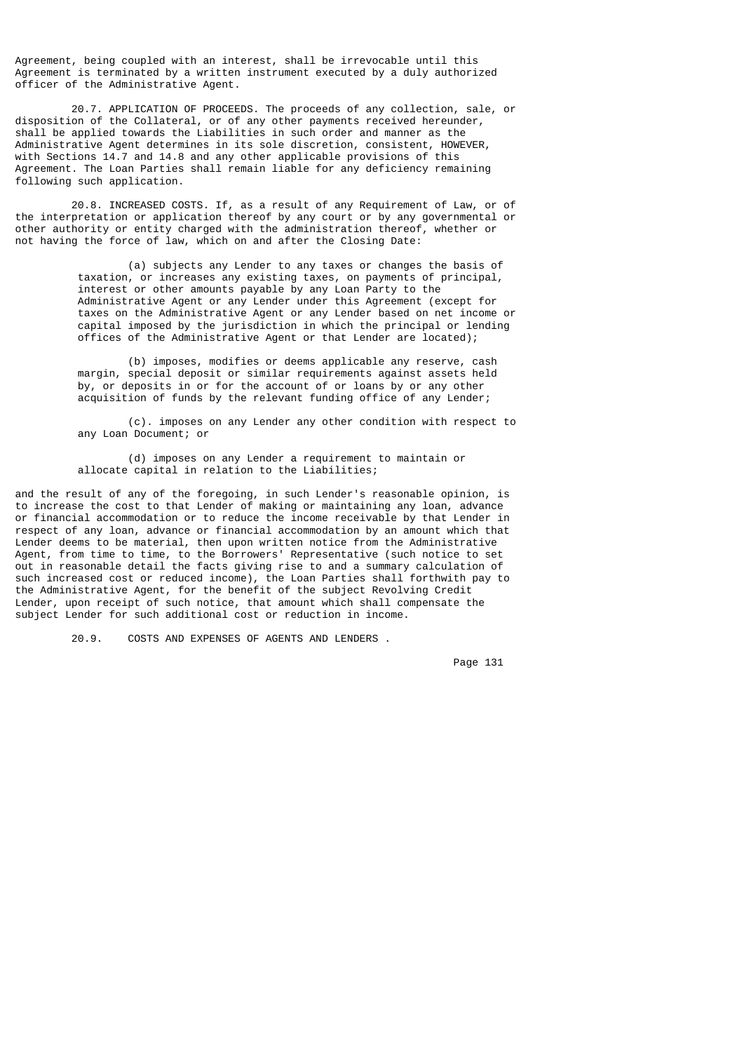Agreement, being coupled with an interest, shall be irrevocable until this Agreement is terminated by a written instrument executed by a duly authorized officer of the Administrative Agent.

 20.7. APPLICATION OF PROCEEDS. The proceeds of any collection, sale, or disposition of the Collateral, or of any other payments received hereunder, shall be applied towards the Liabilities in such order and manner as the Administrative Agent determines in its sole discretion, consistent, HOWEVER, with Sections 14.7 and 14.8 and any other applicable provisions of this Agreement. The Loan Parties shall remain liable for any deficiency remaining following such application.

 20.8. INCREASED COSTS. If, as a result of any Requirement of Law, or of the interpretation or application thereof by any court or by any governmental or other authority or entity charged with the administration thereof, whether or not having the force of law, which on and after the Closing Date:

> (a) subjects any Lender to any taxes or changes the basis of taxation, or increases any existing taxes, on payments of principal, interest or other amounts payable by any Loan Party to the Administrative Agent or any Lender under this Agreement (except for taxes on the Administrative Agent or any Lender based on net income or capital imposed by the jurisdiction in which the principal or lending offices of the Administrative Agent or that Lender are located);

 (b) imposes, modifies or deems applicable any reserve, cash margin, special deposit or similar requirements against assets held by, or deposits in or for the account of or loans by or any other acquisition of funds by the relevant funding office of any Lender;

 (c). imposes on any Lender any other condition with respect to any Loan Document; or

 (d) imposes on any Lender a requirement to maintain or allocate capital in relation to the Liabilities;

and the result of any of the foregoing, in such Lender's reasonable opinion, is to increase the cost to that Lender of making or maintaining any loan, advance or financial accommodation or to reduce the income receivable by that Lender in respect of any loan, advance or financial accommodation by an amount which that Lender deems to be material, then upon written notice from the Administrative Agent, from time to time, to the Borrowers' Representative (such notice to set out in reasonable detail the facts giving rise to and a summary calculation of such increased cost or reduced income), the Loan Parties shall forthwith pay to the Administrative Agent, for the benefit of the subject Revolving Credit Lender, upon receipt of such notice, that amount which shall compensate the subject Lender for such additional cost or reduction in income.

20.9. COSTS AND EXPENSES OF AGENTS AND LENDERS .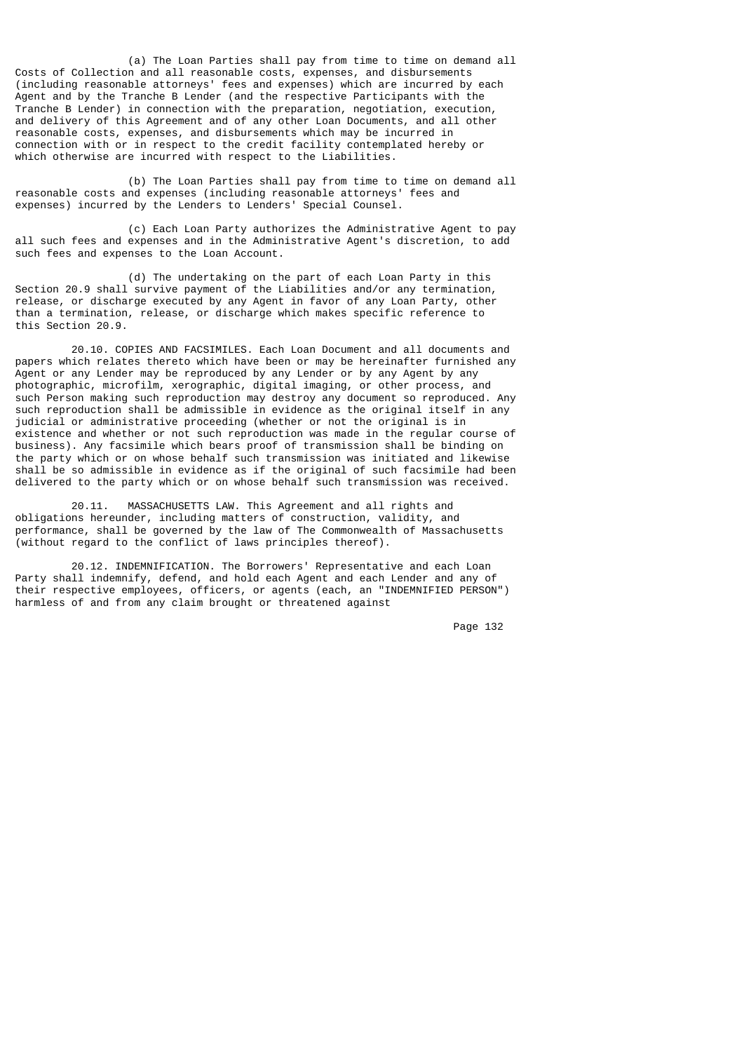(a) The Loan Parties shall pay from time to time on demand all Costs of Collection and all reasonable costs, expenses, and disbursements (including reasonable attorneys' fees and expenses) which are incurred by each Agent and by the Tranche B Lender (and the respective Participants with the Tranche B Lender) in connection with the preparation, negotiation, execution, and delivery of this Agreement and of any other Loan Documents, and all other reasonable costs, expenses, and disbursements which may be incurred in connection with or in respect to the credit facility contemplated hereby or which otherwise are incurred with respect to the Liabilities.

 (b) The Loan Parties shall pay from time to time on demand all reasonable costs and expenses (including reasonable attorneys' fees and expenses) incurred by the Lenders to Lenders' Special Counsel.

 (c) Each Loan Party authorizes the Administrative Agent to pay all such fees and expenses and in the Administrative Agent's discretion, to add such fees and expenses to the Loan Account.

 (d) The undertaking on the part of each Loan Party in this Section 20.9 shall survive payment of the Liabilities and/or any termination, release, or discharge executed by any Agent in favor of any Loan Party, other than a termination, release, or discharge which makes specific reference to this Section 20.9.

 20.10. COPIES AND FACSIMILES. Each Loan Document and all documents and papers which relates thereto which have been or may be hereinafter furnished any Agent or any Lender may be reproduced by any Lender or by any Agent by any photographic, microfilm, xerographic, digital imaging, or other process, and such Person making such reproduction may destroy any document so reproduced. Any such reproduction shall be admissible in evidence as the original itself in any judicial or administrative proceeding (whether or not the original is in existence and whether or not such reproduction was made in the regular course of business). Any facsimile which bears proof of transmission shall be binding on the party which or on whose behalf such transmission was initiated and likewise shall be so admissible in evidence as if the original of such facsimile had been delivered to the party which or on whose behalf such transmission was received.

 20.11. MASSACHUSETTS LAW. This Agreement and all rights and obligations hereunder, including matters of construction, validity, and performance, shall be governed by the law of The Commonwealth of Massachusetts (without regard to the conflict of laws principles thereof).

 20.12. INDEMNIFICATION. The Borrowers' Representative and each Loan Party shall indemnify, defend, and hold each Agent and each Lender and any of their respective employees, officers, or agents (each, an "INDEMNIFIED PERSON") harmless of and from any claim brought or threatened against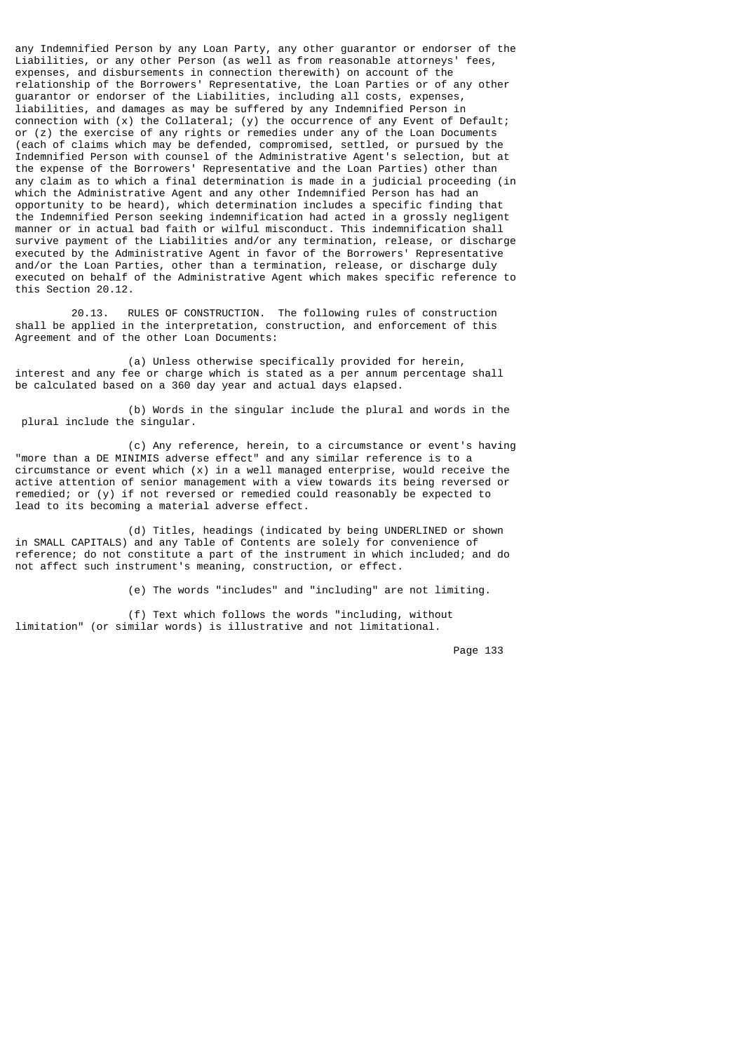any Indemnified Person by any Loan Party, any other guarantor or endorser of the Liabilities, or any other Person (as well as from reasonable attorneys' fees, expenses, and disbursements in connection therewith) on account of the relationship of the Borrowers' Representative, the Loan Parties or of any other guarantor or endorser of the Liabilities, including all costs, expenses, liabilities, and damages as may be suffered by any Indemnified Person in connection with (x) the Collateral; (y) the occurrence of any Event of Default; or (z) the exercise of any rights or remedies under any of the Loan Documents (each of claims which may be defended, compromised, settled, or pursued by the Indemnified Person with counsel of the Administrative Agent's selection, but at the expense of the Borrowers' Representative and the Loan Parties) other than any claim as to which a final determination is made in a judicial proceeding (in which the Administrative Agent and any other Indemnified Person has had an opportunity to be heard), which determination includes a specific finding that the Indemnified Person seeking indemnification had acted in a grossly negligent manner or in actual bad faith or wilful misconduct. This indemnification shall survive payment of the Liabilities and/or any termination, release, or discharge executed by the Administrative Agent in favor of the Borrowers' Representative and/or the Loan Parties, other than a termination, release, or discharge duly executed on behalf of the Administrative Agent which makes specific reference to this Section 20.12.

 20.13. RULES OF CONSTRUCTION. The following rules of construction shall be applied in the interpretation, construction, and enforcement of this Agreement and of the other Loan Documents:

 (a) Unless otherwise specifically provided for herein, interest and any fee or charge which is stated as a per annum percentage shall be calculated based on a 360 day year and actual days elapsed.

 (b) Words in the singular include the plural and words in the plural include the singular.

 (c) Any reference, herein, to a circumstance or event's having "more than a DE MINIMIS adverse effect" and any similar reference is to a  $circ$  circumstance or event which  $(x)$  in a well managed enterprise, would receive the active attention of senior management with a view towards its being reversed or remedied; or (y) if not reversed or remedied could reasonably be expected to lead to its becoming a material adverse effect.

 (d) Titles, headings (indicated by being UNDERLINED or shown in SMALL CAPITALS) and any Table of Contents are solely for convenience of reference; do not constitute a part of the instrument in which included; and do not affect such instrument's meaning, construction, or effect.

(e) The words "includes" and "including" are not limiting.

 (f) Text which follows the words "including, without limitation" (or similar words) is illustrative and not limitational.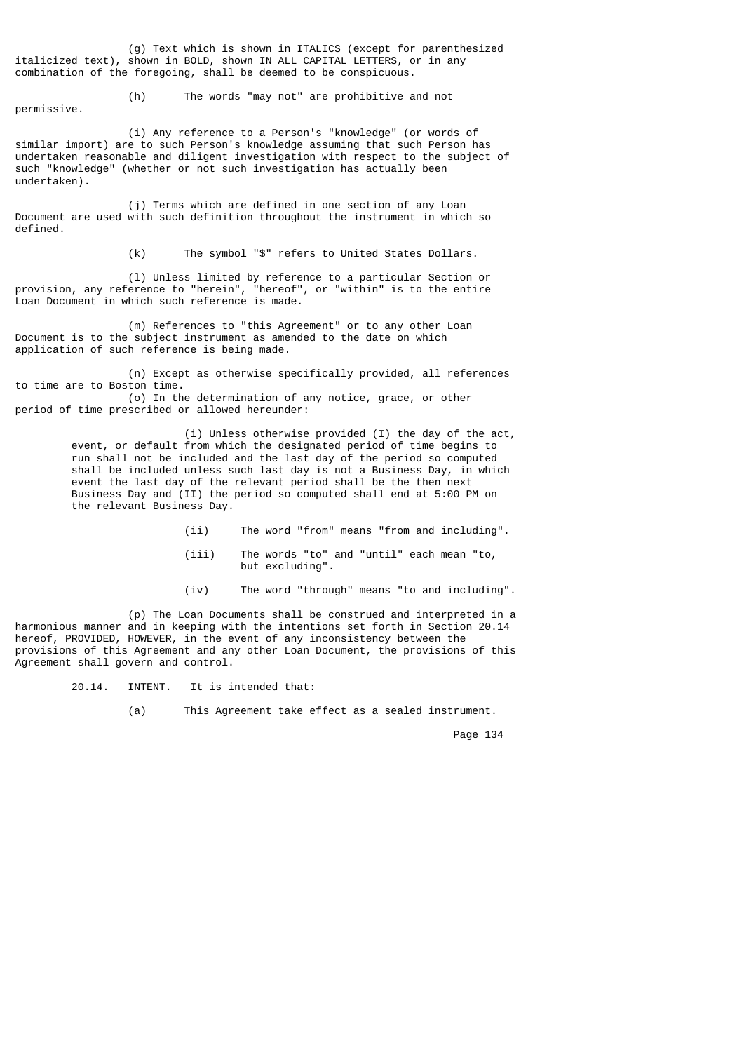(g) Text which is shown in ITALICS (except for parenthesized italicized text), shown in BOLD, shown IN ALL CAPITAL LETTERS, or in any combination of the foregoing, shall be deemed to be conspicuous.

permissive.

(h) The words "may not" are prohibitive and not

 (i) Any reference to a Person's "knowledge" (or words of similar import) are to such Person's knowledge assuming that such Person has undertaken reasonable and diligent investigation with respect to the subject of such "knowledge" (whether or not such investigation has actually been undertaken).

 (j) Terms which are defined in one section of any Loan Document are used with such definition throughout the instrument in which so defined.

(k) The symbol "\$" refers to United States Dollars.

 (l) Unless limited by reference to a particular Section or provision, any reference to "herein", "hereof", or "within" is to the entire Loan Document in which such reference is made.

 (m) References to "this Agreement" or to any other Loan Document is to the subject instrument as amended to the date on which application of such reference is being made.

 (n) Except as otherwise specifically provided, all references to time are to Boston time. (o) In the determination of any notice, grace, or other period of time prescribed or allowed hereunder:

> (i) Unless otherwise provided (I) the day of the act, event, or default from which the designated period of time begins to run shall not be included and the last day of the period so computed shall be included unless such last day is not a Business Day, in which event the last day of the relevant period shall be the then next Business Day and (II) the period so computed shall end at 5:00 PM on the relevant Business Day.

- (ii) The word "from" means "from and including".
- (iii) The words "to" and "until" each mean "to, but excluding".
- (iv) The word "through" means "to and including".

 (p) The Loan Documents shall be construed and interpreted in a harmonious manner and in keeping with the intentions set forth in Section 20.14 hereof, PROVIDED, HOWEVER, in the event of any inconsistency between the provisions of this Agreement and any other Loan Document, the provisions of this Agreement shall govern and control.

20.14. INTENT. It is intended that:

(a) This Agreement take effect as a sealed instrument.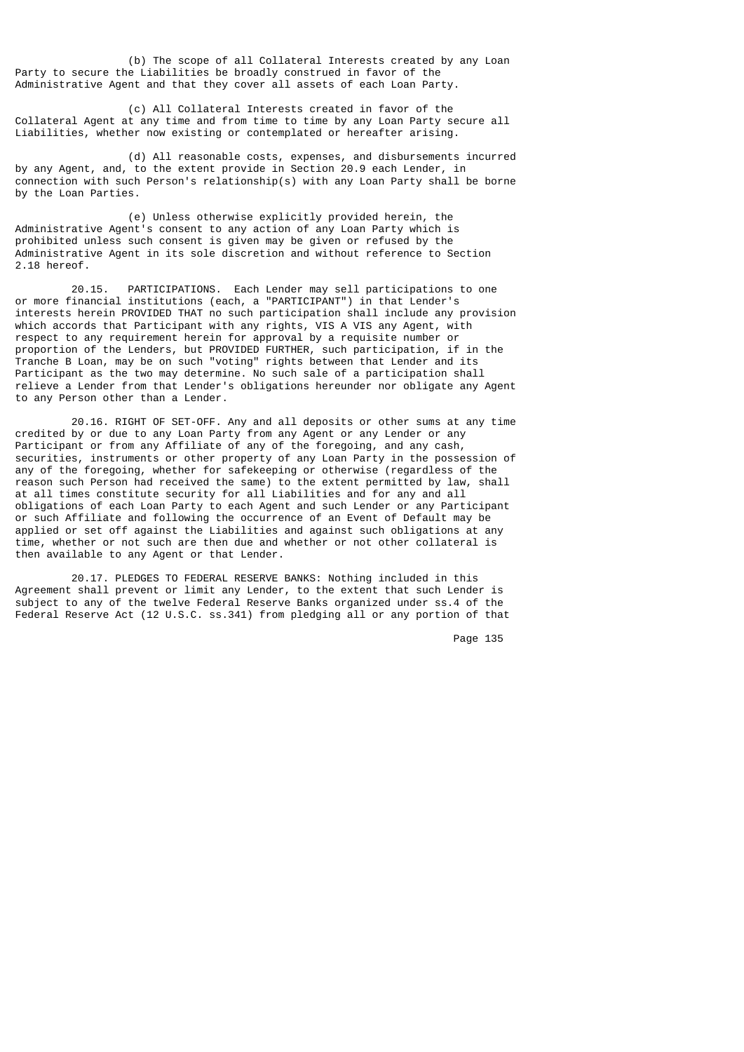(b) The scope of all Collateral Interests created by any Loan Party to secure the Liabilities be broadly construed in favor of the Administrative Agent and that they cover all assets of each Loan Party.

 (c) All Collateral Interests created in favor of the Collateral Agent at any time and from time to time by any Loan Party secure all Liabilities, whether now existing or contemplated or hereafter arising.

 (d) All reasonable costs, expenses, and disbursements incurred by any Agent, and, to the extent provide in Section 20.9 each Lender, in connection with such Person's relationship(s) with any Loan Party shall be borne by the Loan Parties.

 (e) Unless otherwise explicitly provided herein, the Administrative Agent's consent to any action of any Loan Party which is prohibited unless such consent is given may be given or refused by the Administrative Agent in its sole discretion and without reference to Section 2.18 hereof.

 20.15. PARTICIPATIONS. Each Lender may sell participations to one or more financial institutions (each, a "PARTICIPANT") in that Lender's interests herein PROVIDED THAT no such participation shall include any provision which accords that Participant with any rights, VIS A VIS any Agent, with respect to any requirement herein for approval by a requisite number or proportion of the Lenders, but PROVIDED FURTHER, such participation, if in the Tranche B Loan, may be on such "voting" rights between that Lender and its Participant as the two may determine. No such sale of a participation shall relieve a Lender from that Lender's obligations hereunder nor obligate any Agent to any Person other than a Lender.

 20.16. RIGHT OF SET-OFF. Any and all deposits or other sums at any time credited by or due to any Loan Party from any Agent or any Lender or any Participant or from any Affiliate of any of the foregoing, and any cash, securities, instruments or other property of any Loan Party in the possession of any of the foregoing, whether for safekeeping or otherwise (regardless of the reason such Person had received the same) to the extent permitted by law, shall at all times constitute security for all Liabilities and for any and all obligations of each Loan Party to each Agent and such Lender or any Participant or such Affiliate and following the occurrence of an Event of Default may be applied or set off against the Liabilities and against such obligations at any time, whether or not such are then due and whether or not other collateral is then available to any Agent or that Lender.

 20.17. PLEDGES TO FEDERAL RESERVE BANKS: Nothing included in this Agreement shall prevent or limit any Lender, to the extent that such Lender is subject to any of the twelve Federal Reserve Banks organized under ss.4 of the Federal Reserve Act (12 U.S.C. ss.341) from pledging all or any portion of that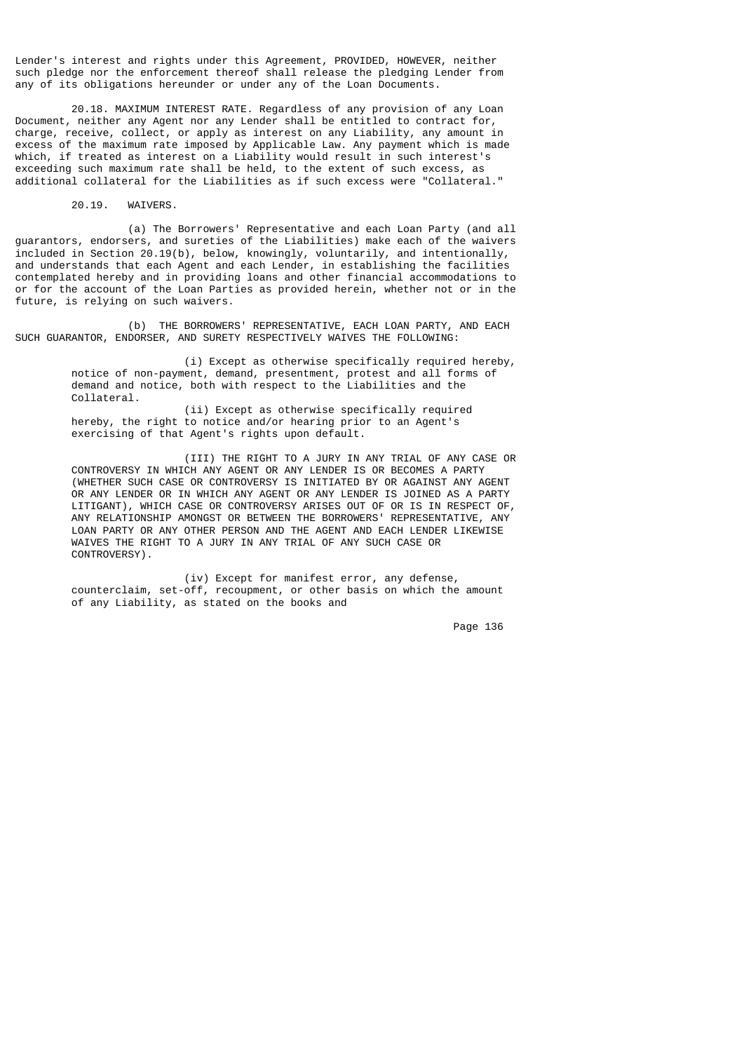Lender's interest and rights under this Agreement, PROVIDED, HOWEVER, neither such pledge nor the enforcement thereof shall release the pledging Lender from any of its obligations hereunder or under any of the Loan Documents.

 20.18. MAXIMUM INTEREST RATE. Regardless of any provision of any Loan Document, neither any Agent nor any Lender shall be entitled to contract for, charge, receive, collect, or apply as interest on any Liability, any amount in excess of the maximum rate imposed by Applicable Law. Any payment which is made which, if treated as interest on a Liability would result in such interest's exceeding such maximum rate shall be held, to the extent of such excess, as additional collateral for the Liabilities as if such excess were "Collateral."

20.19. WAIVERS.

 (a) The Borrowers' Representative and each Loan Party (and all guarantors, endorsers, and sureties of the Liabilities) make each of the waivers included in Section 20.19(b), below, knowingly, voluntarily, and intentionally, and understands that each Agent and each Lender, in establishing the facilities contemplated hereby and in providing loans and other financial accommodations to or for the account of the Loan Parties as provided herein, whether not or in the future, is relying on such waivers.

 (b) THE BORROWERS' REPRESENTATIVE, EACH LOAN PARTY, AND EACH SUCH GUARANTOR, ENDORSER, AND SURETY RESPECTIVELY WAIVES THE FOLLOWING:

 (i) Except as otherwise specifically required hereby, notice of non-payment, demand, presentment, protest and all forms of demand and notice, both with respect to the Liabilities and the Collateral.

> (ii) Except as otherwise specifically required hereby, the right to notice and/or hearing prior to an Agent's exercising of that Agent's rights upon default.

 (III) THE RIGHT TO A JURY IN ANY TRIAL OF ANY CASE OR CONTROVERSY IN WHICH ANY AGENT OR ANY LENDER IS OR BECOMES A PARTY (WHETHER SUCH CASE OR CONTROVERSY IS INITIATED BY OR AGAINST ANY AGENT OR ANY LENDER OR IN WHICH ANY AGENT OR ANY LENDER IS JOINED AS A PARTY LITIGANT), WHICH CASE OR CONTROVERSY ARISES OUT OF OR IS IN RESPECT OF, ANY RELATIONSHIP AMONGST OR BETWEEN THE BORROWERS' REPRESENTATIVE, ANY LOAN PARTY OR ANY OTHER PERSON AND THE AGENT AND EACH LENDER LIKEWISE WAIVES THE RIGHT TO A JURY IN ANY TRIAL OF ANY SUCH CASE OR CONTROVERSY).

 (iv) Except for manifest error, any defense, counterclaim, set-off, recoupment, or other basis on which the amount of any Liability, as stated on the books and

Page 136 and the state of the state of the state of the state of the state of the state of the state of the state of the state of the state of the state of the state of the state of the state of the state of the state of t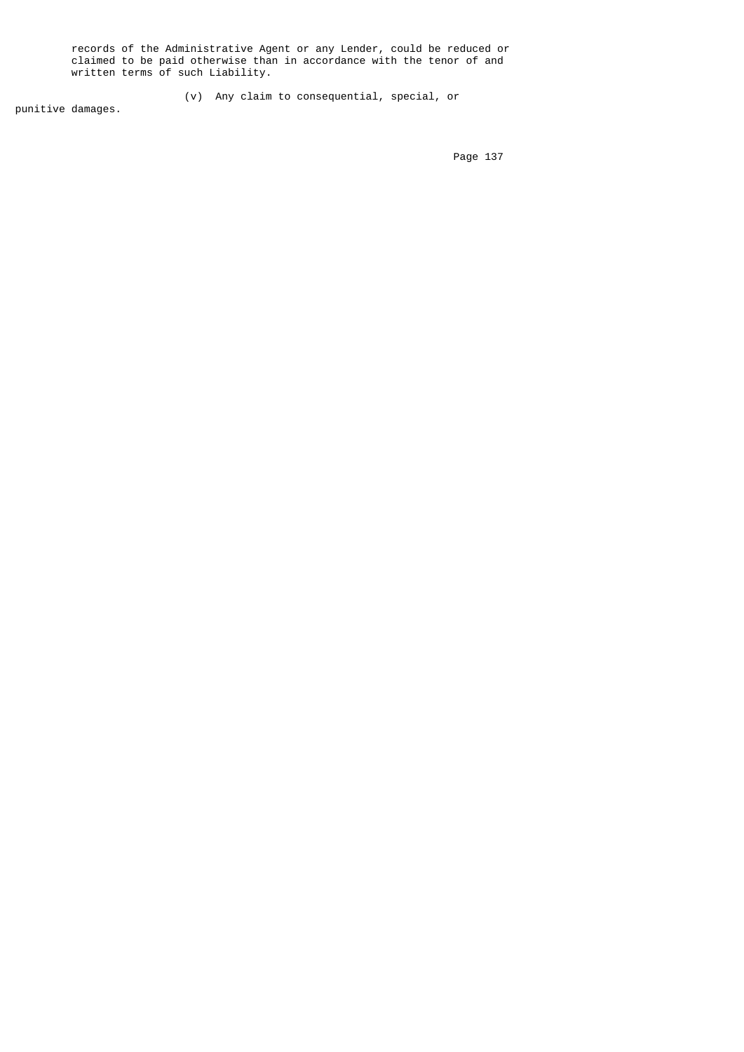records of the Administrative Agent or any Lender, could be reduced or claimed to be paid otherwise than in accordance with the tenor of and written terms of such Liability.

(v) Any claim to consequential, special, or

punitive damages.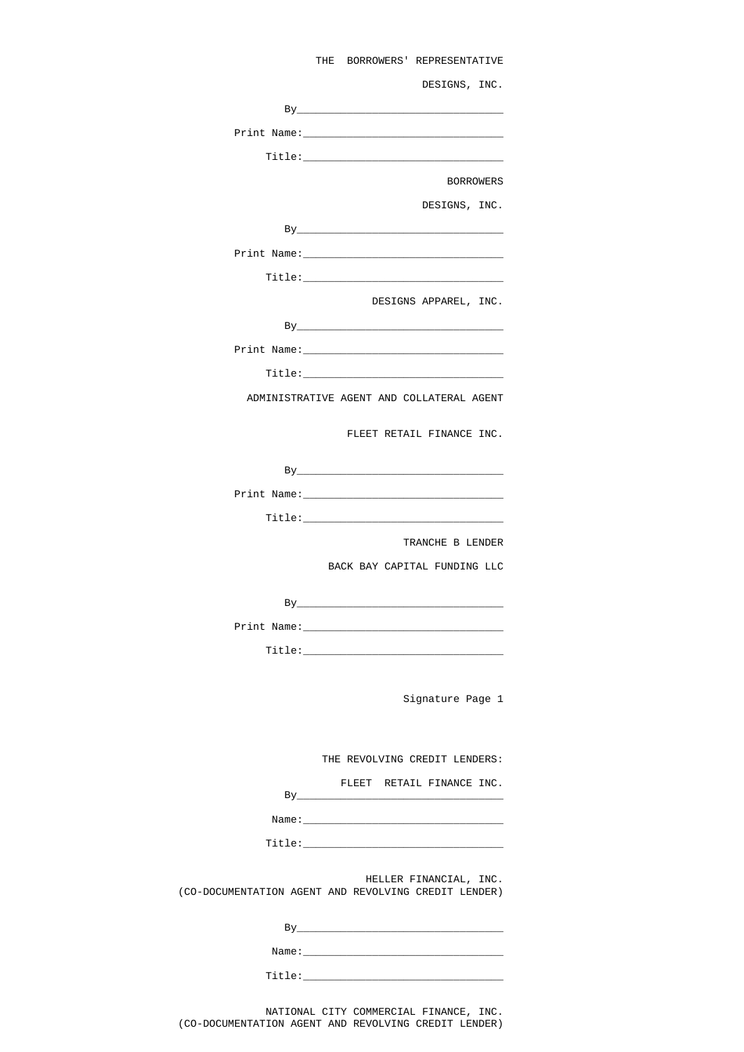| THE BORROWERS' REPRESENTATIVE                                                  |  |  |
|--------------------------------------------------------------------------------|--|--|
| DESIGNS, INC.                                                                  |  |  |
|                                                                                |  |  |
|                                                                                |  |  |
|                                                                                |  |  |
| <b>BORROWERS</b>                                                               |  |  |
| DESIGNS, INC.                                                                  |  |  |
|                                                                                |  |  |
|                                                                                |  |  |
|                                                                                |  |  |
| DESIGNS APPAREL, INC.                                                          |  |  |
| $\mathsf{By}$                                                                  |  |  |
|                                                                                |  |  |
|                                                                                |  |  |
| ADMINISTRATIVE AGENT AND COLLATERAL AGENT                                      |  |  |
|                                                                                |  |  |
| FLEET RETAIL FINANCE INC.                                                      |  |  |
|                                                                                |  |  |
|                                                                                |  |  |
|                                                                                |  |  |
| TRANCHE B LENDER                                                               |  |  |
| BACK BAY CAPITAL FUNDING LLC                                                   |  |  |
|                                                                                |  |  |
|                                                                                |  |  |
|                                                                                |  |  |
|                                                                                |  |  |
|                                                                                |  |  |
| Signature Page 1                                                               |  |  |
|                                                                                |  |  |
| THE REVOLVING CREDIT LENDERS:                                                  |  |  |
| FLEET RETAIL FINANCE INC.                                                      |  |  |
|                                                                                |  |  |
|                                                                                |  |  |
|                                                                                |  |  |
| HELLER FINANCIAL, INC.<br>(CO-DOCUMENTATION AGENT AND REVOLVING CREDIT LENDER) |  |  |
|                                                                                |  |  |
|                                                                                |  |  |
|                                                                                |  |  |
|                                                                                |  |  |

 NATIONAL CITY COMMERCIAL FINANCE, INC. (CO-DOCUMENTATION AGENT AND REVOLVING CREDIT LENDER)